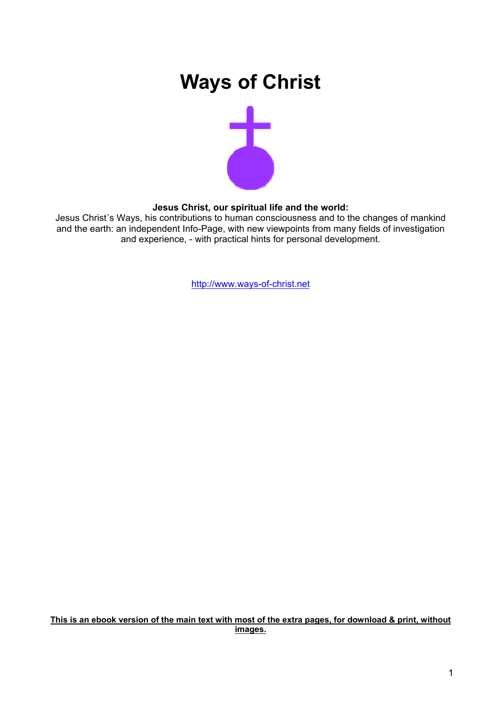# <span id="page-0-0"></span>**Ways of Christ**



#### **Jesus Christ, our spiritual life and the world:**

Jesus Christ´s Ways, his contributions to human consciousness and to the changes of mankind and the earth: an independent Info-Page, with new viewpoints from many fields of investigation and experience, - with practical hints for personal development.

[http://www.ways-of-christ.net](http://www.ways-of-christ.net/)

#### **This is an ebook version of the main text with most of the extra pages, for download & print, without images.**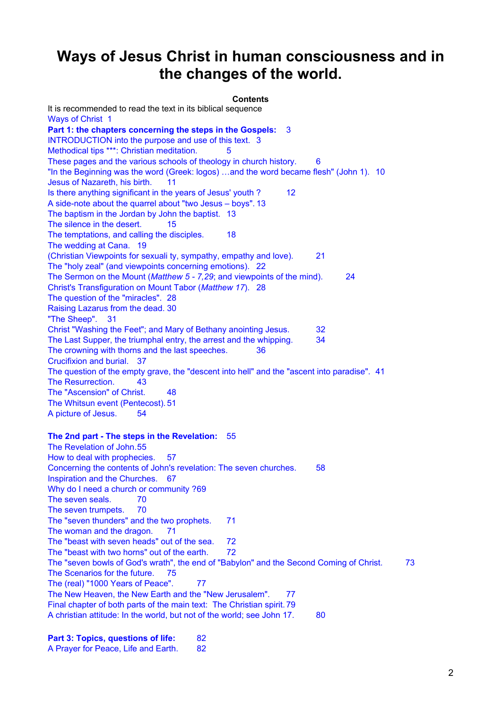# <span id="page-1-0"></span>**Ways of Jesus Christ in human consciousness and in the changes of the world.**

#### **Contents**

It is recommend[ed](#page-0-0) to read the text in its biblical sequence [Ways of Christ 1](#page-0-0) **[Part 1: the chapters concerning the steps in the Gospels:](#page-2-0)** 3 [INTRODUCTION into the purpose and use of this text. 3](#page-2-0) [Methodical tips \\*\\*\\*: Christian meditation. 5](#page-4-0) [These pages and the various schools of theology in church history. 6](#page-5-0) ["In the Beginning was the word \(Greek: logos\) …and the word became flesh" \(John 1\). 10](#page-9-0) [Jesus of Nazareth, his birth. 11](#page-10-0) [Is there anything significant in the years of Jesus' youth ? 12](#page-11-0) [A side-note about the quarrel about "two Jesus – boys". 13](#page-12-0) [The baptism in the Jordan by John the baptist. 13](#page-12-0) [The silence in the desert. 15](#page-14-0) [The temptations, and calling the disciples. 18](#page-17-0) [The wedding at Cana. 19](#page-18-0) [\(Christian Viewpoints for sexuali ty, sympathy, empathy and love\). 21](#page-20-0) [The "holy zeal" \(and viewpoints concerning emotions\). 22](#page-21-0) The Sermon on the Mount (*Matthew 5 - 7,29*[; and viewpoints of the mind\). 24](#page-23-0) [Christ's Transfiguration on Mount Tabor \(](#page-27-0)*Matthew 17*). 28 [The question of the "miracles". 28](#page-27-0) [Raising Lazarus from the dead. 30](#page-29-0) ["The Sheep". 31](#page-30-0) [Christ "Washing the Feet"; and Mary of Bethany anointing Jesus. 32](#page-31-0) [The Last Supper, the triumphal entry, the arrest and the whipping. 34](#page-33-0) [The crowning with thorns and the last speeches. 36](#page-35-0) [Crucifixion and burial. 37](#page-36-0) [The question of the empty grave, the "descent into hell" and the "ascent into paradise". 41](#page-40-0) [The Resurrection. 43](#page-42-0) [The "Ascension" of Christ. 48](#page-47-0) [The Whitsun event \(Pentecost\). 51](#page-50-0) [A picture of Jesus. 54](#page-53-0) 

#### **[The 2nd part - The steps in the Revelation:](#page-54-0)** 55

[The Revelation of John. 55](#page-54-0) [How to deal with prophecies. 57](#page-56-0) [Concerning the contents of John's revelation: The seven churches. 58](#page-57-0) [Inspiration and the Churches. 67](#page-66-0) [Why do I need a church or community ?69](#page-68-0) [The seven seals. 70](#page-69-0) [The seven trumpets. 70](#page-69-0) [The "seven thunders" and the two prophets. 71](#page-70-0) [The woman and the dragon. 71](#page-70-0) [The "beast with seven heads" out of the sea. 72](#page-71-0) [The "beast with two horns" out of the earth. 72](#page-71-0) [The "seven bowls of God's wrath", the end of "Babylon" and the Second Coming of Christ. 73](#page-72-0) [The Scenarios for the future. 75](#page-74-0) [The \(real\) "1000 Years of Peace". 77](#page-76-0) [The New Heaven, the New Earth and the "New Jerusalem". 77](#page-76-0) [Final chapter of both parts of the main text: The Christian spirit. 79](#page-78-0) A christian attitude: In the world, but not of the world; see John 17. 80

# [Part 3: Topics, questions of life:](#page-81-0) 82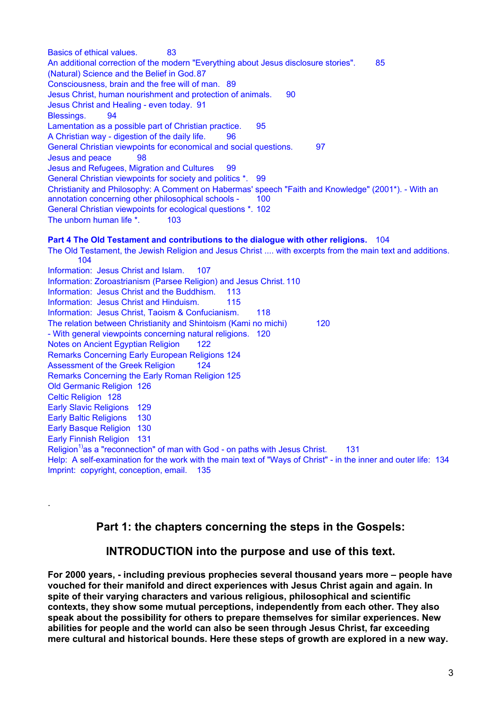<span id="page-2-0"></span>[Basics of ethical values. 83](#page-82-0) [An additional correction of the modern "Everything about Jesus disclosure stories". 85](#page-84-0) [\(Natural\) Science and the Belief in God. 87](#page-86-0) [Consciousness, brain and the free will of man. 89](#page-88-0) [Jesus Christ, human nourishment and protection of animals. 90](#page-89-0) [Jesus Christ and Healing - even today. 91](#page-90-0) [Blessings. 94](#page-93-0) [Lamentation as a possible part of Christian practice. 95](#page-94-0) [A Christian way - digestion of the daily life. 96](#page-95-0) [General Christian viewpoints for economical and social questions. 97](#page-96-0) [Jesus and peace 98](#page-97-0) [Jesus and Refugees, Migration and Cultures 99](#page-98-0) [General Christian viewpoints for society and politics \\*. 99](#page-98-0) [Christianity and Philosophy: A Comment on Habermas' speech "Faith and Knowledge" \(2001\\*\). - With an](#page-99-0)  [annotation concerning other philosophical schools - 100](#page-99-0) [General Christian viewpoints for ecological questions \\*. 102](#page-101-0) The unborn human life  $*$  103

#### **[Part 4 The Old Testament and contributions to the dialogue with other religions.](#page-103-0)** 104

[The Old Testament, the Jewish Religion and Jesus Christ .... with excerpts from the main text and additions.](#page-103-0)  [104](#page-103-0) [Information: Jesus Christ and Islam. 107](#page-106-0) [Information: Zoroastrianism \(Parsee Religion\) and Jesus Christ. 110](#page-109-0) [Information: Jesus Christ and the Buddhism. 113](#page-112-0) [Information: Jesus Christ and Hinduism. 115](#page-114-0) [Information: Jesus Christ, Taoism & Confucianism. 118](#page-117-0) [The relation between Christianity and Shintoism \(Kami no michi\) 120](#page-119-0) [- With general viewpoints concerning natural religions. 120](#page-119-0) [Notes on Ancient Egyptian Religion 122](#page-121-0) [Remarks Concerning Early European Religions 124](#page-123-0) [Assessment of the Greek Religion 124](#page-123-0) [Remarks Concerning the Early Roman Religion 125](#page-124-0) [Old Germanic Religion 126](#page-125-0) [Celtic Religion 128](#page-127-0) [Early Slavic Religions 129](#page-128-0) [Early Baltic Religions 130](#page-129-0) [Early Basque Religion 130](#page-129-0) [Early Finnish Religion 131](#page-130-0) [Religion](#page-130-0)<sup>1</sup> as a "reconnection" of man with God - on paths with Jesus Christ.  $131$ [Help: A self-examination for the work with the main text of "Ways of Christ" - in the inner and outer life: 134](#page-133-0) [Imprint: copyright, conception, email. 135](#page-134-0)

### **Part 1: the chapters concerning the steps in the Gospels:**

.

### **INTRODUCTION into the purpose and use of this text.**

**For 2000 years, - including previous prophecies several thousand years more – people have vouched for their manifold and direct experiences with Jesus Christ again and again. In spite of their varying characters and various religious, philosophical and scientific contexts, they show some mutual perceptions, independently from each other. They also speak about the possibility for others to prepare themselves for similar experiences. New abilities for people and the world can also be seen through Jesus Christ, far exceeding mere cultural and historical bounds. Here these steps of growth are explored in a new way.**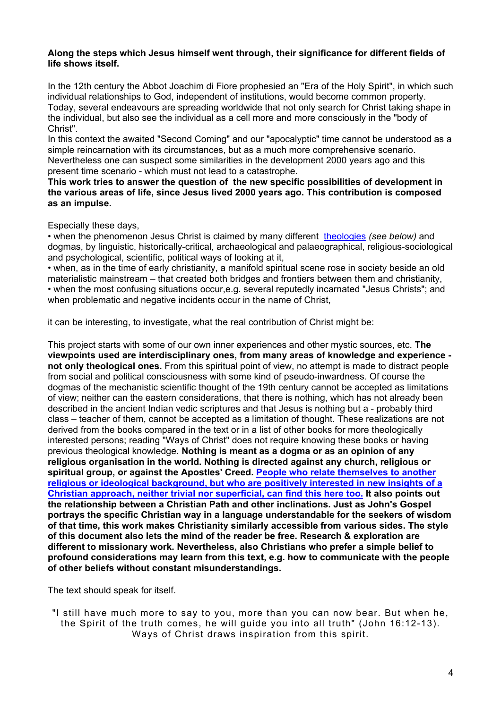#### **Along the steps which Jesus himself went through, their significance for different fields of life shows itself.**

In the 12th century the Abbot Joachim di Fiore prophesied an "Era of the Holy Spirit", in which such individual relationships to God, independent of institutions, would become common property. Today, several endeavours are spreading worldwide that not only search for Christ taking shape in the individual, but also see the individual as a cell more and more consciously in the "body of Christ".

In this context the awaited "Second Coming" and our "apocalyptic" time cannot be understood as a simple reincarnation with its circumstances, but as a much more comprehensive scenario. Nevertheless one can suspect some similarities in the development 2000 years ago and this present time scenario - which must not lead to a catastrophe.

**This work tries to answer the question of the new specific possibilities of development in the various areas of life, since Jesus lived 2000 years ago. This contribution is composed as an impulse.**

Especially these days,

• when the phenomenon Jesus Christ is claimed by many different theologies *(see below)* and dogmas, by linguistic, historically-critical, archaeological and palaeographical, religious-sociological and psychological, scientific, political ways of looking at it,

• when, as in the time of early christianity, a manifold spiritual scene rose in society beside an old materialistic mainstream – that created both bridges and frontiers between them and christianity, • when the most confusing situations occur,e.g. several reputedly incarnated "Jesus Christs"; and when problematic and negative incidents occur in the name of Christ.

it can be interesting, to investigate, what the real contribution of Christ might be:

This project starts with some of our own inner experiences and other mystic sources, etc. **The viewpoints used are interdisciplinary ones, from many areas of knowledge and experience not only theological ones.** From this spiritual point of view, no attempt is made to distract people from social and political consciousness with some kind of pseudo-inwardness. Of course the dogmas of the mechanistic scientific thought of the 19th century cannot be accepted as limitations of view; neither can the eastern considerations, that there is nothing, which has not already been described in the ancient Indian vedic scriptures and that Jesus is nothing but a - probably third class – teacher of them, cannot be accepted as a limitation of thought. These realizations are not derived from the books compared in the text or in a list of other books for more theologically interested persons; reading "Ways of Christ" does not require knowing these books or having previous theological knowledge. **Nothing is meant as a dogma or as an opinion of any religious organisation in the world. Nothing is directed against any church, religious or spiritual group, or against the Apostles' Creed. [People who relate themselves to another](http://www.ways-of-christ.net/en1234/00.htm)  [religious or ideological background, but who are positively interested in new insights of a](http://www.ways-of-christ.net/en1234/00.htm)  [Christian approach, neither trivial nor superficial, can find this here too.](http://www.ways-of-christ.net/en1234/00.htm) It also points out the relationship between a Christian Path and other inclinations. Just as John's Gospel portrays the specific Christian way in a language understandable for the seekers of wisdom of that time, this work makes Christianity similarly accessible from various sides. The style of this document also lets the mind of the reader be free. Research & exploration are different to missionary work. Nevertheless, also Christians who prefer a simple belief to profound considerations may learn from this text, e.g. how to communicate with the people of other beliefs without constant misunderstandings.** 

The text should speak for itself.

"I still have much more to say to you, more than you can now bear. But when he, the Spirit of the truth comes, he will guide you into all truth" (John 16:12-13). Ways of Christ draws inspiration from this spirit.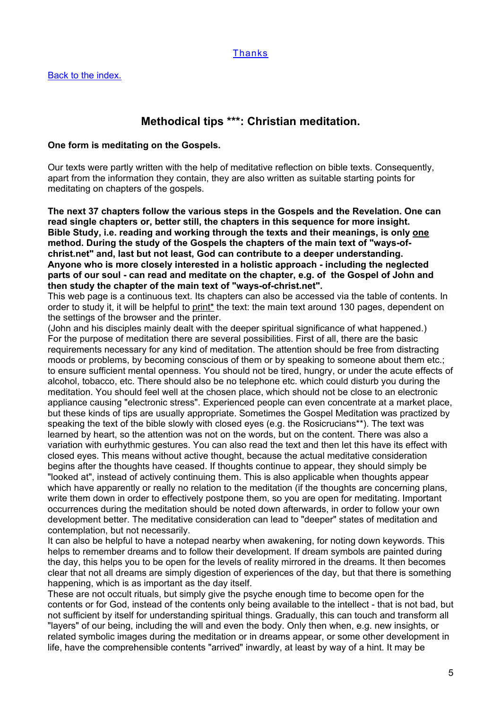#### [Thanks](http://www.ways-of-christ.net/en1234/01b.htm)

### **Methodical tips \*\*\*: Christian meditation.**

#### <span id="page-4-0"></span>**One form is meditating on the Gospels.**

Our texts were partly written with the help of meditative reflection on bible texts. Consequently, apart from the information they contain, they are also written as suitable starting points for meditating on chapters of the gospels.

**The next 37 chapters follow the various steps in the Gospels and the Revelation. One can read single chapters or, better still, the chapters in this sequence for more insight. Bible Study, i.e. reading and working through the texts and their meanings, is only one method. During the study of the Gospels the chapters of the main text of "ways-ofchrist.net" and, last but not least, God can contribute to a deeper understanding. Anyone who is more closely interested in a holistic approach - including the neglected parts of our soul - can read and meditate on the chapter, e.g. of the Gospel of John and then study the chapter of the main text of "ways-of-christ.net".**

This web page is a continuous text. Its chapters can also be accessed via the table of contents. In order to study it, it will be helpful to print<sup>\*</sup> the text: the main text around 130 pages, dependent on the settings of the browser and the printer.

(John and his disciples mainly dealt with the deeper spiritual significance of what happened.) For the purpose of meditation there are several possibilities. First of all, there are the basic requirements necessary for any kind of meditation. The attention should be free from distracting moods or problems, by becoming conscious of them or by speaking to someone about them etc.; to ensure sufficient mental openness. You should not be tired, hungry, or under the acute effects of alcohol, tobacco, etc. There should also be no telephone etc. which could disturb you during the meditation. You should feel well at the chosen place, which should not be close to an electronic appliance causing "electronic stress". Experienced people can even concentrate at a market place, but these kinds of tips are usually appropriate. Sometimes the Gospel Meditation was practized by speaking the text of the bible slowly with closed eyes (e.g. the Rosicrucians\*\*). The text was learned by heart, so the attention was not on the words, but on the content. There was also a variation with eurhythmic gestures. You can also read the text and then let this have its effect with closed eyes. This means without active thought, because the actual meditative consideration begins after the thoughts have ceased. If thoughts continue to appear, they should simply be "looked at", instead of actively continuing them. This is also applicable when thoughts appear which have apparently or really no relation to the meditation (if the thoughts are concerning plans, write them down in order to effectively postpone them, so you are open for meditating. Important occurrences during the meditation should be noted down afterwards, in order to follow your own development better. The meditative consideration can lead to "deeper" states of meditation and contemplation, but not necessarily.

It can also be helpful to have a notepad nearby when awakening, for noting down keywords. This helps to remember dreams and to follow their development. If dream symbols are painted during the day, this helps you to be open for the levels of reality mirrored in the dreams. It then becomes clear that not all dreams are simply digestion of experiences of the day, but that there is something happening, which is as important as the day itself.

These are not occult rituals, but simply give the psyche enough time to become open for the contents or for God, instead of the contents only being available to the intellect - that is not bad, but not sufficient by itself for understanding spiritual things. Gradually, this can touch and transform all "layers" of our being, including the will and even the body. Only then when, e.g. new insights, or related symbolic images during the meditation or in dreams appear, or some other development in life, have the comprehensible contents "arrived" inwardly, at least by way of a hint. It may be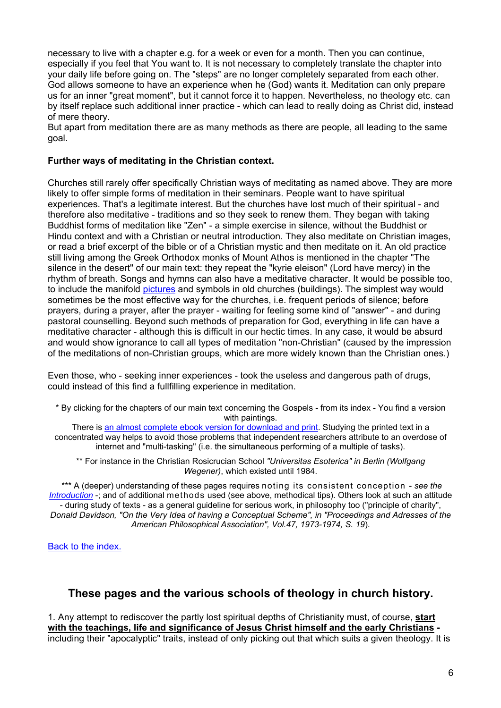<span id="page-5-0"></span>necessary to live with a chapter e.g. for a week or even for a month. Then you can continue, especially if you feel that You want to. It is not necessary to completely translate the chapter into your daily life before going on. The "steps" are no longer completely separated from each other. God allows someone to have an experience when he (God) wants it. Meditation can only prepare us for an inner "great moment", but it cannot force it to happen. Nevertheless, no theology etc. can by itself replace such additional inner practice - which can lead to really doing as Christ did, instead of mere theory.

But apart from meditation there are as many methods as there are people, all leading to the same goal.

#### **Further ways of meditating in the Christian context.**

Churches still rarely offer specifically Christian ways of meditating as named above. They are more likely to offer simple forms of meditation in their seminars. People want to have spiritual experiences. That's a legitimate interest. But the churches have lost much of their spiritual - and therefore also meditative - traditions and so they seek to renew them. They began with taking Buddhist forms of meditation like "Zen" - a simple exercise in silence, without the Buddhist or Hindu context and with a Christian or neutral introduction. They also meditate on Christian images, or read a brief excerpt of the bible or of a Christian mystic and then meditate on it. An old practice still living among the Greek Orthodox monks of Mount Athos is mentioned in the chapter "The silence in the desert" of our main text: they repeat the "kyrie eleison" (Lord have mercy) in the rhythm of breath. Songs and hymns can also have a meditative character. It would be possible too, to include the manifold [pictures](http://www.ways-of-christ.net/print/en_images.pdf) and symbols in old churches (buildings). The simplest way would sometimes be the most effective way for the churches, i.e. frequent periods of silence; before prayers, during a prayer, after the prayer - waiting for feeling some kind of "answer" - and during pastoral counselling. Beyond such methods of preparation for God, everything in life can have a meditative character - although this is difficult in our hectic times. In any case, it would be absurd and would show ignorance to call all types of meditation "non-Christian" (caused by the impression of the meditations of non-Christian groups, which are more widely known than the Christian ones.)

Even those, who - seeking inner experiences - took the useless and dangerous path of drugs, could instead of this find a fullfilling experience in meditation.

\* By clicking for the chapters of our main text concerning the Gospels - from its index - You find a version with paintings.

There is an almost complete ebook version for download and print. Studying the printed text in a concentrated way helps to avoid those problems that independent researchers attribute to an overdose of internet and "multi-tasking" (i.e. the simultaneous performing of a multiple of tasks).

\*\* For instance in the Christian Rosicrucian School *"Universitas Esoterica" in Berlin (Wolfgang Wegener)*, which existed until 1984.

 \*\*\* A (deeper) understanding of these pages requires noting its consistent conception - *see the Introduction* -; and of additional methods used (see above, methodical tips). Others look at such an attitude - during study of texts - as a general guideline for serious work, in philosophy too ("principle of charity", *Donald Davidson, "On the Very Idea of having a Conceptual Scheme", in "Proceedings and Adresses of the American Philosophical Association", Vol.47, 1973-1974, S. 19*).

[Back to the index.](#page-1-0)

### **These pages and the various schools of theology in church history.**

1. Any attempt to rediscover the partly lost spiritual depths of Christianity must, of course, **start with the teachings, life and significance of Jesus Christ himself and the early Christians**  including their "apocalyptic" traits, instead of only picking out that which suits a given theology. It is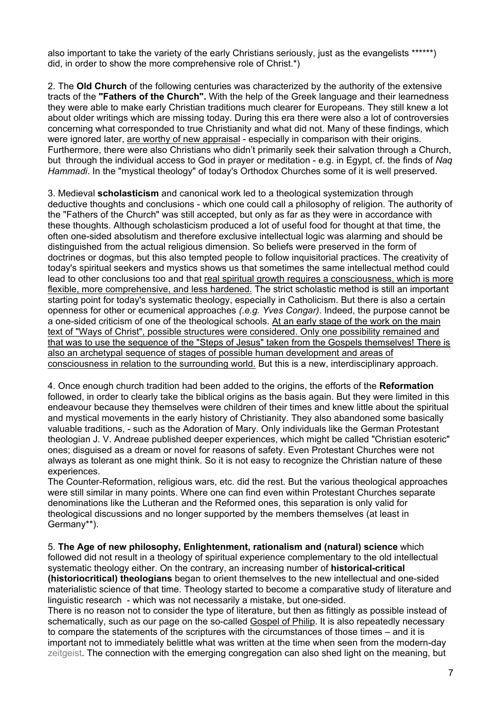also important to take the variety of the early Christians seriously, just as the evangelists \*\*\*\*\*\*) did, in order to show the more comprehensive role of Christ.\*)

2. The **Old Church** of the following centuries was characterized by the authority of the extensive tracts of the **"Fathers of the Church".** With the help of the Greek language and their learnedness they were able to make early Christian traditions much clearer for Europeans. They still knew a lot about older writings which are missing today. During this era there were also a lot of controversies concerning what corresponded to true Christianity and what did not. Many of these findings, which were ignored later, are worthy of new appraisal - especially in comparison with their origins. Furthermore, there were also Christians who didn't primarily seek their salvation through a Church, but through the individual access to God in prayer or meditation - e.g. in Egypt, cf. the finds of *Naq Hammadi*. In the "mystical theology" of today's Orthodox Churches some of it is well preserved.

3. Medieval **scholasticism** and canonical work led to a theological systemization through deductive thoughts and conclusions - which one could call a philosophy of religion. The authority of the "Fathers of the Church" was still accepted, but only as far as they were in accordance with these thoughts. Although scholasticism produced a lot of useful food for thought at that time, the often one-sided absolutism and therefore exclusive intellectual logic was alarming and should be distinguished from the actual religious dimension. So beliefs were preserved in the form of doctrines or dogmas, but this also tempted people to follow inquisitorial practices. The creativity of today's spiritual seekers and mystics shows us that sometimes the same intellectual method could lead to other conclusions too and that real spiritual growth requires a consciousness, which is more flexible, more comprehensive, and less hardened. The strict scholastic method is still an important starting point for today's systematic theology, especially in Catholicism. But there is also a certain openness for other or ecumenical approaches *(.e.g. Yves Congar)*. Indeed, the purpose cannot be a one-sided criticism of one of the theological schools. At an early stage of the work on the main text of "Ways of Christ", possible structures were considered. Only one possibility remained and that was to use the sequence of the "Steps of Jesus" taken from the Gospels themselves! There is also an archetypal sequence of stages of possible human development and areas of consciousness in relation to the surrounding world. But this is a new, interdisciplinary approach.

4. Once enough church tradition had been added to the origins, the efforts of the **Reformation** followed, in order to clearly take the biblical origins as the basis again. But they were limited in this endeavour because they themselves were children of their times and knew little about the spiritual and mystical movements in the early history of Christianity. They also abandoned some basically valuable traditions, - such as the Adoration of Mary. Only individuals like the German Protestant theologian J. V. Andreae published deeper experiences, which might be called "Christian esoteric" ones; disguised as a dream or novel for reasons of safety. Even Protestant Churches were not always as tolerant as one might think. So it is not easy to recognize the Christian nature of these experiences.

The Counter-Reformation, religious wars, etc. did the rest. But the various theological approaches were still similar in many points. Where one can find even within Protestant Churches separate denominations like the Lutheran and the Reformed ones, this separation is only valid for theological discussions and no longer supported by the members themselves (at least in Germany\*\*).

5. **The Age of new philosophy, Enlightenment, rationalism and (natural) science** which followed did not result in a theology of spiritual experience complementary to the old intellectual systematic theology either. On the contrary, an increasing number of **historical-critical (historiocritical) theologians** began to orient themselves to the new intellectual and one-sided materialistic science of that time. Theology started to become a comparative study of literature and linguistic research - which was not necessarily a mistake, but one-sided.

There is no reason not to consider the type of literature, but then as fittingly as possible instead of schematically, such as our page on the so-called Gospel of Philip. It is also repeatedly necessary to compare the statements of the scriptures with the circumstances of those times – and it is important not to immediately belittle what was written at the time when seen from the modern-day zeitgeist. The connection with the emerging congregation can also shed light on the meaning, but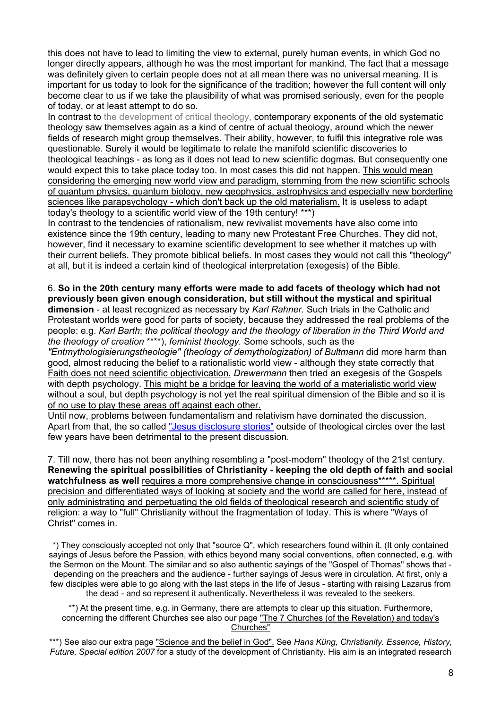this does not have to lead to limiting the view to external, purely human events, in which God no longer directly appears, although he was the most important for mankind. The fact that a message was definitely given to certain people does not at all mean there was no universal meaning. It is important for us today to look for the significance of the tradition; however the full content will only become clear to us if we take the plausibility of what was promised seriously, even for the people of today, or at least attempt to do so.

In contrast to the development of critical theology, contemporary exponents of the old systematic theology saw themselves again as a kind of centre of actual theology, around which the newer fields of research might group themselves. Their ability, however, to fulfil this integrative role was questionable. Surely it would be legitimate to relate the manifold scientific discoveries to theological teachings - as long as it does not lead to new scientific dogmas. But consequently one would expect this to take place today too. In most cases this did not happen. This would mean considering the emerging new world view and paradigm, stemming from the new scientific schools of quantum physics, quantum biology, new geophysics, astrophysics and especially new borderline sciences like parapsychology - which don't back up the old materialism. It is useless to adapt today's theology to a scientific world view of the 19th century! \*\*\*)

In contrast to the tendencies of rationalism, new revivalist movements have also come into existence since the 19th century, leading to many new Protestant Free Churches. They did not, however, find it necessary to examine scientific development to see whether it matches up with their current beliefs. They promote biblical beliefs. In most cases they would not call this "theology" at all, but it is indeed a certain kind of theological interpretation (exegesis) of the Bible.

### 6. **So in the 20th century many efforts were made to add facets of theology which had not previously been given enough consideration, but still without the mystical and spiritual**

**dimension** - at least recognized as necessary by *Karl Rahner.* Such trials in the Catholic and Protestant worlds were good for parts of society, because they addressed the real problems of the people: e.g. *Karl Barth*; *the political theology and the theology of liberation in the Third World and the theology of creation* \*\*\*\*), *feminist theology.* Some schools, such as the

*"Entmythologisierungstheologie" (theology of demythologization) of Bultmann* did more harm than good, almost reducing the belief to a rationalistic world view - although they state correctly that Faith does not need scientific objectivication. *Drewermann* then tried an exegesis of the Gospels with depth psychology. This might be a bridge for leaving the world of a materialistic world view without a soul, but depth psychology is not yet the real spiritual dimension of the Bible and so it is of no use to play these areas off against each other.

Until now, problems between fundamentalism and relativism have dominated the discussion. Apart from that, the so called "Jesus disclosure stories" outside of theological circles over the last few years have been detrimental to the present discussion.

7. Till now, there has not been anything resembling a "post-modern" theology of the 21st century. **Renewing the spiritual possibilities of Christianity - keeping the old depth of faith and social watchfulness as well** requires a more comprehensive change in consciousness\*\*\*\*\*. Spiritual precision and differentiated ways of looking at society and the world are called for here, instead of only administrating and perpetuating the old fields of theological research and scientific study of religion: a way to "full" Christianity without the fragmentation of today. This is where "Ways of Christ" comes in.

\*) They consciously accepted not only that "source Q", which researchers found within it. (It only contained sayings of Jesus before the Passion, with ethics beyond many social conventions, often connected, e.g. with the Sermon on the Mount. The similar and so also authentic sayings of the "Gospel of Thomas" shows that depending on the preachers and the audience - further sayings of Jesus were in circulation. At first, only a few disciples were able to go along with the last steps in the life of Jesus - starting with raising Lazarus from the dead - and so represent it authentically. Nevertheless it was revealed to the seekers.

\*\*) At the present time, e.g. in Germany, there are attempts to clear up this situation. Furthermore, concerning the different Churches see also our page "The 7 Churches (of the Revelation) and today's Churches"

\*\*\*) See also our extra page "Science and the belief in God". See *Hans Küng, Christianity. Essence, History, Future, Special edition 2007* for a study of the development of Christianity*.* His aim is an integrated research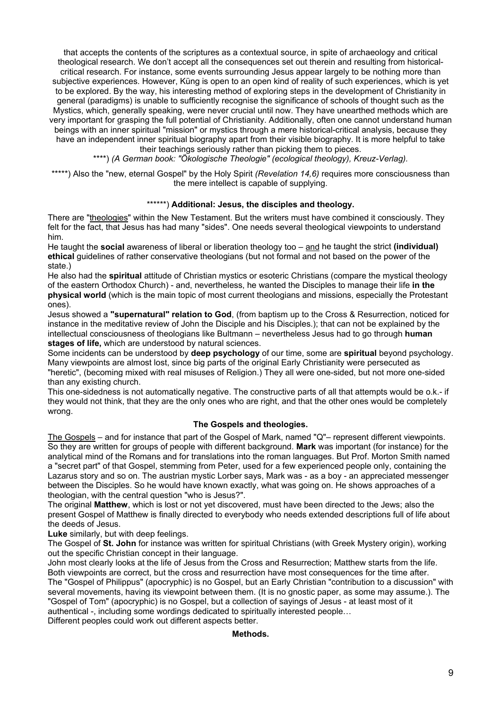that accepts the contents of the scriptures as a contextual source, in spite of archaeology and critical theological research. We don't accept all the consequences set out therein and resulting from historicalcritical research. For instance, some events surrounding Jesus appear largely to be nothing more than subjective experiences. However, Küng is open to an open kind of reality of such experiences, which is yet to be explored. By the way, his interesting method of exploring steps in the development of Christianity in general (paradigms) is unable to sufficiently recognise the significance of schools of thought such as the Mystics, which, generally speaking, were never crucial until now. They have unearthed methods which are very important for grasping the full potential of Christianity. Additionally, often one cannot understand human beings with an inner spiritual "mission" or mystics through a mere historical-critical analysis, because they have an independent inner spiritual biography apart from their visible biography. It is more helpful to take their teachings seriously rather than picking them to pieces.

\*\*\*\*) *(A German book: "Ökologische Theologie" (ecological theology), Kreuz-Verlag).*

\*\*\*\*\*) Also the "new, eternal Gospel" by the Holy Spirit *(Revelation 14,6)* requires more consciousness than the mere intellect is capable of supplying.

#### \*\*\*\*\*\*) **Additional: Jesus, the disciples and theology.**

There are "theologies" within the New Testament. But the writers must have combined it consciously. They felt for the fact, that Jesus has had many "sides". One needs several theological viewpoints to understand him.

He taught the **social** awareness of liberal or liberation theology too – and he taught the strict **(individual) ethical** guidelines of rather conservative theologians (but not formal and not based on the power of the state.)

He also had the **spiritual** attitude of Christian mystics or esoteric Christians (compare the mystical theology of the eastern Orthodox Church) - and, nevertheless, he wanted the Disciples to manage their life **in the physical world** (which is the main topic of most current theologians and missions, especially the Protestant ones).

Jesus showed a **"supernatural" relation to God**, (from baptism up to the Cross & Resurrection, noticed for instance in the meditative review of John the Disciple and his Disciples.); that can not be explained by the intellectual consciousness of theologians like Bultmann – nevertheless Jesus had to go through **human stages of life,** which are understood by natural sciences.

Some incidents can be understood by **deep psychology** of our time, some are **spiritual** beyond psychology. Many viewpoints are almost lost, since big parts of the original Early Christianity were persecuted as "heretic", (becoming mixed with real misuses of Religion.) They all were one-sided, but not more one-sided than any existing church.

This one-sidedness is not automatically negative. The constructive parts of all that attempts would be o.k.- if they would not think, that they are the only ones who are right, and that the other ones would be completely wrong.

#### **The Gospels and theologies.**

The Gospels – and for instance that part of the Gospel of Mark, named "Q"– represent different viewpoints. So they are written for groups of people with different background. **Mark** was important (for instance) for the analytical mind of the Romans and for translations into the roman languages. But Prof. Morton Smith named a "secret part" of that Gospel, stemming from Peter, used for a few experienced people only, containing the Lazarus story and so on. The austrian mystic Lorber says, Mark was - as a boy - an appreciated messenger between the Disciples. So he would have known exactly, what was going on. He shows approaches of a theologian, with the central question "who is Jesus?".

The original **Matthew**, which is lost or not yet discovered, must have been directed to the Jews; also the present Gospel of Matthew is finally directed to everybody who needs extended descriptions full of life about the deeds of Jesus.

**Luke** similarly, but with deep feelings.

The Gospel of **St. John** for instance was written for spiritual Christians (with Greek Mystery origin), working out the specific Christian concept in their language.

John most clearly looks at the life of Jesus from the Cross and Resurrection; Matthew starts from the life. Both viewpoints are correct, but the cross and resurrection have most consequences for the time after. The "Gospel of Philippus" (apocryphic) is no Gospel, but an Early Christian "contribution to a discussion" with several movements, having its viewpoint between them. (It is no gnostic paper, as some may assume.). The "Gospel of Tom" (apocryphic) is no Gospel, but a collection of sayings of Jesus - at least most of it authentical -, including some wordings dedicated to spiritually interested people…

Different peoples could work out different aspects better.

#### **Methods.**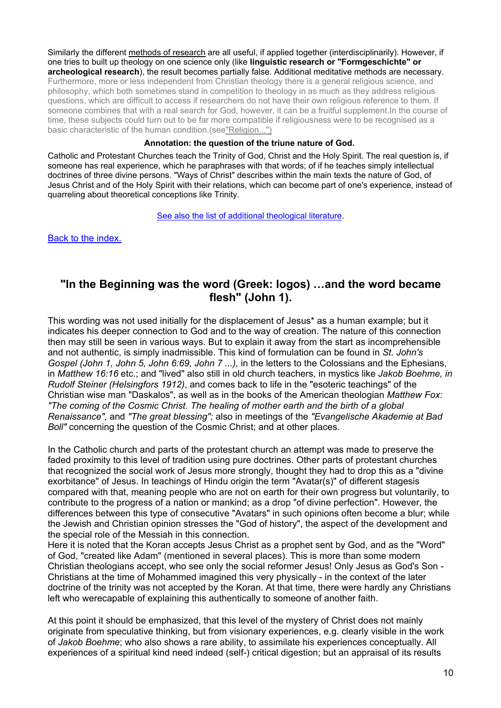<span id="page-9-0"></span>Similarly the different methods of research are all useful, if applied together (interdisciplinarily). However, if one tries to built up theology on one science only (like **linguistic research or "Formgeschichte" or archeological research**), the result becomes partially false. Additional meditative methods are necessary. Furthermore, more or less independent from Christian theology there is a general religious science, and philosophy, which both sometimes stand in competition to theology in as much as they address religious questions, which are difficult to access if researchers do not have their own religious reference to them. If someone combines that with a real search for God, however, it can be a fruitful supplement.In the course of time, these subjects could turn out to be far more compatible if religiousness were to be recognised as a basic characteristic of the human condition.(see"Religion...")

#### **Annotation: the question of the triune nature of God.**

Catholic and Protestant Churches teach the Trinity of God, Christ and the Holy Spirit. The real question is, if someone has real experience, which he paraphrases with that words; of if he teaches simply intellectual doctrines of three divine persons. "Ways of Christ" describes within the main texts the nature of God, of Jesus Christ and of the Holy Spirit with their relations, which can become part of one's experience, instead of quarreling about theoretical conceptions like Trinity.

[See also the list of additional theological literature](http://www.ways-of-christ.net/theologies.htm).

[Back to the index.](#page-1-0)

### **"In the Beginning was the word (Greek: logos) …and the word became flesh" (John 1).**

This wording was not used initially for the displacement of Jesus\* as a human example; but it indicates his deeper connection to God and to the way of creation. The nature of this connection then may still be seen in various ways. But to explain it away from the start as incomprehensible and not authentic, is simply inadmissible. This kind of formulation can be found in *St. John's Gospel (John 1, John 5, John 6:69, John 7 ...),* in the letters to the Colossians and the Ephesians, in *Matthew 16:16* etc.; and "lived" also still in old church teachers, in mystics like *Jakob Boehme, in Rudolf Steiner (Helsingfors 1912)*, and comes back to life in the "esoteric teachings" of the Christian wise man "Daskalos", as well as in the books of the American theologian *Matthew Fox: "The coming of the Cosmic Christ. The healing of mother earth and the birth of a global Renaissance",* and *"The great blessing";* also in meetings of the *"Evangelische Akademie at Bad Boll"* concerning the question of the Cosmic Christ; and at other places.

In the Catholic church and parts of the protestant church an attempt was made to preserve the faded proximity to this level of tradition using pure doctrines. Other parts of protestant churches that recognized the social work of Jesus more strongly, thought they had to drop this as a "divine exorbitance" of Jesus. In teachings of Hindu origin the term "Avatar(s)" of different stagesis compared with that, meaning people who are not on earth for their own progress but voluntarily, to contribute to the progress of a nation or mankind; as a drop "of divine perfection". However, the differences between this type of consecutive "Avatars" in such opinions often become a blur; while the Jewish and Christian opinion stresses the "God of history", the aspect of the development and the special role of the Messiah in this connection.

Here it is noted that the Koran accepts Jesus Christ as a prophet sent by God, and as the "Word" of God, "created like Adam" (mentioned in several places). This is more than some modern Christian theologians accept, who see only the social reformer Jesus! Only Jesus as God's Son - Christians at the time of Mohammed imagined this very physically - in the context of the later doctrine of the trinity was not accepted by the Koran. At that time, there were hardly any Christians left who werecapable of explaining this authentically to someone of another faith.

At this point it should be emphasized, that this level of the mystery of Christ does not mainly originate from speculative thinking, but from visionary experiences, e.g. clearly visible in the work of *Jakob Boehme*; who also shows a rare ability, to assimilate his experiences conceptually. All experiences of a spiritual kind need indeed (self-) critical digestion; but an appraisal of its results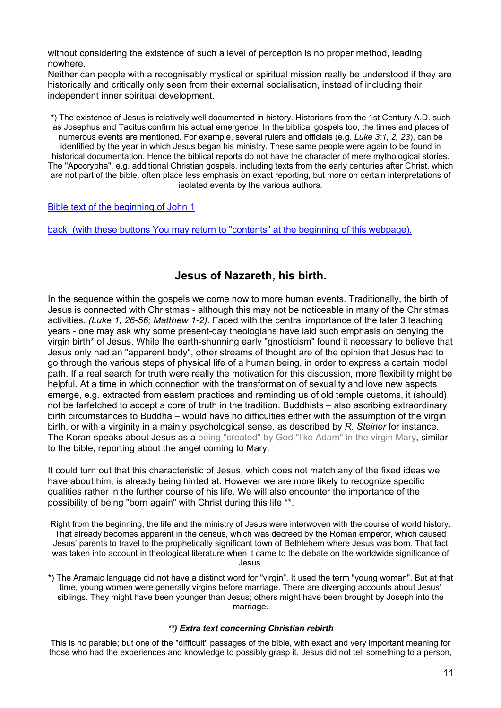<span id="page-10-0"></span>without considering the existence of such a level of perception is no proper method, leading nowhere.

Neither can people with a recognisably mystical or spiritual mission really be understood if they are historically and critically only seen from their external socialisation, instead of including their independent inner spiritual development.

\*) The existence of Jesus is relatively well documented in history. Historians from the 1st Century A.D. such as Josephus and Tacitus confirm his actual emergence. In the biblical gospels too, the times and places of numerous events are mentioned. For example, several rulers and officials (e.g. *Luke 3:1, 2, 23*), can be identified by the year in which Jesus began his ministry. These same people were again to be found in historical documentation. Hence the biblical reports do not have the character of mere mythological stories. The "Apocrypha", e.g. additional Christian gospels, including texts from the early centuries after Christ, which are not part of the bible, often place less emphasis on exact reporting, but more on certain interpretations of isolated events by the various authors.

[Bible text of the beginning of John 1](http://www.ways-of-christ.net/b/jg1.htm)

[back \(with these buttons You may return to "contents" at the beginning of this webpage\).](#page-1-0)

### **Jesus of Nazareth, his birth.**

In the sequence within the gospels we come now to more human events. Traditionally, the birth of Jesus is connected with Christmas - although this may not be noticeable in many of the Christmas activities. *(Luke 1, 26-56; Matthew 1-2).* Faced with the central importance of the later 3 teaching years - one may ask why some present-day theologians have laid such emphasis on denying the virgin birth\* of Jesus. While the earth-shunning early "gnosticism" found it necessary to believe that Jesus only had an "apparent body", other streams of thought are of the opinion that Jesus had to go through the various steps of physical life of a human being, in order to express a certain model path. If a real search for truth were really the motivation for this discussion, more flexibility might be helpful. At a time in which connection with the transformation of sexuality and love new aspects emerge, e.g. extracted from eastern practices and reminding us of old temple customs, it (should) not be farfetched to accept a core of truth in the tradition. Buddhists – also ascribing extraordinary birth circumstances to Buddha – would have no difficulties either with the assumption of the virgin birth, or with a virginity in a mainly psychological sense, as described by *R. Steiner* for instance. The Koran speaks about Jesus as a being "created" by God "like Adam" in the virgin Mary, similar to the bible, reporting about the angel coming to Mary.

It could turn out that this characteristic of Jesus, which does not match any of the fixed ideas we have about him, is already being hinted at. However we are more likely to recognize specific qualities rather in the further course of his life. We will also encounter the importance of the possibility of being "born again" with Christ during this life \*\*.

Right from the beginning, the life and the ministry of Jesus were interwoven with the course of world history. That already becomes apparent in the census, which was decreed by the Roman emperor, which caused Jesus' parents to travel to the prophetically significant town of Bethlehem where Jesus was born. That fact was taken into account in theological literature when it came to the debate on the worldwide significance of Jesus.

\*) The Aramaic language did not have a distinct word for "virgin". It used the term "young woman". But at that time, young women were generally virgins before marriage. There are diverging accounts about Jesus' siblings. They might have been younger than Jesus; others might have been brought by Joseph into the marriage.

#### *\*\*) Extra text concerning Christian rebirth*

This is no parable; but one of the "difficult" passages of the bible, with exact and very important meaning for those who had the experiences and knowledge to possibly grasp it. Jesus did not tell something to a person,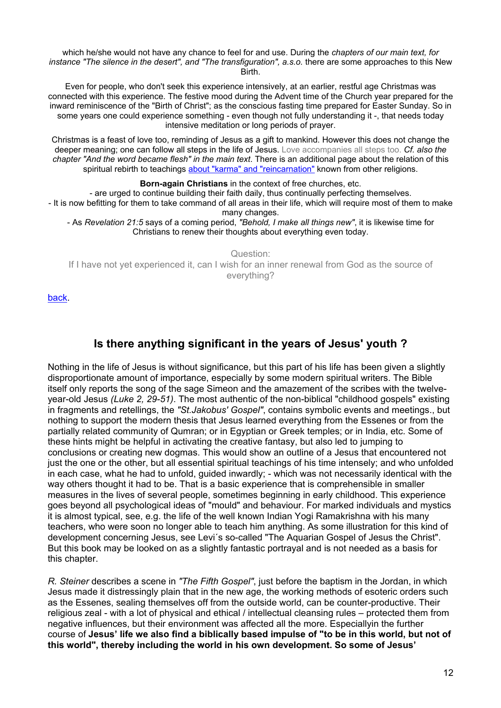<span id="page-11-0"></span>which he/she would not have any chance to feel for and use. During the *chapters of our main text, for instance "The silence in the desert", and "The transfiguration", a.s.o.* there are some approaches to this New Birth.

Even for people, who don't seek this experience intensively, at an earlier, restful age Christmas was connected with this experience. The festive mood during the Advent time of the Church year prepared for the inward reminiscence of the "Birth of Christ"; as the conscious fasting time prepared for Easter Sunday. So in some years one could experience something - even though not fully understanding it -, that needs today intensive meditation or long periods of prayer.

Christmas is a feast of love too, reminding of Jesus as a gift to mankind. However this does not change the deeper meaning; one can follow all steps in the life of Jesus. Love accompanies all steps too. *Cf. also the chapter "And the word became flesh" in the main text*. There is an additional page about the relation of this spiritual rebirth to teachings [about "karma" and "reincarnation"](http://www.ways-of-christ.net/topics/destiny.htm) known from other religions.

#### **Born-again Christians** in the context of free churches, etc.

- are urged to continue building their faith daily, thus continually perfecting themselves. - It is now befitting for them to take command of all areas in their life, which will require most of them to make many changes.

- As *Revelation 21:5* says of a coming period, *"Behold, I make all things new"*, it is likewise time for Christians to renew their thoughts about everything even today.

Question:

If I have not yet experienced it, can I wish for an inner renewal from God as the source of everything?

[back.](#page-1-0) 

### **Is there anything significant in the years of Jesus' youth ?**

Nothing in the life of Jesus is without significance, but this part of his life has been given a slightly disproportionate amount of importance, especially by some modern spiritual writers. The Bible itself only reports the song of the sage Simeon and the amazement of the scribes with the twelveyear-old Jesus *(Luke 2, 29-51)*. The most authentic of the non-biblical "childhood gospels" existing in fragments and retellings, the *"St.Jakobus' Gospel"*, contains symbolic events and meetings., but nothing to support the modern thesis that Jesus learned everything from the Essenes or from the partially related community of Qumran; or in Egyptian or Greek temples; or in India, etc. Some of these hints might be helpful in activating the creative fantasy, but also led to jumping to conclusions or creating new dogmas. This would show an outline of a Jesus that encountered not just the one or the other, but all essential spiritual teachings of his time intensely; and who unfolded in each case, what he had to unfold, guided inwardly; - which was not necessarily identical with the way others thought it had to be. That is a basic experience that is comprehensible in smaller measures in the lives of several people, sometimes beginning in early childhood. This experience goes beyond all psychological ideas of "mould" and behaviour. For marked individuals and mystics it is almost typical, see, e.g. the life of the well known Indian Yogi Ramakrishna with his many teachers, who were soon no longer able to teach him anything. As some illustration for this kind of development concerning Jesus, see Levi´s so-called "The Aquarian Gospel of Jesus the Christ". But this book may be looked on as a slightly fantastic portrayal and is not needed as a basis for this chapter.

*R. Steiner* describes a scene in *"The Fifth Gospel"*, just before the baptism in the Jordan, in which Jesus made it distressingly plain that in the new age, the working methods of esoteric orders such as the Essenes, sealing themselves off from the outside world, can be counter-productive. Their religious zeal - with a lot of physical and ethical / intellectual cleansing rules – protected them from negative influences, but their environment was affected all the more. Especiallyin the further course of **Jesus' life we also find a biblically based impulse of "to be in this world, but not of this world", thereby including the world in his own development. So some of Jesus'**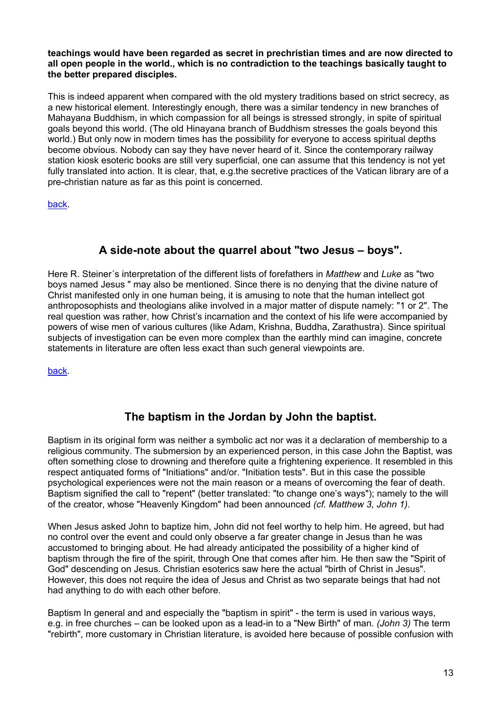<span id="page-12-0"></span>**teachings would have been regarded as secret in prechristian times and are now directed to all open people in the world., which is no contradiction to the teachings basically taught to the better prepared disciples.**

This is indeed apparent when compared with the old mystery traditions based on strict secrecy, as a new historical element. Interestingly enough, there was a similar tendency in new branches of Mahayana Buddhism, in which compassion for all beings is stressed strongly, in spite of spiritual goals beyond this world. (The old Hinayana branch of Buddhism stresses the goals beyond this world.) But only now in modern times has the possibility for everyone to access spiritual depths become obvious. Nobody can say they have never heard of it. Since the contemporary railway station kiosk esoteric books are still very superficial, one can assume that this tendency is not yet fully translated into action. It is clear, that, e.g.the secretive practices of the Vatican library are of a pre-christian nature as far as this point is concerned.

[back.](#page-1-0) 

### **A side-note about the quarrel about "two Jesus – boys".**

Here R. Steiner´s interpretation of the different lists of forefathers in *Matthew* and *Luke* as "two boys named Jesus " may also be mentioned. Since there is no denying that the divine nature of Christ manifested only in one human being, it is amusing to note that the human intellect got anthroposophists and theologians alike involved in a major matter of dispute namely: "1 or 2". The real question was rather, how Christ's incarnation and the context of his life were accompanied by powers of wise men of various cultures (like Adam, Krishna, Buddha, Zarathustra). Since spiritual subjects of investigation can be even more complex than the earthly mind can imagine, concrete statements in literature are often less exact than such general viewpoints are.

[back.](#page-1-0) 

# **The baptism in the Jordan by John the baptist.**

Baptism in its original form was neither a symbolic act nor was it a declaration of membership to a religious community. The submersion by an experienced person, in this case John the Baptist, was often something close to drowning and therefore quite a frightening experience. It resembled in this respect antiquated forms of "Initiations" and/or. "Initiation tests". But in this case the possible psychological experiences were not the main reason or a means of overcoming the fear of death. Baptism signified the call to "repent" (better translated: "to change one's ways"); namely to the will of the creator, whose "Heavenly Kingdom" had been announced *(cf. Matthew 3, John 1).*

When Jesus asked John to baptize him, John did not feel worthy to help him. He agreed, but had no control over the event and could only observe a far greater change in Jesus than he was accustomed to bringing about. He had already anticipated the possibility of a higher kind of baptism through the fire of the spirit, through One that comes after him. He then saw the "Spirit of God" descending on Jesus. Christian esoterics saw here the actual "birth of Christ in Jesus". However, this does not require the idea of Jesus and Christ as two separate beings that had not had anything to do with each other before.

Baptism In general and and especially the "baptism in spirit" - the term is used in various ways, e.g. in free churches – can be looked upon as a lead-in to a "New Birth" of man. *(John 3)* The term "rebirth", more customary in Christian literature, is avoided here because of possible confusion with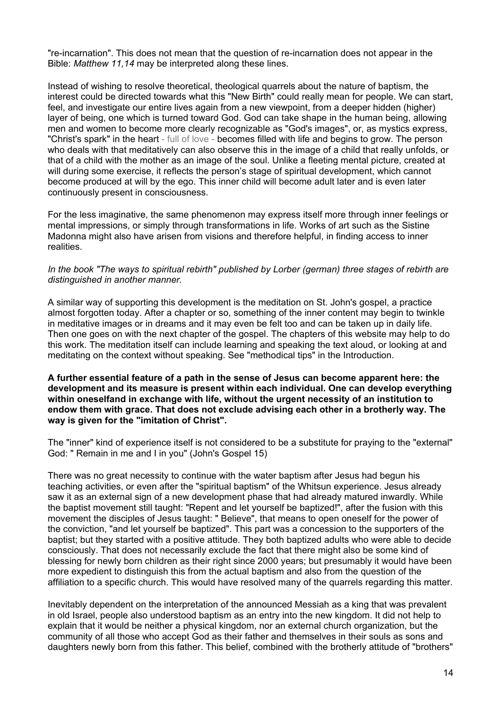"re-incarnation". This does not mean that the question of re-incarnation does not appear in the Bible: *Matthew 11,14* may be interpreted along these lines.

Instead of wishing to resolve theoretical, theological quarrels about the nature of baptism, the interest could be directed towards what this "New Birth" could really mean for people. We can start, feel, and investigate our entire lives again from a new viewpoint, from a deeper hidden (higher) layer of being, one which is turned toward God. God can take shape in the human being, allowing men and women to become more clearly recognizable as "God's images", or, as mystics express, "Christ's spark" in the heart - full of love - becomes filled with life and begins to grow. The person who deals with that meditatively can also observe this in the image of a child that really unfolds, or that of a child with the mother as an image of the soul. Unlike a fleeting mental picture, created at will during some exercise, it reflects the person's stage of spiritual development, which cannot become produced at will by the ego. This inner child will become adult later and is even later continuously present in consciousness.

For the less imaginative, the same phenomenon may express itself more through inner feelings or mental impressions, or simply through transformations in life. Works of art such as the Sistine Madonna might also have arisen from visions and therefore helpful, in finding access to inner realities.

#### *In the book "The ways to spiritual rebirth" published by Lorber (german) three stages of rebirth are distinguished in another manner.*

A similar way of supporting this development is the meditation on St. John's gospel, a practice almost forgotten today. After a chapter or so, something of the inner content may begin to twinkle in meditative images or in dreams and it may even be felt too and can be taken up in daily life. Then one goes on with the next chapter of the gospel. The chapters of this website may help to do this work. The meditation itself can include learning and speaking the text aloud, or looking at and meditating on the context without speaking. See "methodical tips" in the Introduction.

#### **A further essential feature of a path in the sense of Jesus can become apparent here: the development and its measure is present within each individual. One can develop everything within oneselfand in exchange with life, without the urgent necessity of an institution to endow them with grace. That does not exclude advising each other in a brotherly way. The way is given for the "imitation of Christ".**

The "inner" kind of experience itself is not considered to be a substitute for praying to the "external" God: " Remain in me and I in you" (John's Gospel 15)

There was no great necessity to continue with the water baptism after Jesus had begun his teaching activities, or even after the "spiritual baptism" of the Whitsun experience. Jesus already saw it as an external sign of a new development phase that had already matured inwardly. While the baptist movement still taught: "Repent and let yourself be baptized!", after the fusion with this movement the disciples of Jesus taught: " Believe", that means to open oneself for the power of the conviction, "and let yourself be baptized". This part was a concession to the supporters of the baptist; but they started with a positive attitude. They both baptized adults who were able to decide consciously. That does not necessarily exclude the fact that there might also be some kind of blessing for newly born children as their right since 2000 years; but presumably it would have been more expedient to distinguish this from the actual baptism and also from the question of the affiliation to a specific church. This would have resolved many of the quarrels regarding this matter.

Inevitably dependent on the interpretation of the announced Messiah as a king that was prevalent in old Israel, people also understood baptism as an entry into the new kingdom. It did not help to explain that it would be neither a physical kingdom, nor an external church organization, but the community of all those who accept God as their father and themselves in their souls as sons and daughters newly born from this father. This belief, combined with the brotherly attitude of "brothers"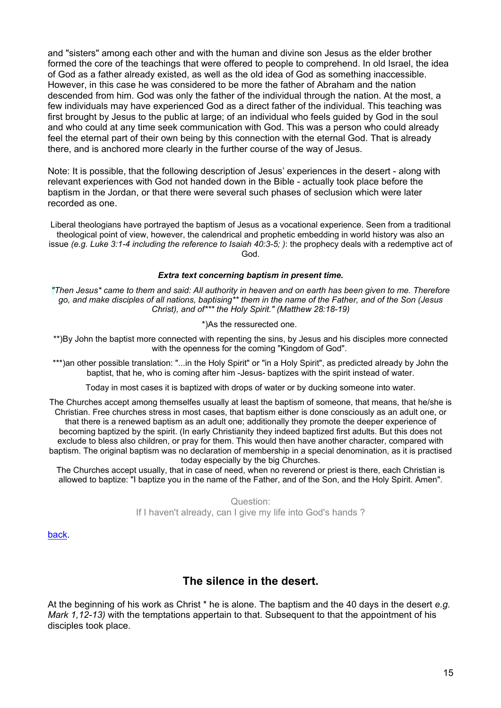<span id="page-14-0"></span>and "sisters" among each other and with the human and divine son Jesus as the elder brother formed the core of the teachings that were offered to people to comprehend. In old Israel, the idea of God as a father already existed, as well as the old idea of God as something inaccessible. However, in this case he was considered to be more the father of Abraham and the nation descended from him. God was only the father of the individual through the nation. At the most, a few individuals may have experienced God as a direct father of the individual. This teaching was first brought by Jesus to the public at large; of an individual who feels guided by God in the soul and who could at any time seek communication with God. This was a person who could already feel the eternal part of their own being by this connection with the eternal God. That is already there, and is anchored more clearly in the further course of the way of Jesus.

Note: It is possible, that the following description of Jesus' experiences in the desert - along with relevant experiences with God not handed down in the Bible - actually took place before the baptism in the Jordan, or that there were several such phases of seclusion which were later recorded as one.

Liberal theologians have portrayed the baptism of Jesus as a vocational experience. Seen from a traditional theological point of view, however, the calendrical and prophetic embedding in world history was also an issue *(e.g. Luke 3:1-4 including the reference to Isaiah 40:3-5; )*: the prophecy deals with a redemptive act of God.

#### *Extra text concerning baptism in present time.*

*"Then Jesus\* came to them and said: All authority in heaven and on earth has been given to me. Therefore go, and make disciples of all nations, baptising\*\* them in the name of the Father, and of the Son (Jesus Christ), and of\*\*\* the Holy Spirit." (Matthew 28:18-19)*

#### \*)As the ressurected one.

\*\*)By John the baptist more connected with repenting the sins, by Jesus and his disciples more connected with the openness for the coming "Kingdom of God".

\*\*\*)an other possible translation: "...in the Holy Spirit" or "in a Holy Spirit", as predicted already by John the baptist, that he, who is coming after him -Jesus- baptizes with the spirit instead of water.

Today in most cases it is baptized with drops of water or by ducking someone into water.

The Churches accept among themselfes usually at least the baptism of someone, that means, that he/she is Christian. Free churches stress in most cases, that baptism either is done consciously as an adult one, or that there is a renewed baptism as an adult one; additionally they promote the deeper experience of becoming baptized by the spirit. (In early Christianity they indeed baptized first adults. But this does not exclude to bless also children, or pray for them. This would then have another character, compared with baptism. The original baptism was no declaration of membership in a special denomination, as it is practised today especially by the big Churches.

The Churches accept usually, that in case of need, when no reverend or priest is there, each Christian is allowed to baptize: "I baptize you in the name of the Father, and of the Son, and the Holy Spirit. Amen".

> Question: If I haven't already, can I give my life into God's hands ?

#### [back.](#page-1-0)

### **The silence in the desert.**

At the beginning of his work as Christ \* he is alone. The baptism and the 40 days in the desert *e.g. Mark 1,12-13)* with the temptations appertain to that. Subsequent to that the appointment of his disciples took place.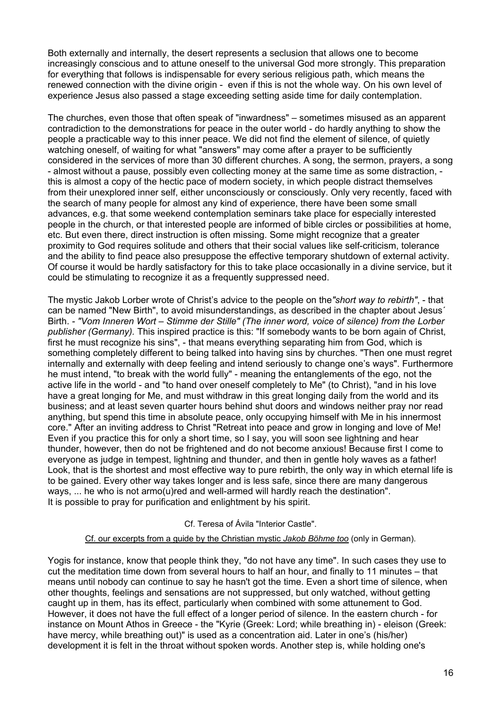Both externally and internally, the desert represents a seclusion that allows one to become increasingly conscious and to attune oneself to the universal God more strongly. This preparation for everything that follows is indispensable for every serious religious path, which means the renewed connection with the divine origin - even if this is not the whole way. On his own level of experience Jesus also passed a stage exceeding setting aside time for daily contemplation.

The churches, even those that often speak of "inwardness" – sometimes misused as an apparent contradiction to the demonstrations for peace in the outer world - do hardly anything to show the people a practicable way to this inner peace. We did not find the element of silence, of quietly watching oneself, of waiting for what "answers" may come after a prayer to be sufficiently considered in the services of more than 30 different churches. A song, the sermon, prayers, a song - almost without a pause, possibly even collecting money at the same time as some distraction, this is almost a copy of the hectic pace of modern society, in which people distract themselves from their unexplored inner self, either unconsciously or consciously. Only very recently, faced with the search of many people for almost any kind of experience, there have been some small advances, e.g. that some weekend contemplation seminars take place for especially interested people in the church, or that interested people are informed of bible circles or possibilities at home, etc. But even there, direct instruction is often missing. Some might recognize that a greater proximity to God requires solitude and others that their social values like self-criticism, tolerance and the ability to find peace also presuppose the effective temporary shutdown of external activity. Of course it would be hardly satisfactory for this to take place occasionally in a divine service, but it could be stimulating to recognize it as a frequently suppressed need.

The mystic Jakob Lorber wrote of Christ's advice to the people on the*"short way to rebirth"*, - that can be named "New Birth", to avoid misunderstandings, as described in the chapter about Jesus´ Birth. *- "Vom Inneren Wort – Stimme der Stille" (The inner word, voice of silence) from the Lorber publisher (Germany).* This inspired practice is this: "If somebody wants to be born again of Christ, first he must recognize his sins", - that means everything separating him from God, which is something completely different to being talked into having sins by churches. "Then one must regret internally and externally with deep feeling and intend seriously to change one's ways". Furthermore he must intend, "to break with the world fully" - meaning the entanglements of the ego, not the active life in the world - and "to hand over oneself completely to Me" (to Christ), "and in his love have a great longing for Me, and must withdraw in this great longing daily from the world and its business; and at least seven quarter hours behind shut doors and windows neither pray nor read anything, but spend this time in absolute peace, only occupying himself with Me in his innermost core." After an inviting address to Christ "Retreat into peace and grow in longing and love of Me! Even if you practice this for only a short time, so I say, you will soon see lightning and hear thunder, however, then do not be frightened and do not become anxious! Because first I come to everyone as judge in tempest, lightning and thunder, and then in gentle holy waves as a father! Look, that is the shortest and most effective way to pure rebirth, the only way in which eternal life is to be gained. Every other way takes longer and is less safe, since there are many dangerous ways, ... he who is not armo(u)red and well-armed will hardly reach the destination". It is possible to pray for purification and enlightment by his spirit.

#### Cf. Teresa of Ávila "Interior Castle".

#### [Cf. our excerpts from a guide by the Christian mystic](http://www.christuswege.net/themen/mystik.htm) *Jakob Böhme too* (only in German).

Yogis for instance, know that people think they, "do not have any time". In such cases they use to cut the meditation time down from several hours to half an hour, and finally to 11 minutes – that means until nobody can continue to say he hasn't got the time. Even a short time of silence, when other thoughts, feelings and sensations are not suppressed, but only watched, without getting caught up in them, has its effect, particularly when combined with some attunement to God. However, it does not have the full effect of a longer period of silence. In the eastern church - for instance on Mount Athos in Greece - the "Kyrie (Greek: Lord; while breathing in) - eleison (Greek: have mercy, while breathing out)" is used as a concentration aid. Later in one's (his/her) development it is felt in the throat without spoken words. Another step is, while holding one's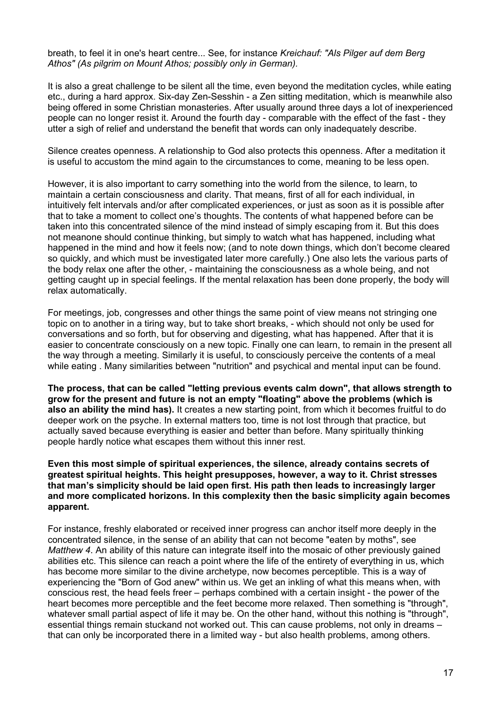breath, to feel it in one's heart centre... See, for instance *Kreichauf: "Als Pilger auf dem Berg Athos" (As pilgrim on Mount Athos; possibly only in German).*

It is also a great challenge to be silent all the time, even beyond the meditation cycles, while eating etc., during a hard approx. Six-day Zen-Sesshin - a Zen sitting meditation, which is meanwhile also being offered in some Christian monasteries. After usually around three days a lot of inexperienced people can no longer resist it. Around the fourth day - comparable with the effect of the fast - they utter a sigh of relief and understand the benefit that words can only inadequately describe.

Silence creates openness. A relationship to God also protects this openness. After a meditation it is useful to accustom the mind again to the circumstances to come, meaning to be less open.

However, it is also important to carry something into the world from the silence, to learn, to maintain a certain consciousness and clarity. That means, first of all for each individual, in intuitively felt intervals and/or after complicated experiences, or just as soon as it is possible after that to take a moment to collect one's thoughts. The contents of what happened before can be taken into this concentrated silence of the mind instead of simply escaping from it. But this does not meanone should continue thinking, but simply to watch what has happened, including what happened in the mind and how it feels now; (and to note down things, which don't become cleared so quickly, and which must be investigated later more carefully.) One also lets the various parts of the body relax one after the other, - maintaining the consciousness as a whole being, and not getting caught up in special feelings. If the mental relaxation has been done properly, the body will relax automatically.

For meetings, job, congresses and other things the same point of view means not stringing one topic on to another in a tiring way, but to take short breaks, - which should not only be used for conversations and so forth, but for observing and digesting, what has happened. After that it is easier to concentrate consciously on a new topic. Finally one can learn, to remain in the present all the way through a meeting. Similarly it is useful, to consciously perceive the contents of a meal while eating . Many similarities between "nutrition" and psychical and mental input can be found.

**The process, that can be called "letting previous events calm down", that allows strength to grow for the present and future is not an empty "floating" above the problems (which is also an ability the mind has).** It creates a new starting point, from which it becomes fruitful to do deeper work on the psyche. In external matters too, time is not lost through that practice, but actually saved because everything is easier and better than before. Many spiritually thinking people hardly notice what escapes them without this inner rest.

**Even this most simple of spiritual experiences, the silence, already contains secrets of greatest spiritual heights. This height presupposes, however, a way to it. Christ stresses that man's simplicity should be laid open first. His path then leads to increasingly larger and more complicated horizons. In this complexity then the basic simplicity again becomes apparent.**

For instance, freshly elaborated or received inner progress can anchor itself more deeply in the concentrated silence, in the sense of an ability that can not become "eaten by moths", see *Matthew 4*. An ability of this nature can integrate itself into the mosaic of other previously gained abilities etc. This silence can reach a point where the life of the entirety of everything in us, which has become more similar to the divine archetype, now becomes perceptible. This is a way of experiencing the "Born of God anew" within us. We get an inkling of what this means when, with conscious rest, the head feels freer – perhaps combined with a certain insight - the power of the heart becomes more perceptible and the feet become more relaxed. Then something is "through", whatever small partial aspect of life it may be. On the other hand, without this nothing is "through", essential things remain stuckand not worked out. This can cause problems, not only in dreams – that can only be incorporated there in a limited way - but also health problems, among others.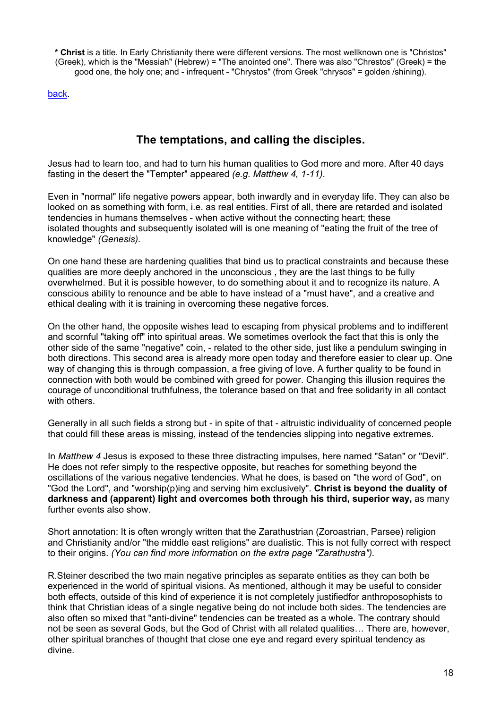<span id="page-17-0"></span>**\* Christ** is a title. In Early Christianity there were different versions. The most wellknown one is "Christos" (Greek), which is the "Messiah" (Hebrew) = "The anointed one". There was also "Chrestos" (Greek) = the good one, the holy one; and - infrequent - "Chrystos" (from Greek "chrysos" = golden /shining).

[back.](#page-1-0) 

### **The temptations, and calling the disciples.**

Jesus had to learn too, and had to turn his human qualities to God more and more. After 40 days fasting in the desert the "Tempter" appeared *(e.g. Matthew 4, 1-11)*.

Even in "normal" life negative powers appear, both inwardly and in everyday life. They can also be looked on as something with form, i.e. as real entities. First of all, there are retarded and isolated tendencies in humans themselves - when active without the connecting heart; these isolated thoughts and subsequently isolated will is one meaning of "eating the fruit of the tree of knowledge" *(Genesis).*

On one hand these are hardening qualities that bind us to practical constraints and because these qualities are more deeply anchored in the unconscious , they are the last things to be fully overwhelmed. But it is possible however, to do something about it and to recognize its nature. A conscious ability to renounce and be able to have instead of a "must have", and a creative and ethical dealing with it is training in overcoming these negative forces.

On the other hand, the opposite wishes lead to escaping from physical problems and to indifferent and scornful "taking off" into spiritual areas. We sometimes overlook the fact that this is only the other side of the same "negative" coin, - related to the other side, just like a pendulum swinging in both directions. This second area is already more open today and therefore easier to clear up. One way of changing this is through compassion, a free giving of love. A further quality to be found in connection with both would be combined with greed for power. Changing this illusion requires the courage of unconditional truthfulness, the tolerance based on that and free solidarity in all contact with others.

Generally in all such fields a strong but - in spite of that - altruistic individuality of concerned people that could fill these areas is missing, instead of the tendencies slipping into negative extremes.

In *Matthew 4* Jesus is exposed to these three distracting impulses, here named "Satan" or "Devil". He does not refer simply to the respective opposite, but reaches for something beyond the oscillations of the various negative tendencies. What he does, is based on "the word of God", on "God the Lord", and "worship(p)ing and serving him exclusively". **Christ is beyond the duality of darkness and (apparent) light and overcomes both through his third, superior way,** as many further events also show.

Short annotation: It is often wrongly written that the Zarathustrian (Zoroastrian, Parsee) religion and Christianity and/or "the middle east religions" are dualistic. This is not fully correct with respect to their origins. *(You can find more information on the extra page "Zarathustra").*

R.Steiner described the two main negative principles as separate entities as they can both be experienced in the world of spiritual visions. As mentioned, although it may be useful to consider both effects, outside of this kind of experience it is not completely justifiedfor anthroposophists to think that Christian ideas of a single negative being do not include both sides. The tendencies are also often so mixed that "anti-divine" tendencies can be treated as a whole. The contrary should not be seen as several Gods, but the God of Christ with all related qualities… There are, however, other spiritual branches of thought that close one eye and regard every spiritual tendency as divine.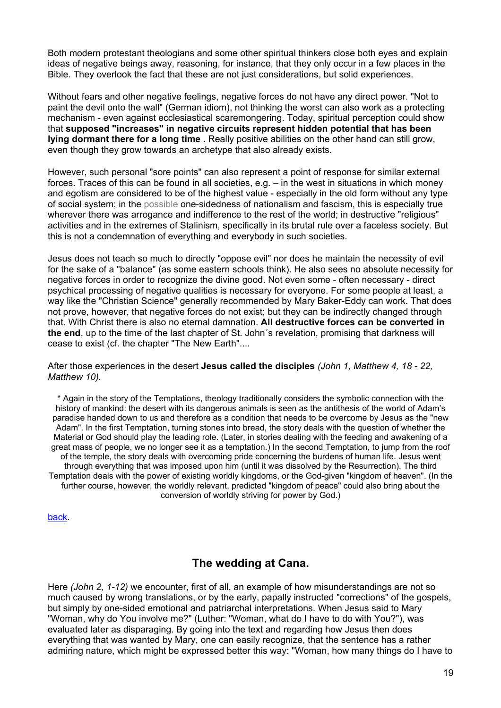<span id="page-18-0"></span>Both modern protestant theologians and some other spiritual thinkers close both eyes and explain ideas of negative beings away, reasoning, for instance, that they only occur in a few places in the Bible. They overlook the fact that these are not just considerations, but solid experiences.

Without fears and other negative feelings, negative forces do not have any direct power. "Not to paint the devil onto the wall" (German idiom), not thinking the worst can also work as a protecting mechanism - even against ecclesiastical scaremongering. Today, spiritual perception could show that **supposed "increases" in negative circuits represent hidden potential that has been lying dormant there for a long time .** Really positive abilities on the other hand can still grow, even though they grow towards an archetype that also already exists.

However, such personal "sore points" can also represent a point of response for similar external forces. Traces of this can be found in all societies, e.g. – in the west in situations in which money and egotism are considered to be of the highest value - especially in the old form without any type of social system; in the possible one-sidedness of nationalism and fascism, this is especially true wherever there was arrogance and indifference to the rest of the world; in destructive "religious" activities and in the extremes of Stalinism, specifically in its brutal rule over a faceless society. But this is not a condemnation of everything and everybody in such societies.

Jesus does not teach so much to directly "oppose evil" nor does he maintain the necessity of evil for the sake of a "balance" (as some eastern schools think). He also sees no absolute necessity for negative forces in order to recognize the divine good. Not even some - often necessary - direct psychical processing of negative qualities is necessary for everyone. For some people at least, a way like the "Christian Science" generally recommended by Mary Baker-Eddy can work. That does not prove, however, that negative forces do not exist; but they can be indirectly changed through that. With Christ there is also no eternal damnation. **All destructive forces can be converted in the end**, up to the time of the last chapter of St. John´s revelation, promising that darkness will cease to exist (cf. the chapter "The New Earth"....

After those experiences in the desert **Jesus called the disciples** *(John 1, Matthew 4, 18 - 22, Matthew 10).*

\* Again in the story of the Temptations, theology traditionally considers the symbolic connection with the history of mankind: the desert with its dangerous animals is seen as the antithesis of the world of Adam's paradise handed down to us and therefore as a condition that needs to be overcome by Jesus as the "new Adam". In the first Temptation, turning stones into bread, the story deals with the question of whether the Material or God should play the leading role. (Later, in stories dealing with the feeding and awakening of a great mass of people, we no longer see it as a temptation.) In the second Temptation, to jump from the roof of the temple, the story deals with overcoming pride concerning the burdens of human life. Jesus went through everything that was imposed upon him (until it was dissolved by the Resurrection). The third Temptation deals with the power of existing worldly kingdoms, or the God-given "kingdom of heaven". (In the further course, however, the worldly relevant, predicted "kingdom of peace" could also bring about the conversion of worldly striving for power by God.)

[back.](#page-1-0) 

### **The wedding at Cana.**

Here *(John 2, 1-12)* we encounter, first of all, an example of how misunderstandings are not so much caused by wrong translations, or by the early, papally instructed "corrections" of the gospels, but simply by one-sided emotional and patriarchal interpretations. When Jesus said to Mary "Woman, why do You involve me?" (Luther: "Woman, what do I have to do with You?"), was evaluated later as disparaging. By going into the text and regarding how Jesus then does everything that was wanted by Mary, one can easily recognize, that the sentence has a rather admiring nature, which might be expressed better this way: "Woman, how many things do I have to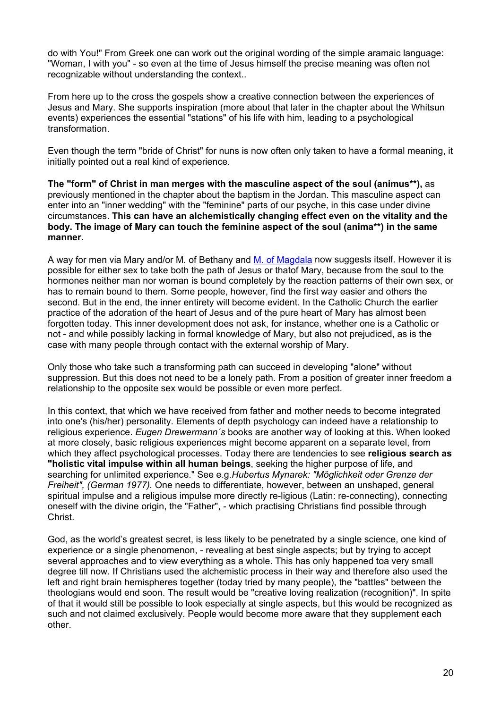do with You!" From Greek one can work out the original wording of the simple aramaic language: "Woman, I with you" - so even at the time of Jesus himself the precise meaning was often not recognizable without understanding the context..

From here up to the cross the gospels show a creative connection between the experiences of Jesus and Mary. She supports inspiration (more about that later in the chapter about the Whitsun events) experiences the essential "stations" of his life with him, leading to a psychological transformation.

Even though the term "bride of Christ" for nuns is now often only taken to have a formal meaning, it initially pointed out a real kind of experience.

**The "form" of Christ in man merges with the masculine aspect of the soul (animus\*\*),** as previously mentioned in the chapter about the baptism in the Jordan. This masculine aspect can enter into an "inner wedding" with the "feminine" parts of our psyche, in this case under divine circumstances. **This can have an alchemistically changing effect even on the vitality and the body. The image of Mary can touch the feminine aspect of the soul (anima\*\*) in the same manner.**

A way for men via Mary and/or M. of Bethany and [M. of Magdala](http://www.ways-of-christ.net/en1234/revision_en060506.htm) now suggests itself. However it is possible for either sex to take both the path of Jesus or thatof Mary, because from the soul to the hormones neither man nor woman is bound completely by the reaction patterns of their own sex, or has to remain bound to them. Some people, however, find the first way easier and others the second. But in the end, the inner entirety will become evident. In the Catholic Church the earlier practice of the adoration of the heart of Jesus and of the pure heart of Mary has almost been forgotten today. This inner development does not ask, for instance, whether one is a Catholic or not - and while possibly lacking in formal knowledge of Mary, but also not prejudiced, as is the case with many people through contact with the external worship of Mary.

Only those who take such a transforming path can succeed in developing "alone" without suppression. But this does not need to be a lonely path. From a position of greater inner freedom a relationship to the opposite sex would be possible or even more perfect.

In this context, that which we have received from father and mother needs to become integrated into one's (his/her) personality. Elements of depth psychology can indeed have a relationship to religious experience. *Eugen Drewermann´s* books are another way of looking at this. When looked at more closely, basic religious experiences might become apparent on a separate level, from which they affect psychological processes. Today there are tendencies to see **religious search as "holistic vital impulse within all human beings**, seeking the higher purpose of life, and searching for unlimited experience." See e.g.*Hubertus Mynarek: "Möglichkeit oder Grenze der Freiheit", (German 1977).* One needs to differentiate, however, between an unshaped, general spiritual impulse and a religious impulse more directly re-ligious (Latin: re-connecting), connecting oneself with the divine origin, the "Father", - which practising Christians find possible through Christ.

God, as the world's greatest secret, is less likely to be penetrated by a single science, one kind of experience or a single phenomenon, - revealing at best single aspects; but by trying to accept several approaches and to view everything as a whole. This has only happened toa very small degree till now. If Christians used the alchemistic process in their way and therefore also used the left and right brain hemispheres together (today tried by many people), the "battles" between the theologians would end soon. The result would be "creative loving realization (recognition)". In spite of that it would still be possible to look especially at single aspects, but this would be recognized as such and not claimed exclusively. People would become more aware that they supplement each other.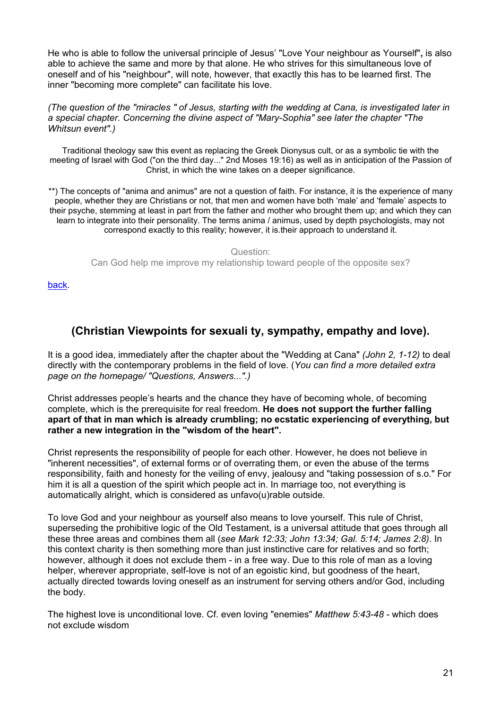<span id="page-20-0"></span>He who is able to follow the universal principle of Jesus' "Love Your neighbour as Yourself"**,** is also able to achieve the same and more by that alone. He who strives for this simultaneous love of oneself and of his "neighbour", will note, however, that exactly this has to be learned first. The inner "becoming more complete" can facilitate his love.

*(The question of the "miracles " of Jesus, starting with the wedding at Cana, is investigated later in a special chapter. Concerning the divine aspect of "Mary-Sophia" see later the chapter "The Whitsun event".)*

Traditional theology saw this event as replacing the Greek Dionysus cult, or as a symbolic tie with the meeting of Israel with God ("on the third day..." 2nd Moses 19:16) as well as in anticipation of the Passion of Christ, in which the wine takes on a deeper significance.

\*\*) The concepts of "anima and animus" are not a question of faith. For instance, it is the experience of many people, whether they are Christians or not, that men and women have both 'male' and 'female' aspects to their psyche, stemming at least in part from the father and mother who brought them up; and which they can learn to integrate into their personality. The terms anima / animus, used by depth psychologists, may not correspond exactly to this reality; however, it is.their approach to understand it.

> Question: Can God help me improve my relationship toward people of the opposite sex?

[back.](#page-1-0) 

### **(Christian Viewpoints for sexuali ty, sympathy, empathy and love).**

It is a good idea, immediately after the chapter about the "Wedding at Cana" *(John 2, 1-12)* to deal directly with the contemporary problems in the field of love. (*You can find a more detailed extra page on the homepage/ "Questions, Answers...".)*

Christ addresses people's hearts and the chance they have of becoming whole, of becoming complete, which is the prerequisite for real freedom. **He does not support the further falling apart of that in man which is already crumbling; no ecstatic experiencing of everything, but rather a new integration in the "wisdom of the heart".**

Christ represents the responsibility of people for each other. However, he does not believe in "inherent necessities", of external forms or of overrating them, or even the abuse of the terms responsibility, faith and honesty for the veiling of envy, jealousy and "taking possession of s.o." For him it is all a question of the spirit which people act in. In marriage too, not everything is automatically alright, which is considered as unfavo(u)rable outside.

To love God and your neighbour as yourself also means to love yourself. This rule of Christ, superseding the prohibitive logic of the Old Testament, is a universal attitude that goes through all these three areas and combines them all (*see Mark 12:33; John 13:34; Gal. 5:14; James 2:8)*. In this context charity is then something more than just instinctive care for relatives and so forth; however, although it does not exclude them - in a free way. Due to this role of man as a loving helper, wherever appropriate, self-love is not of an egoistic kind, but goodness of the heart, actually directed towards loving oneself as an instrument for serving others and/or God, including the body.

The highest love is unconditional love. Cf. even loving "enemies" *Matthew 5:43-48 -* which does not exclude wisdom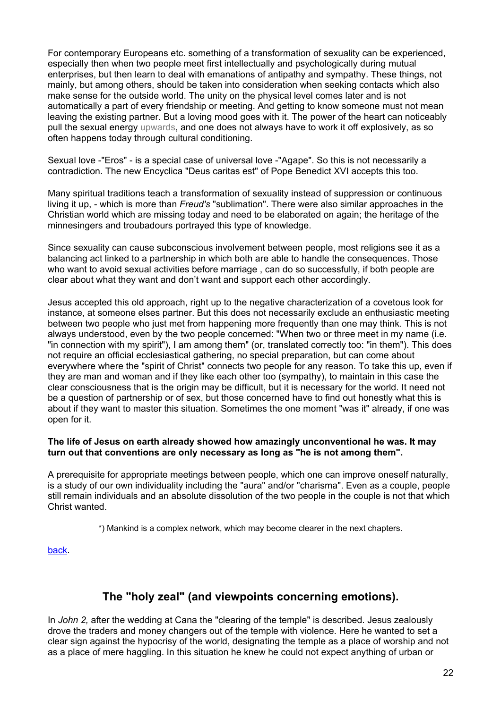<span id="page-21-0"></span>For contemporary Europeans etc. something of a transformation of sexuality can be experienced, especially then when two people meet first intellectually and psychologically during mutual enterprises, but then learn to deal with emanations of antipathy and sympathy. These things, not mainly, but among others, should be taken into consideration when seeking contacts which also make sense for the outside world. The unity on the physical level comes later and is not automatically a part of every friendship or meeting. And getting to know someone must not mean leaving the existing partner. But a loving mood goes with it. The power of the heart can noticeably pull the sexual energy upwards, and one does not always have to work it off explosively, as so often happens today through cultural conditioning.

Sexual love -"Eros" - is a special case of universal love -"Agape". So this is not necessarily a contradiction. The new Encyclica "Deus caritas est" of Pope Benedict XVI accepts this too.

Many spiritual traditions teach a transformation of sexuality instead of suppression or continuous living it up, - which is more than *Freud's* "sublimation". There were also similar approaches in the Christian world which are missing today and need to be elaborated on again; the heritage of the minnesingers and troubadours portrayed this type of knowledge.

Since sexuality can cause subconscious involvement between people, most religions see it as a balancing act linked to a partnership in which both are able to handle the consequences. Those who want to avoid sexual activities before marriage , can do so successfully, if both people are clear about what they want and don't want and support each other accordingly.

Jesus accepted this old approach, right up to the negative characterization of a covetous look for instance, at someone elses partner. But this does not necessarily exclude an enthusiastic meeting between two people who just met from happening more frequently than one may think. This is not always understood, even by the two people concerned: "When two or three meet in my name (i.e. "in connection with my spirit"), I am among them" (or, translated correctly too: "in them"). This does not require an official ecclesiastical gathering, no special preparation, but can come about everywhere where the "spirit of Christ" connects two people for any reason. To take this up, even if they are man and woman and if they like each other too (sympathy), to maintain in this case the clear consciousness that is the origin may be difficult, but it is necessary for the world. It need not be a question of partnership or of sex, but those concerned have to find out honestly what this is about if they want to master this situation. Sometimes the one moment "was it" already, if one was open for it.

#### **The life of Jesus on earth already showed how amazingly unconventional he was. It may turn out that conventions are only necessary as long as "he is not among them".**

A prerequisite for appropriate meetings between people, which one can improve oneself naturally, is a study of our own individuality including the "aura" and/or "charisma". Even as a couple, people still remain individuals and an absolute dissolution of the two people in the couple is not that which Christ wanted.

\*) Mankind is a complex network, which may become clearer in the next chapters.

[back.](#page-1-0) 

### **The "holy zeal" (and viewpoints concerning emotions).**

In *John 2,* after the wedding at Cana the "clearing of the temple" is described. Jesus zealously drove the traders and money changers out of the temple with violence. Here he wanted to set a clear sign against the hypocrisy of the world, designating the temple as a place of worship and not as a place of mere haggling. In this situation he knew he could not expect anything of urban or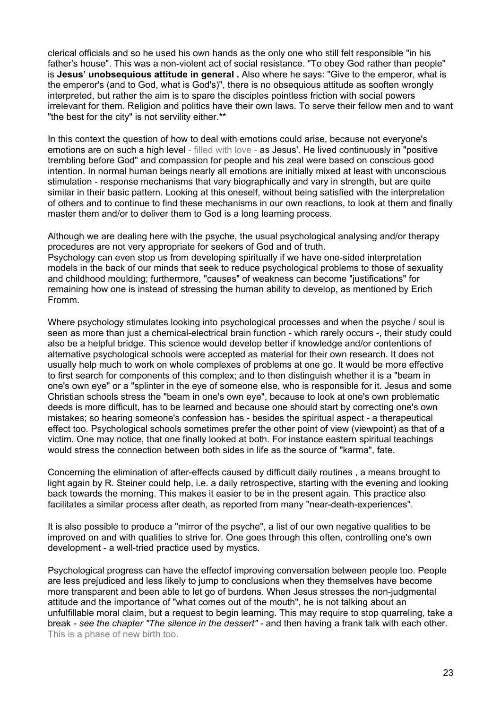clerical officials and so he used his own hands as the only one who still felt responsible "in his father's house". This was a non-violent act of social resistance. "To obey God rather than people" is **Jesus' unobsequious attitude in general .** Also where he says: "Give to the emperor, what is the emperor's (and to God, what is God's)", there is no obsequious attitude as sooften wrongly interpreted, but rather the aim is to spare the disciples pointless friction with social powers irrelevant for them. Religion and politics have their own laws. To serve their fellow men and to want "the best for the city" is not servility either.\*\*

In this context the question of how to deal with emotions could arise, because not everyone's emotions are on such a high level - filled with love - as Jesus'. He lived continuously in "positive trembling before God" and compassion for people and his zeal were based on conscious good intention. In normal human beings nearly all emotions are initially mixed at least with unconscious stimulation - response mechanisms that vary biographically and vary in strength, but are quite similar in their basic pattern. Looking at this oneself, without being satisfied with the interpretation of others and to continue to find these mechanisms in our own reactions, to look at them and finally master them and/or to deliver them to God is a long learning process.

Although we are dealing here with the psyche, the usual psychological analysing and/or therapy procedures are not very appropriate for seekers of God and of truth. Psychology can even stop us from developing spiritually if we have one-sided interpretation models in the back of our minds that seek to reduce psychological problems to those of sexuality and childhood moulding; furthermore, "causes" of weakness can become "justifications" for remaining how one is instead of stressing the human ability to develop, as mentioned by Erich Fromm.

Where psychology stimulates looking into psychological processes and when the psyche / soul is seen as more than just a chemical-electrical brain function - which rarely occurs -, their study could also be a helpful bridge. This science would develop better if knowledge and/or contentions of alternative psychological schools were accepted as material for their own research. It does not usually help much to work on whole complexes of problems at one go. It would be more effective to first search for components of this complex; and to then distinguish whether it is a "beam in one's own eye" or a "splinter in the eye of someone else, who is responsible for it. Jesus and some Christian schools stress the "beam in one's own eye", because to look at one's own problematic deeds is more difficult, has to be learned and because one should start by correcting one's own mistakes; so hearing someone's confession has - besides the spiritual aspect - a therapeutical effect too. Psychological schools sometimes prefer the other point of view (viewpoint) as that of a victim. One may notice, that one finally looked at both. For instance eastern spiritual teachings would stress the connection between both sides in life as the source of "karma", fate.

Concerning the elimination of after-effects caused by difficult daily routines , a means brought to light again by R. Steiner could help, i.e. a daily retrospective, starting with the evening and looking back towards the morning. This makes it easier to be in the present again. This practice also facilitates a similar process after death, as reported from many "near-death-experiences".

It is also possible to produce a "mirror of the psyche", a list of our own negative qualities to be improved on and with qualities to strive for. One goes through this often, controlling one's own development - a well-tried practice used by mystics.

Psychological progress can have the effectof improving conversation between people too. People are less prejudiced and less likely to jump to conclusions when they themselves have become more transparent and been able to let go of burdens. When Jesus stresses the non-judgmental attitude and the importance of "what comes out of the mouth", he is not talking about an unfulfillable moral claim, but a request to begin learning. This may require to stop quarreling, take a break - *see the chapter "The silence in the dessert" -* and then having a frank talk with each other*.* This is a phase of new birth too.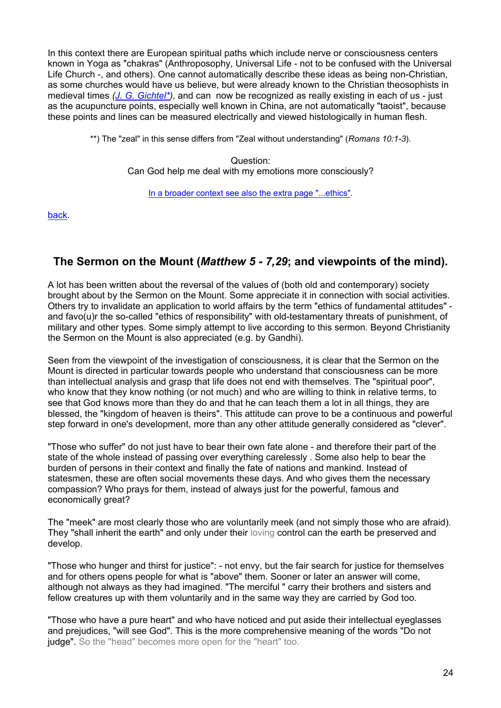<span id="page-23-0"></span>In this context there are European spiritual paths which include nerve or consciousness centers known in Yoga as "chakras" (Anthroposophy, Universal Life - not to be confused with the Universal Life Church -, and others). One cannot automatically describe these ideas as being non-Christian, as some churches would have us believe, but were already known to the Christian theosophists in medieval times *([J. G. Gichtel\\*\)](http://www.ways-of-christ.net/images/gichtel.htm),* and can now be recognized as really existing in each of us - just as the acupuncture points, especially well known in China, are not automatically "taoist", because these points and lines can be measured electrically and viewed histologically in human flesh.

\*\*) The "zeal" in this sense differs from "Zeal without understanding" (*Romans 10:1-3*).

Question: Can God help me deal with my emotions more consciously?

[In a broader context see also the extra page "...ethics"](http://www.ways-of-christ.net/topics/ethics.htm).

[back.](#page-1-0) 

### **The Sermon on the Mount (***Matthew 5 - 7,29***; and viewpoints of the mind).**

A lot has been written about the reversal of the values of (both old and contemporary) society brought about by the Sermon on the Mount. Some appreciate it in connection with social activities. Others try to invalidate an application to world affairs by the term "ethics of fundamental attitudes" and favo(u)r the so-called "ethics of responsibility" with old-testamentary threats of punishment, of military and other types. Some simply attempt to live according to this sermon. Beyond Christianity the Sermon on the Mount is also appreciated (e.g. by Gandhi).

Seen from the viewpoint of the investigation of consciousness, it is clear that the Sermon on the Mount is directed in particular towards people who understand that consciousness can be more than intellectual analysis and grasp that life does not end with themselves. The "spiritual poor", who know that they know nothing (or not much) and who are willing to think in relative terms, to see that God knows more than they do and that he can teach them a lot in all things, they are blessed, the "kingdom of heaven is theirs". This attitude can prove to be a continuous and powerful step forward in one's development, more than any other attitude generally considered as "clever".

"Those who suffer" do not just have to bear their own fate alone - and therefore their part of the state of the whole instead of passing over everything carelessly . Some also help to bear the burden of persons in their context and finally the fate of nations and mankind. Instead of statesmen, these are often social movements these days. And who gives them the necessary compassion? Who prays for them, instead of always just for the powerful, famous and economically great?

The "meek" are most clearly those who are voluntarily meek (and not simply those who are afraid). They "shall inherit the earth" and only under their loving control can the earth be preserved and develop.

"Those who hunger and thirst for justice": - not envy, but the fair search for justice for themselves and for others opens people for what is "above" them. Sooner or later an answer will come, although not always as they had imagined. "The merciful " carry their brothers and sisters and fellow creatures up with them voluntarily and in the same way they are carried by God too.

"Those who have a pure heart" and who have noticed and put aside their intellectual eyeglasses and prejudices, "will see God". This is the more comprehensive meaning of the words "Do not judge". So the "head" becomes more open for the "heart" too.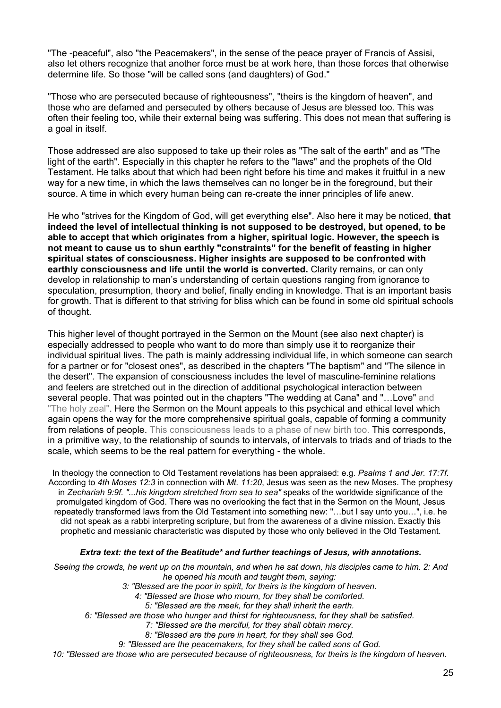"The -peaceful", also "the Peacemakers", in the sense of the peace prayer of Francis of Assisi, also let others recognize that another force must be at work here, than those forces that otherwise determine life. So those "will be called sons (and daughters) of God."

"Those who are persecuted because of righteousness", "theirs is the kingdom of heaven", and those who are defamed and persecuted by others because of Jesus are blessed too. This was often their feeling too, while their external being was suffering. This does not mean that suffering is a goal in itself.

Those addressed are also supposed to take up their roles as "The salt of the earth" and as "The light of the earth". Especially in this chapter he refers to the "laws" and the prophets of the Old Testament. He talks about that which had been right before his time and makes it fruitful in a new way for a new time, in which the laws themselves can no longer be in the foreground, but their source. A time in which every human being can re-create the inner principles of life anew.

He who "strives for the Kingdom of God, will get everything else". Also here it may be noticed, **that indeed the level of intellectual thinking is not supposed to be destroyed, but opened, to be able to accept that which originates from a higher, spiritual logic. However, the speech is not meant to cause us to shun earthly "constraints" for the benefit of feasting in higher spiritual states of consciousness. Higher insights are supposed to be confronted with earthly consciousness and life until the world is converted.** Clarity remains, or can only develop in relationship to man's understanding of certain questions ranging from ignorance to speculation, presumption, theory and belief, finally ending in knowledge. That is an important basis for growth. That is different to that striving for bliss which can be found in some old spiritual schools of thought.

This higher level of thought portrayed in the Sermon on the Mount (see also next chapter) is especially addressed to people who want to do more than simply use it to reorganize their individual spiritual lives. The path is mainly addressing individual life, in which someone can search for a partner or for "closest ones", as described in the chapters "The baptism" and "The silence in the desert". The expansion of consciousness includes the level of masculine-feminine relations and feelers are stretched out in the direction of additional psychological interaction between several people. That was pointed out in the chapters "The wedding at Cana" and "…Love" and "The holy zeal". Here the Sermon on the Mount appeals to this psychical and ethical level which again opens the way for the more comprehensive spiritual goals, capable of forming a community from relations of people. This consciousness leads to a phase of new birth too. This corresponds, in a primitive way, to the relationship of sounds to intervals, of intervals to triads and of triads to the scale, which seems to be the real pattern for everything - the whole.

In theology the connection to Old Testament revelations has been appraised: e.g. *Psalms 1 and Jer. 17:7f.* According to *4th Moses 12:3* in connection with *Mt. 11:20*, Jesus was seen as the new Moses. The prophesy in *Zechariah 9:9f. "...his kingdom stretched from sea to sea"* speaks of the worldwide significance of the promulgated kingdom of God. There was no overlooking the fact that in the Sermon on the Mount, Jesus repeatedly transformed laws from the Old Testament into something new: "…but I say unto you…", i.e. he did not speak as a rabbi interpreting scripture, but from the awareness of a divine mission. Exactly this prophetic and messianic characteristic was disputed by those who only believed in the Old Testament.

#### *Extra text: the text of the Beatitude\* and further teachings of Jesus, with annotations.*

*Seeing the crowds, he went up on the mountain, and when he sat down, his disciples came to him. 2: And he opened his mouth and taught them, saying:* 

- *3: "Blessed are the poor in spirit, for theirs is the kingdom of heaven.* 
	- *4: "Blessed are those who mourn, for they shall be comforted.* 
		- *5: "Blessed are the meek, for they shall inherit the earth.*
- *6: "Blessed are those who hunger and thirst for righteousness, for they shall be satisfied.* 
	- *7: "Blessed are the merciful, for they shall obtain mercy.*
	- *8: "Blessed are the pure in heart, for they shall see God.*
	- *9: "Blessed are the peacemakers, for they shall be called sons of God.*
- *10: "Blessed are those who are persecuted because of righteousness, for theirs is the kingdom of heaven.*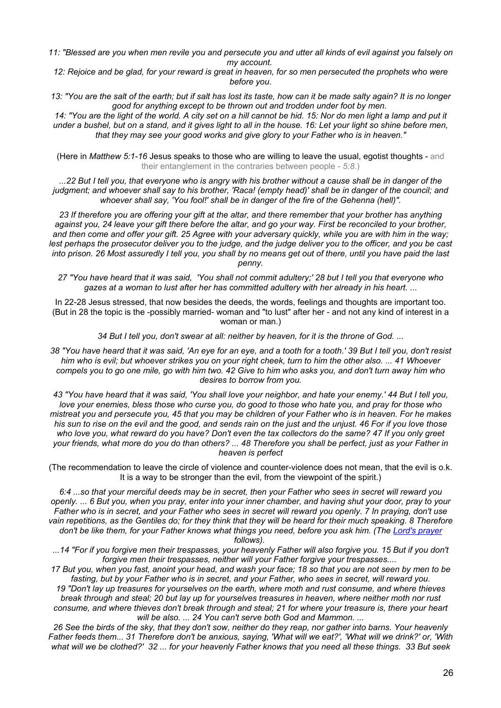*11: "Blessed are you when men revile you and persecute you and utter all kinds of evil against you falsely on my account.* 

*12: Rejoice and be glad, for your reward is great in heaven, for so men persecuted the prophets who were before you.* 

*13: "You are the salt of the earth; but if salt has lost its taste, how can it be made salty again? It is no longer good for anything except to be thrown out and trodden under foot by men.* 

14: "You are the light of the world. A city set on a hill cannot be hid. 15: Nor do men light a lamp and put it *under a bushel, but on a stand, and it gives light to all in the house. 16: Let your light so shine before men, that they may see your good works and give glory to your Father who is in heaven."*

(Here in *Matthew 5:1-16* Jesus speaks to those who are willing to leave the usual, egotist thoughts - and their entanglement in the contraries between people - *5:8*.)

*...22 But I tell you, that everyone who is angry with his brother without a cause shall be in danger of the judgment; and whoever shall say to his brother, 'Raca! (empty head)' shall be in danger of the council; and whoever shall say, 'You fool!' shall be in danger of the fire of the Gehenna (hell)".* 

*23 If therefore you are offering your gift at the altar, and there remember that your brother has anything against you, 24 leave your gift there before the altar, and go your way. First be reconciled to your brother,*  and then come and offer your gift. 25 Agree with your adversary quickly, while you are with him in the way; lest perhaps the prosecutor deliver you to the judge, and the judge deliver you to the officer, and you be cast *into prison. 26 Most assuredly I tell you, you shall by no means get out of there, until you have paid the last penny.* 

*27 "You have heard that it was said, 'You shall not commit adultery;' 28 but I tell you that everyone who gazes at a woman to lust after her has committed adultery with her already in his heart. ...*

In 22-28 Jesus stressed, that now besides the deeds, the words, feelings and thoughts are important too. (But in 28 the topic is the -possibly married- woman and "to lust" after her - and not any kind of interest in a woman or man.)

*34 But I tell you, don't swear at all: neither by heaven, for it is the throne of God. ...* 

*38 "You have heard that it was said, 'An eye for an eye, and a tooth for a tooth.' 39 But I tell you, don't resist him who is evil; but whoever strikes you on your right cheek, turn to him the other also. ... 41 Whoever compels you to go one mile, go with him two. 42 Give to him who asks you, and don't turn away him who desires to borrow from you.* 

*43 "You have heard that it was said, 'You shall love your neighbor, and hate your enemy.' 44 But I tell you, love your enemies, bless those who curse you, do good to those who hate you, and pray for those who mistreat you and persecute you, 45 that you may be children of your Father who is in heaven. For he makes his sun to rise on the evil and the good, and sends rain on the just and the unjust. 46 For if you love those who love you, what reward do you have? Don't even the tax collectors do the same? 47 If you only greet your friends, what more do you do than others? ... 48 Therefore you shall be perfect, just as your Father in heaven is perfect* 

(The recommendation to leave the circle of violence and counter-violence does not mean, that the evil is o.k. It is a way to be stronger than the evil, from the viewpoint of the spirit.)

*6:4 ...so that your merciful deeds may be in secret, then your Father who sees in secret will reward you openly. ... 6 But you, when you pray, enter into your inner chamber, and having shut your door, pray to your Father who is in secret, and your Father who sees in secret will reward you openly. 7 In praying, don't use*  vain repetitions, as the Gentiles do; for they think that they will be heard for their much speaking. 8 Therefore *don't be like them, for your Father knows what things you need, before you ask him. (The Lord's prayer follows).* 

*...14 "For if you forgive men their trespasses, your heavenly Father will also forgive you. 15 But if you don't forgive men their trespasses, neither will your Father forgive your trespasses....* 

*17 But you, when you fast, anoint your head, and wash your face; 18 so that you are not seen by men to be*  fasting, but by your Father who is in secret, and your Father, who sees in secret, will reward you. *19 "Don't lay up treasures for yourselves on the earth, where moth and rust consume, and where thieves break through and steal; 20 but lay up for yourselves treasures in heaven, where neither moth nor rust consume, and where thieves don't break through and steal; 21 for where your treasure is, there your heart will be also. ... 24 You can't serve both God and Mammon. ...* 

*26 See the birds of the sky, that they don't sow, neither do they reap, nor gather into barns. Your heavenly Father feeds them... 31 Therefore don't be anxious, saying, 'What will we eat?', 'What will we drink?' or, 'With what will we be clothed?' 32 ... for your heavenly Father knows that you need all these things. 33 But seek*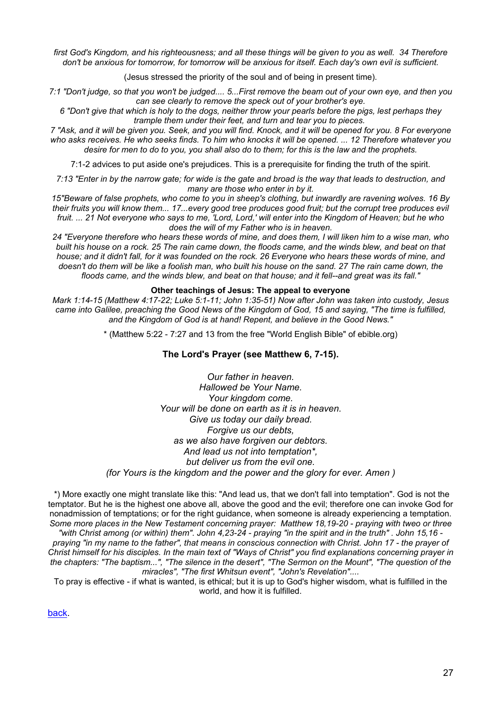first God's Kingdom, and his righteousness; and all these things will be given to you as well. 34 Therefore *don't be anxious for tomorrow, for tomorrow will be anxious for itself. Each day's own evil is sufficient.* 

(Jesus stressed the priority of the soul and of being in present time).

*7:1 "Don't judge, so that you won't be judged.... 5...First remove the beam out of your own eye, and then you can see clearly to remove the speck out of your brother's eye.* 

*6 "Don't give that which is holy to the dogs, neither throw your pearls before the pigs, lest perhaps they trample them under their feet, and turn and tear you to pieces.* 

*7 "Ask, and it will be given you. Seek, and you will find. Knock, and it will be opened for you. 8 For everyone who asks receives. He who seeks finds. To him who knocks it will be opened. ... 12 Therefore whatever you desire for men to do to you, you shall also do to them; for this is the law and the prophets.* 

7:1-2 advices to put aside one's prejudices. This is a prerequisite for finding the truth of the spirit.

*7:13 "Enter in by the narrow gate; for wide is the gate and broad is the way that leads to destruction, and many are those who enter in by it.* 

*15"Beware of false prophets, who come to you in sheep's clothing, but inwardly are ravening wolves. 16 By their fruits you will know them... 17...every good tree produces good fruit; but the corrupt tree produces evil fruit. ... 21 Not everyone who says to me, 'Lord, Lord,' will enter into the Kingdom of Heaven; but he who does the will of my Father who is in heaven.* 

*24 "Everyone therefore who hears these words of mine, and does them, I will liken him to a wise man, who built his house on a rock. 25 The rain came down, the floods came, and the winds blew, and beat on that house; and it didn't fall, for it was founded on the rock. 26 Everyone who hears these words of mine, and doesn't do them will be like a foolish man, who built his house on the sand. 27 The rain came down, the floods came, and the winds blew, and beat on that house; and it fell--and great was its fall."* 

#### **Other teachings of Jesus: The appeal to everyone**

*Mark 1:14-15 (Matthew 4:17-22; Luke 5:1-11; John 1:35-51) Now after John was taken into custody, Jesus came into Galilee, preaching the Good News of the Kingdom of God, 15 and saying, "The time is fulfilled, and the Kingdom of God is at hand! Repent, and believe in the Good News."* 

\* (Matthew 5:22 - 7:27 and 13 from the free "World English Bible" of ebible.org)

#### **The Lord's Prayer (see Matthew 6, 7-15).**

*Our father in heaven. Hallowed be Your Name. Your kingdom come. Your will be done on earth as it is in heaven. Give us today our daily bread. Forgive us our debts, as we also have forgiven our debtors. And lead us not into temptation\*, but deliver us from the evil one. (for Yours is the kingdom and the power and the glory for ever. Amen )* 

 \*) More exactly one might translate like this: "And lead us, that we don't fall into temptation". God is not the temptator. But he is the highest one above all, above the good and the evil; therefore one can invoke God for nonadmission of temptations; or for the right guidance, when someone is already experiencing a temptation. *Some more places in the New Testament concerning prayer: Matthew 18,19-20 - praying with tweo or three* 

*"with Christ among (or within) them". John 4,23-24 - praying "in the spirit and in the truth" . John 15,16 praying "in my name to the father", that means in conscious connection with Christ. John 17 - the prayer of Christ himself for his disciples. In the main text of "Ways of Christ" you find explanations concerning prayer in the chapters: "The baptism...", "The silence in the desert", "The Sermon on the Mount", "The question of the miracles", "The first Whitsun event", "John's Revelation"....*

To pray is effective - if what is wanted, is ethical; but it is up to God's higher wisdom, what is fulfilled in the world, and how it is fulfilled.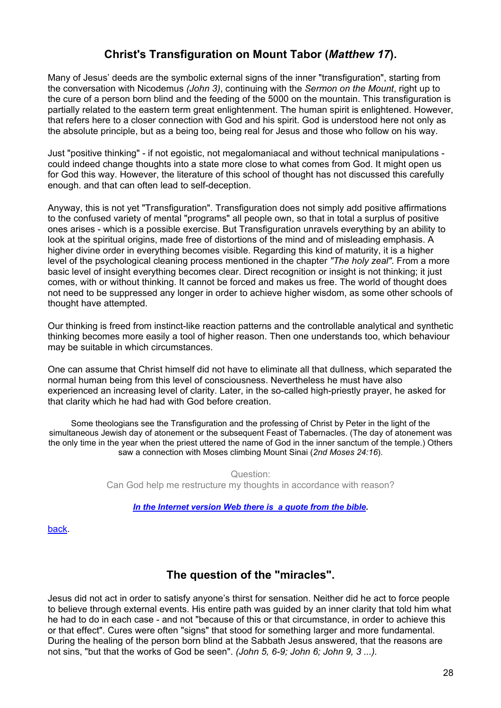### **Christ's Transfiguration on Mount Tabor (***Matthew 17***).**

<span id="page-27-0"></span>Many of Jesus' deeds are the symbolic external signs of the inner "transfiguration", starting from the conversation with Nicodemus *(John 3)*, continuing with the *Sermon on the Mount*, right up to the cure of a person born blind and the feeding of the 5000 on the mountain. This transfiguration is partially related to the eastern term great enlightenment. The human spirit is enlightened. However, that refers here to a closer connection with God and his spirit. God is understood here not only as the absolute principle, but as a being too, being real for Jesus and those who follow on his way.

Just "positive thinking" - if not egoistic, not megalomaniacal and without technical manipulations could indeed change thoughts into a state more close to what comes from God. It might open us for God this way. However, the literature of this school of thought has not discussed this carefully enough. and that can often lead to self-deception.

Anyway, this is not yet "Transfiguration". Transfiguration does not simply add positive affirmations to the confused variety of mental "programs" all people own, so that in total a surplus of positive ones arises - which is a possible exercise. But Transfiguration unravels everything by an ability to look at the spiritual origins, made free of distortions of the mind and of misleading emphasis. A higher divine order in everything becomes visible. Regarding this kind of maturity, it is a higher level of the psychological cleaning process mentioned in the chapter *"The holy zeal"*. From a more basic level of insight everything becomes clear. Direct recognition or insight is not thinking; it just comes, with or without thinking. It cannot be forced and makes us free. The world of thought does not need to be suppressed any longer in order to achieve higher wisdom, as some other schools of thought have attempted.

Our thinking is freed from instinct-like reaction patterns and the controllable analytical and synthetic thinking becomes more easily a tool of higher reason. Then one understands too, which behaviour may be suitable in which circumstances.

One can assume that Christ himself did not have to eliminate all that dullness, which separated the normal human being from this level of consciousness. Nevertheless he must have also experienced an increasing level of clarity. Later, in the so-called high-priestly prayer, he asked for that clarity which he had had with God before creation.

Some theologians see the Transfiguration and the professing of Christ by Peter in the light of the simultaneous Jewish day of atonement or the subsequent Feast of Tabernacles. (The day of atonement was the only time in the year when the priest uttered the name of God in the inner sanctum of the temple.) Others saw a connection with Moses climbing Mount Sinai (*2nd Moses 24:16*).

> Question: Can God help me restructure my thoughts in accordance with reason?

*[In the Internet version Web there is a quote from the bible.](http://www.ways-of-christ.net/b/transfiguration.htm)* 

[back.](#page-1-0) 

### **The question of the "miracles".**

Jesus did not act in order to satisfy anyone's thirst for sensation. Neither did he act to force people to believe through external events. His entire path was guided by an inner clarity that told him what he had to do in each case - and not "because of this or that circumstance, in order to achieve this or that effect". Cures were often "signs" that stood for something larger and more fundamental. During the healing of the person born blind at the Sabbath Jesus answered, that the reasons are not sins, "but that the works of God be seen". *(John 5, 6-9; John 6; John 9, 3 ...).*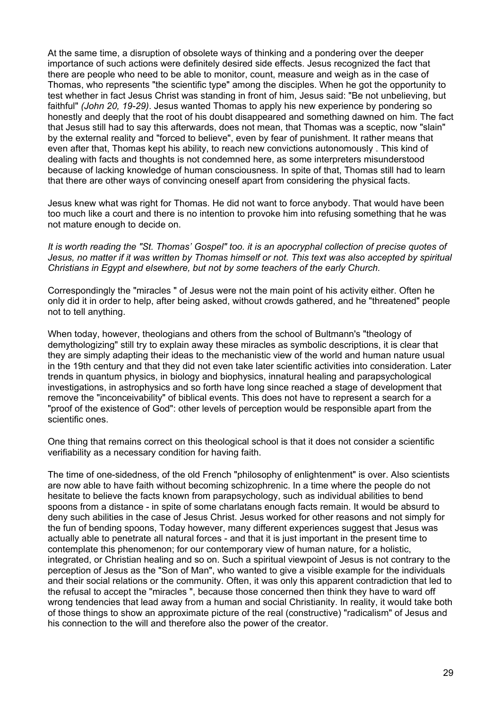At the same time, a disruption of obsolete ways of thinking and a pondering over the deeper importance of such actions were definitely desired side effects. Jesus recognized the fact that there are people who need to be able to monitor, count, measure and weigh as in the case of Thomas, who represents "the scientific type" among the disciples. When he got the opportunity to test whether in fact Jesus Christ was standing in front of him, Jesus said: "Be not unbelieving, but faithful" *(John 20, 19-29)*. Jesus wanted Thomas to apply his new experience by pondering so honestly and deeply that the root of his doubt disappeared and something dawned on him. The fact that Jesus still had to say this afterwards, does not mean, that Thomas was a sceptic, now "slain" by the external reality and "forced to believe", even by fear of punishment. It rather means that even after that, Thomas kept his ability, to reach new convictions autonomously . This kind of dealing with facts and thoughts is not condemned here, as some interpreters misunderstood because of lacking knowledge of human consciousness. In spite of that, Thomas still had to learn that there are other ways of convincing oneself apart from considering the physical facts.

Jesus knew what was right for Thomas. He did not want to force anybody. That would have been too much like a court and there is no intention to provoke him into refusing something that he was not mature enough to decide on.

*It is worth reading the "St. Thomas' Gospel" too. it is an apocryphal collection of precise quotes of Jesus, no matter if it was written by Thomas himself or not. This text was also accepted by spiritual Christians in Egypt and elsewhere, but not by some teachers of the early Church.*

Correspondingly the "miracles " of Jesus were not the main point of his activity either. Often he only did it in order to help, after being asked, without crowds gathered, and he "threatened" people not to tell anything.

When today, however, theologians and others from the school of Bultmann's "theology of demythologizing" still try to explain away these miracles as symbolic descriptions, it is clear that they are simply adapting their ideas to the mechanistic view of the world and human nature usual in the 19th century and that they did not even take later scientific activities into consideration. Later trends in quantum physics, in biology and biophysics, innatural healing and parapsychological investigations, in astrophysics and so forth have long since reached a stage of development that remove the "inconceivability" of biblical events. This does not have to represent a search for a "proof of the existence of God": other levels of perception would be responsible apart from the scientific ones.

One thing that remains correct on this theological school is that it does not consider a scientific verifiability as a necessary condition for having faith.

The time of one-sidedness, of the old French "philosophy of enlightenment" is over. Also scientists are now able to have faith without becoming schizophrenic. In a time where the people do not hesitate to believe the facts known from parapsychology, such as individual abilities to bend spoons from a distance - in spite of some charlatans enough facts remain. It would be absurd to deny such abilities in the case of Jesus Christ. Jesus worked for other reasons and not simply for the fun of bending spoons, Today however, many different experiences suggest that Jesus was actually able to penetrate all natural forces - and that it is just important in the present time to contemplate this phenomenon; for our contemporary view of human nature, for a holistic, integrated, or Christian healing and so on. Such a spiritual viewpoint of Jesus is not contrary to the perception of Jesus as the "Son of Man", who wanted to give a visible example for the individuals and their social relations or the community. Often, it was only this apparent contradiction that led to the refusal to accept the "miracles ", because those concerned then think they have to ward off wrong tendencies that lead away from a human and social Christianity. In reality, it would take both of those things to show an approximate picture of the real (constructive) "radicalism" of Jesus and his connection to the will and therefore also the power of the creator.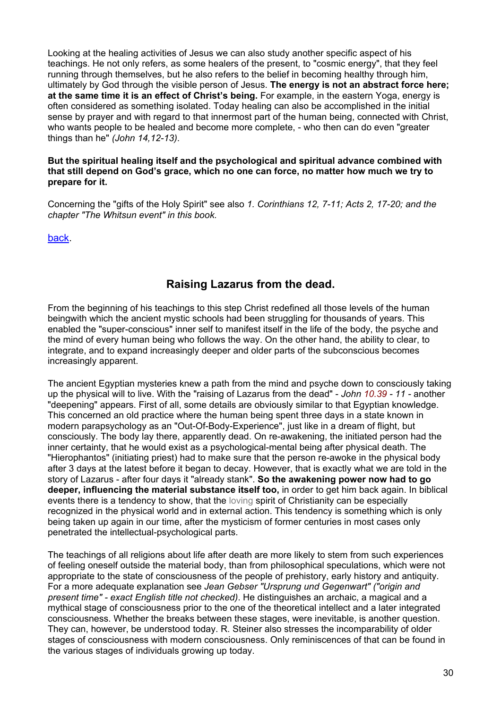<span id="page-29-0"></span>Looking at the healing activities of Jesus we can also study another specific aspect of his teachings. He not only refers, as some healers of the present, to "cosmic energy", that they feel running through themselves, but he also refers to the belief in becoming healthy through him, ultimately by God through the visible person of Jesus. **The energy is not an abstract force here; at the same time it is an effect of Christ's being.** For example, in the eastern Yoga, energy is often considered as something isolated. Today healing can also be accomplished in the initial sense by prayer and with regard to that innermost part of the human being, connected with Christ, who wants people to be healed and become more complete, - who then can do even "greater things than he" *(John 14,12-13)*.

#### **But the spiritual healing itself and the psychological and spiritual advance combined with that still depend on God's grace, which no one can force, no matter how much we try to prepare for it.**

Concerning the "gifts of the Holy Spirit" see also *1. Corinthians 12, 7-11; Acts 2, 17-20; and the chapter "The Whitsun event" in this book.*

[back.](#page-1-0)

### **Raising Lazarus from the dead.**

From the beginning of his teachings to this step Christ redefined all those levels of the human beingwith which the ancient mystic schools had been struggling for thousands of years. This enabled the "super-conscious" inner self to manifest itself in the life of the body, the psyche and the mind of every human being who follows the way. On the other hand, the ability to clear, to integrate, and to expand increasingly deeper and older parts of the subconscious becomes increasingly apparent.

The ancient Egyptian mysteries knew a path from the mind and psyche down to consciously taking up the physical will to live. With the "raising of Lazarus from the dead" - *John 10.39 - 11 -* another "deepening" appears. First of all, some details are obviously similar to that Egyptian knowledge. This concerned an old practice where the human being spent three days in a state known in modern parapsychology as an "Out-Of-Body-Experience", just like in a dream of flight, but consciously. The body lay there, apparently dead. On re-awakening, the initiated person had the inner certainty, that he would exist as a psychological-mental being after physical death. The "Hierophantos" (initiating priest) had to make sure that the person re-awoke in the physical body after 3 days at the latest before it began to decay. However, that is exactly what we are told in the story of Lazarus - after four days it "already stank". **So the awakening power now had to go deeper, influencing the material substance itself too,** in order to get him back again. In biblical events there is a tendency to show, that the loving spirit of Christianity can be especially recognized in the physical world and in external action. This tendency is something which is only being taken up again in our time, after the mysticism of former centuries in most cases only penetrated the intellectual-psychological parts.

The teachings of all religions about life after death are more likely to stem from such experiences of feeling oneself outside the material body, than from philosophical speculations, which were not appropriate to the state of consciousness of the people of prehistory, early history and antiquity. For a more adequate explanation see *Jean Gebser "Ursprung und Gegenwart" ("origin and present time" - exact English title not checked)*. He distinguishes an archaic, a magical and a mythical stage of consciousness prior to the one of the theoretical intellect and a later integrated consciousness. Whether the breaks between these stages, were inevitable, is another question. They can, however, be understood today. R. Steiner also stresses the incomparability of older stages of consciousness with modern consciousness. Only reminiscences of that can be found in the various stages of individuals growing up today.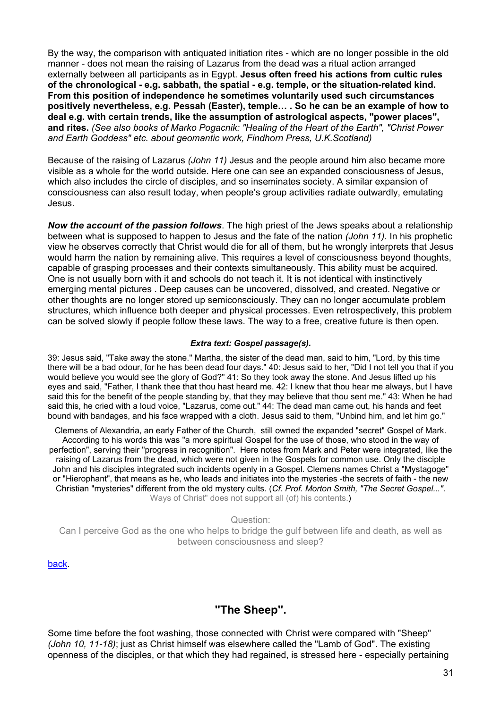<span id="page-30-0"></span>By the way, the comparison with antiquated initiation rites - which are no longer possible in the old manner - does not mean the raising of Lazarus from the dead was a ritual action arranged externally between all participants as in Egypt. **Jesus often freed his actions from cultic rules of the chronological - e.g. sabbath, the spatial - e.g. temple, or the situation-related kind. From this position of independence he sometimes voluntarily used such circumstances positively nevertheless, e.g. Pessah (Easter), temple… . So he can be an example of how to deal e.g. with certain trends, like the assumption of astrological aspects, "power places", and rites.** *(See also books of Marko Pogacnik: "Healing of the Heart of the Earth", "Christ Power and Earth Goddess" etc. about geomantic work, Findhorn Press, U.K.Scotland)*

Because of the raising of Lazarus *(John 11)* Jesus and the people around him also became more visible as a whole for the world outside. Here one can see an expanded consciousness of Jesus, which also includes the circle of disciples, and so inseminates society. A similar expansion of consciousness can also result today, when people's group activities radiate outwardly, emulating Jesus.

*Now the account of the passion follows*. The high priest of the Jews speaks about a relationship between what is supposed to happen to Jesus and the fate of the nation *(John 11)*. In his prophetic view he observes correctly that Christ would die for all of them, but he wrongly interprets that Jesus would harm the nation by remaining alive. This requires a level of consciousness beyond thoughts, capable of grasping processes and their contexts simultaneously. This ability must be acquired. One is not usually born with it and schools do not teach it. It is not identical with instinctively emerging mental pictures . Deep causes can be uncovered, dissolved, and created. Negative or other thoughts are no longer stored up semiconsciously. They can no longer accumulate problem structures, which influence both deeper and physical processes. Even retrospectively, this problem can be solved slowly if people follow these laws. The way to a free, creative future is then open.

#### *Extra text: Gospel passage(s).*

39: Jesus said, "Take away the stone." Martha, the sister of the dead man, said to him, "Lord, by this time there will be a bad odour, for he has been dead four days." 40: Jesus said to her, "Did I not tell you that if you would believe you would see the glory of God?" 41: So they took away the stone. And Jesus lifted up his eyes and said, "Father, I thank thee that thou hast heard me. 42: I knew that thou hear me always, but I have said this for the benefit of the people standing by, that they may believe that thou sent me." 43: When he had said this, he cried with a loud voice, "Lazarus, come out." 44: The dead man came out, his hands and feet bound with bandages, and his face wrapped with a cloth. Jesus said to them, "Unbind him, and let him go."

Clemens of Alexandria, an early Father of the Church, still owned the expanded "secret" Gospel of Mark. According to his words this was "a more spiritual Gospel for the use of those, who stood in the way of perfection", serving their "progress in recognition". Here notes from Mark and Peter were integrated, like the raising of Lazarus from the dead, which were not given in the Gospels for common use. Only the disciple John and his disciples integrated such incidents openly in a Gospel. Clemens names Christ a "Mystagoge" or "Hierophant", that means as he, who leads and initiates into the mysteries -the secrets of faith - the new Christian "mysteries" different from the old mystery cults. (*Cf. Prof. Morton Smith, "The Secret Gospel..."*. Ways of Christ" does not support all (of) his contents.)

Question:

Can I perceive God as the one who helps to bridge the gulf between life and death, as well as between consciousness and sleep?

[back.](#page-1-0) 

### **"The Sheep".**

Some time before the foot washing, those connected with Christ were compared with "Sheep" *(John 10, 11-18)*; just as Christ himself was elsewhere called the "Lamb of God". The existing openness of the disciples, or that which they had regained, is stressed here - especially pertaining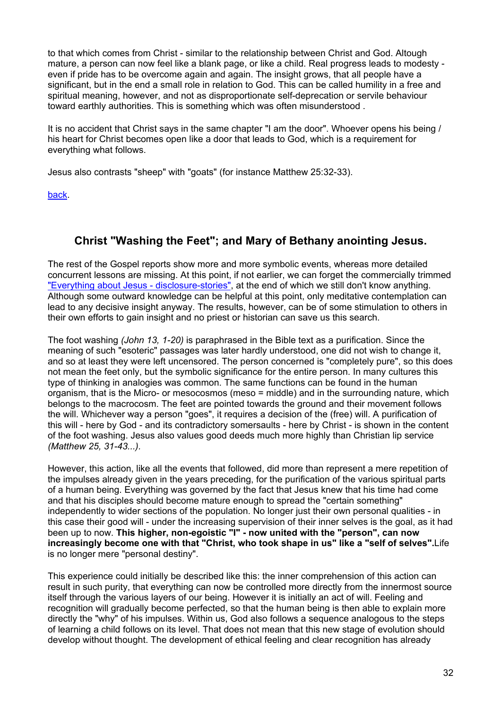<span id="page-31-0"></span>to that which comes from Christ - similar to the relationship between Christ and God. Altough mature, a person can now feel like a blank page, or like a child. Real progress leads to modesty even if pride has to be overcome again and again. The insight grows, that all people have a significant, but in the end a small role in relation to God. This can be called humility in a free and spiritual meaning, however, and not as disproportionate self-deprecation or servile behaviour toward earthly authorities. This is something which was often misunderstood .

It is no accident that Christ says in the same chapter "I am the door". Whoever opens his being / his heart for Christ becomes open like a door that leads to God, which is a requirement for everything what follows.

Jesus also contrasts "sheep" with "goats" (for instance Matthew 25:32-33).

[back.](#page-1-0) 

### **Christ "Washing the Feet"; and Mary of Bethany anointing Jesus.**

The rest of the Gospel reports show more and more symbolic events, whereas more detailed concurrent lessons are missing. At this point, if not earlier, we can forget the commercially trimmed "Everything about Jesus - disclosure-stories", at the end of which we still don't know anything. Although some outward knowledge can be helpful at this point, only meditative contemplation can lead to any decisive insight anyway. The results, however, can be of some stimulation to others in their own efforts to gain insight and no priest or historian can save us this search.

The foot washing *(John 13, 1-20)* is paraphrased in the Bible text as a purification. Since the meaning of such "esoteric" passages was later hardly understood, one did not wish to change it, and so at least they were left uncensored. The person concerned is "completely pure", so this does not mean the feet only, but the symbolic significance for the entire person. In many cultures this type of thinking in analogies was common. The same functions can be found in the human organism, that is the Micro- or mesocosmos (meso = middle) and in the surrounding nature, which belongs to the macrocosm. The feet are pointed towards the ground and their movement follows the will. Whichever way a person "goes", it requires a decision of the (free) will. A purification of this will - here by God - and its contradictory somersaults - here by Christ - is shown in the content of the foot washing. Jesus also values good deeds much more highly than Christian lip service *(Matthew 25, 31-43...).*

However, this action, like all the events that followed, did more than represent a mere repetition of the impulses already given in the years preceding, for the purification of the various spiritual parts of a human being. Everything was governed by the fact that Jesus knew that his time had come and that his disciples should become mature enough to spread the "certain something" independently to wider sections of the population. No longer just their own personal qualities - in this case their good will - under the increasing supervision of their inner selves is the goal, as it had been up to now. **This higher, non-egoistic "I" - now united with the "person", can now increasingly become one with that "Christ, who took shape in us" like a "self of selves".**Life is no longer mere "personal destiny".

This experience could initially be described like this: the inner comprehension of this action can result in such purity, that everything can now be controlled more directly from the innermost source itself through the various layers of our being. However it is initially an act of will. Feeling and recognition will gradually become perfected, so that the human being is then able to explain more directly the "why" of his impulses. Within us, God also follows a sequence analogous to the steps of learning a child follows on its level. That does not mean that this new stage of evolution should develop without thought. The development of ethical feeling and clear recognition has already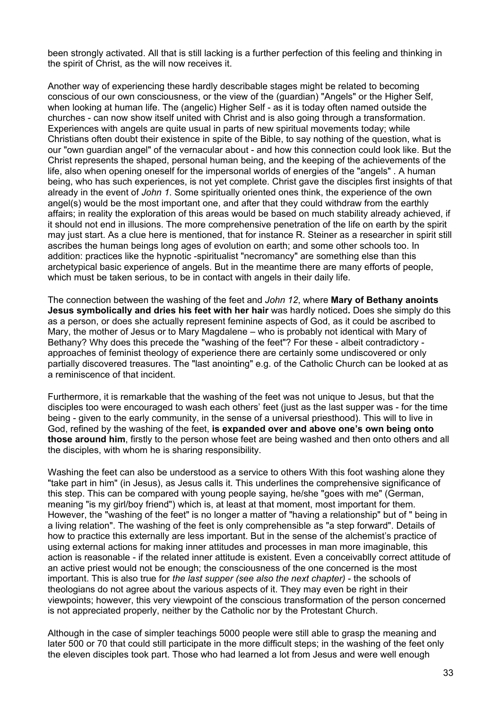been strongly activated. All that is still lacking is a further perfection of this feeling and thinking in the spirit of Christ, as the will now receives it.

Another way of experiencing these hardly describable stages might be related to becoming conscious of our own consciousness, or the view of the (guardian) "Angels" or the Higher Self, when looking at human life. The (angelic) Higher Self - as it is today often named outside the churches - can now show itself united with Christ and is also going through a transformation. Experiences with angels are quite usual in parts of new spiritual movements today; while Christians often doubt their existence in spite of the Bible, to say nothing of the question, what is our "own guardian angel" of the vernacular about - and how this connection could look like. But the Christ represents the shaped, personal human being, and the keeping of the achievements of the life, also when opening oneself for the impersonal worlds of energies of the "angels" . A human being, who has such experiences, is not yet complete. Christ gave the disciples first insights of that already in the event of *John 1*. Some spiritually oriented ones think, the experience of the own angel(s) would be the most important one, and after that they could withdraw from the earthly affairs; in reality the exploration of this areas would be based on much stability already achieved, if it should not end in illusions. The more comprehensive penetration of the life on earth by the spirit may just start. As a clue here is mentioned, that for instance R. Steiner as a researcher in spirit still ascribes the human beings long ages of evolution on earth; and some other schools too. In addition: practices like the hypnotic -spiritualist "necromancy" are something else than this archetypical basic experience of angels. But in the meantime there are many efforts of people, which must be taken serious, to be in contact with angels in their daily life.

The connection between the washing of the feet and *John 12*, where **Mary of Bethany anoints Jesus symbolically and dries his feet with her hair** was hardly noticed**.** Does she simply do this as a person, or does she actually represent feminine aspects of God, as it could be ascribed to Mary, the mother of Jesus or to Mary Magdalene – who is probably not identical with Mary of Bethany? Why does this precede the "washing of the feet"? For these - albeit contradictory approaches of feminist theology of experience there are certainly some undiscovered or only partially discovered treasures. The "last anointing" e.g. of the Catholic Church can be looked at as a reminiscence of that incident.

Furthermore, it is remarkable that the washing of the feet was not unique to Jesus, but that the disciples too were encouraged to wash each others' feet (just as the last supper was - for the time being - given to the early community, in the sense of a universal priesthood). This will to live in God, refined by the washing of the feet, **is expanded over and above one's own being onto those around him**, firstly to the person whose feet are being washed and then onto others and all the disciples, with whom he is sharing responsibility.

Washing the feet can also be understood as a service to others With this foot washing alone they "take part in him" (in Jesus), as Jesus calls it. This underlines the comprehensive significance of this step. This can be compared with young people saying, he/she "goes with me" (German, meaning "is my girl/boy friend") which is, at least at that moment, most important for them. However, the "washing of the feet" is no longer a matter of "having a relationship" but of " being in a living relation". The washing of the feet is only comprehensible as "a step forward". Details of how to practice this externally are less important. But in the sense of the alchemist's practice of using external actions for making inner attitudes and processes in man more imaginable, this action is reasonable - if the related inner attitude is existent. Even a conceivablly correct attitude of an active priest would not be enough; the consciousness of the one concerned is the most important. This is also true for *the last supper (see also the next chapter)* - the schools of theologians do not agree about the various aspects of it. They may even be right in their viewpoints; however, this very viewpoint of the conscious transformation of the person concerned is not appreciated properly, neither by the Catholic nor by the Protestant Church.

Although in the case of simpler teachings 5000 people were still able to grasp the meaning and later 500 or 70 that could still participate in the more difficult steps; in the washing of the feet only the eleven disciples took part. Those who had learned a lot from Jesus and were well enough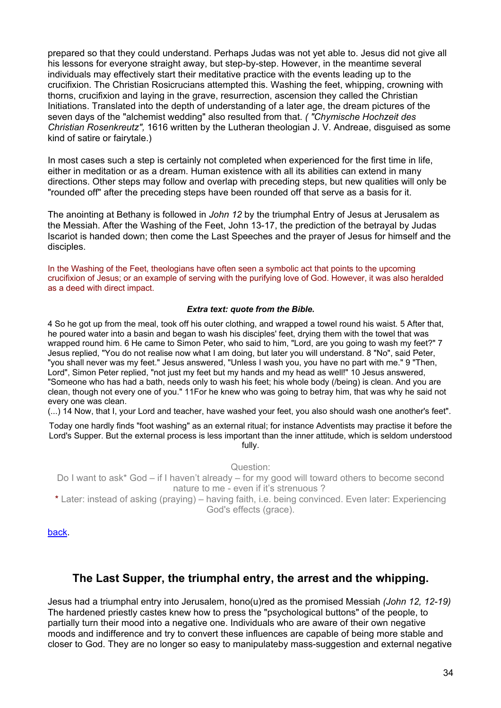<span id="page-33-0"></span>prepared so that they could understand. Perhaps Judas was not yet able to. Jesus did not give all his lessons for everyone straight away, but step-by-step. However, in the meantime several individuals may effectively start their meditative practice with the events leading up to the crucifixion. The Christian Rosicrucians attempted this. Washing the feet, whipping, crowning with thorns, crucifixion and laying in the grave, resurrection, ascension they called the Christian Initiations. Translated into the depth of understanding of a later age, the dream pictures of the seven days of the "alchemist wedding" also resulted from that. *( "Chymische Hochzeit des Christian Rosenkreutz",* 1616 written by the Lutheran theologian J. V. Andreae, disguised as some kind of satire or fairytale.)

In most cases such a step is certainly not completed when experienced for the first time in life, either in meditation or as a dream. Human existence with all its abilities can extend in many directions. Other steps may follow and overlap with preceding steps, but new qualities will only be "rounded off" after the preceding steps have been rounded off that serve as a basis for it.

The anointing at Bethany is followed in *John 12* by the triumphal Entry of Jesus at Jerusalem as the Messiah. After the Washing of the Feet, John 13-17, the prediction of the betrayal by Judas Iscariot is handed down; then come the Last Speeches and the prayer of Jesus for himself and the disciples.

In the Washing of the Feet, theologians have often seen a symbolic act that points to the upcoming crucifixion of Jesus; or an example of serving with the purifying love of God. However, it was also heralded as a deed with direct impact.

#### *Extra text: quote from the Bible.*

4 So he got up from the meal, took off his outer clothing, and wrapped a towel round his waist. 5 After that, he poured water into a basin and began to wash his disciples' feet, drying them with the towel that was wrapped round him. 6 He came to Simon Peter, who said to him, "Lord, are you going to wash my feet?" 7 Jesus replied, "You do not realise now what I am doing, but later you will understand. 8 "No", said Peter, "you shall never was my feet." Jesus answered, "Unless I wash you, you have no part with me." 9 "Then, Lord", Simon Peter replied, "not just my feet but my hands and my head as well!" 10 Jesus answered, "Someone who has had a bath, needs only to wash his feet; his whole body (/being) is clean. And you are clean, though not every one of you." 11For he knew who was going to betray him, that was why he said not every one was clean.

(...) 14 Now, that I, your Lord and teacher, have washed your feet, you also should wash one another's feet".

Today one hardly finds "foot washing" as an external ritual; for instance Adventists may practise it before the Lord's Supper. But the external process is less important than the inner attitude, which is seldom understood fully.

Question:

Do I want to ask\* God – if I haven't already – for my good will toward others to become second nature to me - even if it's strenuous ?

\* Later: instead of asking (praying) – having faith, i.e. being convinced. Even later: Experiencing God's effects (grace).

[back.](#page-1-0) 

### **The Last Supper, the triumphal entry, the arrest and the whipping.**

Jesus had a triumphal entry into Jerusalem, hono(u)red as the promised Messiah *(John 12, 12-19)* The hardened priestly castes knew how to press the "psychological buttons" of the people, to partially turn their mood into a negative one. Individuals who are aware of their own negative moods and indifference and try to convert these influences are capable of being more stable and closer to God. They are no longer so easy to manipulateby mass-suggestion and external negative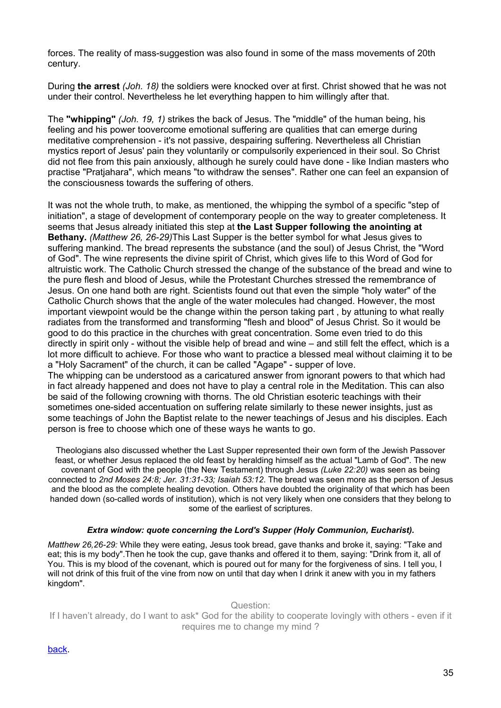forces. The reality of mass-suggestion was also found in some of the mass movements of 20th century.

During **the arrest** *(Joh. 18)* the soldiers were knocked over at first. Christ showed that he was not under their control. Nevertheless he let everything happen to him willingly after that.

The **"whipping"** *(Joh. 19, 1)* strikes the back of Jesus. The "middle" of the human being, his feeling and his power toovercome emotional suffering are qualities that can emerge during meditative comprehension - it's not passive, despairing suffering. Nevertheless all Christian mystics report of Jesus' pain they voluntarily or compulsorily experienced in their soul. So Christ did not flee from this pain anxiously, although he surely could have done - like Indian masters who practise "Pratjahara", which means "to withdraw the senses". Rather one can feel an expansion of the consciousness towards the suffering of others.

It was not the whole truth, to make, as mentioned, the whipping the symbol of a specific "step of initiation", a stage of development of contemporary people on the way to greater completeness. It seems that Jesus already initiated this step at **the Last Supper following the anointing at Bethany.** *(Matthew 26, 26-29)*This Last Supper is the better symbol for what Jesus gives to suffering mankind. The bread represents the substance (and the soul) of Jesus Christ, the "Word of God". The wine represents the divine spirit of Christ, which gives life to this Word of God for altruistic work. The Catholic Church stressed the change of the substance of the bread and wine to the pure flesh and blood of Jesus, while the Protestant Churches stressed the remembrance of Jesus. On one hand both are right. Scientists found out that even the simple "holy water" of the Catholic Church shows that the angle of the water molecules had changed. However, the most important viewpoint would be the change within the person taking part , by attuning to what really radiates from the transformed and transforming "flesh and blood" of Jesus Christ. So it would be good to do this practice in the churches with great concentration. Some even tried to do this directly in spirit only - without the visible help of bread and wine – and still felt the effect, which is a lot more difficult to achieve. For those who want to practice a blessed meal without claiming it to be a "Holy Sacrament" of the church, it can be called "Agape" - supper of love. The whipping can be understood as a caricatured answer from ignorant powers to that which had in fact already happened and does not have to play a central role in the Meditation. This can also be said of the following crowning with thorns. The old Christian esoteric teachings with their sometimes one-sided accentuation on suffering relate similarly to these newer insights, just as some teachings of John the Baptist relate to the newer teachings of Jesus and his disciples. Each person is free to choose which one of these ways he wants to go.

Theologians also discussed whether the Last Supper represented their own form of the Jewish Passover feast, or whether Jesus replaced the old feast by heralding himself as the actual "Lamb of God". The new covenant of God with the people (the New Testament) through Jesus *(Luke 22:20)* was seen as being connected to *2nd Moses 24:8; Jer. 31:31-33; Isaiah 53:12*. The bread was seen more as the person of Jesus and the blood as the complete healing devotion. Others have doubted the originality of that which has been handed down (so-called words of institution), which is not very likely when one considers that they belong to some of the earliest of scriptures.

#### *Extra window: quote concerning the Lord's Supper (Holy Communion, Eucharist).*

*Matthew 26,26-29:* While they were eating, Jesus took bread, gave thanks and broke it, saying: "Take and eat; this is my body".Then he took the cup, gave thanks and offered it to them, saying: "Drink from it, all of You. This is my blood of the covenant, which is poured out for many for the forgiveness of sins. I tell you, I will not drink of this fruit of the vine from now on until that day when I drink it anew with you in my fathers kingdom".

Question: If I haven't already, do I want to ask\* God for the ability to cooperate lovingly with others - even if it requires me to change my mind ?

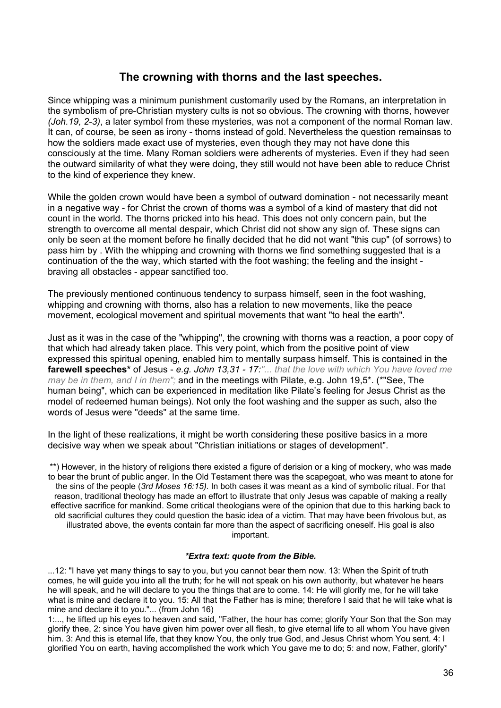### **The crowning with thorns and the last speeches.**

<span id="page-35-0"></span>Since whipping was a minimum punishment customarily used by the Romans, an interpretation in the symbolism of pre-Christian mystery cults is not so obvious. The crowning with thorns, however *(Joh.19, 2-3)*, a later symbol from these mysteries, was not a component of the normal Roman law. It can, of course, be seen as irony - thorns instead of gold. Nevertheless the question remainsas to how the soldiers made exact use of mysteries, even though they may not have done this consciously at the time. Many Roman soldiers were adherents of mysteries. Even if they had seen the outward similarity of what they were doing, they still would not have been able to reduce Christ to the kind of experience they knew.

While the golden crown would have been a symbol of outward domination - not necessarily meant in a negative way - for Christ the crown of thorns was a symbol of a kind of mastery that did not count in the world. The thorns pricked into his head. This does not only concern pain, but the strength to overcome all mental despair, which Christ did not show any sign of. These signs can only be seen at the moment before he finally decided that he did not want "this cup" (of sorrows) to pass him by . With the whipping and crowning with thorns we find something suggested that is a continuation of the the way, which started with the foot washing; the feeling and the insight braving all obstacles - appear sanctified too.

The previously mentioned continuous tendency to surpass himself, seen in the foot washing, whipping and crowning with thorns, also has a relation to new movements, like the peace movement, ecological movement and spiritual movements that want "to heal the earth".

Just as it was in the case of the "whipping", the crowning with thorns was a reaction, a poor copy of that which had already taken place. This very point, which from the positive point of view expressed this spiritual opening, enabled him to mentally surpass himself. This is contained in the **farewell speeches\*** of Jesus - *e.g. John 13,31 - 17:"... that the love with which You have loved me may be in them, and I in them";* and in the meetings with Pilate, e.g. John 19,5\*. (\*"See, The human being", which can be experienced in meditation like Pilate's feeling for Jesus Christ as the model of redeemed human beings). Not only the foot washing and the supper as such, also the words of Jesus were "deeds" at the same time.

In the light of these realizations, it might be worth considering these positive basics in a more decisive way when we speak about "Christian initiations or stages of development".

\*\*) However, in the history of religions there existed a figure of derision or a king of mockery, who was made to bear the brunt of public anger. In the Old Testament there was the scapegoat, who was meant to atone for the sins of the people (*3rd Moses 16:15).* In both cases it was meant as a kind of symbolic ritual. For that reason, traditional theology has made an effort to illustrate that only Jesus was capable of making a really effective sacrifice for mankind. Some critical theologians were of the opinion that due to this harking back to old sacrificial cultures they could question the basic idea of a victim. That may have been frivolous but, as illustrated above, the events contain far more than the aspect of sacrificing oneself. His goal is also important.

#### *\*Extra text: quote from the Bible.*

...12: "I have yet many things to say to you, but you cannot bear them now. 13: When the Spirit of truth comes, he will guide you into all the truth; for he will not speak on his own authority, but whatever he hears he will speak, and he will declare to you the things that are to come. 14: He will glorify me, for he will take what is mine and declare it to you. 15: All that the Father has is mine; therefore I said that he will take what is mine and declare it to you."... (from John 16)

1:..., he lifted up his eyes to heaven and said, "Father, the hour has come; glorify Your Son that the Son may glorify thee, 2: since You have given him power over all flesh, to give eternal life to all whom You have given him. 3: And this is eternal life, that they know You, the only true God, and Jesus Christ whom You sent. 4: I glorified You on earth, having accomplished the work which You gave me to do; 5: and now, Father, glorify\*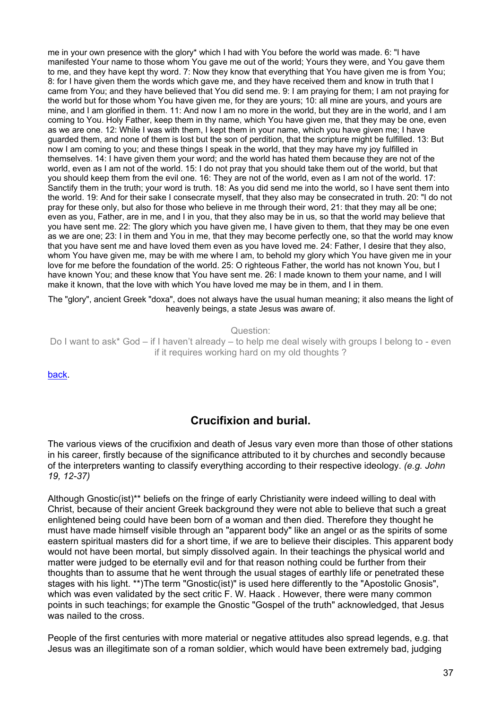me in your own presence with the glory\* which I had with You before the world was made. 6: "I have manifested Your name to those whom You gave me out of the world; Yours they were, and You gave them to me, and they have kept thy word. 7: Now they know that everything that You have given me is from You; 8: for I have given them the words which gave me, and they have received them and know in truth that I came from You; and they have believed that You did send me. 9: I am praying for them; I am not praying for the world but for those whom You have given me, for they are yours; 10: all mine are yours, and yours are mine, and I am glorified in them. 11: And now I am no more in the world, but they are in the world, and I am coming to You. Holy Father, keep them in thy name, which You have given me, that they may be one, even as we are one. 12: While I was with them, I kept them in your name, which you have given me; I have guarded them, and none of them is lost but the son of perdition, that the scripture might be fulfilled. 13: But now I am coming to you; and these things I speak in the world, that they may have my joy fulfilled in themselves. 14: I have given them your word; and the world has hated them because they are not of the world, even as I am not of the world. 15: I do not pray that you should take them out of the world, but that you should keep them from the evil one. 16: They are not of the world, even as I am not of the world. 17: Sanctify them in the truth; your word is truth. 18: As you did send me into the world, so I have sent them into the world. 19: And for their sake I consecrate myself, that they also may be consecrated in truth. 20: "I do not pray for these only, but also for those who believe in me through their word, 21: that they may all be one; even as you, Father, are in me, and I in you, that they also may be in us, so that the world may believe that you have sent me. 22: The glory which you have given me, I have given to them, that they may be one even as we are one; 23: I in them and You in me, that they may become perfectly one, so that the world may know that you have sent me and have loved them even as you have loved me. 24: Father, I desire that they also, whom You have given me, may be with me where I am, to behold my glory which You have given me in your love for me before the foundation of the world. 25: O righteous Father, the world has not known You, but I have known You; and these know that You have sent me. 26: I made known to them your name, and I will make it known, that the love with which You have loved me may be in them, and I in them.

The "glory", ancient Greek "doxa", does not always have the usual human meaning; it also means the light of heavenly beings, a state Jesus was aware of.

Question:

Do I want to ask\* God – if I haven't already – to help me deal wisely with groups I belong to - even if it requires working hard on my old thoughts ?

[back.](#page-1-0) 

### **Crucifixion and burial.**

The various views of the crucifixion and death of Jesus vary even more than those of other stations in his career, firstly because of the significance attributed to it by churches and secondly because of the interpreters wanting to classify everything according to their respective ideology. *(e.g. John 19, 12-37)*

Although Gnostic(ist)\*\* beliefs on the fringe of early Christianity were indeed willing to deal with Christ, because of their ancient Greek background they were not able to believe that such a great enlightened being could have been born of a woman and then died. Therefore they thought he must have made himself visible through an "apparent body" like an angel or as the spirits of some eastern spiritual masters did for a short time, if we are to believe their disciples. This apparent body would not have been mortal, but simply dissolved again. In their teachings the physical world and matter were judged to be eternally evil and for that reason nothing could be further from their thoughts than to assume that he went through the usual stages of earthly life or penetrated these stages with his light. \*\*)The term "Gnostic(ist)" is used here differently to the "Apostolic Gnosis", which was even validated by the sect critic F. W. Haack . However, there were many common points in such teachings; for example the Gnostic "Gospel of the truth" acknowledged, that Jesus was nailed to the cross.

People of the first centuries with more material or negative attitudes also spread legends, e.g. that Jesus was an illegitimate son of a roman soldier, which would have been extremely bad, judging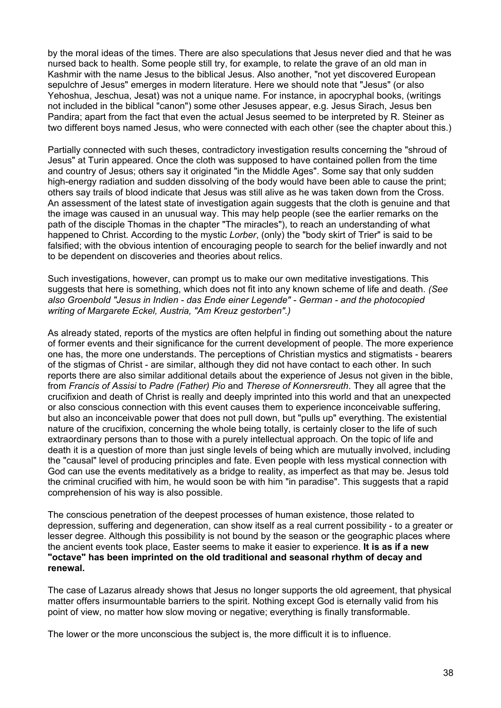by the moral ideas of the times. There are also speculations that Jesus never died and that he was nursed back to health. Some people still try, for example, to relate the grave of an old man in Kashmir with the name Jesus to the biblical Jesus. Also another, "not yet discovered European sepulchre of Jesus" emerges in modern literature. Here we should note that "Jesus" (or also Yehoshua, Jeschua, Jesat) was not a unique name. For instance, in apocryphal books, (writings not included in the biblical "canon") some other Jesuses appear, e.g. Jesus Sirach, Jesus ben Pandira; apart from the fact that even the actual Jesus seemed to be interpreted by R. Steiner as two different boys named Jesus, who were connected with each other (see the chapter about this.)

Partially connected with such theses, contradictory investigation results concerning the "shroud of Jesus" at Turin appeared. Once the cloth was supposed to have contained pollen from the time and country of Jesus; others say it originated "in the Middle Ages". Some say that only sudden high-energy radiation and sudden dissolving of the body would have been able to cause the print; others say trails of blood indicate that Jesus was still alive as he was taken down from the Cross. An assessment of the latest state of investigation again suggests that the cloth is genuine and that the image was caused in an unusual way. This may help people (see the earlier remarks on the path of the disciple Thomas in the chapter "The miracles"), to reach an understanding of what happened to Christ. According to the mystic *Lorber*, (only) the "body skirt of Trier" is said to be falsified; with the obvious intention of encouraging people to search for the belief inwardly and not to be dependent on discoveries and theories about relics.

Such investigations, however, can prompt us to make our own meditative investigations. This suggests that here is something, which does not fit into any known scheme of life and death. *(See also Groenbold "Jesus in Indien - das Ende einer Legende" - German - and the photocopied writing of Margarete Eckel, Austria, "Am Kreuz gestorben".)*

As already stated, reports of the mystics are often helpful in finding out something about the nature of former events and their significance for the current development of people. The more experience one has, the more one understands. The perceptions of Christian mystics and stigmatists - bearers of the stigmas of Christ - are similar, although they did not have contact to each other. In such reports there are also similar additional details about the experience of Jesus not given in the bible, from *Francis of Assisi* to *Padre (Father) Pio* and *Therese of Konnersreuth*. They all agree that the crucifixion and death of Christ is really and deeply imprinted into this world and that an unexpected or also conscious connection with this event causes them to experience inconceivable suffering, but also an inconceivable power that does not pull down, but "pulls up" everything. The existential nature of the crucifixion, concerning the whole being totally, is certainly closer to the life of such extraordinary persons than to those with a purely intellectual approach. On the topic of life and death it is a question of more than just single levels of being which are mutually involved, including the "causal" level of producing principles and fate. Even people with less mystical connection with God can use the events meditatively as a bridge to reality, as imperfect as that may be. Jesus told the criminal crucified with him, he would soon be with him "in paradise". This suggests that a rapid comprehension of his way is also possible.

The conscious penetration of the deepest processes of human existence, those related to depression, suffering and degeneration, can show itself as a real current possibility - to a greater or lesser degree. Although this possibility is not bound by the season or the geographic places where the ancient events took place, Easter seems to make it easier to experience. **It is as if a new "octave" has been imprinted on the old traditional and seasonal rhythm of decay and renewal.**

The case of Lazarus already shows that Jesus no longer supports the old agreement, that physical matter offers insurmountable barriers to the spirit. Nothing except God is eternally valid from his point of view, no matter how slow moving or negative; everything is finally transformable.

The lower or the more unconscious the subject is, the more difficult it is to influence.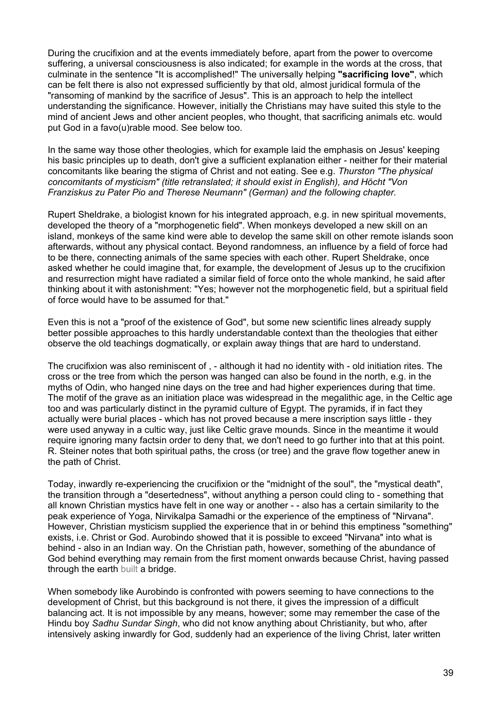During the crucifixion and at the events immediately before, apart from the power to overcome suffering, a universal consciousness is also indicated; for example in the words at the cross, that culminate in the sentence "It is accomplished!" The universally helping **"sacrificing love"**, which can be felt there is also not expressed sufficiently by that old, almost juridical formula of the "ransoming of mankind by the sacrifice of Jesus". This is an approach to help the intellect understanding the significance. However, initially the Christians may have suited this style to the mind of ancient Jews and other ancient peoples, who thought, that sacrificing animals etc. would put God in a favo(u)rable mood. See below too.

In the same way those other theologies, which for example laid the emphasis on Jesus' keeping his basic principles up to death, don't give a sufficient explanation either - neither for their material concomitants like bearing the stigma of Christ and not eating. See e.g. *Thurston "The physical concomitants of mysticism" (title retranslated; it should exist in English), and Höcht "Von Franziskus zu Pater Pio and Therese Neumann" (German) and the following chapter.*

Rupert Sheldrake, a biologist known for his integrated approach, e.g. in new spiritual movements, developed the theory of a "morphogenetic field". When monkeys developed a new skill on an island, monkeys of the same kind were able to develop the same skill on other remote islands soon afterwards, without any physical contact. Beyond randomness, an influence by a field of force had to be there, connecting animals of the same species with each other. Rupert Sheldrake, once asked whether he could imagine that, for example, the development of Jesus up to the crucifixion and resurrection might have radiated a similar field of force onto the whole mankind, he said after thinking about it with astonishment: "Yes; however not the morphogenetic field, but a spiritual field of force would have to be assumed for that."

Even this is not a "proof of the existence of God", but some new scientific lines already supply better possible approaches to this hardly understandable context than the theologies that either observe the old teachings dogmatically, or explain away things that are hard to understand.

The crucifixion was also reminiscent of , - although it had no identity with - old initiation rites. The cross or the tree from which the person was hanged can also be found in the north, e.g. in the myths of Odin, who hanged nine days on the tree and had higher experiences during that time. The motif of the grave as an initiation place was widespread in the megalithic age, in the Celtic age too and was particularly distinct in the pyramid culture of Egypt. The pyramids, if in fact they actually were burial places - which has not proved because a mere inscription says little - they were used anyway in a cultic way, just like Celtic grave mounds. Since in the meantime it would require ignoring many factsin order to deny that, we don't need to go further into that at this point. R. Steiner notes that both spiritual paths, the cross (or tree) and the grave flow together anew in the path of Christ.

Today, inwardly re-experiencing the crucifixion or the "midnight of the soul", the "mystical death", the transition through a "desertedness", without anything a person could cling to - something that all known Christian mystics have felt in one way or another - - also has a certain similarity to the peak experience of Yoga, Nirvikalpa Samadhi or the experience of the emptiness of "Nirvana". However, Christian mysticism supplied the experience that in or behind this emptiness "something" exists, i.e. Christ or God. Aurobindo showed that it is possible to exceed "Nirvana" into what is behind - also in an Indian way. On the Christian path, however, something of the abundance of God behind everything may remain from the first moment onwards because Christ, having passed through the earth built a bridge.

When somebody like Aurobindo is confronted with powers seeming to have connections to the development of Christ, but this background is not there, it gives the impression of a difficult balancing act. It is not impossible by any means, however; some may remember the case of the Hindu boy *Sadhu Sundar Singh*, who did not know anything about Christianity, but who, after intensively asking inwardly for God, suddenly had an experience of the living Christ, later written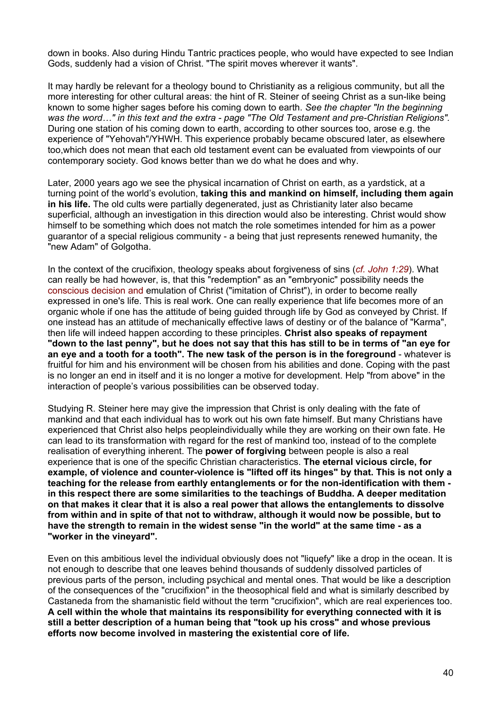down in books. Also during Hindu Tantric practices people, who would have expected to see Indian Gods, suddenly had a vision of Christ. "The spirit moves wherever it wants".

It may hardly be relevant for a theology bound to Christianity as a religious community, but all the more interesting for other cultural areas: the hint of R. Steiner of seeing Christ as a sun-like being known to some higher sages before his coming down to earth. *See the chapter "In the beginning was the word…" in this text and the extra - page "The Old Testament and pre-Christian Religions".* During one station of his coming down to earth, according to other sources too, arose e.g. the experience of "Yehovah"/YHWH. This experience probably became obscured later, as elsewhere too,which does not mean that each old testament event can be evaluated from viewpoints of our contemporary society. God knows better than we do what he does and why.

Later, 2000 years ago we see the physical incarnation of Christ on earth, as a yardstick, at a turning point of the world's evolution, **taking this and mankind on himself, including them again in his life.** The old cults were partially degenerated, just as Christianity later also became superficial, although an investigation in this direction would also be interesting. Christ would show himself to be something which does not match the role sometimes intended for him as a power guarantor of a special religious community - a being that just represents renewed humanity, the "new Adam" of Golgotha.

In the context of the crucifixion, theology speaks about forgiveness of sins (*cf. John 1:29*). What can really be had however, is, that this "redemption" as an "embryonic" possibility needs the conscious decision and emulation of Christ ("imitation of Christ"), in order to become really expressed in one's life. This is real work. One can really experience that life becomes more of an organic whole if one has the attitude of being guided through life by God as conveyed by Christ. If one instead has an attitude of mechanically effective laws of destiny or of the balance of "Karma", then life will indeed happen according to these principles. **Christ also speaks of repayment "down to the last penny", but he does not say that this has still to be in terms of "an eye for an eye and a tooth for a tooth". The new task of the person is in the foreground** - whatever is fruitful for him and his environment will be chosen from his abilities and done. Coping with the past is no longer an end in itself and it is no longer a motive for development. Help "from above" in the interaction of people's various possibilities can be observed today.

Studying R. Steiner here may give the impression that Christ is only dealing with the fate of mankind and that each individual has to work out his own fate himself. But many Christians have experienced that Christ also helps peopleindividually while they are working on their own fate. He can lead to its transformation with regard for the rest of mankind too, instead of to the complete realisation of everything inherent. The **power of forgiving** between people is also a real experience that is one of the specific Christian characteristics. **The eternal vicious circle, for example, of violence and counter-violence is "lifted off its hinges" by that. This is not only a teaching for the release from earthly entanglements or for the non-identification with them in this respect there are some similarities to the teachings of Buddha. A deeper meditation on that makes it clear that it is also a real power that allows the entanglements to dissolve from within and in spite of that not to withdraw, although it would now be possible, but to have the strength to remain in the widest sense "in the world" at the same time - as a "worker in the vineyard".**

Even on this ambitious level the individual obviously does not "liquefy" like a drop in the ocean. It is not enough to describe that one leaves behind thousands of suddenly dissolved particles of previous parts of the person, including psychical and mental ones. That would be like a description of the consequences of the "crucifixion" in the theosophical field and what is similarly described by Castaneda from the shamanistic field without the term "crucifixion", which are real experiences too. **A cell within the whole that maintains its responsibility for everything connected with it is still a better description of a human being that "took up his cross" and whose previous efforts now become involved in mastering the existential core of life.**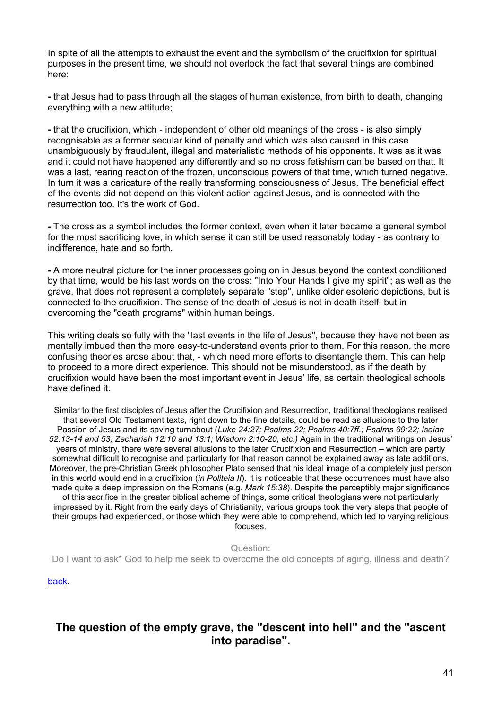In spite of all the attempts to exhaust the event and the symbolism of the crucifixion for spiritual purposes in the present time, we should not overlook the fact that several things are combined here:

**-** that Jesus had to pass through all the stages of human existence, from birth to death, changing everything with a new attitude;

**-** that the crucifixion, which - independent of other old meanings of the cross - is also simply recognisable as a former secular kind of penalty and which was also caused in this case unambiguously by fraudulent, illegal and materialistic methods of his opponents. It was as it was and it could not have happened any differently and so no cross fetishism can be based on that. It was a last, rearing reaction of the frozen, unconscious powers of that time, which turned negative. In turn it was a caricature of the really transforming consciousness of Jesus. The beneficial effect of the events did not depend on this violent action against Jesus, and is connected with the resurrection too. It's the work of God.

**-** The cross as a symbol includes the former context, even when it later became a general symbol for the most sacrificing love, in which sense it can still be used reasonably today - as contrary to indifference, hate and so forth.

**-** A more neutral picture for the inner processes going on in Jesus beyond the context conditioned by that time, would be his last words on the cross: "Into Your Hands I give my spirit"; as well as the grave, that does not represent a completely separate "step", unlike older esoteric depictions, but is connected to the crucifixion. The sense of the death of Jesus is not in death itself, but in overcoming the "death programs" within human beings.

This writing deals so fully with the "last events in the life of Jesus", because they have not been as mentally imbued than the more easy-to-understand events prior to them. For this reason, the more confusing theories arose about that, - which need more efforts to disentangle them. This can help to proceed to a more direct experience. This should not be misunderstood, as if the death by crucifixion would have been the most important event in Jesus' life, as certain theological schools have defined it.

Similar to the first disciples of Jesus after the Crucifixion and Resurrection, traditional theologians realised that several Old Testament texts, right down to the fine details, could be read as allusions to the later Passion of Jesus and its saving turnabout (*Luke 24:27; Psalms 22; Psalms 40:7ff.; Psalms 69:22; Isaiah 52:13-14 and 53; Zechariah 12:10 and 13:1; Wisdom 2:10-20, etc.)* Again in the traditional writings on Jesus' years of ministry, there were several allusions to the later Crucifixion and Resurrection – which are partly somewhat difficult to recognise and particularly for that reason cannot be explained away as late additions. Moreover, the pre-Christian Greek philosopher Plato sensed that his ideal image of a completely just person in this world would end in a crucifixion (*in Politeia II*). It is noticeable that these occurrences must have also made quite a deep impression on the Romans (e.g. *Mark 15:38*). Despite the perceptibly major significance of this sacrifice in the greater biblical scheme of things, some critical theologians were not particularly impressed by it. Right from the early days of Christianity, various groups took the very steps that people of their groups had experienced, or those which they were able to comprehend, which led to varying religious focuses.

Question:

Do I want to ask\* God to help me seek to overcome the old concepts of aging, illness and death?

[back.](#page-1-0) 

# **The question of the empty grave, the "descent into hell" and the "ascent into paradise".**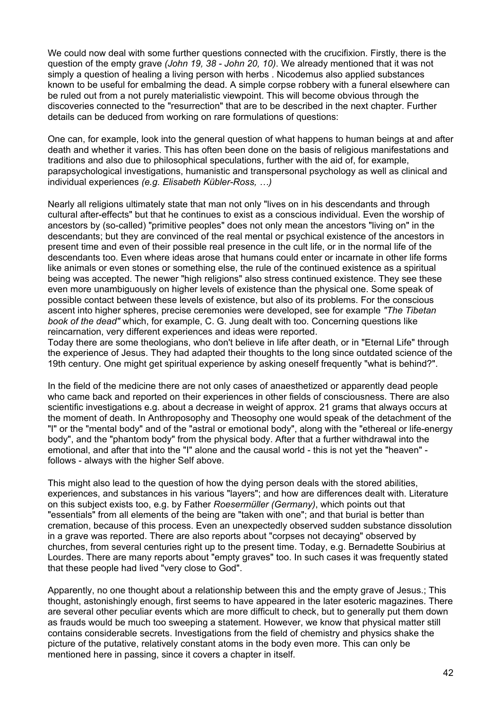We could now deal with some further questions connected with the crucifixion. Firstly, there is the question of the empty grave *(John 19, 38 - John 20, 10)*. We already mentioned that it was not simply a question of healing a living person with herbs . Nicodemus also applied substances known to be useful for embalming the dead. A simple corpse robbery with a funeral elsewhere can be ruled out from a not purely materialistic viewpoint. This will become obvious through the discoveries connected to the "resurrection" that are to be described in the next chapter. Further details can be deduced from working on rare formulations of questions:

One can, for example, look into the general question of what happens to human beings at and after death and whether it varies. This has often been done on the basis of religious manifestations and traditions and also due to philosophical speculations, further with the aid of, for example, parapsychological investigations, humanistic and transpersonal psychology as well as clinical and individual experiences *(e.g. Elisabeth Kübler-Ross, …)*

Nearly all religions ultimately state that man not only "lives on in his descendants and through cultural after-effects" but that he continues to exist as a conscious individual. Even the worship of ancestors by (so-called) "primitive peoples" does not only mean the ancestors "living on" in the descendants; but they are convinced of the real mental or psychical existence of the ancestors in present time and even of their possible real presence in the cult life, or in the normal life of the descendants too. Even where ideas arose that humans could enter or incarnate in other life forms like animals or even stones or something else, the rule of the continued existence as a spiritual being was accepted. The newer "high religions" also stress continued existence. They see these even more unambiguously on higher levels of existence than the physical one. Some speak of possible contact between these levels of existence, but also of its problems. For the conscious ascent into higher spheres, precise ceremonies were developed, see for example *"The Tibetan book of the dead"* which, for example, C. G. Jung dealt with too. Concerning questions like reincarnation, very different experiences and ideas were reported.

Today there are some theologians, who don't believe in life after death, or in "Eternal Life" through the experience of Jesus. They had adapted their thoughts to the long since outdated science of the 19th century. One might get spiritual experience by asking oneself frequently "what is behind?".

In the field of the medicine there are not only cases of anaesthetized or apparently dead people who came back and reported on their experiences in other fields of consciousness. There are also scientific investigations e.g. about a decrease in weight of approx. 21 grams that always occurs at the moment of death. In Anthroposophy and Theosophy one would speak of the detachment of the "I" or the "mental body" and of the "astral or emotional body", along with the "ethereal or life-energy body", and the "phantom body" from the physical body. After that a further withdrawal into the emotional, and after that into the "I" alone and the causal world - this is not yet the "heaven" follows - always with the higher Self above.

This might also lead to the question of how the dying person deals with the stored abilities, experiences, and substances in his various "layers"; and how are differences dealt with. Literature on this subject exists too, e.g. by Father *Roesermüller (Germany)*, which points out that "essentials" from all elements of the being are "taken with one"; and that burial is better than cremation, because of this process. Even an unexpectedly observed sudden substance dissolution in a grave was reported. There are also reports about "corpses not decaying" observed by churches, from several centuries right up to the present time. Today, e.g. Bernadette Soubirius at Lourdes. There are many reports about "empty graves" too. In such cases it was frequently stated that these people had lived "very close to God".

Apparently, no one thought about a relationship between this and the empty grave of Jesus.; This thought, astonishingly enough, first seems to have appeared in the later esoteric magazines. There are several other peculiar events which are more difficult to check, but to generally put them down as frauds would be much too sweeping a statement. However, we know that physical matter still contains considerable secrets. Investigations from the field of chemistry and physics shake the picture of the putative, relatively constant atoms in the body even more. This can only be mentioned here in passing, since it covers a chapter in itself.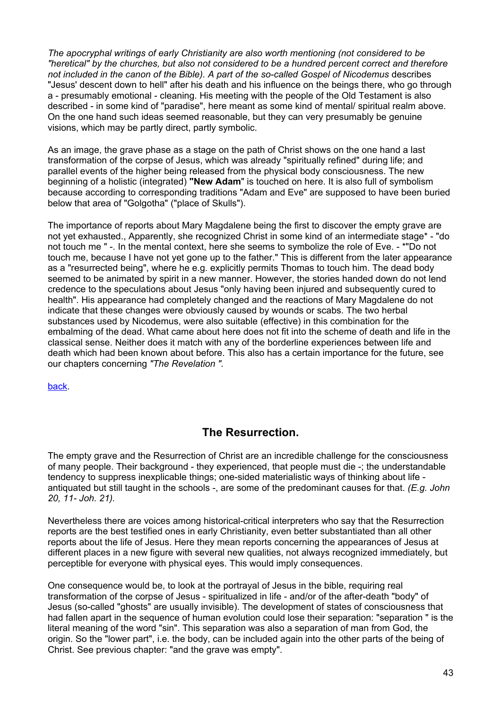*The apocryphal writings of early Christianity are also worth mentioning (not considered to be "heretical" by the churches, but also not considered to be a hundred percent correct and therefore not included in the canon of the Bible). A part of the so-called Gospel of Nicodemus* describes "Jesus' descent down to hell" after his death and his influence on the beings there, who go through a - presumably emotional - cleaning. His meeting with the people of the Old Testament is also described - in some kind of "paradise", here meant as some kind of mental/ spiritual realm above. On the one hand such ideas seemed reasonable, but they can very presumably be genuine visions, which may be partly direct, partly symbolic.

As an image, the grave phase as a stage on the path of Christ shows on the one hand a last transformation of the corpse of Jesus, which was already "spiritually refined" during life; and parallel events of the higher being released from the physical body consciousness. The new beginning of a holistic (integrated) **"New Adam**" is touched on here. It is also full of symbolism because according to corresponding traditions "Adam and Eve" are supposed to have been buried below that area of "Golgotha" ("place of Skulls").

The importance of reports about Mary Magdalene being the first to discover the empty grave are not yet exhausted., Apparently, she recognized Christ in some kind of an intermediate stage\* - "do not touch me " -. In the mental context, here she seems to symbolize the role of Eve. - \*"Do not touch me, because I have not yet gone up to the father." This is different from the later appearance as a "resurrected being", where he e.g. explicitly permits Thomas to touch him. The dead body seemed to be animated by spirit in a new manner. However, the stories handed down do not lend credence to the speculations about Jesus "only having been injured and subsequently cured to health". His appearance had completely changed and the reactions of Mary Magdalene do not indicate that these changes were obviously caused by wounds or scabs. The two herbal substances used by Nicodemus, were also suitable (effective) in this combination for the embalming of the dead. What came about here does not fit into the scheme of death and life in the classical sense. Neither does it match with any of the borderline experiences between life and death which had been known about before. This also has a certain importance for the future, see our chapters concerning *"The Revelation ".*

[back.](#page-1-0) 

# **The Resurrection.**

The empty grave and the Resurrection of Christ are an incredible challenge for the consciousness of many people. Their background - they experienced, that people must die -; the understandable tendency to suppress inexplicable things; one-sided materialistic ways of thinking about life antiquated but still taught in the schools -, are some of the predominant causes for that. *(E.g. John 20, 11- Joh. 21).*

Nevertheless there are voices among historical-critical interpreters who say that the Resurrection reports are the best testified ones in early Christianity, even better substantiated than all other reports about the life of Jesus. Here they mean reports concerning the appearances of Jesus at different places in a new figure with several new qualities, not always recognized immediately, but perceptible for everyone with physical eyes. This would imply consequences.

One consequence would be, to look at the portrayal of Jesus in the bible, requiring real transformation of the corpse of Jesus - spiritualized in life - and/or of the after-death "body" of Jesus (so-called "ghosts" are usually invisible). The development of states of consciousness that had fallen apart in the sequence of human evolution could lose their separation: "separation " is the literal meaning of the word "sin". This separation was also a separation of man from God, the origin. So the "lower part", i.e. the body, can be included again into the other parts of the being of Christ. See previous chapter: "and the grave was empty".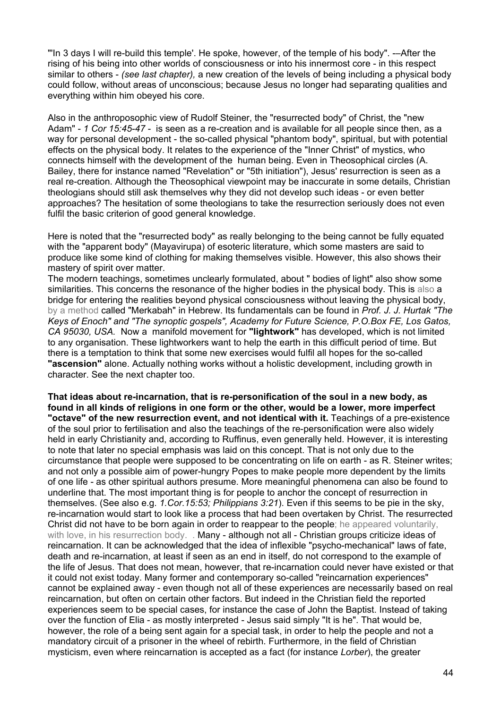"'In 3 days I will re-build this temple'. He spoke, however, of the temple of his body". -–After the rising of his being into other worlds of consciousness or into his innermost core - in this respect similar to others - *(see last chapter),* a new creation of the levels of being including a physical body could follow, without areas of unconscious; because Jesus no longer had separating qualities and everything within him obeyed his core.

Also in the anthroposophic view of Rudolf Steiner, the "resurrected body" of Christ, the "new Adam" - *1 Cor 15:45-47* - is seen as a re-creation and is available for all people since then, as a way for personal development - the so-called physical "phantom body", spiritual, but with potential effects on the physical body. It relates to the experience of the "Inner Christ" of mystics, who connects himself with the development of the human being. Even in Theosophical circles (A. Bailey, there for instance named "Revelation" or "5th initiation"), Jesus' resurrection is seen as a real re-creation. Although the Theosophical viewpoint may be inaccurate in some details, Christian theologians should still ask themselves why they did not develop such ideas - or even better approaches? The hesitation of some theologians to take the resurrection seriously does not even fulfil the basic criterion of good general knowledge.

Here is noted that the "resurrected body" as really belonging to the being cannot be fully equated with the "apparent body" (Mayavirupa) of esoteric literature, which some masters are said to produce like some kind of clothing for making themselves visible. However, this also shows their mastery of spirit over matter.

The modern teachings, sometimes unclearly formulated, about " bodies of light" also show some similarities. This concerns the resonance of the higher bodies in the physical body. This is also a bridge for entering the realities beyond physical consciousness without leaving the physical body, by a method called "Merkabah" in Hebrew. Its fundamentals can be found in *Prof. J. J. Hurtak "The Keys of Enoch" and "The synoptic gospels", Academy for Future Science, P.O.Box FE, Los Gatos, CA 95030, USA.* Now a manifold movement for **"lightwork"** has developed, which is not limited to any organisation. These lightworkers want to help the earth in this difficult period of time. But there is a temptation to think that some new exercises would fulfil all hopes for the so-called **"ascension"** alone. Actually nothing works without a holistic development, including growth in character. See the next chapter too.

**That ideas about re-incarnation, that is re-personification of the soul in a new body, as found in all kinds of religions in one form or the other, would be a lower, more imperfect "octave" of the new resurrection event, and not identical with it.** Teachings of a pre-existence of the soul prior to fertilisation and also the teachings of the re-personification were also widely held in early Christianity and, according to Ruffinus, even generally held. However, it is interesting to note that later no special emphasis was laid on this concept. That is not only due to the circumstance that people were supposed to be concentrating on life on earth - as R. Steiner writes; and not only a possible aim of power-hungry Popes to make people more dependent by the limits of one life - as other spiritual authors presume. More meaningful phenomena can also be found to underline that. The most important thing is for people to anchor the concept of resurrection in themselves. (See also e.g. *1.Cor.15:53; Philippians 3:21*). Even if this seems to be pie in the sky, re-incarnation would start to look like a process that had been overtaken by Christ. The resurrected Christ did not have to be born again in order to reappear to the people; he appeared voluntarily, with love, in his resurrection body. . Many - although not all - Christian groups criticize ideas of reincarnation. It can be acknowledged that the idea of inflexible "psycho-mechanical" laws of fate, death and re-incarnation, at least if seen as an end in itself, do not correspond to the example of the life of Jesus. That does not mean, however, that re-incarnation could never have existed or that it could not exist today. Many former and contemporary so-called "reincarnation experiences" cannot be explained away - even though not all of these experiences are necessarily based on real reincarnation, but often on certain other factors. But indeed in the Christian field the reported experiences seem to be special cases, for instance the case of John the Baptist. Instead of taking over the function of Elia - as mostly interpreted - Jesus said simply "It is he". That would be, however, the role of a being sent again for a special task, in order to help the people and not a mandatory circuit of a prisoner in the wheel of rebirth. Furthermore, in the field of Christian mysticism, even where reincarnation is accepted as a fact (for instance *Lorber*), the greater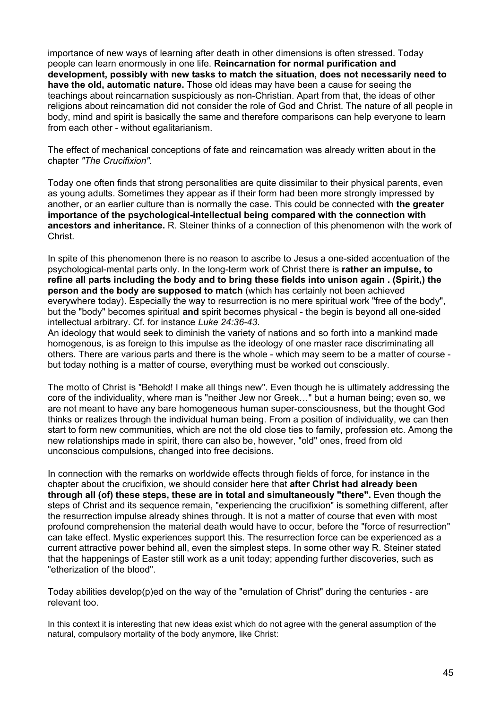importance of new ways of learning after death in other dimensions is often stressed. Today people can learn enormously in one life. **Reincarnation for normal purification and development, possibly with new tasks to match the situation, does not necessarily need to have the old, automatic nature.** Those old ideas may have been a cause for seeing the teachings about reincarnation suspiciously as non-Christian. Apart from that, the ideas of other religions about reincarnation did not consider the role of God and Christ. The nature of all people in body, mind and spirit is basically the same and therefore comparisons can help everyone to learn from each other - without egalitarianism.

The effect of mechanical conceptions of fate and reincarnation was already written about in the chapter *"The Crucifixion".*

Today one often finds that strong personalities are quite dissimilar to their physical parents, even as young adults. Sometimes they appear as if their form had been more strongly impressed by another, or an earlier culture than is normally the case. This could be connected with **the greater importance of the psychological-intellectual being compared with the connection with ancestors and inheritance.** R. Steiner thinks of a connection of this phenomenon with the work of Christ.

In spite of this phenomenon there is no reason to ascribe to Jesus a one-sided accentuation of the psychological-mental parts only. In the long-term work of Christ there is **rather an impulse, to refine all parts including the body and to bring these fields into unison again . (Spirit,) the person and the body are supposed to match** (which has certainly not been achieved everywhere today). Especially the way to resurrection is no mere spiritual work "free of the body", but the "body" becomes spiritual **and** spirit becomes physical - the begin is beyond all one-sided intellectual arbitrary. Cf. for instance *Luke 24:36-43*.

An ideology that would seek to diminish the variety of nations and so forth into a mankind made homogenous, is as foreign to this impulse as the ideology of one master race discriminating all others. There are various parts and there is the whole - which may seem to be a matter of course but today nothing is a matter of course, everything must be worked out consciously.

The motto of Christ is "Behold! I make all things new". Even though he is ultimately addressing the core of the individuality, where man is "neither Jew nor Greek…" but a human being; even so, we are not meant to have any bare homogeneous human super-consciousness, but the thought God thinks or realizes through the individual human being. From a position of individuality, we can then start to form new communities, which are not the old close ties to family, profession etc. Among the new relationships made in spirit, there can also be, however, "old" ones, freed from old unconscious compulsions, changed into free decisions.

In connection with the remarks on worldwide effects through fields of force, for instance in the chapter about the crucifixion, we should consider here that **after Christ had already been through all (of) these steps, these are in total and simultaneously "there".** Even though the steps of Christ and its sequence remain, "experiencing the crucifixion" is something different, after the resurrection impulse already shines through. It is not a matter of course that even with most profound comprehension the material death would have to occur, before the "force of resurrection" can take effect. Mystic experiences support this. The resurrection force can be experienced as a current attractive power behind all, even the simplest steps. In some other way R. Steiner stated that the happenings of Easter still work as a unit today; appending further discoveries, such as "etherization of the blood".

Today abilities develop(p)ed on the way of the "emulation of Christ" during the centuries - are relevant too.

In this context it is interesting that new ideas exist which do not agree with the general assumption of the natural, compulsory mortality of the body anymore, like Christ: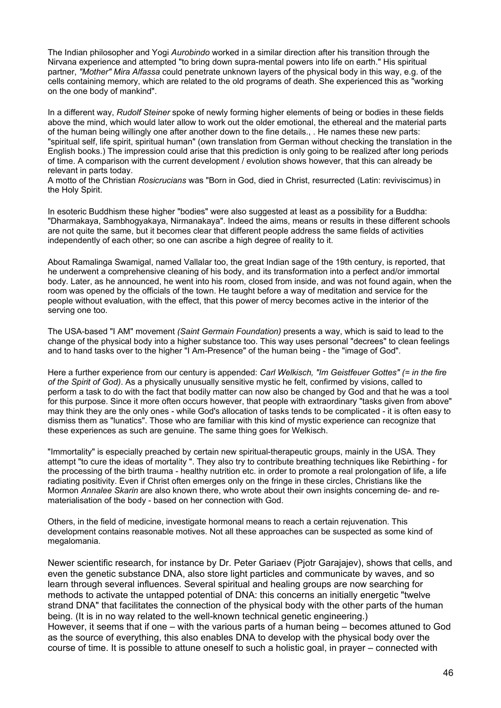The Indian philosopher and Yogi *Aurobindo* worked in a similar direction after his transition through the Nirvana experience and attempted "to bring down supra-mental powers into life on earth." His spiritual partner, *"Mother" Mira Alfassa* could penetrate unknown layers of the physical body in this way, e.g. of the cells containing memory, which are related to the old programs of death. She experienced this as "working on the one body of mankind".

In a different way, *Rudolf Steiner* spoke of newly forming higher elements of being or bodies in these fields above the mind, which would later allow to work out the older emotional, the ethereal and the material parts of the human being willingly one after another down to the fine details., . He names these new parts: "spiritual self, life spirit, spiritual human" (own translation from German without checking the translation in the English books.) The impression could arise that this prediction is only going to be realized after long periods of time. A comparison with the current development / evolution shows however, that this can already be relevant in parts today.

A motto of the Christian *Rosicrucians* was "Born in God, died in Christ, resurrected (Latin: reviviscimus) in the Holy Spirit.

In esoteric Buddhism these higher "bodies" were also suggested at least as a possibility for a Buddha: "Dharmakaya, Sambhogyakaya, Nirmanakaya". Indeed the aims, means or results in these different schools are not quite the same, but it becomes clear that different people address the same fields of activities independently of each other; so one can ascribe a high degree of reality to it.

About Ramalinga Swamigal, named Vallalar too, the great Indian sage of the 19th century, is reported, that he underwent a comprehensive cleaning of his body, and its transformation into a perfect and/or immortal body. Later, as he announced, he went into his room, closed from inside, and was not found again, when the room was opened by the officials of the town. He taught before a way of meditation and service for the people without evaluation, with the effect, that this power of mercy becomes active in the interior of the serving one too.

The USA-based "I AM" movement *(Saint Germain Foundation)* presents a way, which is said to lead to the change of the physical body into a higher substance too. This way uses personal "decrees" to clean feelings and to hand tasks over to the higher "I Am-Presence" of the human being - the "image of God".

Here a further experience from our century is appended: *Carl Welkisch, "Im Geistfeuer Gottes" (= in the fire of the Spirit of God)*. As a physically unusually sensitive mystic he felt, confirmed by visions, called to perform a task to do with the fact that bodily matter can now also be changed by God and that he was a tool for this purpose. Since it more often occurs however, that people with extraordinary "tasks given from above" may think they are the only ones - while God's allocation of tasks tends to be complicated - it is often easy to dismiss them as "lunatics". Those who are familiar with this kind of mystic experience can recognize that these experiences as such are genuine. The same thing goes for Welkisch.

"Immortality" is especially preached by certain new spiritual-therapeutic groups, mainly in the USA. They attempt "to cure the ideas of mortality ". They also try to contribute breathing techniques like Rebirthing - for the processing of the birth trauma - healthy nutrition etc. in order to promote a real prolongation of life, a life radiating positivity. Even if Christ often emerges only on the fringe in these circles, Christians like the Mormon *Annalee Skarin* are also known there, who wrote about their own insights concerning de- and rematerialisation of the body - based on her connection with God.

Others, in the field of medicine, investigate hormonal means to reach a certain rejuvenation. This development contains reasonable motives. Not all these approaches can be suspected as some kind of megalomania.

Newer scientific research, for instance by Dr. Peter Gariaev (Pjotr Garajajev), shows that cells, and even the genetic substance DNA, also store light particles and communicate by waves, and so learn through several influences. Several spiritual and healing groups are now searching for methods to activate the untapped potential of DNA: this concerns an initially energetic "twelve strand DNA" that facilitates the connection of the physical body with the other parts of the human being. (It is in no way related to the well-known technical genetic engineering.) However, it seems that if one – with the various parts of a human being – becomes attuned to God as the source of everything, this also enables DNA to develop with the physical body over the course of time. It is possible to attune oneself to such a holistic goal, in prayer – connected with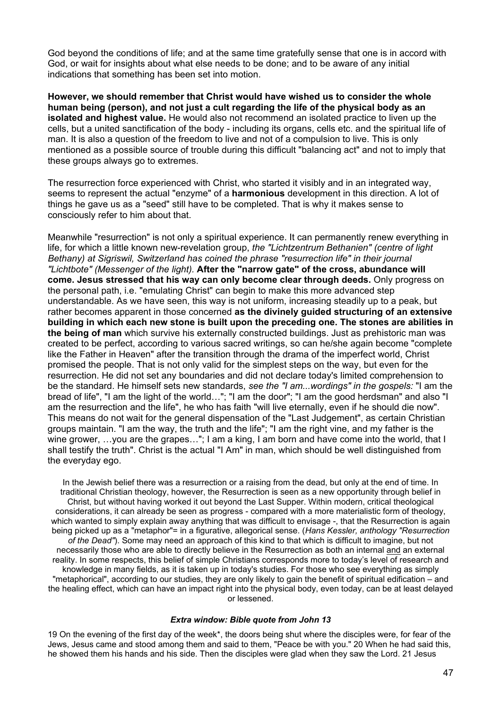God beyond the conditions of life; and at the same time gratefully sense that one is in accord with God, or wait for insights about what else needs to be done; and to be aware of any initial indications that something has been set into motion.

**However, we should remember that Christ would have wished us to consider the whole human being (person), and not just a cult regarding the life of the physical body as an isolated and highest value.** He would also not recommend an isolated practice to liven up the cells, but a united sanctification of the body - including its organs, cells etc. and the spiritual life of man. It is also a question of the freedom to live and not of a compulsion to live. This is only mentioned as a possible source of trouble during this difficult "balancing act" and not to imply that these groups always go to extremes.

The resurrection force experienced with Christ, who started it visibly and in an integrated way, seems to represent the actual "enzyme" of a **harmonious** development in this direction. A lot of things he gave us as a "seed" still have to be completed. That is why it makes sense to consciously refer to him about that.

Meanwhile "resurrection" is not only a spiritual experience. It can permanently renew everything in life, for which a little known new-revelation group, *the "Lichtzentrum Bethanien" (centre of light Bethany) at Sigriswil, Switzerland has coined the phrase "resurrection life" in their journal "Lichtbote" (Messenger of the light).* **After the "narrow gate" of the cross, abundance will come. Jesus stressed that his way can only become clear through deeds.** Only progress on the personal path, i.e. "emulating Christ" can begin to make this more advanced step understandable. As we have seen, this way is not uniform, increasing steadily up to a peak, but rather becomes apparent in those concerned **as the divinely guided structuring of an extensive building in which each new stone is built upon the preceding one. The stones are abilities in the being of man** which survive his externally constructed buildings. Just as prehistoric man was created to be perfect, according to various sacred writings, so can he/she again become "complete like the Father in Heaven" after the transition through the drama of the imperfect world, Christ promised the people. That is not only valid for the simplest steps on the way, but even for the resurrection. He did not set any boundaries and did not declare today's limited comprehension to be the standard. He himself sets new standards, *see the "I am...wordings" in the gospels:* "I am the bread of life", "I am the light of the world…"; "I am the door"; "I am the good herdsman" and also "I am the resurrection and the life", he who has faith "will live eternally, even if he should die now". This means do not wait for the general dispensation of the "Last Judgement", as certain Christian groups maintain. "I am the way, the truth and the life"; "I am the right vine, and my father is the wine grower, ...you are the grapes..."; I am a king, I am born and have come into the world, that I shall testify the truth". Christ is the actual "I Am" in man, which should be well distinguished from the everyday ego.

In the Jewish belief there was a resurrection or a raising from the dead, but only at the end of time. In traditional Christian theology, however, the Resurrection is seen as a new opportunity through belief in Christ, but without having worked it out beyond the Last Supper. Within modern, critical theological considerations, it can already be seen as progress - compared with a more materialistic form of theology, which wanted to simply explain away anything that was difficult to envisage -, that the Resurrection is again being picked up as a "metaphor"= in a figurative, allegorical sense. (*Hans Kessler, anthology "Resurrection of the Dead"*). Some may need an approach of this kind to that which is difficult to imagine, but not necessarily those who are able to directly believe in the Resurrection as both an internal and an external reality. In some respects, this belief of simple Christians corresponds more to today's level of research and knowledge in many fields, as it is taken up in today's studies. For those who see everything as simply "metaphorical", according to our studies, they are only likely to gain the benefit of spiritual edification – and the healing effect, which can have an impact right into the physical body, even today, can be at least delayed or lessened.

#### *Extra window: Bible quote from John 13*

19 On the evening of the first day of the week\*, the doors being shut where the disciples were, for fear of the Jews, Jesus came and stood among them and said to them, "Peace be with you." 20 When he had said this, he showed them his hands and his side. Then the disciples were glad when they saw the Lord. 21 Jesus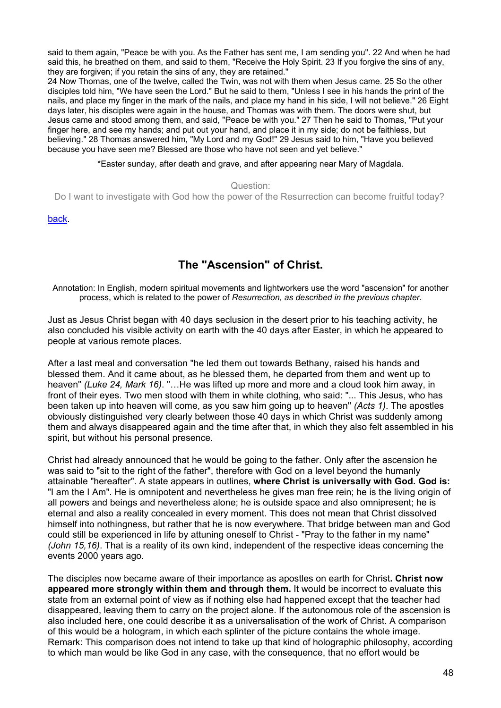said to them again, "Peace be with you. As the Father has sent me, I am sending you". 22 And when he had said this, he breathed on them, and said to them, "Receive the Holy Spirit. 23 If you forgive the sins of any, they are forgiven; if you retain the sins of any, they are retained."

24 Now Thomas, one of the twelve, called the Twin, was not with them when Jesus came. 25 So the other disciples told him, "We have seen the Lord." But he said to them, "Unless I see in his hands the print of the nails, and place my finger in the mark of the nails, and place my hand in his side, I will not believe." 26 Eight days later, his disciples were again in the house, and Thomas was with them. The doors were shut, but Jesus came and stood among them, and said, "Peace be with you." 27 Then he said to Thomas, "Put your finger here, and see my hands; and put out your hand, and place it in my side; do not be faithless, but believing." 28 Thomas answered him, "My Lord and my God!" 29 Jesus said to him, "Have you believed because you have seen me? Blessed are those who have not seen and yet believe."

\*Easter sunday, after death and grave, and after appearing near Mary of Magdala.

Question:

Do I want to investigate with God how the power of the Resurrection can become fruitful today?

[back.](#page-1-0) 

# **The "Ascension" of Christ.**

Annotation: In English, modern spiritual movements and lightworkers use the word "ascension" for another process, which is related to the power of *Resurrection, as described in the previous chapter.*

Just as Jesus Christ began with 40 days seclusion in the desert prior to his teaching activity, he also concluded his visible activity on earth with the 40 days after Easter, in which he appeared to people at various remote places.

After a last meal and conversation "he led them out towards Bethany, raised his hands and blessed them. And it came about, as he blessed them, he departed from them and went up to heaven" *(Luke 24, Mark 16)*. "…He was lifted up more and more and a cloud took him away, in front of their eyes. Two men stood with them in white clothing, who said: "... This Jesus, who has been taken up into heaven will come, as you saw him going up to heaven" *(Acts 1)*. The apostles obviously distinguished very clearly between those 40 days in which Christ was suddenly among them and always disappeared again and the time after that, in which they also felt assembled in his spirit, but without his personal presence.

Christ had already announced that he would be going to the father. Only after the ascension he was said to "sit to the right of the father", therefore with God on a level beyond the humanly attainable "hereafter". A state appears in outlines, **where Christ is universally with God. God is:** "I am the I Am". He is omnipotent and nevertheless he gives man free rein; he is the living origin of all powers and beings and nevertheless alone; he is outside space and also omnipresent; he is eternal and also a reality concealed in every moment. This does not mean that Christ dissolved himself into nothingness, but rather that he is now everywhere. That bridge between man and God could still be experienced in life by attuning oneself to Christ - "Pray to the father in my name" *(John 15,16)*. That is a reality of its own kind, independent of the respective ideas concerning the events 2000 years ago.

The disciples now became aware of their importance as apostles on earth for Christ**. Christ now appeared more strongly within them and through them.** It would be incorrect to evaluate this state from an external point of view as if nothing else had happened except that the teacher had disappeared, leaving them to carry on the project alone. If the autonomous role of the ascension is also included here, one could describe it as a universalisation of the work of Christ. A comparison of this would be a hologram, in which each splinter of the picture contains the whole image. Remark: This comparison does not intend to take up that kind of holographic philosophy, according to which man would be like God in any case, with the consequence, that no effort would be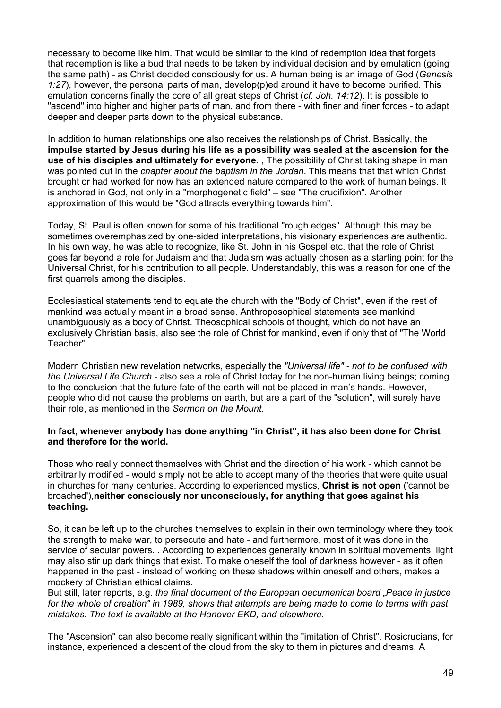necessary to become like him. That would be similar to the kind of redemption idea that forgets that redemption is like a bud that needs to be taken by individual decision and by emulation (going the same path) - as Christ decided consciously for us. A human being is an image of God (*Gene*s*i*s *1:27*), however, the personal parts of man, develop(p)ed around it have to become purified. This emulation concerns finally the core of all great steps of Christ (*cf. Joh. 14:12*). It is possible to "ascend" into higher and higher parts of man, and from there - with finer and finer forces - to adapt deeper and deeper parts down to the physical substance.

In addition to human relationships one also receives the relationships of Christ. Basically, the **impulse started by Jesus during his life as a possibility was sealed at the ascension for the use of his disciples and ultimately for everyone**. , The possibility of Christ taking shape in man was pointed out in the *chapter about the baptism in the Jordan*. This means that that which Christ brought or had worked for now has an extended nature compared to the work of human beings. It is anchored in God, not only in a "morphogenetic field" – see "The crucifixion". Another approximation of this would be "God attracts everything towards him".

Today, St. Paul is often known for some of his traditional "rough edges". Although this may be sometimes overemphasized by one-sided interpretations, his visionary experiences are authentic. In his own way, he was able to recognize, like St. John in his Gospel etc. that the role of Christ goes far beyond a role for Judaism and that Judaism was actually chosen as a starting point for the Universal Christ, for his contribution to all people. Understandably, this was a reason for one of the first quarrels among the disciples.

Ecclesiastical statements tend to equate the church with the "Body of Christ", even if the rest of mankind was actually meant in a broad sense. Anthroposophical statements see mankind unambiguously as a body of Christ. Theosophical schools of thought, which do not have an exclusively Christian basis, also see the role of Christ for mankind, even if only that of "The World Teacher".

Modern Christian new revelation networks, especially the *"Universal life" - not to be confused with the Universal Life Church -* also see a role of Christ today for the non-human living beings; coming to the conclusion that the future fate of the earth will not be placed in man's hands. However, people who did not cause the problems on earth, but are a part of the "solution", will surely have their role, as mentioned in the *Sermon on the Mount*.

### **In fact, whenever anybody has done anything "in Christ", it has also been done for Christ and therefore for the world.**

Those who really connect themselves with Christ and the direction of his work - which cannot be arbitrarily modified - would simply not be able to accept many of the theories that were quite usual in churches for many centuries. According to experienced mystics, **Christ is not open** ('cannot be broached'),**neither consciously nor unconsciously, for anything that goes against his teaching.**

So, it can be left up to the churches themselves to explain in their own terminology where they took the strength to make war, to persecute and hate - and furthermore, most of it was done in the service of secular powers. . According to experiences generally known in spiritual movements, light may also stir up dark things that exist. To make oneself the tool of darkness however - as it often happened in the past - instead of working on these shadows within oneself and others, makes a mockery of Christian ethical claims.

But still, later reports, e.g. *the final document of the European oecumenical board "Peace in justice for the whole of creation" in 1989, shows that attempts are being made to come to terms with past mistakes. The text is available at the Hanover EKD, and elsewhere.*

The "Ascension" can also become really significant within the "imitation of Christ". Rosicrucians, for instance, experienced a descent of the cloud from the sky to them in pictures and dreams. A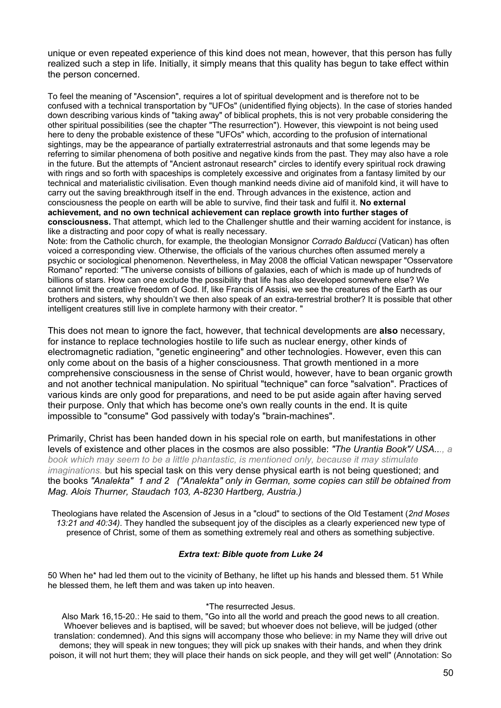unique or even repeated experience of this kind does not mean, however, that this person has fully realized such a step in life. Initially, it simply means that this quality has begun to take effect within the person concerned.

To feel the meaning of "Ascension", requires a lot of spiritual development and is therefore not to be confused with a technical transportation by "UFOs" (unidentified flying objects). In the case of stories handed down describing various kinds of "taking away" of biblical prophets, this is not very probable considering the other spiritual possibilities (see the chapter "The resurrection"). However, this viewpoint is not being used here to deny the probable existence of these "UFOs" which, according to the profusion of international sightings, may be the appearance of partially extraterrestrial astronauts and that some legends may be referring to similar phenomena of both positive and negative kinds from the past. They may also have a role in the future. But the attempts of "Ancient astronaut research" circles to identify every spiritual rock drawing with rings and so forth with spaceships is completely excessive and originates from a fantasy limited by our technical and materialistic civilisation. Even though mankind needs divine aid of manifold kind, it will have to carry out the saving breakthrough itself in the end. Through advances in the existence, action and consciousness the people on earth will be able to survive, find their task and fulfil it. **No external achievement, and no own technical achievement can replace growth into further stages of consciousness.** That attempt, which led to the Challenger shuttle and their warning accident for instance, is like a distracting and poor copy of what is really necessary.

Note: from the Catholic church, for example, the theologian Monsignor *Corrado Balducci* (Vatican) has often voiced a corresponding view. Otherwise, the officials of the various churches often assumed merely a psychic or sociological phenomenon. Nevertheless, in May 2008 the official Vatican newspaper "Osservatore Romano" reported: "The universe consists of billions of galaxies, each of which is made up of hundreds of billions of stars. How can one exclude the possibility that life has also developed somewhere else? We cannot limit the creative freedom of God. If, like Francis of Assisi, we see the creatures of the Earth as our brothers and sisters, why shouldn't we then also speak of an extra-terrestrial brother? It is possible that other intelligent creatures still live in complete harmony with their creator. "

This does not mean to ignore the fact, however, that technical developments are **also** necessary, for instance to replace technologies hostile to life such as nuclear energy, other kinds of electromagnetic radiation, "genetic engineering" and other technologies. However, even this can only come about on the basis of a higher consciousness. That growth mentioned in a more comprehensive consciousness in the sense of Christ would, however, have to bean organic growth and not another technical manipulation. No spiritual "technique" can force "salvation". Practices of various kinds are only good for preparations, and need to be put aside again after having served their purpose. Only that which has become one's own really counts in the end. It is quite impossible to "consume" God passively with today's "brain-machines".

Primarily, Christ has been handed down in his special role on earth, but manifestations in other levels of existence and other places in the cosmos are also possible: *"The Urantia Book"/ USA..., a book which may seem to be a little phantastic, is mentioned only, because it may stimulate imaginations.* but his special task on this very dense physical earth is not being questioned; and the books *"Analekta" 1 and 2 ("Analekta" only in German, some copies can still be obtained from Mag. Alois Thurner, Staudach 103, A-8230 Hartberg, Austria.)*

Theologians have related the Ascension of Jesus in a "cloud" to sections of the Old Testament (*2nd Moses 13:21 and 40:34)*. They handled the subsequent joy of the disciples as a clearly experienced new type of presence of Christ, some of them as something extremely real and others as something subjective.

#### *Extra text: Bible quote from Luke 24*

50 When he\* had led them out to the vicinity of Bethany, he liftet up his hands and blessed them. 51 While he blessed them, he left them and was taken up into heaven.

#### \*The resurrected Jesus.

Also Mark 16,15-20.: He said to them, "Go into all the world and preach the good news to all creation. Whoever believes and is baptised, will be saved; but whoever does not believe, will be judged (other translation: condemned). And this signs will accompany those who believe: in my Name they will drive out demons; they will speak in new tongues; they will pick up snakes with their hands, and when they drink poison, it will not hurt them; they will place their hands on sick people, and they will get well" (Annotation: So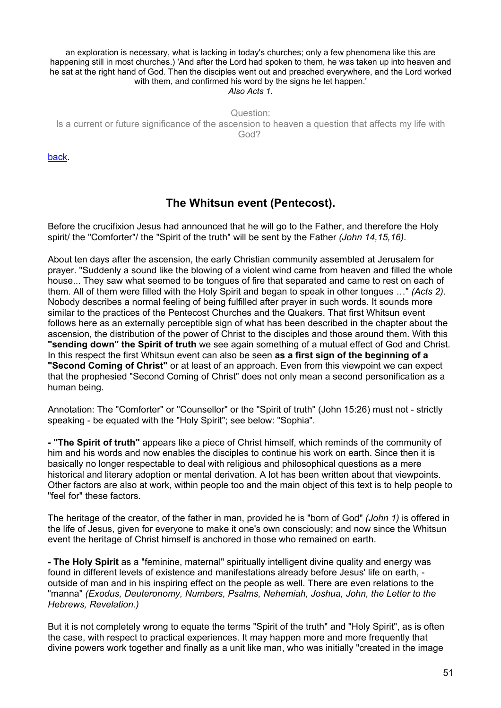an exploration is necessary, what is lacking in today's churches; only a few phenomena like this are happening still in most churches.) 'And after the Lord had spoken to them, he was taken up into heaven and he sat at the right hand of God. Then the disciples went out and preached everywhere, and the Lord worked with them, and confirmed his word by the signs he let happen.' *Also Acts 1.*

Question: Is a current or future significance of the ascension to heaven a question that affects my life with God?

[back.](#page-1-0) 

# **The Whitsun event (Pentecost).**

Before the crucifixion Jesus had announced that he will go to the Father, and therefore the Holy spirit/ the "Comforter"/ the "Spirit of the truth" will be sent by the Father *(John 14,15,16)*.

About ten days after the ascension, the early Christian community assembled at Jerusalem for prayer. "Suddenly a sound like the blowing of a violent wind came from heaven and filled the whole house... They saw what seemed to be tongues of fire that separated and came to rest on each of them. All of them were filled with the Holy Spirit and began to speak in other tongues …" *(Acts 2)*. Nobody describes a normal feeling of being fulfilled after prayer in such words. It sounds more similar to the practices of the Pentecost Churches and the Quakers. That first Whitsun event follows here as an externally perceptible sign of what has been described in the chapter about the ascension, the distribution of the power of Christ to the disciples and those around them. With this **"sending down" the Spirit of truth** we see again something of a mutual effect of God and Christ. In this respect the first Whitsun event can also be seen **as a first sign of the beginning of a "Second Coming of Christ"** or at least of an approach. Even from this viewpoint we can expect that the prophesied "Second Coming of Christ" does not only mean a second personification as a human being.

Annotation: The "Comforter" or "Counsellor" or the "Spirit of truth" (John 15:26) must not - strictly speaking - be equated with the "Holy Spirit"; see below: "Sophia".

**- "The Spirit of truth"** appears like a piece of Christ himself, which reminds of the community of him and his words and now enables the disciples to continue his work on earth. Since then it is basically no longer respectable to deal with religious and philosophical questions as a mere historical and literary adoption or mental derivation. A lot has been written about that viewpoints. Other factors are also at work, within people too and the main object of this text is to help people to "feel for" these factors.

The heritage of the creator, of the father in man, provided he is "born of God" *(John 1)* is offered in the life of Jesus, given for everyone to make it one's own consciously; and now since the Whitsun event the heritage of Christ himself is anchored in those who remained on earth.

**- The Holy Spirit** as a "feminine, maternal" spiritually intelligent divine quality and energy was found in different levels of existence and manifestations already before Jesus' life on earth, outside of man and in his inspiring effect on the people as well. There are even relations to the "manna" *(Exodus, Deuteronomy, Numbers, Psalms, Nehemiah, Joshua, John, the Letter to the Hebrews, Revelation.)*

But it is not completely wrong to equate the terms "Spirit of the truth" and "Holy Spirit", as is often the case, with respect to practical experiences. It may happen more and more frequently that divine powers work together and finally as a unit like man, who was initially "created in the image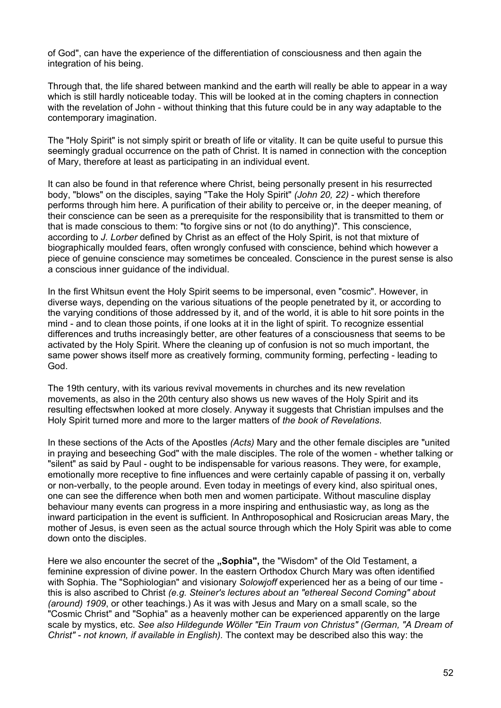of God", can have the experience of the differentiation of consciousness and then again the integration of his being.

Through that, the life shared between mankind and the earth will really be able to appear in a way which is still hardly noticeable today. This will be looked at in the coming chapters in connection with the revelation of John - without thinking that this future could be in any way adaptable to the contemporary imagination.

The "Holy Spirit" is not simply spirit or breath of life or vitality. It can be quite useful to pursue this seemingly gradual occurrence on the path of Christ. It is named in connection with the conception of Mary, therefore at least as participating in an individual event.

It can also be found in that reference where Christ, being personally present in his resurrected body, "blows" on the disciples, saying "Take the Holy Spirit" *(John 20, 22)* - which therefore performs through him here. A purification of their ability to perceive or, in the deeper meaning, of their conscience can be seen as a prerequisite for the responsibility that is transmitted to them or that is made conscious to them: "to forgive sins or not (to do anything)". This conscience, according to *J. Lorber* defined by Christ as an effect of the Holy Spirit, is not that mixture of biographically moulded fears, often wrongly confused with conscience, behind which however a piece of genuine conscience may sometimes be concealed. Conscience in the purest sense is also a conscious inner guidance of the individual.

In the first Whitsun event the Holy Spirit seems to be impersonal, even "cosmic". However, in diverse ways, depending on the various situations of the people penetrated by it, or according to the varying conditions of those addressed by it, and of the world, it is able to hit sore points in the mind - and to clean those points, if one looks at it in the light of spirit. To recognize essential differences and truths increasingly better, are other features of a consciousness that seems to be activated by the Holy Spirit. Where the cleaning up of confusion is not so much important, the same power shows itself more as creatively forming, community forming, perfecting - leading to God.

The 19th century, with its various revival movements in churches and its new revelation movements, as also in the 20th century also shows us new waves of the Holy Spirit and its resulting effectswhen looked at more closely. Anyway it suggests that Christian impulses and the Holy Spirit turned more and more to the larger matters of *the book of Revelations*.

In these sections of the Acts of the Apostles *(Acts)* Mary and the other female disciples are "united in praying and beseeching God" with the male disciples. The role of the women - whether talking or "silent" as said by Paul - ought to be indispensable for various reasons. They were, for example, emotionally more receptive to fine influences and were certainly capable of passing it on, verbally or non-verbally, to the people around. Even today in meetings of every kind, also spiritual ones, one can see the difference when both men and women participate. Without masculine display behaviour many events can progress in a more inspiring and enthusiastic way, as long as the inward participation in the event is sufficient. In Anthroposophical and Rosicrucian areas Mary, the mother of Jesus, is even seen as the actual source through which the Holy Spirit was able to come down onto the disciples.

Here we also encounter the secret of the **"Sophia",** the "Wisdom" of the Old Testament, a feminine expression of divine power. In the eastern Orthodox Church Mary was often identified with Sophia. The "Sophiologian" and visionary *Solowjoff* experienced her as a being of our time this is also ascribed to Christ *(e.g. Steiner's lectures about an "ethereal Second Coming" about (around) 1909*, or other teachings.) As it was with Jesus and Mary on a small scale, so the "Cosmic Christ" and "Sophia" as a heavenly mother can be experienced apparently on the large scale by mystics, etc. *See also Hildegunde Wöller "Ein Traum von Christus" (German, "A Dream of Christ" - not known, if available in English).* The context may be described also this way: the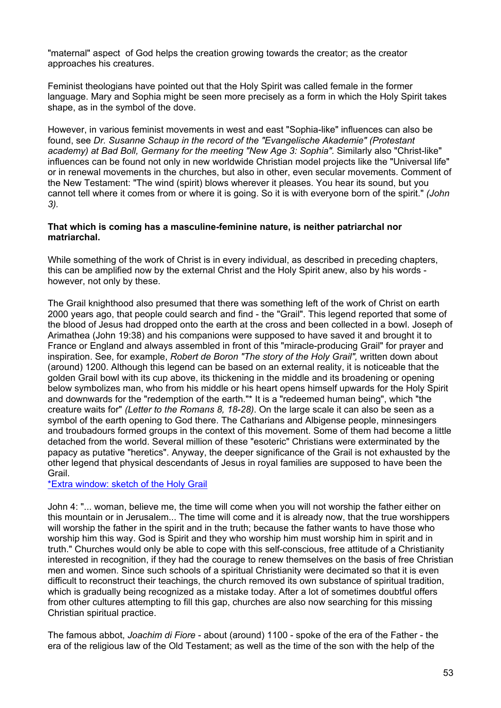"maternal" aspect of God helps the creation growing towards the creator; as the creator approaches his creatures.

Feminist theologians have pointed out that the Holy Spirit was called female in the former language. Mary and Sophia might be seen more precisely as a form in which the Holy Spirit takes shape, as in the symbol of the dove.

However, in various feminist movements in west and east "Sophia-like" influences can also be found, see *Dr. Susanne Schaup in the record of the "Evangelische Akademie" (Protestant academy) at Bad Boll, Germany for the meeting "New Age 3: Sophia".* Similarly also "Christ-like" influences can be found not only in new worldwide Christian model projects like the "Universal life" or in renewal movements in the churches, but also in other, even secular movements. Comment of the New Testament: "The wind (spirit) blows wherever it pleases. You hear its sound, but you cannot tell where it comes from or where it is going. So it is with everyone born of the spirit." *(John 3).*

#### **That which is coming has a masculine-feminine nature, is neither patriarchal nor matriarchal.**

While something of the work of Christ is in every individual, as described in preceding chapters, this can be amplified now by the external Christ and the Holy Spirit anew, also by his words however, not only by these.

The Grail knighthood also presumed that there was something left of the work of Christ on earth 2000 years ago, that people could search and find - the "Grail". This legend reported that some of the blood of Jesus had dropped onto the earth at the cross and been collected in a bowl. Joseph of Arimathea (John 19:38) and his companions were supposed to have saved it and brought it to France or England and always assembled in front of this "miracle-producing Grail" for prayer and inspiration. See, for example, *Robert de Boron "The story of the Holy Grail",* written down about (around) 1200. Although this legend can be based on an external reality, it is noticeable that the golden Grail bowl with its cup above, its thickening in the middle and its broadening or opening below symbolizes man, who from his middle or his heart opens himself upwards for the Holy Spirit and downwards for the "redemption of the earth."\* It is a "redeemed human being", which "the creature waits for" *(Letter to the Romans 8, 18-28)*. On the large scale it can also be seen as a symbol of the earth opening to God there. The Catharians and Albigense people, minnesingers and troubadours formed groups in the context of this movement. Some of them had become a little detached from the world. Several million of these "esoteric" Christians were exterminated by the papacy as putative "heretics". Anyway, the deeper significance of the Grail is not exhausted by the other legend that physical descendants of Jesus in royal families are supposed to have been the Grail.

[\\*Extra window: sketch of the Holy Grail](http://www.ways-of-christ.net/images/grail.htm)

John 4: "... woman, believe me, the time will come when you will not worship the father either on this mountain or in Jerusalem... The time will come and it is already now, that the true worshippers will worship the father in the spirit and in the truth; because the father wants to have those who worship him this way. God is Spirit and they who worship him must worship him in spirit and in truth." Churches would only be able to cope with this self-conscious, free attitude of a Christianity interested in recognition, if they had the courage to renew themselves on the basis of free Christian men and women. Since such schools of a spiritual Christianity were decimated so that it is even difficult to reconstruct their teachings, the church removed its own substance of spiritual tradition, which is gradually being recognized as a mistake today. After a lot of sometimes doubtful offers from other cultures attempting to fill this gap, churches are also now searching for this missing Christian spiritual practice.

The famous abbot, *Joachim di Fiore* - about (around) 1100 - spoke of the era of the Father - the era of the religious law of the Old Testament; as well as the time of the son with the help of the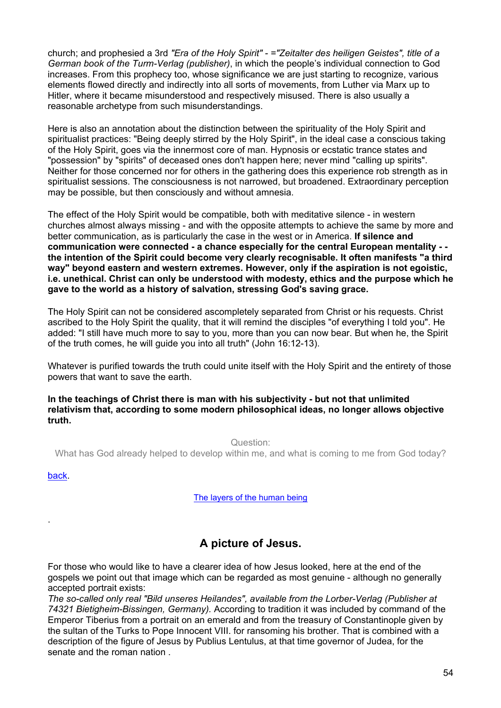church; and prophesied a 3rd *"Era of the Holy Spirit" - ="Zeitalter des heiligen Geistes", title of a German book of the Turm-Verlag (publisher)*, in which the people's individual connection to God increases. From this prophecy too, whose significance we are just starting to recognize, various elements flowed directly and indirectly into all sorts of movements, from Luther via Marx up to Hitler, where it became misunderstood and respectively misused. There is also usually a reasonable archetype from such misunderstandings.

Here is also an annotation about the distinction between the spirituality of the Holy Spirit and spiritualist practices: "Being deeply stirred by the Holy Spirit", in the ideal case a conscious taking of the Holy Spirit, goes via the innermost core of man. Hypnosis or ecstatic trance states and "possession" by "spirits" of deceased ones don't happen here; never mind "calling up spirits". Neither for those concerned nor for others in the gathering does this experience rob strength as in spiritualist sessions. The consciousness is not narrowed, but broadened. Extraordinary perception may be possible, but then consciously and without amnesia.

The effect of the Holy Spirit would be compatible, both with meditative silence - in western churches almost always missing - and with the opposite attempts to achieve the same by more and better communication, as is particularly the case in the west or in America. **If silence and communication were connected - a chance especially for the central European mentality - the intention of the Spirit could become very clearly recognisable. It often manifests "a third way" beyond eastern and western extremes. However, only if the aspiration is not egoistic, i.e. unethical. Christ can only be understood with modesty, ethics and the purpose which he gave to the world as a history of salvation, stressing God's saving grace.**

The Holy Spirit can not be considered ascompletely separated from Christ or his requests. Christ ascribed to the Holy Spirit the quality, that it will remind the disciples "of everything I told you". He added: "I still have much more to say to you, more than you can now bear. But when he, the Spirit of the truth comes, he will guide you into all truth" (John 16:12-13).

Whatever is purified towards the truth could unite itself with the Holy Spirit and the entirety of those powers that want to save the earth.

**In the teachings of Christ there is man with his subjectivity - but not that unlimited relativism that, according to some modern philosophical ideas, no longer allows objective truth.**

Question:

What has God already helped to develop within me, and what is coming to me from God today?

[back.](#page-1-0) 

.

[The layers of the human being](http://www.ways-of-christ.net/topics/upperlayers.htm)

# **A picture of Jesus.**

For those who would like to have a clearer idea of how Jesus looked, here at the end of the gospels we point out that image which can be regarded as most genuine - although no generally accepted portrait exists:

*The so-called only real "Bild unseres Heilandes", available from the Lorber-Verlag (Publisher at 74321 Bietigheim-Bissingen, Germany).* According to tradition it was included by command of the Emperor Tiberius from a portrait on an emerald and from the treasury of Constantinople given by the sultan of the Turks to Pope Innocent VIII. for ransoming his brother. That is combined with a description of the figure of Jesus by Publius Lentulus, at that time governor of Judea, for the senate and the roman nation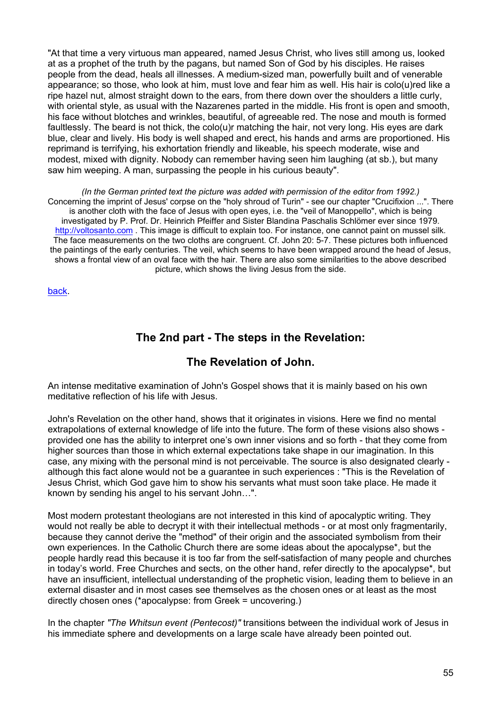"At that time a very virtuous man appeared, named Jesus Christ, who lives still among us, looked at as a prophet of the truth by the pagans, but named Son of God by his disciples. He raises people from the dead, heals all illnesses. A medium-sized man, powerfully built and of venerable appearance; so those, who look at him, must love and fear him as well. His hair is colo(u)red like a ripe hazel nut, almost straight down to the ears, from there down over the shoulders a little curly, with oriental style, as usual with the Nazarenes parted in the middle. His front is open and smooth, his face without blotches and wrinkles, beautiful, of agreeable red. The nose and mouth is formed faultlessly. The beard is not thick, the colo(u)r matching the hair, not very long. His eyes are dark blue, clear and lively. His body is well shaped and erect, his hands and arms are proportioned. His reprimand is terrifying, his exhortation friendly and likeable, his speech moderate, wise and modest, mixed with dignity. Nobody can remember having seen him laughing (at sb.), but many saw him weeping. A man, surpassing the people in his curious beauty".

*(In the German printed text the picture was added with permission of the editor from 1992.)*  Concerning the imprint of Jesus' corpse on the "holy shroud of Turin" - see our chapter "Crucifixion ...". There is another cloth with the face of Jesus with open eyes, i.e. the "veil of Manoppello", which is being investigated by P. Prof. Dr. Heinrich Pfeiffer and Sister Blandina Paschalis Schlömer ever since 1979. [http://voltosanto.com](http://voltosanto.com/) . This image is difficult to explain too. For instance, one cannot paint on mussel silk. The face measurements on the two cloths are congruent. Cf. John 20: 5-7. These pictures both influenced the paintings of the early centuries. The veil, which seems to have been wrapped around the head of Jesus, shows a frontal view of an oval face with the hair. There are also some similarities to the above described picture, which shows the living Jesus from the side.

[back.](#page-1-0) 

# **The 2nd part - The steps in the Revelation:**

### **The Revelation of John.**

An intense meditative examination of John's Gospel shows that it is mainly based on his own meditative reflection of his life with Jesus.

John's Revelation on the other hand, shows that it originates in visions. Here we find no mental extrapolations of external knowledge of life into the future. The form of these visions also shows provided one has the ability to interpret one's own inner visions and so forth - that they come from higher sources than those in which external expectations take shape in our imagination. In this case, any mixing with the personal mind is not perceivable. The source is also designated clearly although this fact alone would not be a guarantee in such experiences : "This is the Revelation of Jesus Christ, which God gave him to show his servants what must soon take place. He made it known by sending his angel to his servant John…".

Most modern protestant theologians are not interested in this kind of apocalyptic writing. They would not really be able to decrypt it with their intellectual methods - or at most only fragmentarily, because they cannot derive the "method" of their origin and the associated symbolism from their own experiences. In the Catholic Church there are some ideas about the apocalypse\*, but the people hardly read this because it is too far from the self-satisfaction of many people and churches in today's world. Free Churches and sects, on the other hand, refer directly to the apocalypse\*, but have an insufficient, intellectual understanding of the prophetic vision, leading them to believe in an external disaster and in most cases see themselves as the chosen ones or at least as the most directly chosen ones (\*apocalypse: from Greek = uncovering.)

In the chapter *"The Whitsun event (Pentecost)"* transitions between the individual work of Jesus in his immediate sphere and developments on a large scale have already been pointed out.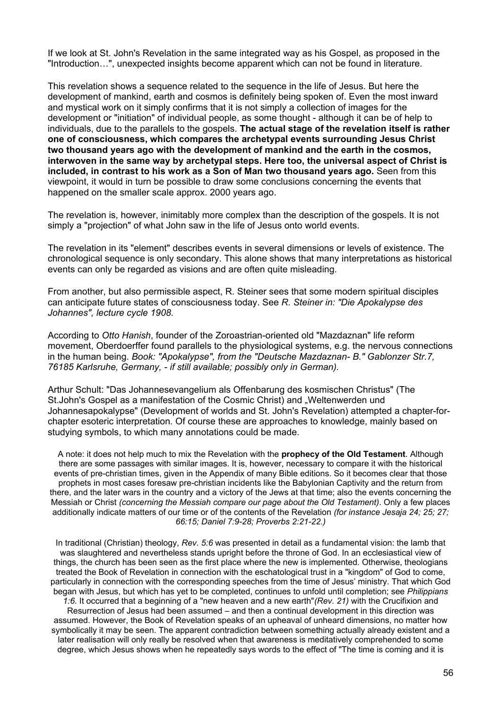If we look at St. John's Revelation in the same integrated way as his Gospel, as proposed in the "Introduction…", unexpected insights become apparent which can not be found in literature.

This revelation shows a sequence related to the sequence in the life of Jesus. But here the development of mankind, earth and cosmos is definitely being spoken of. Even the most inward and mystical work on it simply confirms that it is not simply a collection of images for the development or "initiation" of individual people, as some thought - although it can be of help to individuals, due to the parallels to the gospels. **The actual stage of the revelation itself is rather one of consciousness, which compares the archetypal events surrounding Jesus Christ two thousand years ago with the development of mankind and the earth in the cosmos, interwoven in the same way by archetypal steps. Here too, the universal aspect of Christ is included, in contrast to his work as a Son of Man two thousand years ago.** Seen from this viewpoint, it would in turn be possible to draw some conclusions concerning the events that happened on the smaller scale approx. 2000 years ago.

The revelation is, however, inimitably more complex than the description of the gospels. It is not simply a "projection" of what John saw in the life of Jesus onto world events.

The revelation in its "element" describes events in several dimensions or levels of existence. The chronological sequence is only secondary. This alone shows that many interpretations as historical events can only be regarded as visions and are often quite misleading.

From another, but also permissible aspect, R. Steiner sees that some modern spiritual disciples can anticipate future states of consciousness today. See *R. Steiner in: "Die Apokalypse des Johannes", lecture cycle 1908.*

According to *Otto Hanish*, founder of the Zoroastrian-oriented old "Mazdaznan" life reform movement, Oberdoerffer found parallels to the physiological systems, e.g. the nervous connections in the human being. *Book: "Apokalypse", from the "Deutsche Mazdaznan- B." Gablonzer Str.7, 76185 Karlsruhe, Germany, - if still available; possibly only in German).*

Arthur Schult: "Das Johannesevangelium als Offenbarung des kosmischen Christus" (The St.John's Gospel as a manifestation of the Cosmic Christ) and "Weltenwerden und Johannesapokalypse" (Development of worlds and St. John's Revelation) attempted a chapter-forchapter esoteric interpretation*.* Of course these are approaches to knowledge, mainly based on studying symbols, to which many annotations could be made.

A note: it does not help much to mix the Revelation with the **prophecy of the Old Testament**. Although there are some passages with similar images. It is, however, necessary to compare it with the historical events of pre-christian times, given in the Appendix of many Bible editions. So it becomes clear that those prophets in most cases foresaw pre-christian incidents like the Babylonian Captivity and the return from there, and the later wars in the country and a victory of the Jews at that time; also the events concerning the Messiah or Christ *(concerning the Messiah compare our page about the Old Testament)*. Only a few places additionally indicate matters of our time or of the contents of the Revelation *(for instance Jesaja 24; 25; 27; 66:15; Daniel 7:9-28; Proverbs 2:21-22.)*

In traditional (Christian) theology, *Rev. 5:6* was presented in detail as a fundamental vision: the lamb that was slaughtered and nevertheless stands upright before the throne of God. In an ecclesiastical view of things, the church has been seen as the first place where the new is implemented. Otherwise, theologians treated the Book of Revelation in connection with the eschatological trust in a "kingdom" of God to come, particularly in connection with the corresponding speeches from the time of Jesus' ministry. That which God began with Jesus, but which has yet to be completed, continues to unfold until completion; see *Philippians 1:6*. It occurred that a beginning of a "new heaven and a new earth"*(Rev. 21)* with the Crucifixion and Resurrection of Jesus had been assumed – and then a continual development in this direction was assumed. However, the Book of Revelation speaks of an upheaval of unheard dimensions, no matter how symbolically it may be seen. The apparent contradiction between something actually already existent and a later realisation will only really be resolved when that awareness is meditatively comprehended to some degree, which Jesus shows when he repeatedly says words to the effect of "The time is coming and it is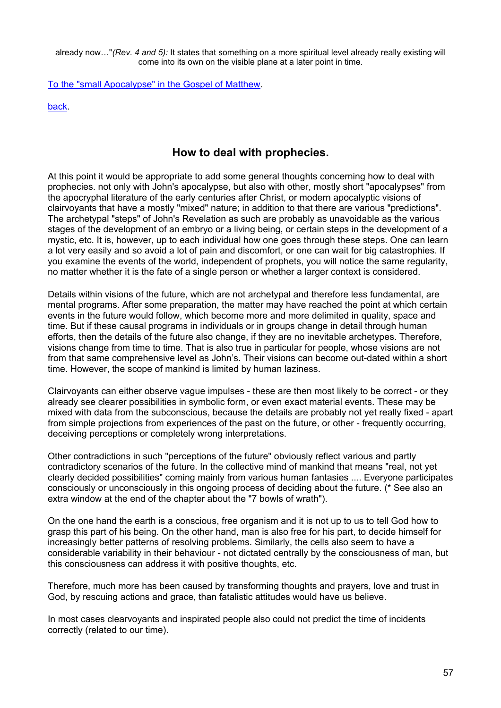already now…"*(Rev. 4 and 5):* It states that something on a more spiritual level already really existing will come into its own on the visible plane at a later point in time.

To the "small Apocalypse" in the Gospel of Matthew.

[back.](#page-1-0) 

# **How to deal with prophecies.**

At this point it would be appropriate to add some general thoughts concerning how to deal with prophecies. not only with John's apocalypse, but also with other, mostly short "apocalypses" from the apocryphal literature of the early centuries after Christ, or modern apocalyptic visions of clairvoyants that have a mostly "mixed" nature; in addition to that there are various "predictions". The archetypal "steps" of John's Revelation as such are probably as unavoidable as the various stages of the development of an embryo or a living being, or certain steps in the development of a mystic, etc. It is, however, up to each individual how one goes through these steps. One can learn a lot very easily and so avoid a lot of pain and discomfort, or one can wait for big catastrophies. If you examine the events of the world, independent of prophets, you will notice the same regularity, no matter whether it is the fate of a single person or whether a larger context is considered.

Details within visions of the future, which are not archetypal and therefore less fundamental, are mental programs. After some preparation, the matter may have reached the point at which certain events in the future would follow, which become more and more delimited in quality, space and time. But if these causal programs in individuals or in groups change in detail through human efforts, then the details of the future also change, if they are no inevitable archetypes. Therefore, visions change from time to time. That is also true in particular for people, whose visions are not from that same comprehensive level as John's. Their visions can become out-dated within a short time. However, the scope of mankind is limited by human laziness.

Clairvoyants can either observe vague impulses - these are then most likely to be correct - or they already see clearer possibilities in symbolic form, or even exact material events. These may be mixed with data from the subconscious, because the details are probably not yet really fixed - apart from simple projections from experiences of the past on the future, or other - frequently occurring, deceiving perceptions or completely wrong interpretations.

Other contradictions in such "perceptions of the future" obviously reflect various and partly contradictory scenarios of the future. In the collective mind of mankind that means "real, not yet clearly decided possibilities" coming mainly from various human fantasies .... Everyone participates consciously or unconsciously in this ongoing process of deciding about the future. (\* See also an extra window at the end of the chapter about the "7 bowls of wrath").

On the one hand the earth is a conscious, free organism and it is not up to us to tell God how to grasp this part of his being. On the other hand, man is also free for his part, to decide himself for increasingly better patterns of resolving problems. Similarly, the cells also seem to have a considerable variability in their behaviour - not dictated centrally by the consciousness of man, but this consciousness can address it with positive thoughts, etc.

Therefore, much more has been caused by transforming thoughts and prayers, love and trust in God, by rescuing actions and grace, than fatalistic attitudes would have us believe.

In most cases clearvoyants and inspirated people also could not predict the time of incidents correctly (related to our time).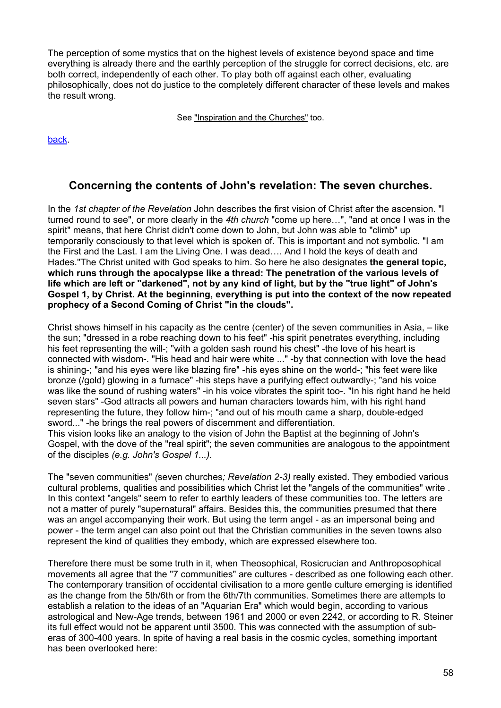The perception of some mystics that on the highest levels of existence beyond space and time everything is already there and the earthly perception of the struggle for correct decisions, etc. are both correct, independently of each other. To play both off against each other, evaluating philosophically, does not do justice to the completely different character of these levels and makes the result wrong.

See "Inspiration and the Churches" too.

[back.](#page-1-0) 

### **Concerning the contents of John's revelation: The seven churches.**

In the *1st chapter of the Revelation* John describes the first vision of Christ after the ascension. "I turned round to see", or more clearly in the *4th church* "come up here…", "and at once I was in the spirit" means, that here Christ didn't come down to John, but John was able to "climb" up temporarily consciously to that level which is spoken of. This is important and not symbolic. "I am the First and the Last. I am the Living One. I was dead…. And I hold the keys of death and Hades."The Christ united with God speaks to him. So here he also designates **the general topic, which runs through the apocalypse like a thread: The penetration of the various levels of life which are left or "darkened", not by any kind of light, but by the "true light" of John's Gospel 1, by Christ. At the beginning, everything is put into the context of the now repeated prophecy of a Second Coming of Christ "in the clouds".**

Christ shows himself in his capacity as the centre (center) of the seven communities in Asia, – like the sun; "dressed in a robe reaching down to his feet" -his spirit penetrates everything, including his feet representing the will-; "with a golden sash round his chest" -the love of his heart is connected with wisdom-. "His head and hair were white ..." -by that connection with love the head is shining-; "and his eyes were like blazing fire" -his eyes shine on the world-; "his feet were like bronze (/gold) glowing in a furnace" -his steps have a purifying effect outwardly-; "and his voice was like the sound of rushing waters" -in his voice vibrates the spirit too-. "In his right hand he held seven stars" -God attracts all powers and human characters towards him, with his right hand representing the future, they follow him-; "and out of his mouth came a sharp, double-edged sword..." -he brings the real powers of discernment and differentiation.

This vision looks like an analogy to the vision of John the Baptist at the beginning of John's Gospel, with the dove of the "real spirit"; the seven communities are analogous to the appointment of the disciples *(e.g. John's Gospel 1...).*

The "seven communities" *(*seven churches*; Revelation 2-3)* really existed. They embodied various cultural problems, qualities and possibilities which Christ let the "angels of the communities" write . In this context "angels" seem to refer to earthly leaders of these communities too. The letters are not a matter of purely "supernatural" affairs. Besides this, the communities presumed that there was an angel accompanying their work. But using the term angel - as an impersonal being and power - the term angel can also point out that the Christian communities in the seven towns also represent the kind of qualities they embody, which are expressed elsewhere too.

Therefore there must be some truth in it, when Theosophical, Rosicrucian and Anthroposophical movements all agree that the "7 communities" are cultures - described as one following each other. The contemporary transition of occidental civilisation to a more gentle culture emerging is identified as the change from the 5th/6th or from the 6th/7th communities. Sometimes there are attempts to establish a relation to the ideas of an "Aquarian Era" which would begin, according to various astrological and New-Age trends, between 1961 and 2000 or even 2242, or according to R. Steiner its full effect would not be apparent until 3500. This was connected with the assumption of suberas of 300-400 years. In spite of having a real basis in the cosmic cycles, something important has been overlooked here: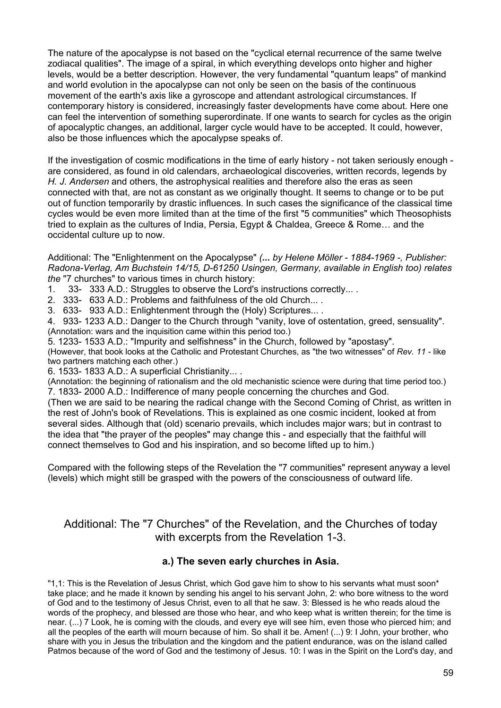The nature of the apocalypse is not based on the "cyclical eternal recurrence of the same twelve zodiacal qualities". The image of a spiral, in which everything develops onto higher and higher levels, would be a better description. However, the very fundamental "quantum leaps" of mankind and world evolution in the apocalypse can not only be seen on the basis of the continuous movement of the earth's axis like a gyroscope and attendant astrological circumstances. If contemporary history is considered, increasingly faster developments have come about. Here one can feel the intervention of something superordinate. If one wants to search for cycles as the origin of apocalyptic changes, an additional, larger cycle would have to be accepted. It could, however, also be those influences which the apocalypse speaks of.

If the investigation of cosmic modifications in the time of early history - not taken seriously enough are considered, as found in old calendars, archaeological discoveries, written records, legends by *H. J. Andersen* and others, the astrophysical realities and therefore also the eras as seen connected with that, are not as constant as we originally thought. It seems to change or to be put out of function temporarily by drastic influences. In such cases the significance of the classical time cycles would be even more limited than at the time of the first "5 communities" which Theosophists tried to explain as the cultures of India, Persia, Egypt & Chaldea, Greece & Rome… and the occidental culture up to now.

Additional: The "Enlightenment on the Apocalypse" *(... by Helene Möller - 1884-1969 -, Publisher: Radona-Verlag, Am Buchstein 14/15, D-61250 Usingen, Germany, available in English too) relates the* "7 churches" to various times in church history:

- 1. 33- 333 A.D.: Struggles to observe the Lord's instructions correctly... .
- 2. 333- 633 A.D.: Problems and faithfulness of the old Church... .
- 3. 633- 933 A.D.: Enlightenment through the (Holy) Scriptures... .

4. 933- 1233 A.D.: Danger to the Church through "vanity, love of ostentation, greed, sensuality". (Annotation: wars and the inquisition came within this period too.)

5. 1233- 1533 A.D.: "Impurity and selfishness" in the Church, followed by "apostasy". (However, that book looks at the Catholic and Protestant Churches, as "the two witnesses" of *Rev. 11* - like two partners matching each other.)

6. 1533- 1833 A.D.: A superficial Christianity... .

(Annotation: the beginning of rationalism and the old mechanistic science were during that time period too.) 7. 1833- 2000 A.D.: Indifference of many people concerning the churches and God.

(Then we are said to be nearing the radical change with the Second Coming of Christ, as written in the rest of John's book of Revelations. This is explained as one cosmic incident, looked at from several sides. Although that (old) scenario prevails, which includes major wars; but in contrast to the idea that "the prayer of the peoples" may change this - and especially that the faithful will connect themselves to God and his inspiration, and so become lifted up to him.)

Compared with the following steps of the Revelation the "7 communities" represent anyway a level (levels) which might still be grasped with the powers of the consciousness of outward life.

### Additional: The "7 Churches" of the Revelation, and the Churches of today with excerpts from the Revelation 1-3.

### **a.) The seven early churches in Asia.**

"1,1: This is the Revelation of Jesus Christ, which God gave him to show to his servants what must soon\* take place; and he made it known by sending his angel to his servant John, 2: who bore witness to the word of God and to the testimony of Jesus Christ, even to all that he saw. 3: Blessed is he who reads aloud the words of the prophecy, and blessed are those who hear, and who keep what is written therein; for the time is near. (...) 7 Look, he is coming with the clouds, and every eye will see him, even those who pierced him; and all the peoples of the earth will mourn because of him. So shall it be. Amen! (...) 9: I John, your brother, who share with you in Jesus the tribulation and the kingdom and the patient endurance, was on the island called Patmos because of the word of God and the testimony of Jesus. 10: I was in the Spirit on the Lord's day, and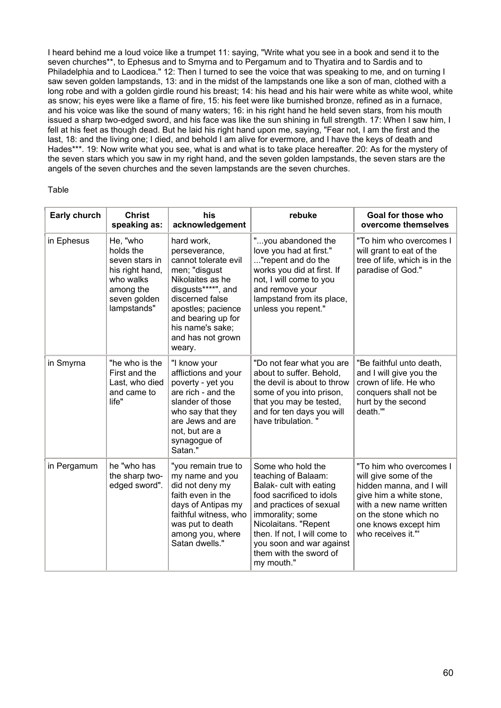I heard behind me a loud voice like a trumpet 11: saying, "Write what you see in a book and send it to the seven churches\*\*, to Ephesus and to Smyrna and to Pergamum and to Thyatira and to Sardis and to Philadelphia and to Laodicea." 12: Then I turned to see the voice that was speaking to me, and on turning I saw seven golden lampstands, 13: and in the midst of the lampstands one like a son of man, clothed with a long robe and with a golden girdle round his breast; 14: his head and his hair were white as white wool, white as snow; his eyes were like a flame of fire, 15: his feet were like burnished bronze, refined as in a furnace, and his voice was like the sound of many waters; 16: in his right hand he held seven stars, from his mouth issued a sharp two-edged sword, and his face was like the sun shining in full strength. 17: When I saw him, I fell at his feet as though dead. But he laid his right hand upon me, saying, "Fear not, I am the first and the last, 18: and the living one; I died, and behold I am alive for evermore, and I have the keys of death and Hades\*\*\*. 19: Now write what you see, what is and what is to take place hereafter. 20: As for the mystery of the seven stars which you saw in my right hand, and the seven golden lampstands, the seven stars are the angels of the seven churches and the seven lampstands are the seven churches.

#### Table

| Early church | <b>Christ</b><br>speaking as:                                                                                       | his<br>acknowledgement                                                                                                                                                                                                           | rebuke                                                                                                                                                                                                                                                                     | Goal for those who<br>overcome themselves                                                                                                                                                                |
|--------------|---------------------------------------------------------------------------------------------------------------------|----------------------------------------------------------------------------------------------------------------------------------------------------------------------------------------------------------------------------------|----------------------------------------------------------------------------------------------------------------------------------------------------------------------------------------------------------------------------------------------------------------------------|----------------------------------------------------------------------------------------------------------------------------------------------------------------------------------------------------------|
| in Ephesus   | He, "who<br>holds the<br>seven stars in<br>his right hand,<br>who walks<br>among the<br>seven golden<br>lampstands" | hard work,<br>perseverance,<br>cannot tolerate evil<br>men; "disgust<br>Nikolaites as he<br>disgusts****", and<br>discerned false<br>apostles; pacience<br>and bearing up for<br>his name's sake;<br>and has not grown<br>weary. | "you abandoned the<br>love you had at first."<br>"repent and do the<br>works you did at first. If<br>not, I will come to you<br>and remove your<br>lampstand from its place,<br>unless you repent."                                                                        | "To him who overcomes I<br>will grant to eat of the<br>tree of life, which is in the<br>paradise of God."                                                                                                |
| in Smyrna    | "he who is the<br>First and the<br>Last, who died<br>and came to<br>life"                                           | "I know your<br>afflictions and your<br>poverty - yet you<br>are rich - and the<br>slander of those<br>who say that they<br>are Jews and are<br>not, but are a<br>synagogue of<br>Satan."                                        | "Do not fear what you are<br>about to suffer. Behold,<br>the devil is about to throw<br>some of you into prison,<br>that you may be tested,<br>and for ten days you will<br>have tribulation. "                                                                            | "Be faithful unto death,<br>and I will give you the<br>crown of life. He who<br>conquers shall not be<br>hurt by the second<br>death.""                                                                  |
| in Pergamum  | he "who has<br>the sharp two-<br>edged sword".                                                                      | "you remain true to<br>my name and you<br>did not deny my<br>faith even in the<br>days of Antipas my<br>faithful witness, who<br>was put to death<br>among you, where<br>Satan dwells."                                          | Some who hold the<br>teaching of Balaam:<br>Balak- cult with eating<br>food sacrificed to idols<br>and practices of sexual<br>immorality; some<br>Nicolaitans. "Repent<br>then. If not, I will come to<br>you soon and war against<br>them with the sword of<br>my mouth." | "To him who overcomes I<br>will give some of the<br>hidden manna, and I will<br>give him a white stone,<br>with a new name written<br>on the stone which no<br>one knows except him<br>who receives it." |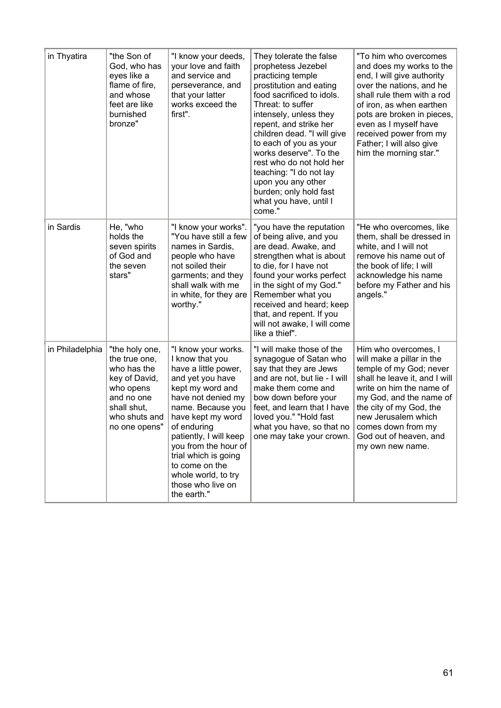| in Thyatira     | "the Son of<br>God, who has<br>eyes like a<br>flame of fire,<br>and whose<br>feet are like<br>burnished<br>bronze"                          | "I know your deeds,<br>your love and faith<br>and service and<br>perseverance, and<br>that your latter<br>works exceed the<br>first".                                                                                                                                                                                                        | They tolerate the false<br>prophetess Jezebel<br>practicing temple<br>prostitution and eating<br>food sacrificed to idols.<br>Threat: to suffer<br>intensely, unless they<br>repent, and strike her<br>children dead. "I will give<br>to each of you as your<br>works deserve". To the<br>rest who do not hold her<br>teaching: "I do not lay<br>upon you any other<br>burden; only hold fast<br>what you have, until I<br>come." | "To him who overcomes<br>and does my works to the<br>end, I will give authority<br>over the nations, and he<br>shall rule them with a rod<br>of iron, as when earthen<br>pots are broken in pieces,<br>even as I myself have<br>received power from my<br>Father; I will also give<br>him the morning star." |
|-----------------|---------------------------------------------------------------------------------------------------------------------------------------------|----------------------------------------------------------------------------------------------------------------------------------------------------------------------------------------------------------------------------------------------------------------------------------------------------------------------------------------------|-----------------------------------------------------------------------------------------------------------------------------------------------------------------------------------------------------------------------------------------------------------------------------------------------------------------------------------------------------------------------------------------------------------------------------------|--------------------------------------------------------------------------------------------------------------------------------------------------------------------------------------------------------------------------------------------------------------------------------------------------------------|
| in Sardis       | He, "who<br>holds the<br>seven spirits<br>of God and<br>the seven<br>stars"                                                                 | "I know your works".<br>"You have still a few<br>names in Sardis,<br>people who have<br>not soiled their<br>garments; and they<br>shall walk with me<br>in white, for they are<br>worthy."                                                                                                                                                   | "you have the reputation<br>of being alive, and you<br>are dead. Awake, and<br>strengthen what is about<br>to die, for I have not<br>found your works perfect<br>in the sight of my God."<br>Remember what you<br>received and heard; keep<br>that, and repent. If you<br>will not awake, I will come<br>like a thief".                                                                                                           | "He who overcomes, like<br>them, shall be dressed in<br>white, and I will not<br>remove his name out of<br>the book of life; I will<br>acknowledge his name<br>before my Father and his<br>angels."                                                                                                          |
| in Philadelphia | "the holy one,<br>the true one,<br>who has the<br>key of David,<br>who opens<br>and no one<br>shall shut,<br>who shuts and<br>no one opens" | "I know your works.<br>I know that you<br>have a little power,<br>and yet you have<br>kept my word and<br>have not denied my<br>name. Because you<br>have kept my word<br>of enduring<br>patiently, I will keep<br>you from the hour of<br>trial which is going<br>to come on the<br>whole world, to try<br>those who live on<br>the earth." | "I will make those of the<br>synagogue of Satan who<br>say that they are Jews<br>and are not, but lie - I will<br>make them come and<br>bow down before your<br>feet, and learn that I have<br>loved you." "Hold fast<br>what you have, so that no<br>one may take your crown.                                                                                                                                                    | Him who overcomes, I<br>will make a pillar in the<br>temple of my God; never<br>shall he leave it, and I will<br>write on him the name of<br>my God, and the name of<br>the city of my God, the<br>new Jerusalem which<br>comes down from my<br>God out of heaven, and<br>my own new name.                   |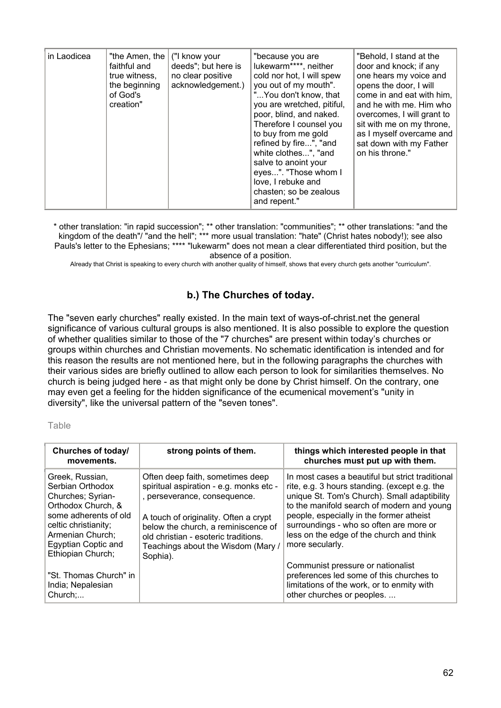| in Laodicea<br>"the Amen, the<br>("I know your<br>deeds"; but here is<br>faithful and<br>no clear positive<br>true witness,<br>acknowledgement.)<br>the beginning<br>of God's<br>creation" | "because you are<br>lukewarm****, neither<br>cold nor hot, I will spew<br>you out of my mouth".<br>"You don't know, that<br>you are wretched, pitiful,<br>poor, blind, and naked.<br>Therefore I counsel you<br>to buy from me gold<br>refined by fire", "and<br>white clothes", "and<br>salve to anoint your<br>eyes". "Those whom I<br>love, I rebuke and<br>chasten; so be zealous<br>and repent." | "Behold, I stand at the<br>door and knock; if any<br>one hears my voice and<br>opens the door, I will<br>come in and eat with him.<br>and he with me. Him who<br>overcomes, I will grant to<br>sit with me on my throne,<br>as I myself overcame and<br>sat down with my Father<br>on his throne." |
|--------------------------------------------------------------------------------------------------------------------------------------------------------------------------------------------|-------------------------------------------------------------------------------------------------------------------------------------------------------------------------------------------------------------------------------------------------------------------------------------------------------------------------------------------------------------------------------------------------------|----------------------------------------------------------------------------------------------------------------------------------------------------------------------------------------------------------------------------------------------------------------------------------------------------|
|--------------------------------------------------------------------------------------------------------------------------------------------------------------------------------------------|-------------------------------------------------------------------------------------------------------------------------------------------------------------------------------------------------------------------------------------------------------------------------------------------------------------------------------------------------------------------------------------------------------|----------------------------------------------------------------------------------------------------------------------------------------------------------------------------------------------------------------------------------------------------------------------------------------------------|

\* other translation: "in rapid succession"; \*\* other translation: "communities"; \*\* other translations: "and the kingdom of the death"/ "and the hell"; \*\*\* more usual translation: "hate" (Christ hates nobody!); see also Pauls's letter to the Ephesians; \*\*\*\* "lukewarm" does not mean a clear differentiated third position, but the absence of a position.

Already that Christ is speaking to every church with another quality of himself, shows that every church gets another "curriculum".

### **b.) The Churches of today.**

The "seven early churches" really existed. In the main text of ways-of-christ.net the general significance of various cultural groups is also mentioned. It is also possible to explore the question of whether qualities similar to those of the "7 churches" are present within today's churches or groups within churches and Christian movements. No schematic identification is intended and for this reason the results are not mentioned here, but in the following paragraphs the churches with their various sides are briefly outlined to allow each person to look for similarities themselves. No church is being judged here - as that might only be done by Christ himself. On the contrary, one may even get a feeling for the hidden significance of the ecumenical movement's "unity in diversity", like the universal pattern of the "seven tones".

#### Table

| <b>Churches of today/</b><br>movements.                                                                                                                                                                | strong points of them.                                                                                                                                                                                                                                                                | things which interested people in that<br>churches must put up with them.                                                                                                                                                                                                                                                                             |
|--------------------------------------------------------------------------------------------------------------------------------------------------------------------------------------------------------|---------------------------------------------------------------------------------------------------------------------------------------------------------------------------------------------------------------------------------------------------------------------------------------|-------------------------------------------------------------------------------------------------------------------------------------------------------------------------------------------------------------------------------------------------------------------------------------------------------------------------------------------------------|
| Greek, Russian,<br>Serbian Orthodox<br>Churches; Syrian-<br>Orthodox Church, &<br>some adherents of old<br>celtic christianity;<br>Armenian Church;<br><b>Egyptian Coptic and</b><br>Ethiopian Church; | Often deep faith, sometimes deep<br>spiritual aspiration - e.g. monks etc -<br>, perseverance, consequence.<br>A touch of originality. Often a crypt<br>below the church, a reminiscence of<br>old christian - esoteric traditions.<br>Teachings about the Wisdom (Mary /<br>Sophia). | In most cases a beautiful but strict traditional<br>rite, e.g. 3 hours standing. (except e.g. the<br>unique St. Tom's Church). Small adaptibility<br>to the manifold search of modern and young<br>people, especially in the former atheist<br>surroundings - who so often are more or<br>less on the edge of the church and think<br>more secularly. |
| "St. Thomas Church" in<br>India; Nepalesian<br>Church;                                                                                                                                                 |                                                                                                                                                                                                                                                                                       | Communist pressure or nationalist<br>preferences led some of this churches to<br>limitations of the work, or to enmity with<br>other churches or peoples                                                                                                                                                                                              |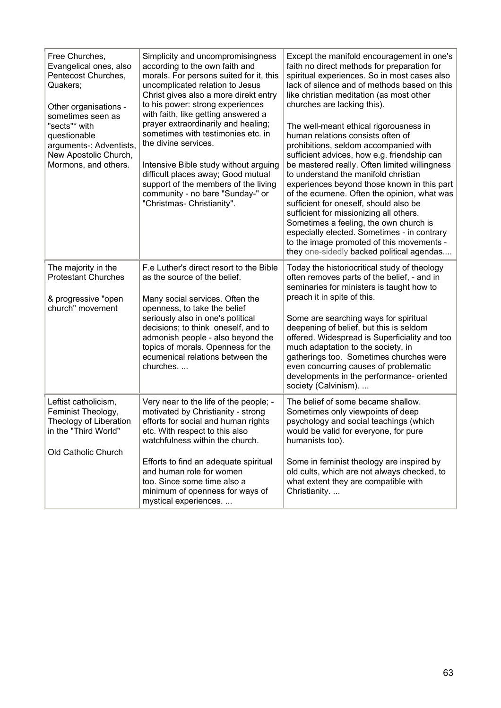| Free Churches,<br>Evangelical ones, also<br>Pentecost Churches,<br>Quakers;<br>Other organisations -<br>sometimes seen as<br>"sects"* with<br>questionable<br>arguments-: Adventists,<br>New Apostolic Church,<br>Mormons, and others. | Simplicity and uncompromisingness<br>according to the own faith and<br>morals. For persons suited for it, this<br>uncomplicated relation to Jesus<br>Christ gives also a more direkt entry<br>to his power: strong experiences<br>with faith, like getting answered a<br>prayer extraordinarily and healing;<br>sometimes with testimonies etc. in<br>the divine services.<br>Intensive Bible study without arguing<br>difficult places away; Good mutual<br>support of the members of the living<br>community - no bare "Sunday-" or<br>"Christmas- Christianity". | Except the manifold encouragement in one's<br>faith no direct methods for preparation for<br>spiritual experiences. So in most cases also<br>lack of silence and of methods based on this<br>like christian meditation (as most other<br>churches are lacking this).<br>The well-meant ethical rigorousness in<br>human relations consists often of<br>prohibitions, seldom accompanied with<br>sufficient advices, how e.g. friendship can<br>be mastered really. Often limited willingness<br>to understand the manifold christian<br>experiences beyond those known in this part<br>of the ecumene. Often the opinion, what was<br>sufficient for oneself, should also be<br>sufficient for missionizing all others.<br>Sometimes a feeling, the own church is<br>especially elected. Sometimes - in contrary<br>to the image promoted of this movements -<br>they one-sidedly backed political agendas |
|----------------------------------------------------------------------------------------------------------------------------------------------------------------------------------------------------------------------------------------|---------------------------------------------------------------------------------------------------------------------------------------------------------------------------------------------------------------------------------------------------------------------------------------------------------------------------------------------------------------------------------------------------------------------------------------------------------------------------------------------------------------------------------------------------------------------|------------------------------------------------------------------------------------------------------------------------------------------------------------------------------------------------------------------------------------------------------------------------------------------------------------------------------------------------------------------------------------------------------------------------------------------------------------------------------------------------------------------------------------------------------------------------------------------------------------------------------------------------------------------------------------------------------------------------------------------------------------------------------------------------------------------------------------------------------------------------------------------------------------|
| The majority in the<br><b>Protestant Churches</b><br>& progressive "open<br>church" movement                                                                                                                                           | F.e Luther's direct resort to the Bible<br>as the source of the belief.<br>Many social services. Often the<br>openness, to take the belief<br>seriously also in one's political<br>decisions; to think oneself, and to<br>admonish people - also beyond the<br>topics of morals. Openness for the<br>ecumenical relations between the<br>churches                                                                                                                                                                                                                   | Today the historiocritical study of theology<br>often removes parts of the belief, - and in<br>seminaries for ministers is taught how to<br>preach it in spite of this.<br>Some are searching ways for spiritual<br>deepening of belief, but this is seldom<br>offered. Widespread is Superficiality and too<br>much adaptation to the society, in<br>gatherings too. Sometimes churches were<br>even concurring causes of problematic<br>developments in the performance- oriented<br>society (Calvinism).                                                                                                                                                                                                                                                                                                                                                                                                |
| Leftist catholicism,<br>Feminist Theology,<br>Theology of Liberation<br>in the "Third World"<br>Old Catholic Church                                                                                                                    | Very near to the life of the people; -<br>motivated by Christianity - strong<br>efforts for social and human rights<br>etc. With respect to this also<br>watchfulness within the church.<br>Efforts to find an adequate spiritual<br>and human role for women<br>too. Since some time also a<br>minimum of openness for ways of<br>mystical experiences.                                                                                                                                                                                                            | The belief of some became shallow.<br>Sometimes only viewpoints of deep<br>psychology and social teachings (which<br>would be valid for everyone, for pure<br>humanists too).<br>Some in feminist theology are inspired by<br>old cults, which are not always checked, to<br>what extent they are compatible with<br>Christianity                                                                                                                                                                                                                                                                                                                                                                                                                                                                                                                                                                          |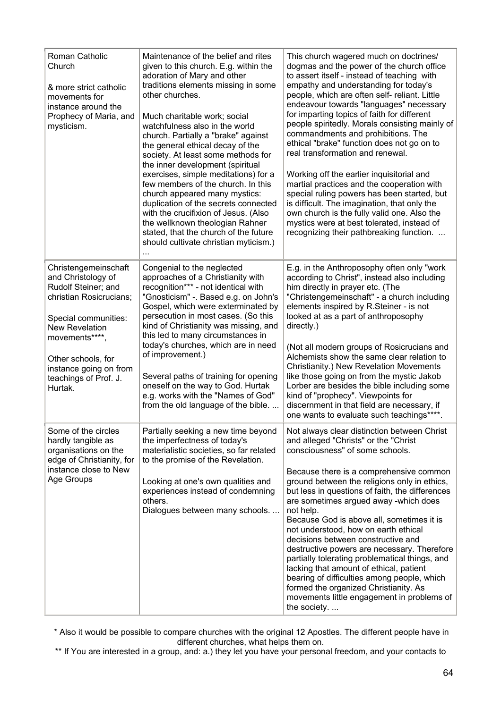| Roman Catholic<br>Church<br>& more strict catholic<br>movements for<br>instance around the<br>Prophecy of Maria, and<br>mysticism.                                                                                                                  | Maintenance of the belief and rites<br>given to this church. E.g. within the<br>adoration of Mary and other<br>traditions elements missing in some<br>other churches.<br>Much charitable work; social<br>watchfulness also in the world<br>church. Partially a "brake" against<br>the general ethical decay of the<br>society. At least some methods for<br>the inner development (spiritual<br>exercises, simple meditations) for a<br>few members of the church. In this<br>church appeared many mystics:<br>duplication of the secrets connected<br>with the crucifixion of Jesus. (Also<br>the wellknown theologian Rahner<br>stated, that the church of the future<br>should cultivate christian myticism.) | This church wagered much on doctrines/<br>dogmas and the power of the church office<br>to assert itself - instead of teaching with<br>empathy and understanding for today's<br>people, which are often self- reliant. Little<br>endeavour towards "languages" necessary<br>for imparting topics of faith for different<br>people spiritedly. Morals consisting mainly of<br>commandments and prohibitions. The<br>ethical "brake" function does not go on to<br>real transformation and renewal.<br>Working off the earlier inquisitorial and<br>martial practices and the cooperation with<br>special ruling powers has been started, but<br>is difficult. The imagination, that only the<br>own church is the fully valid one. Also the<br>mystics were at best tolerated, instead of<br>recognizing their pathbreaking function. |
|-----------------------------------------------------------------------------------------------------------------------------------------------------------------------------------------------------------------------------------------------------|------------------------------------------------------------------------------------------------------------------------------------------------------------------------------------------------------------------------------------------------------------------------------------------------------------------------------------------------------------------------------------------------------------------------------------------------------------------------------------------------------------------------------------------------------------------------------------------------------------------------------------------------------------------------------------------------------------------|-------------------------------------------------------------------------------------------------------------------------------------------------------------------------------------------------------------------------------------------------------------------------------------------------------------------------------------------------------------------------------------------------------------------------------------------------------------------------------------------------------------------------------------------------------------------------------------------------------------------------------------------------------------------------------------------------------------------------------------------------------------------------------------------------------------------------------------|
| Christengemeinschaft<br>and Christology of<br>Rudolf Steiner; and<br>christian Rosicrucians;<br>Special communities:<br><b>New Revelation</b><br>movements****,<br>Other schools, for<br>instance going on from<br>teachings of Prof. J.<br>Hurtak. | Congenial to the neglected<br>approaches of a Christianity with<br>recognition*** - not identical with<br>"Gnosticism" -. Based e.g. on John's<br>Gospel, which were exterminated by<br>persecution in most cases. (So this<br>kind of Christianity was missing, and<br>this led to many circumstances in<br>today's churches, which are in need<br>of improvement.)<br>Several paths of training for opening<br>oneself on the way to God. Hurtak<br>e.g. works with the "Names of God"<br>from the old language of the bible.                                                                                                                                                                                  | E.g. in the Anthroposophy often only "work<br>according to Christ", instead also including<br>him directly in prayer etc. (The<br>"Christengemeinschaft" - a church including<br>elements inspired by R.Steiner - is not<br>looked at as a part of anthroposophy<br>directly.)<br>(Not all modern groups of Rosicrucians and<br>Alchemists show the same clear relation to<br>Christianity.) New Revelation Movements<br>like those going on from the mystic Jakob<br>Lorber are besides the bible including some<br>kind of "prophecy". Viewpoints for<br>discernment in that field are necessary, if<br>one wants to evaluate such teachings****.                                                                                                                                                                                 |
| Some of the circles<br>hardly tangible as<br>organisations on the<br>edge of Christianity, for<br>instance close to New<br>Age Groups                                                                                                               | Partially seeking a new time beyond<br>the imperfectness of today's<br>materialistic societies, so far related<br>to the promise of the Revelation.<br>Looking at one's own qualities and<br>experiences instead of condemning<br>others.<br>Dialogues between many schools.                                                                                                                                                                                                                                                                                                                                                                                                                                     | Not always clear distinction between Christ<br>and alleged "Christs" or the "Christ<br>consciousness" of some schools.<br>Because there is a comprehensive common<br>ground between the religions only in ethics,<br>but less in questions of faith, the differences<br>are sometimes argued away -which does<br>not help.<br>Because God is above all, sometimes it is<br>not understood, how on earth ethical<br>decisions between constructive and<br>destructive powers are necessary. Therefore<br>partially tolerating problematical things, and<br>lacking that amount of ethical, patient<br>bearing of difficulties among people, which<br>formed the organized Christianity. As<br>movements little engagement in problems of<br>the society                                                                              |

\* Also it would be possible to compare churches with the original 12 Apostles. The different people have in different churches, what helps them on.

\*\* If You are interested in a group, and: a.) they let you have your personal freedom, and your contacts to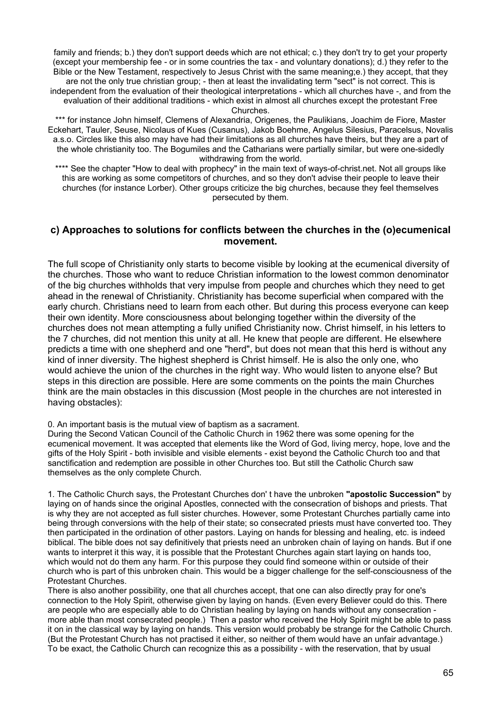family and friends; b.) they don't support deeds which are not ethical; c.) they don't try to get your property (except your membership fee - or in some countries the tax - and voluntary donations); d.) they refer to the Bible or the New Testament, respectively to Jesus Christ with the same meaning;e.) they accept, that they are not the only true christian group; - then at least the invalidating term "sect" is not correct. This is independent from the evaluation of their theological interpretations - which all churches have -, and from the evaluation of their additional traditions - which exist in almost all churches except the protestant Free Churches.

\*\*\* for instance John himself, Clemens of Alexandria, Origenes, the Paulikians, Joachim de Fiore, Master Eckehart, Tauler, Seuse, Nicolaus of Kues (Cusanus), Jakob Boehme, Angelus Silesius, Paracelsus, Novalis a.s.o. Circles like this also may have had their limitations as all churches have theirs, but they are a part of the whole christianity too. The Bogumiles and the Catharians were partially similar, but were one-sidedly withdrawing from the world.

\*\*\*\* See the chapter "How to deal with prophecy" in the main text of ways-of-christ.net. Not all groups like this are working as some competitors of churches, and so they don't advise their people to leave their churches (for instance Lorber). Other groups criticize the big churches, because they feel themselves persecuted by them.

### **c) Approaches to solutions for conflicts between the churches in the (o)ecumenical movement.**

The full scope of Christianity only starts to become visible by looking at the ecumenical diversity of the churches. Those who want to reduce Christian information to the lowest common denominator of the big churches withholds that very impulse from people and churches which they need to get ahead in the renewal of Christianity. Christianity has become superficial when compared with the early church. Christians need to learn from each other. But during this process everyone can keep their own identity. More consciousness about belonging together within the diversity of the churches does not mean attempting a fully unified Christianity now. Christ himself, in his letters to the 7 churches, did not mention this unity at all. He knew that people are different. He elsewhere predicts a time with one shepherd and one "herd", but does not mean that this herd is without any kind of inner diversity. The highest shepherd is Christ himself. He is also the only one, who would achieve the union of the churches in the right way. Who would listen to anyone else? But steps in this direction are possible. Here are some comments on the points the main Churches think are the main obstacles in this discussion (Most people in the churches are not interested in having obstacles):

0. An important basis is the mutual view of baptism as a sacrament.

During the Second Vatican Council of the Catholic Church in 1962 there was some opening for the ecumenical movement. It was accepted that elements like the Word of God, living mercy, hope, love and the gifts of the Holy Spirit - both invisible and visible elements - exist beyond the Catholic Church too and that sanctification and redemption are possible in other Churches too. But still the Catholic Church saw themselves as the only complete Church.

1. The Catholic Church says, the Protestant Churches don' t have the unbroken **"apostolic Succession"** by laying on of hands since the original Apostles, connected with the consecration of bishops and priests. That is why they are not accepted as full sister churches. However, some Protestant Churches partially came into being through conversions with the help of their state; so consecrated priests must have converted too. They then participated in the ordination of other pastors. Laying on hands for blessing and healing, etc. is indeed biblical. The bible does not say definitively that priests need an unbroken chain of laying on hands. But if one wants to interpret it this way, it is possible that the Protestant Churches again start laying on hands too, which would not do them any harm. For this purpose they could find someone within or outside of their church who is part of this unbroken chain. This would be a bigger challenge for the self-consciousness of the Protestant Churches.

There is also another possibility, one that all churches accept, that one can also directly pray for one's connection to the Holy Spirit, otherwise given by laying on hands. (Even every Believer could do this. There are people who are especially able to do Christian healing by laying on hands without any consecration more able than most consecrated people.) Then a pastor who received the Holy Spirit might be able to pass it on in the classical way by laying on hands. This version would probably be strange for the Catholic Church. (But the Protestant Church has not practised it either, so neither of them would have an unfair advantage.) To be exact, the Catholic Church can recognize this as a possibility - with the reservation, that by usual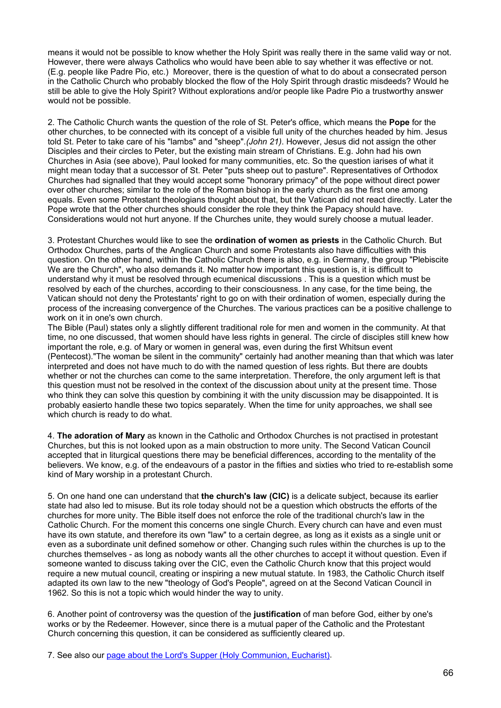means it would not be possible to know whether the Holy Spirit was really there in the same valid way or not. However, there were always Catholics who would have been able to say whether it was effective or not. (E.g. people like Padre Pio, etc.) Moreover, there is the question of what to do about a consecrated person in the Catholic Church who probably blocked the flow of the Holy Spirit through drastic misdeeds? Would he still be able to give the Holy Spirit? Without explorations and/or people like Padre Pio a trustworthy answer would not be possible.

2. The Catholic Church wants the question of the role of St. Peter's office, which means the **Pope** for the other churches, to be connected with its concept of a visible full unity of the churches headed by him. Jesus told St. Peter to take care of his "lambs" and "sheep".*(John 21)*. However, Jesus did not assign the other Disciples and their circles to Peter, but the existing main stream of Christians. E.g. John had his own Churches in Asia (see above), Paul looked for many communities, etc. So the question iarises of what it might mean today that a successor of St. Peter "puts sheep out to pasture". Representatives of Orthodox Churches had signalled that they would accept some "honorary primacy" of the pope without direct power over other churches; similar to the role of the Roman bishop in the early church as the first one among equals. Even some Protestant theologians thought about that, but the Vatican did not react directly. Later the Pope wrote that the other churches should consider the role they think the Papacy should have. Considerations would not hurt anyone. If the Churches unite, they would surely choose a mutual leader.

3. Protestant Churches would like to see the **ordination of women as priests** in the Catholic Church. But Orthodox Churches, parts of the Anglican Church and some Protestants also have difficulties with this question. On the other hand, within the Catholic Church there is also, e.g. in Germany, the group "Plebiscite We are the Church", who also demands it. No matter how important this question is, it is difficult to understand why it must be resolved through ecumenical discussions . This is a question which must be resolved by each of the churches, according to their consciousness. In any case, for the time being, the Vatican should not deny the Protestants' right to go on with their ordination of women, especially during the process of the increasing convergence of the Churches. The various practices can be a positive challenge to work on it in one's own church.

The Bible (Paul) states only a slightly different traditional role for men and women in the community. At that time, no one discussed, that women should have less rights in general. The circle of disciples still knew how important the role, e.g. of Mary or women in general was, even during the first Whitsun event (Pentecost)."The woman be silent in the community" certainly had another meaning than that which was later interpreted and does not have much to do with the named question of less rights. But there are doubts whether or not the churches can come to the same interpretation. Therefore, the only argument left is that this question must not be resolved in the context of the discussion about unity at the present time. Those who think they can solve this question by combining it with the unity discussion may be disappointed. It is probably easierto handle these two topics separately. When the time for unity approaches, we shall see which church is ready to do what.

4. **The adoration of Mary** as known in the Catholic and Orthodox Churches is not practised in protestant Churches, but this is not looked upon as a main obstruction to more unity. The Second Vatican Council accepted that in liturgical questions there may be beneficial differences, according to the mentality of the believers. We know, e.g. of the endeavours of a pastor in the fifties and sixties who tried to re-establish some kind of Mary worship in a protestant Church.

5. On one hand one can understand that **the church's law (CIC)** is a delicate subject, because its earlier state had also led to misuse. But its role today should not be a question which obstructs the efforts of the churches for more unity. The Bible itself does not enforce the role of the traditional church's law in the Catholic Church. For the moment this concerns one single Church. Every church can have and even must have its own statute, and therefore its own "law" to a certain degree, as long as it exists as a single unit or even as a subordinate unit defined somehow or other. Changing such rules within the churches is up to the churches themselves - as long as nobody wants all the other churches to accept it without question. Even if someone wanted to discuss taking over the CIC, even the Catholic Church know that this project would require a new mutual council, creating or inspiring a new mutual statute. In 1983, the Catholic Church itself adapted its own law to the new "theology of God's People", agreed on at the Second Vatican Council in 1962. So this is not a topic which would hinder the way to unity.

6. Another point of controversy was the question of the **justification** of man before God, either by one's works or by the Redeemer. However, since there is a mutual paper of the Catholic and the Protestant Church concerning this question, it can be considered as sufficiently cleared up.

7. See also our [page about the Lord's Supper \(Holy Communion, Eucharist\).](http://www.ways-of-christ.net/topics/communion.htm)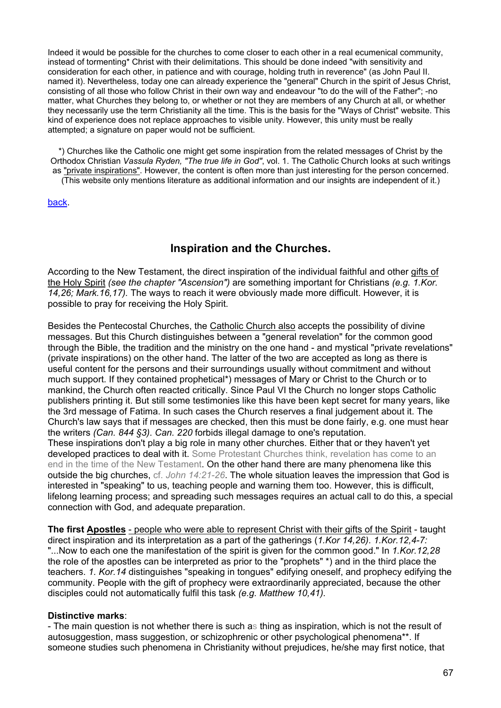Indeed it would be possible for the churches to come closer to each other in a real ecumenical community, instead of tormenting\* Christ with their delimitations. This should be done indeed "with sensitivity and consideration for each other, in patience and with courage, holding truth in reverence" (as John Paul II. named it). Nevertheless, today one can already experience the "general" Church in the spirit of Jesus Christ, consisting of all those who follow Christ in their own way and endeavour "to do the will of the Father"; -no matter, what Churches they belong to, or whether or not they are members of any Church at all, or whether they necessarily use the term Christianity all the time. This is the basis for the "Ways of Christ" website. This kind of experience does not replace approaches to visible unity. However, this unity must be really attempted; a signature on paper would not be sufficient.

\*) Churches like the Catholic one might get some inspiration from the related messages of Christ by the Orthodox Christian *Vassula Ryden, "The true life in God"*, vol. 1. The Catholic Church looks at such writings as "private inspirations". However, the content is often more than just interesting for the person concerned. (This website only mentions literature as additional information and our insights are independent of it.)

### [back.](#page-1-0)

### **Inspiration and the Churches.**

According to the New Testament, the direct inspiration of the individual faithful and other gifts of the Holy Spirit *(see the chapter "Ascension")* are something important for Christians *(e.g. 1.Kor. 14,26; Mark.16,17).* The ways to reach it were obviously made more difficult. However, it is possible to pray for receiving the Holy Spirit.

Besides the Pentecostal Churches, the Catholic Church also accepts the possibility of divine messages. But this Church distinguishes between a "general revelation" for the common good through the Bible, the tradition and the ministry on the one hand - and mystical "private revelations" (private inspirations) on the other hand. The latter of the two are accepted as long as there is useful content for the persons and their surroundings usually without commitment and without much support. If they contained prophetical\*) messages of Mary or Christ to the Church or to mankind, the Church often reacted critically. Since Paul VI the Church no longer stops Catholic publishers printing it. But still some testimonies like this have been kept secret for many years, like the 3rd message of Fatima. In such cases the Church reserves a final judgement about it. The Church's law says that if messages are checked, then this must be done fairly, e.g. one must hear the writers *(Can. 844 §3)*. *Can. 220* forbids illegal damage to one's reputation. These inspirations don't play a big role in many other churches. Either that or they haven't yet developed practices to deal with it. Some Protestant Churches think, revelation has come to an end in the time of the New Testament. On the other hand there are many phenomena like this outside the big churches, cf. *John 14:21-26*. The whole situation leaves the impression that God is interested in "speaking" to us, teaching people and warning them too. However, this is difficult, lifelong learning process; and spreading such messages requires an actual call to do this, a special connection with God, and adequate preparation.

**The first Apostles** - people who were able to represent Christ with their gifts of the Spirit - taught direct inspiration and its interpretation as a part of the gatherings (*1.Kor 14,26)*. *1.Kor.12,4-7:* "...Now to each one the manifestation of the spirit is given for the common good." In *1.Kor.12,28* the role of the apostles can be interpreted as prior to the "prophets" \*) and in the third place the teachers. *1. Kor.14* distinguishes "speaking in tongues" edifying oneself, and prophecy edifying the community. People with the gift of prophecy were extraordinarily appreciated, because the other disciples could not automatically fulfil this task *(e.g. Matthew 10,41).*

#### **Distinctive marks**:

- The main question is not whether there is such as thing as inspiration, which is not the result of autosuggestion, mass suggestion, or schizophrenic or other psychological phenomena\*\*. If someone studies such phenomena in Christianity without prejudices, he/she may first notice, that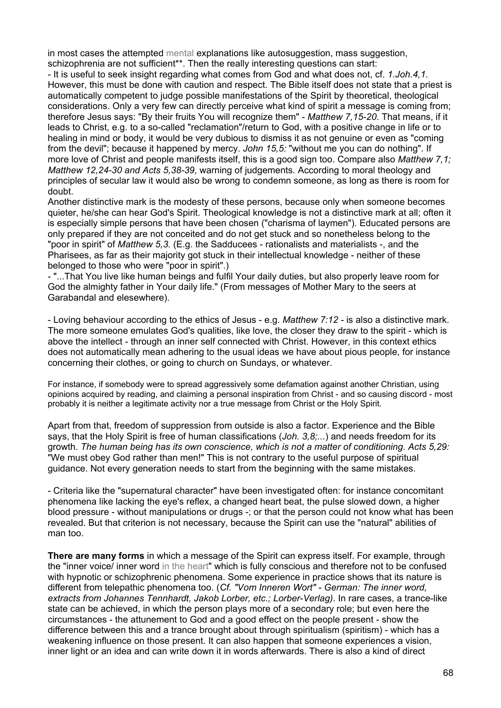in most cases the attempted mental explanations like autosuggestion, mass suggestion, schizophrenia are not sufficient\*\*. Then the really interesting questions can start:

- It is useful to seek insight regarding what comes from God and what does not, cf. *1.Joh.4,1.* However, this must be done with caution and respect. The Bible itself does not state that a priest is automatically competent to judge possible manifestations of the Spirit by theoretical, theological considerations. Only a very few can directly perceive what kind of spirit a message is coming from; therefore Jesus says: "By their fruits You will recognize them" - *Matthew 7,15-20*. That means, if it leads to Christ, e.g. to a so-called "reclamation"/return to God, with a positive change in life or to healing in mind or body, it would be very dubious to dismiss it as not genuine or even as "coming from the devil"; because it happened by mercy. *John 15,5:* "without me you can do nothing". If more love of Christ and people manifests itself, this is a good sign too. Compare also *Matthew 7,1; Matthew 12,24-30 and Acts 5,38-39,* warning of judgements*.* According to moral theology and principles of secular law it would also be wrong to condemn someone, as long as there is room for doubt.

Another distinctive mark is the modesty of these persons, because only when someone becomes quieter, he/she can hear God's Spirit. Theological knowledge is not a distinctive mark at all; often it is especially simple persons that have been chosen ("charisma of laymen"). Educated persons are only prepared if they are not conceited and do not get stuck and so nonetheless belong to the "poor in spirit" of *Matthew 5,3.* (E.g. the Sadducees - rationalists and materialists -, and the Pharisees, as far as their majority got stuck in their intellectual knowledge - neither of these belonged to those who were "poor in spirit".)

- "...That You live like human beings and fulfil Your daily duties, but also properly leave room for God the almighty father in Your daily life." (From messages of Mother Mary to the seers at Garabandal and elesewhere).

- Loving behaviour according to the ethics of Jesus - e.g. *Matthew 7:12 -* is also a distinctive mark. The more someone emulates God's qualities, like love, the closer they draw to the spirit - which is above the intellect - through an inner self connected with Christ. However, in this context ethics does not automatically mean adhering to the usual ideas we have about pious people, for instance concerning their clothes, or going to church on Sundays, or whatever.

For instance, if somebody were to spread aggressively some defamation against another Christian, using opinions acquired by reading, and claiming a personal inspiration from Christ - and so causing discord - most probably it is neither a legitimate activity nor a true message from Christ or the Holy Spirit.

Apart from that, freedom of suppression from outside is also a factor. Experience and the Bible says, that the Holy Spirit is free of human classifications (*Joh. 3,8;...*) and needs freedom for its growth. *The human being has its own conscience, which is not a matter of conditioning. Acts 5,29:* "We must obey God rather than men!" This is not contrary to the useful purpose of spiritual guidance. Not every generation needs to start from the beginning with the same mistakes.

- Criteria like the "supernatural character" have been investigated often: for instance concomitant phenomena like lacking the eye's reflex, a changed heart beat, the pulse slowed down, a higher blood pressure - without manipulations or drugs -; or that the person could not know what has been revealed. But that criterion is not necessary, because the Spirit can use the "natural" abilities of man too.

**There are many forms** in which a message of the Spirit can express itself. For example, through the "inner voice/ inner word in the heart" which is fully conscious and therefore not to be confused with hypnotic or schizophrenic phenomena. Some experience in practice shows that its nature is different from telepathic phenomena too. (*Cf. "Vom Inneren Wort" - German: The inner word, extracts from Johannes Tennhardt, Jakob Lorber, etc.; Lorber-Verlag)*. In rare cases, a trance-like state can be achieved, in which the person plays more of a secondary role; but even here the circumstances - the attunement to God and a good effect on the people present - show the difference between this and a trance brought about through spiritualism (spiritism) - which has a weakening influence on those present. It can also happen that someone experiences a vision, inner light or an idea and can write down it in words afterwards. There is also a kind of direct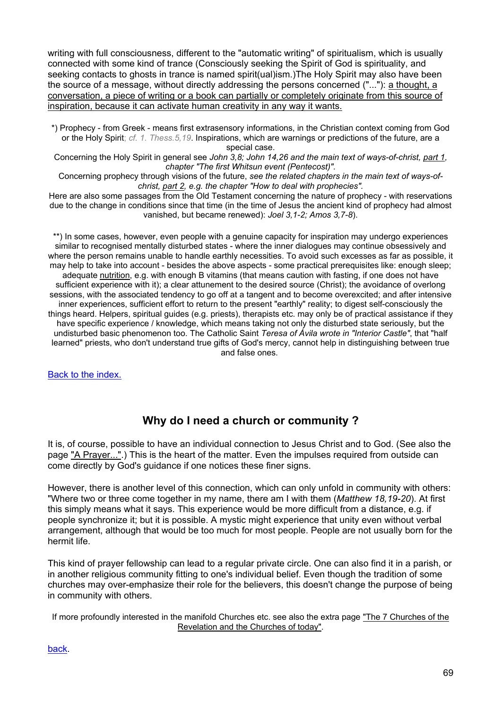writing with full consciousness, different to the "automatic writing" of spiritualism, which is usually connected with some kind of trance (Consciously seeking the Spirit of God is spirituality, and seeking contacts to ghosts in trance is named spirit(ual)ism.)The Holy Spirit may also have been the source of a message, without directly addressing the persons concerned ("..."): a thought, a conversation, a piece of writing or a book can partially or completely originate from this source of inspiration, because it can activate human creativity in any way it wants.

\*) Prophecy - from Greek - means first extrasensory informations, in the Christian context coming from God or the Holy Spirit; *cf. 1. Thess.5,19*. Inspirations, which are warnings or predictions of the future, are a special case.

Concerning the Holy Spirit in general see *John 3,8; John 14,26 and the main text of ways-of-christ, part 1, chapter "The first Whitsun event (Pentecost)".*

Concerning prophecy through visions of the future, *see the related chapters in the main text of ways-ofchrist, part 2, e.g. the chapter "How to deal with prophecies".*

Here are also some passages from the Old Testament concerning the nature of prophecy - with reservations due to the change in conditions since that time (in the time of Jesus the ancient kind of prophecy had almost vanished, but became renewed): *Joel 3,1-2; Amos 3,7-8*).

\*\*) In some cases, however, even people with a genuine capacity for inspiration may undergo experiences similar to recognised mentally disturbed states - where the inner dialogues may continue obsessively and where the person remains unable to handle earthly necessities. To avoid such excesses as far as possible, it may help to take into account - besides the above aspects - some practical prerequisites like: enough sleep; adequate [nutrition](http://www.ways-of-christ.net/topics/nourishing.htm), e.g. with enough B vitamins (that means caution with fasting, if one does not have sufficient experience with it); a clear attunement to the desired source (Christ); the avoidance of overlong sessions, with the associated tendency to go off at a tangent and to become overexcited; and after intensive inner experiences, sufficient effort to return to the present "earthly" reality; to digest self-consciously the things heard. Helpers, spiritual guides (e.g. priests), therapists etc. may only be of practical assistance if they have specific experience / knowledge, which means taking not only the disturbed state seriously, but the undisturbed basic phenomenon too. The Catholic Saint *Teresa of Ávila wrote in "Interior Castle"*, that "half learned" priests, who don't understand true gifts of God's mercy, cannot help in distinguishing between true and false ones.

[Back to the index.](#page-1-0)

# **Why do I need a church or community ?**

It is, of course, possible to have an individual connection to Jesus Christ and to God. (See also the page "A Prayer...".) This is the heart of the matter. Even the impulses required from outside can come directly by God's guidance if one notices these finer signs.

However, there is another level of this connection, which can only unfold in community with others: "Where two or three come together in my name, there am I with them (*Matthew 18,19-20*). At first this simply means what it says. This experience would be more difficult from a distance, e.g. if people synchronize it; but it is possible. A mystic might experience that unity even without verbal arrangement, although that would be too much for most people. People are not usually born for the hermit life.

This kind of prayer fellowship can lead to a regular private circle. One can also find it in a parish, or in another religious community fitting to one's individual belief. Even though the tradition of some churches may over-emphasize their role for the believers, this doesn't change the purpose of being in community with others.

If more profoundly interested in the manifold Churches etc. see also the extra page "The 7 Churches of the Revelation and the Churches of today".

[back.](#page-1-0)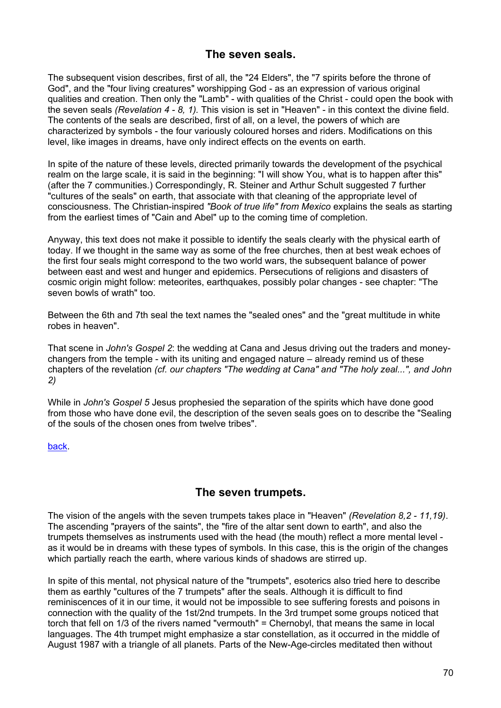## **The seven seals.**

The subsequent vision describes, first of all, the "24 Elders", the "7 spirits before the throne of God", and the "four living creatures" worshipping God - as an expression of various original qualities and creation. Then only the "Lamb" - with qualities of the Christ - could open the book with the seven seals *(Revelation 4 - 8, 1).* This vision is set in "Heaven" - in this context the divine field. The contents of the seals are described, first of all, on a level, the powers of which are characterized by symbols - the four variously coloured horses and riders. Modifications on this level, like images in dreams, have only indirect effects on the events on earth.

In spite of the nature of these levels, directed primarily towards the development of the psychical realm on the large scale, it is said in the beginning: "I will show You, what is to happen after this" (after the 7 communities.) Correspondingly, R. Steiner and Arthur Schult suggested 7 further "cultures of the seals" on earth, that associate with that cleaning of the appropriate level of consciousness. The Christian-inspired *"Book of true life" from Mexico* explains the seals as starting from the earliest times of "Cain and Abel" up to the coming time of completion.

Anyway, this text does not make it possible to identify the seals clearly with the physical earth of today. If we thought in the same way as some of the free churches, then at best weak echoes of the first four seals might correspond to the two world wars, the subsequent balance of power between east and west and hunger and epidemics. Persecutions of religions and disasters of cosmic origin might follow: meteorites, earthquakes, possibly polar changes - see chapter: "The seven bowls of wrath" too.

Between the 6th and 7th seal the text names the "sealed ones" and the "great multitude in white robes in heaven".

That scene in *John's Gospel 2*: the wedding at Cana and Jesus driving out the traders and moneychangers from the temple - with its uniting and engaged nature – already remind us of these chapters of the revelation *(cf. our chapters "The wedding at Cana" and "The holy zeal...", and John 2)*

While in *John's Gospel 5* Jesus prophesied the separation of the spirits which have done good from those who have done evil, the description of the seven seals goes on to describe the "Sealing of the souls of the chosen ones from twelve tribes".

### [back.](#page-1-0)

### **The seven trumpets.**

The vision of the angels with the seven trumpets takes place in "Heaven" *(Revelation 8,2 - 11,19)*. The ascending "prayers of the saints", the "fire of the altar sent down to earth", and also the trumpets themselves as instruments used with the head (the mouth) reflect a more mental level as it would be in dreams with these types of symbols. In this case, this is the origin of the changes which partially reach the earth, where various kinds of shadows are stirred up.

In spite of this mental, not physical nature of the "trumpets", esoterics also tried here to describe them as earthly "cultures of the 7 trumpets" after the seals. Although it is difficult to find reminiscences of it in our time, it would not be impossible to see suffering forests and poisons in connection with the quality of the 1st/2nd trumpets. In the 3rd trumpet some groups noticed that torch that fell on 1/3 of the rivers named "vermouth" = Chernobyl, that means the same in local languages. The 4th trumpet might emphasize a star constellation, as it occurred in the middle of August 1987 with a triangle of all planets. Parts of the New-Age-circles meditated then without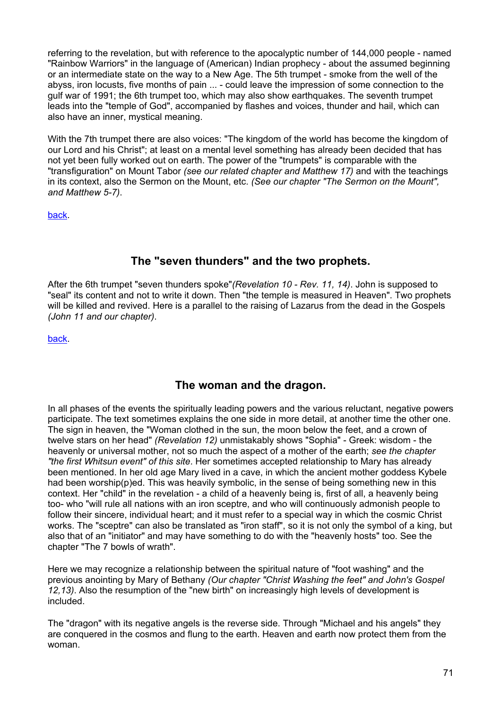referring to the revelation, but with reference to the apocalyptic number of 144,000 people - named "Rainbow Warriors" in the language of (American) Indian prophecy - about the assumed beginning or an intermediate state on the way to a New Age. The 5th trumpet - smoke from the well of the abyss, iron locusts, five months of pain ... - could leave the impression of some connection to the gulf war of 1991; the 6th trumpet too, which may also show earthquakes. The seventh trumpet leads into the "temple of God", accompanied by flashes and voices, thunder and hail, which can also have an inner, mystical meaning.

With the 7th trumpet there are also voices: "The kingdom of the world has become the kingdom of our Lord and his Christ"; at least on a mental level something has already been decided that has not yet been fully worked out on earth. The power of the "trumpets" is comparable with the "transfiguration" on Mount Tabor *(see our related chapter and Matthew 17)* and with the teachings in its context, also the Sermon on the Mount, etc. *(See our chapter "The Sermon on the Mount", and Matthew 5-7)*.

[back.](#page-1-0) 

# **The "seven thunders" and the two prophets.**

After the 6th trumpet "seven thunders spoke"*(Revelation 10 - Rev. 11, 14)*. John is supposed to "seal" its content and not to write it down. Then "the temple is measured in Heaven". Two prophets will be killed and revived. Here is a parallel to the raising of Lazarus from the dead in the Gospels *(John 11 and our chapter)*.

[back.](#page-1-0) 

# **The woman and the dragon.**

In all phases of the events the spiritually leading powers and the various reluctant, negative powers participate. The text sometimes explains the one side in more detail, at another time the other one. The sign in heaven, the "Woman clothed in the sun, the moon below the feet, and a crown of twelve stars on her head" *(Revelation 12)* unmistakably shows "Sophia" - Greek: wisdom - the heavenly or universal mother, not so much the aspect of a mother of the earth; *see the chapter "the first Whitsun event" of this site*. Her sometimes accepted relationship to Mary has already been mentioned. In her old age Mary lived in a cave, in which the ancient mother goddess Kybele had been worship(p)ed. This was heavily symbolic, in the sense of being something new in this context. Her "child" in the revelation - a child of a heavenly being is, first of all, a heavenly being too- who "will rule all nations with an iron sceptre, and who will continuously admonish people to follow their sincere, individual heart; and it must refer to a special way in which the cosmic Christ works. The "sceptre" can also be translated as "iron staff", so it is not only the symbol of a king, but also that of an "initiator" and may have something to do with the "heavenly hosts" too. See the chapter "The 7 bowls of wrath".

Here we may recognize a relationship between the spiritual nature of "foot washing" and the previous anointing by Mary of Bethany *(Our chapter "Christ Washing the feet" and John's Gospel 12,13)*. Also the resumption of the "new birth" on increasingly high levels of development is included.

The "dragon" with its negative angels is the reverse side. Through "Michael and his angels" they are conquered in the cosmos and flung to the earth. Heaven and earth now protect them from the woman.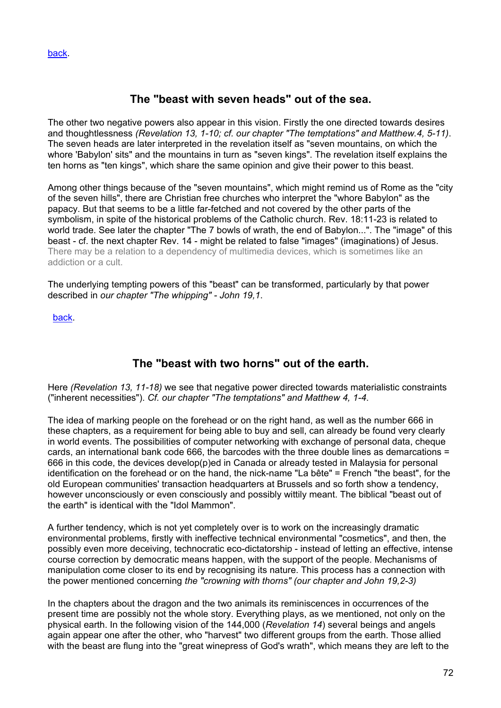#### [back.](#page-1-0)

# **The "beast with seven heads" out of the sea.**

The other two negative powers also appear in this vision. Firstly the one directed towards desires and thoughtlessness *(Revelation 13, 1-10; cf. our chapter "The temptations" and Matthew.4, 5-11)*. The seven heads are later interpreted in the revelation itself as "seven mountains, on which the whore 'Babylon' sits" and the mountains in turn as "seven kings". The revelation itself explains the ten horns as "ten kings", which share the same opinion and give their power to this beast.

Among other things because of the "seven mountains", which might remind us of Rome as the "city of the seven hills", there are Christian free churches who interpret the "whore Babylon" as the papacy. But that seems to be a little far-fetched and not covered by the other parts of the symbolism, in spite of the historical problems of the Catholic church. Rev. 18:11-23 is related to world trade. See later the chapter "The 7 bowls of wrath, the end of Babylon...". The "image" of this beast - cf. the next chapter Rev. 14 - might be related to false "images" (imaginations) of Jesus. There may be a relation to a dependency of multimedia devices, which is sometimes like an addiction or a cult.

The underlying tempting powers of this "beast" can be transformed, particularly by that power described in *our chapter "The whipping" - John 19,1*.

 [back.](#page-1-0) 

# **The "beast with two horns" out of the earth.**

Here *(Revelation 13, 11-18)* we see that negative power directed towards materialistic constraints ("inherent necessities"). *Cf. our chapter "The temptations" and Matthew 4, 1-4*.

The idea of marking people on the forehead or on the right hand, as well as the number 666 in these chapters, as a requirement for being able to buy and sell, can already be found very clearly in world events. The possibilities of computer networking with exchange of personal data, cheque cards, an international bank code 666, the barcodes with the three double lines as demarcations = 666 in this code, the devices develop(p)ed in Canada or already tested in Malaysia for personal identification on the forehead or on the hand, the nick-name "La bête" = French "the beast", for the old European communities' transaction headquarters at Brussels and so forth show a tendency, however unconsciously or even consciously and possibly wittily meant. The biblical "beast out of the earth" is identical with the "Idol Mammon".

A further tendency, which is not yet completely over is to work on the increasingly dramatic environmental problems, firstly with ineffective technical environmental "cosmetics", and then, the possibly even more deceiving, technocratic eco-dictatorship - instead of letting an effective, intense course correction by democratic means happen, with the support of the people. Mechanisms of manipulation come closer to its end by recognising its nature. This process has a connection with the power mentioned concerning *the "crowning with thorns" (our chapter and John 19,2-3)*

In the chapters about the dragon and the two animals its reminiscences in occurrences of the present time are possibly not the whole story. Everything plays, as we mentioned, not only on the physical earth. In the following vision of the 144,000 (*Revelation 14*) several beings and angels again appear one after the other, who "harvest" two different groups from the earth. Those allied with the beast are flung into the "great winepress of God's wrath", which means they are left to the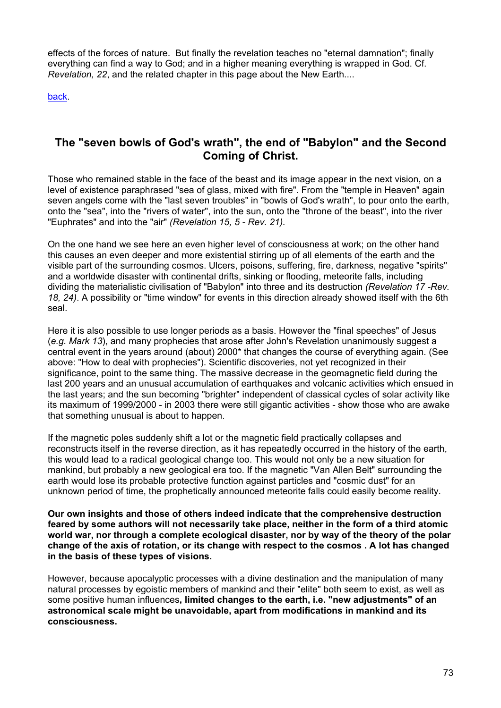effects of the forces of nature. But finally the revelation teaches no "eternal damnation"; finally everything can find a way to God; and in a higher meaning everything is wrapped in God. Cf. *Revelation, 22*, and the related chapter in this page about the New Earth....

[back.](#page-1-0) 

## **The "seven bowls of God's wrath", the end of "Babylon" and the Second Coming of Christ.**

Those who remained stable in the face of the beast and its image appear in the next vision, on a level of existence paraphrased "sea of glass, mixed with fire". From the "temple in Heaven" again seven angels come with the "last seven troubles" in "bowls of God's wrath", to pour onto the earth, onto the "sea", into the "rivers of water", into the sun, onto the "throne of the beast", into the river "Euphrates" and into the "air" *(Revelation 15, 5 - Rev. 21).*

On the one hand we see here an even higher level of consciousness at work; on the other hand this causes an even deeper and more existential stirring up of all elements of the earth and the visible part of the surrounding cosmos. Ulcers, poisons, suffering, fire, darkness, negative "spirits" and a worldwide disaster with continental drifts, sinking or flooding, meteorite falls, including dividing the materialistic civilisation of "Babylon" into three and its destruction *(Revelation 17 -Rev. 18, 24)*. A possibility or "time window" for events in this direction already showed itself with the 6th seal.

Here it is also possible to use longer periods as a basis. However the "final speeches" of Jesus (*e.g. Mark 13*), and many prophecies that arose after John's Revelation unanimously suggest a central event in the years around (about) 2000\* that changes the course of everything again. (See above: "How to deal with prophecies"). Scientific discoveries, not yet recognized in their significance, point to the same thing. The massive decrease in the geomagnetic field during the last 200 years and an unusual accumulation of earthquakes and volcanic activities which ensued in the last years; and the sun becoming "brighter" independent of classical cycles of solar activity like its maximum of 1999/2000 - in 2003 there were still gigantic activities - show those who are awake that something unusual is about to happen.

If the magnetic poles suddenly shift a lot or the magnetic field practically collapses and reconstructs itself in the reverse direction, as it has repeatedly occurred in the history of the earth, this would lead to a radical geological change too. This would not only be a new situation for mankind, but probably a new geological era too. If the magnetic "Van Allen Belt" surrounding the earth would lose its probable protective function against particles and "cosmic dust" for an unknown period of time, the prophetically announced meteorite falls could easily become reality.

**Our own insights and those of others indeed indicate that the comprehensive destruction feared by some authors will not necessarily take place, neither in the form of a third atomic world war, nor through a complete ecological disaster, nor by way of the theory of the polar change of the axis of rotation, or its change with respect to the cosmos . A lot has changed in the basis of these types of visions.**

However, because apocalyptic processes with a divine destination and the manipulation of many natural processes by egoistic members of mankind and their "elite" both seem to exist, as well as some positive human influences**, limited changes to the earth, i.e. "new adjustments" of an astronomical scale might be unavoidable, apart from modifications in mankind and its consciousness.**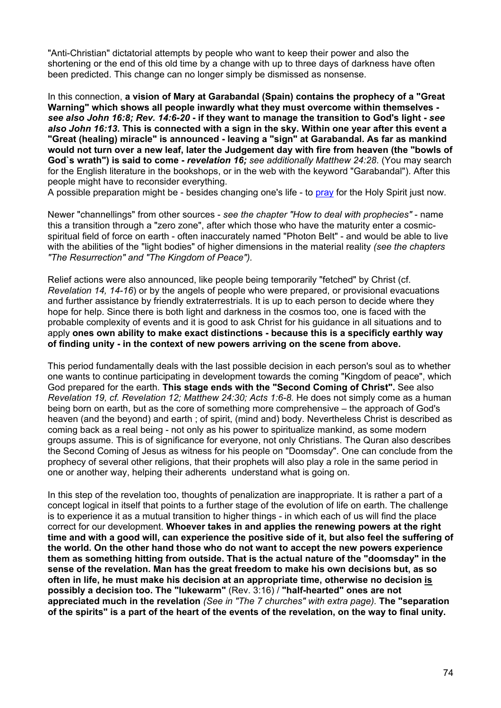"Anti-Christian" dictatorial attempts by people who want to keep their power and also the shortening or the end of this old time by a change with up to three days of darkness have often been predicted. This change can no longer simply be dismissed as nonsense.

In this connection, **a vision of Mary at Garabandal (Spain) contains the prophecy of a "Great Warning" which shows all people inwardly what they must overcome within themselves**  *see also John 16:8; Rev. 14:6-20* **- if they want to manage the transition to God's light -** *see also John 16:13***. This is connected with a sign in the sky. Within one year after this event a "Great (healing) miracle" is announced - leaving a "sign" at Garabandal. As far as mankind would not turn over a new leaf, later the Judgement day with fire from heaven (the "bowls of God`s wrath") is said to come -** *revelation 16; see additionally Matthew 24:28*. (You may search for the English literature in the bookshops, or in the web with the keyword "Garabandal"). After this people might have to reconsider everything.

A possible preparation might be - besides changing one's life - to pray for the Holy Spirit just now.

Newer "channellings" from other sources - *see the chapter "How to deal with prophecies"* - name this a transition through a "zero zone", after which those who have the maturity enter a cosmicspiritual field of force on earth - often inaccurately named "Photon Belt" - and would be able to live with the abilities of the "light bodies" of higher dimensions in the material reality *(see the chapters "The Resurrection" and "The Kingdom of Peace").* 

Relief actions were also announced, like people being temporarily "fetched" by Christ (cf. *Revelation 14, 14-16*) or by the angels of people who were prepared, or provisional evacuations and further assistance by friendly extraterrestrials. It is up to each person to decide where they hope for help. Since there is both light and darkness in the cosmos too, one is faced with the probable complexity of events and it is good to ask Christ for his guidance in all situations and to apply **ones own ability to make exact distinctions - because this is a specificly earthly way of finding unity - in the context of new powers arriving on the scene from above.** 

This period fundamentally deals with the last possible decision in each person's soul as to whether one wants to continue participating in development towards the coming "Kingdom of peace", which God prepared for the earth. **This stage ends with the "Second Coming of Christ".** See also *Revelation 19, cf. Revelation 12; Matthew 24:30; Acts 1:6-8.* He does not simply come as a human being born on earth, but as the core of something more comprehensive – the approach of God's heaven (and the beyond) and earth ; of spirit, (mind and) body. Nevertheless Christ is described as coming back as a real being - not only as his power to spiritualize mankind, as some modern groups assume. This is of significance for everyone, not only Christians. The Quran also describes the Second Coming of Jesus as witness for his people on "Doomsday". One can conclude from the prophecy of several other religions, that their prophets will also play a role in the same period in one or another way, helping their adherents understand what is going on.

In this step of the revelation too, thoughts of penalization are inappropriate. It is rather a part of a concept logical in itself that points to a further stage of the evolution of life on earth. The challenge is to experience it as a mutual transition to higher things - in which each of us will find the place correct for our development. **Whoever takes in and applies the renewing powers at the right time and with a good will, can experience the positive side of it, but also feel the suffering of the world. On the other hand those who do not want to accept the new powers experience them as something hitting from outside. That is the actual nature of the "doomsday" in the sense of the revelation. Man has the great freedom to make his own decisions but, as so often in life, he must make his decision at an appropriate time, otherwise no decision is possibly a decision too. The "lukewarm"** (Rev. 3:16) / **"half-hearted" ones are not appreciated much in the revelation** *(See in "The 7 churches" with extra page).* **The "separation of the spirits" is a part of the heart of the events of the revelation, on the way to final unity.**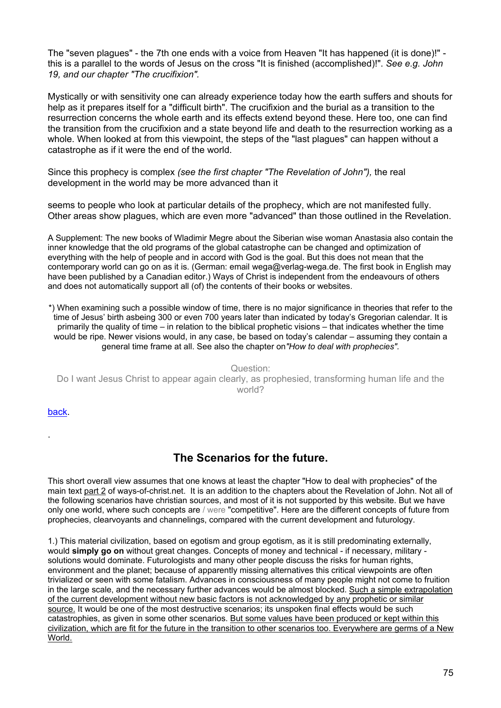The "seven plagues" - the 7th one ends with a voice from Heaven "It has happened (it is done)!" this is a parallel to the words of Jesus on the cross "It is finished (accomplished)!". *See e.g. John 19, and our chapter "The crucifixion".*

Mystically or with sensitivity one can already experience today how the earth suffers and shouts for help as it prepares itself for a "difficult birth". The crucifixion and the burial as a transition to the resurrection concerns the whole earth and its effects extend beyond these. Here too, one can find the transition from the crucifixion and a state beyond life and death to the resurrection working as a whole. When looked at from this viewpoint, the steps of the "last plagues" can happen without a catastrophe as if it were the end of the world.

Since this prophecy is complex *(see the first chapter "The Revelation of John"),* the real development in the world may be more advanced than it

seems to people who look at particular details of the prophecy, which are not manifested fully. Other areas show plagues, which are even more "advanced" than those outlined in the Revelation.

A Supplement: The new books of Wladimir Megre about the Siberian wise woman Anastasia also contain the inner knowledge that the old programs of the global catastrophe can be changed and optimization of everything with the help of people and in accord with God is the goal. But this does not mean that the contemporary world can go on as it is. (German: email wega@verlag-wega.de. The first book in English may have been published by a Canadian editor.) Ways of Christ is independent from the endeavours of others and does not automatically support all (of) the contents of their books or websites.

\*) When examining such a possible window of time, there is no major significance in theories that refer to the time of Jesus' birth asbeing 300 or even 700 years later than indicated by today's Gregorian calendar. It is primarily the quality of time – in relation to the biblical prophetic visions – that indicates whether the time would be ripe. Newer visions would, in any case, be based on today's calendar – assuming they contain a general time frame at all. See also the chapter on*"How to deal with prophecies".*

Question: Do I want Jesus Christ to appear again clearly, as prophesied, transforming human life and the world?

[back.](#page-1-0) 

.

## **The Scenarios for the future.**

This short overall view assumes that one knows at least the chapter "How to deal with prophecies" of the main text part 2 of ways-of-christ.net. It is an addition to the chapters about the Revelation of John. Not all of the following scenarios have christian sources, and most of it is not supported by this website. But we have only one world, where such concepts are / were "competitive". Here are the different concepts of future from prophecies, clearvoyants and channelings, compared with the current development and futurology.

1.) This material civilization, based on egotism and group egotism, as it is still predominating externally, would **simply go on** without great changes. Concepts of money and technical - if necessary, military solutions would dominate. Futurologists and many other people discuss the risks for human rights, environment and the planet; because of apparently missing alternatives this critical viewpoints are often trivialized or seen with some fatalism. Advances in consciousness of many people might not come to fruition in the large scale, and the necessary further advances would be almost blocked. Such a simple extrapolation of the current development without new basic factors is not acknowledged by any prophetic or similar source. It would be one of the most destructive scenarios; its unspoken final effects would be such catastrophies, as given in some other scenarios. But some values have been produced or kept within this civilization, which are fit for the future in the transition to other scenarios too. Everywhere are germs of a New World.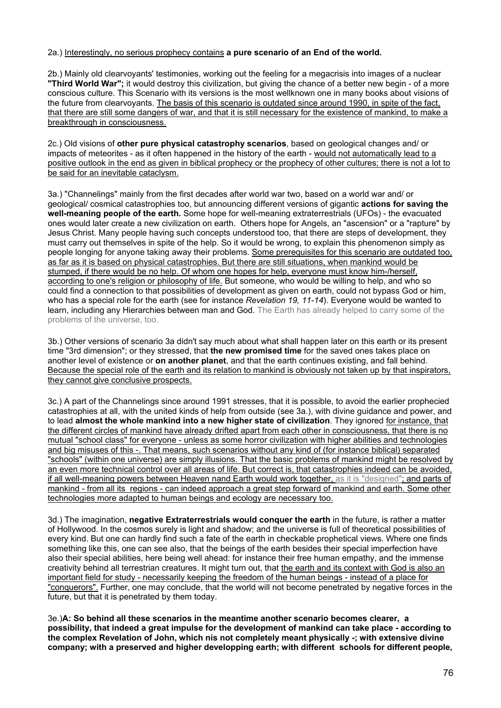#### 2a.) Interestingly, no serious prophecy contains **a pure scenario of an End of the world.**

2b.) Mainly old clearvoyants' testimonies, working out the feeling for a megacrisis into images of a nuclear **"Third World War";** it would destroy this civilization, but giving the chance of a better new begin - of a more conscious culture. This Scenario with its versions is the most wellknown one in many books about visions of the future from clearvoyants. The basis of this scenario is outdated since around 1990, in spite of the fact, that there are still some dangers of war, and that it is still necessary for the existence of mankind, to make a breakthrough in consciousness.

2c.) Old visions of **other pure physical catastrophy scenarios**, based on geological changes and/ or impacts of meteorites - as it often happened in the history of the earth - would not automatically lead to a positive outlook in the end as given in biblical prophecy or the prophecy of other cultures; there is not a lot to be said for an inevitable cataclysm.

3a.) "Channelings" mainly from the first decades after world war two, based on a world war and/ or geological/ cosmical catastrophies too, but announcing different versions of gigantic **actions for saving the well-meaning people of the earth.** Some hope for well-meaning extraterrestrials (UFOs) - the evacuated ones would later create a new civilization on earth. Others hope for Angels, an "ascension" or a "rapture" by Jesus Christ. Many people having such concepts understood too, that there are steps of development, they must carry out themselves in spite of the help. So it would be wrong, to explain this phenomenon simply as people longing for anyone taking away their problems. Some prerequisites for this scenario are outdated too, as far as it is based on physical catastrophies. But there are still situations, when mankind would be stumped, if there would be no help. Of whom one hopes for help, everyone must know him-/herself, according to one's religion or philosophy of life. But someone, who would be willing to help, and who so could find a connection to that possibilities of development as given on earth, could not bypass God or him, who has a special role for the earth (see for instance *Revelation 19, 11-14*). Everyone would be wanted to learn, including any Hierarchies between man and God. The Earth has already helped to carry some of the problems of the universe, too.

3b.) Other versions of scenario 3a didn't say much about what shall happen later on this earth or its present time "3rd dimension"; or they stressed, that **the new promised time** for the saved ones takes place on another level of existence or **on another planet**, and that the earth continues existing, and fall behind. Because the special role of the earth and its relation to mankind is obviously not taken up by that inspirators, they cannot give conclusive prospects.

3c.) A part of the Channelings since around 1991 stresses, that it is possible, to avoid the earlier prophecied catastrophies at all, with the united kinds of help from outside (see 3a.), with divine guidance and power, and to lead **almost the whole mankind into a new higher state of civilization**. They ignored for instance, that the different circles of mankind have already drifted apart from each other in consciousness, that there is no mutual "school class" for everyone - unless as some horror civilization with higher abilities and technologies and big misuses of this -. That means, such scenarios without any kind of (for instance biblical) separated "schools" (within one universe) are simply illusions. That the basic problems of mankind might be resolved by an even more technical control over all areas of life. But correct is, that catastrophies indeed can be avoided, if all well-meaning powers between Heaven nand Earth would work together, as it is "designed"; and parts of mankind - from all its regions - can indeed approach a great step forward of mankind and earth. Some other technologies more adapted to human beings and ecology are necessary too.

3d.) The imagination, **negative Extraterrestrials would conquer the earth** in the future, is rather a matter of Hollywood. In the cosmos surely is light and shadow; and the universe is full of theoretical possibilities of every kind. But one can hardly find such a fate of the earth in checkable prophetical views. Where one finds something like this, one can see also, that the beings of the earth besides their special imperfection have also their special abilities, here being well ahead: for instance their free human empathy, and the immense creativity behind all terrestrian creatures. It might turn out, that the earth and its context with God is also an important field for study - necessarily keeping the freedom of the human beings - instead of a place for "conquerors". Further, one may conclude, that the world will not become penetrated by negative forces in the future, but that it is penetrated by them today.

3e.)**A: So behind all these scenarios in the meantime another scenario becomes clearer, a possibility, that indeed a great impulse for the development of mankind can take place - according to the complex Revelation of John, which nis not completely meant physically -; with extensive divine company; with a preserved and higher developping earth; with different schools for different people,**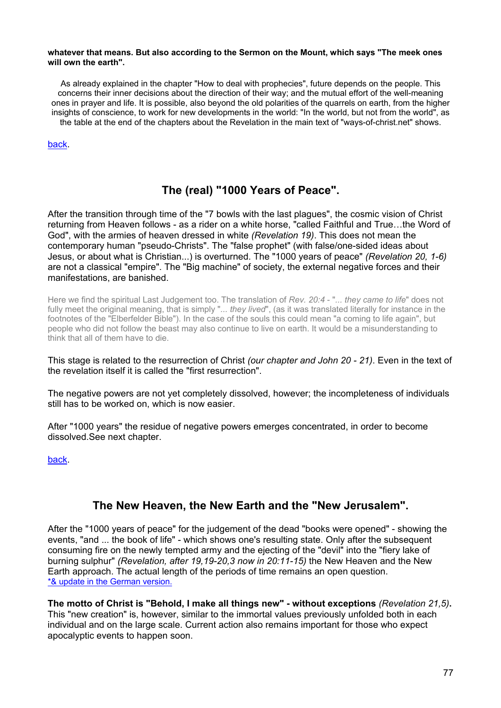#### **whatever that means. But also according to the Sermon on the Mount, which says "The meek ones will own the earth".**

As already explained in the chapter "How to deal with prophecies", future depends on the people. This concerns their inner decisions about the direction of their way; and the mutual effort of the well-meaning ones in prayer and life. It is possible, also beyond the old polarities of the quarrels on earth, from the higher insights of conscience, to work for new developments in the world: "In the world, but not from the world", as the table at the end of the chapters about the Revelation in the main text of "ways-of-christ.net" shows.

#### [back.](#page-1-0)

## **The (real) "1000 Years of Peace".**

After the transition through time of the "7 bowls with the last plagues", the cosmic vision of Christ returning from Heaven follows - as a rider on a white horse, "called Faithful and True…the Word of God", with the armies of heaven dressed in white *(Revelation 19)*. This does not mean the contemporary human "pseudo-Christs". The "false prophet" (with false/one-sided ideas about Jesus, or about what is Christian...) is overturned. The "1000 years of peace" *(Revelation 20, 1-6)* are not a classical "empire". The "Big machine" of society, the external negative forces and their manifestations, are banished.

Here we find the spiritual Last Judgement too. The translation of *Rev. 20:4* - "*... they came to life*" does not fully meet the original meaning, that is simply "*... they lived*", (as it was translated literally for instance in the footnotes of the "Elberfelder Bible"). In the case of the souls this could mean "a coming to life again", but people who did not follow the beast may also continue to live on earth. It would be a misunderstanding to think that all of them have to die.

#### This stage is related to the resurrection of Christ *(our chapter and John 20 - 21)*. Even in the text of the revelation itself it is called the "first resurrection".

The negative powers are not yet completely dissolved, however; the incompleteness of individuals still has to be worked on, which is now easier.

After "1000 years" the residue of negative powers emerges concentrated, in order to become dissolved.See next chapter.

[back.](#page-1-0) 

## **The New Heaven, the New Earth and the "New Jerusalem".**

After the "1000 years of peace" for the judgement of the dead "books were opened" - showing the events, "and ... the book of life" - which shows one's resulting state. Only after the subsequent consuming fire on the newly tempted army and the ejecting of the "devil" into the "fiery lake of burning sulphur" *(Revelation, after 19,19-20,3 now in 20:11-15)* the New Heaven and the New Earth approach. The actual length of the periods of time remains an open question. [\\*& update in the German version.](http://www.christuswege.net/de56/37.htm)

**The motto of Christ is "Behold, I make all things new" - without exceptions** *(Revelation 21,5)***.** This "new creation" is, however, similar to the immortal values previously unfolded both in each individual and on the large scale. Current action also remains important for those who expect apocalyptic events to happen soon.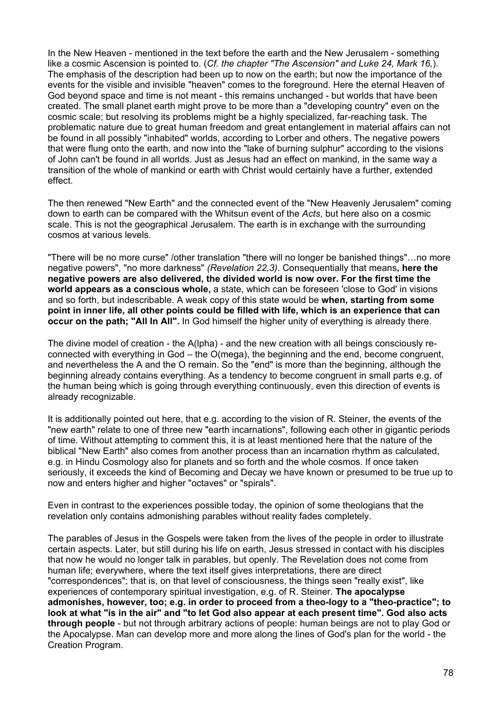In the New Heaven - mentioned in the text before the earth and the New Jerusalem - something like a cosmic Ascension is pointed to. (*Cf. the chapter "The Ascension" and Luke 24, Mark 16,*). The emphasis of the description had been up to now on the earth; but now the importance of the events for the visible and invisible "heaven" comes to the foreground. Here the eternal Heaven of God beyond space and time is not meant - this remains unchanged - but worlds that have been created. The small planet earth might prove to be more than a "developing country" even on the cosmic scale; but resolving its problems might be a highly specialized, far-reaching task. The problematic nature due to great human freedom and great entanglement in material affairs can not be found in all possibly "inhabited" worlds, according to Lorber and others. The negative powers that were flung onto the earth, and now into the "lake of burning sulphur" according to the visions of John can't be found in all worlds. Just as Jesus had an effect on mankind, in the same way a transition of the whole of mankind or earth with Christ would certainly have a further, extended effect.

The then renewed "New Earth" and the connected event of the "New Heavenly Jerusalem" coming down to earth can be compared with the Whitsun event of the *Acts*, but here also on a cosmic scale. This is not the geographical Jerusalem. The earth is in exchange with the surrounding cosmos at various levels.

"There will be no more curse" /other translation "there will no longer be banished things"…no more negative powers", "no more darkness" *(Revelation 22,3)*. Consequentially that means**, here the negative powers are also delivered, the divided world is now over. For the first time the world appears as a conscious whole,** a state, which can be foreseen 'close to God' in visions and so forth, but indescribable. A weak copy of this state would be **when, starting from some point in inner life, all other points could be filled with life, which is an experience that can occur on the path; "All In All".** In God himself the higher unity of everything is already there.

The divine model of creation - the A(lpha) - and the new creation with all beings consciously reconnected with everything in God – the O(mega), the beginning and the end, become congruent, and nevertheless the A and the O remain. So the "end" is more than the beginning, although the beginning already contains everything. As a tendency to become congruent in small parts e.g. of the human being which is going through everything continuously, even this direction of events is already recognizable.

It is additionally pointed out here, that e.g. according to the vision of R. Steiner, the events of the "new earth" relate to one of three new "earth incarnations", following each other in gigantic periods of time. Without attempting to comment this, it is at least mentioned here that the nature of the biblical "New Earth" also comes from another process than an incarnation rhythm as calculated, e.g. in Hindu Cosmology also for planets and so forth and the whole cosmos. If once taken seriously, it exceeds the kind of Becoming and Decay we have known or presumed to be true up to now and enters higher and higher "octaves" or "spirals".

Even in contrast to the experiences possible today, the opinion of some theologians that the revelation only contains admonishing parables without reality fades completely.

The parables of Jesus in the Gospels were taken from the lives of the people in order to illustrate certain aspects. Later, but still during his life on earth, Jesus stressed in contact with his disciples that now he would no longer talk in parables, but openly. The Revelation does not come from human life; everywhere, where the text itself gives interpretations, there are direct "correspondences"; that is, on that level of consciousness, the things seen "really exist", like experiences of contemporary spiritual investigation, e.g. of R. Steiner. **The apocalypse admonishes, however, too; e.g. in order to proceed from a theo-logy to a "theo-practice"; to look at what "is in the air" and "to let God also appear at each present time". God also acts through people** - but not through arbitrary actions of people: human beings are not to play God or the Apocalypse. Man can develop more and more along the lines of God's plan for the world - the Creation Program.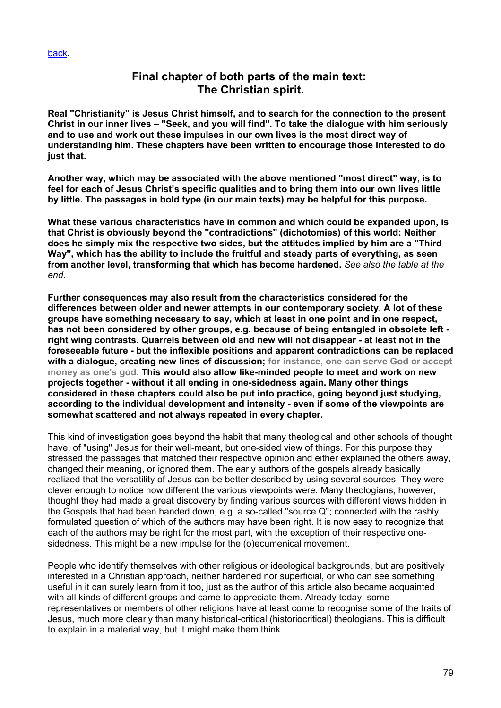## **Final chapter of both parts of the main text: The Christian spirit.**

**Real "Christianity" is Jesus Christ himself, and to search for the connection to the present Christ in our inner lives – "Seek, and you will find". To take the dialogue with him seriously and to use and work out these impulses in our own lives is the most direct way of understanding him. These chapters have been written to encourage those interested to do just that.**

**Another way, which may be associated with the above mentioned "most direct" way, is to feel for each of Jesus Christ's specific qualities and to bring them into our own lives little by little. The passages in bold type (in our main texts) may be helpful for this purpose.**

**What these various characteristics have in common and which could be expanded upon, is that Christ is obviously beyond the "contradictions" (dichotomies) of this world: Neither does he simply mix the respective two sides, but the attitudes implied by him are a "Third Way", which has the ability to include the fruitful and steady parts of everything, as seen from another level, transforming that which has become hardened.** *See also the table at the end.*

**Further consequences may also result from the characteristics considered for the differences between older and newer attempts in our contemporary society. A lot of these groups have something necessary to say, which at least in one point and in one respect, has not been considered by other groups, e.g. because of being entangled in obsolete left right wing contrasts. Quarrels between old and new will not disappear - at least not in the foreseeable future - but the inflexible positions and apparent contradictions can be replaced with a dialogue, creating new lines of discussion; for instance, one can serve God or accept money as one's god. This would also allow like-minded people to meet and work on new projects together - without it all ending in one-sidedness again. Many other things considered in these chapters could also be put into practice, going beyond just studying, according to the individual development and intensity - even if some of the viewpoints are somewhat scattered and not always repeated in every chapter.**

This kind of investigation goes beyond the habit that many theological and other schools of thought have, of "using" Jesus for their well-meant, but one-sided view of things. For this purpose they stressed the passages that matched their respective opinion and either explained the others away, changed their meaning, or ignored them. The early authors of the gospels already basically realized that the versatility of Jesus can be better described by using several sources. They were clever enough to notice how different the various viewpoints were. Many theologians, however, thought they had made a great discovery by finding various sources with different views hidden in the Gospels that had been handed down, e.g. a so-called "source Q"; connected with the rashly formulated question of which of the authors may have been right. It is now easy to recognize that each of the authors may be right for the most part, with the exception of their respective onesidedness. This might be a new impulse for the (o)ecumenical movement.

People who identify themselves with other religious or ideological backgrounds, but are positively interested in a Christian approach, neither hardened nor superficial, or who can see something useful in it can surely learn from it too, just as the author of this article also became acquainted with all kinds of different groups and came to appreciate them. Already today, some representatives or members of other religions have at least come to recognise some of the traits of Jesus, much more clearly than many historical-critical (historiocritical) theologians. This is difficult to explain in a material way, but it might make them think.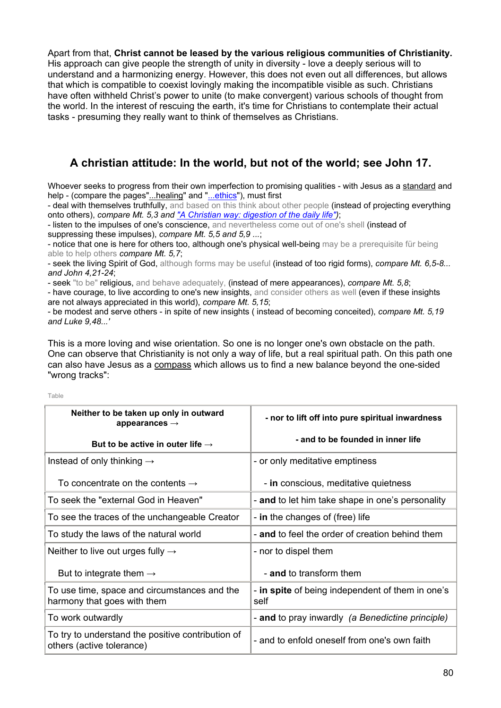#### Apart from that, **Christ cannot be leased by the various religious communities of Christianity.**

His approach can give people the strength of unity in diversity - love a deeply serious will to understand and a harmonizing energy. However, this does not even out all differences, but allows that which is compatible to coexist lovingly making the incompatible visible as such. Christians have often withheld Christ's power to unite (to make convergent) various schools of thought from the world. In the interest of rescuing the earth, it's time for Christians to contemplate their actual tasks - presuming they really want to think of themselves as Christians.

## **A christian attitude: In the world, but not of the world; see John 17.**

Whoever seeks to progress from their own imperfection to promising qualities - with Jesus as a standard and help - (compare the pages"...healing" and "...ethics"), must first

- deal with themselves truthfully, and based on this think about other people (instead of projecting everything onto others), *compare Mt. 5,3 and ["A Christian way: digestion of the daily life"\)](http:///)*;

- listen to the impulses of one's conscience, and nevertheless come out of one's shell (instead of suppressing these impulses), *compare Mt. 5,5 and 5,9 ...*;

- notice that one is here for others too, although one's physical well-being may be a prerequisite für being able to help others *compare Mt. 5,7*;

- seek the living Spirit of God, although forms may be useful (instead of too rigid forms), *compare Mt. 6,5-8... and John 4,21-24*;

- seek "to be" religious, and behave adequately, (instead of mere appearances), *compare Mt. 5,8*;

- have courage, to live according to one's new insights, and consider others as well (even if these insights are not always appreciated in this world), *compare Mt. 5,15*;

- be modest and serve others - in spite of new insights ( instead of becoming conceited), *compare Mt. 5,19 and Luke 9,48...'*

This is a more loving and wise orientation. So one is no longer one's own obstacle on the path. One can observe that Christianity is not only a way of life, but a real spiritual path. On this path one can also have Jesus as a compass which allows us to find a new balance beyond the one-sided "wrong tracks":

| Neither to be taken up only in outward<br>appearances $\rightarrow$            | - nor to lift off into pure spiritual inwardness         |
|--------------------------------------------------------------------------------|----------------------------------------------------------|
| But to be active in outer life $\rightarrow$                                   | - and to be founded in inner life                        |
| Instead of only thinking $\rightarrow$                                         | - or only meditative emptiness                           |
| To concentrate on the contents $\rightarrow$                                   | - in conscious, meditative quietness                     |
| To seek the "external God in Heaven"                                           | - and to let him take shape in one's personality         |
| To see the traces of the unchangeable Creator                                  | - in the changes of (free) life                          |
| To study the laws of the natural world                                         | - and to feel the order of creation behind them          |
| Neither to live out urges fully $\rightarrow$                                  | - nor to dispel them                                     |
| But to integrate them $\rightarrow$                                            | - and to transform them                                  |
| To use time, space and circumstances and the<br>harmony that goes with them    | - in spite of being independent of them in one's<br>self |
| To work outwardly                                                              | - and to pray inwardly (a Benedictine principle)         |
| To try to understand the positive contribution of<br>others (active tolerance) | - and to enfold oneself from one's own faith             |

Table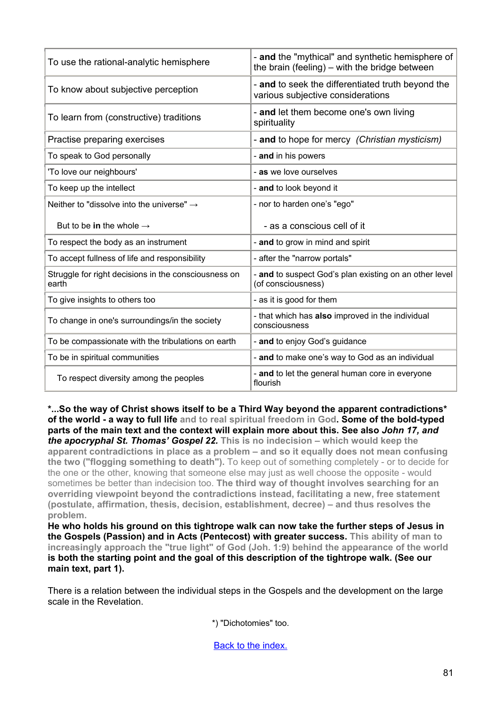| To use the rational-analytic hemisphere                       | - and the "mythical" and synthetic hemisphere of<br>the brain (feeling) – with the bridge between |
|---------------------------------------------------------------|---------------------------------------------------------------------------------------------------|
| To know about subjective perception                           | - and to seek the differentiated truth beyond the<br>various subjective considerations            |
| To learn from (constructive) traditions                       | - and let them become one's own living<br>spirituality                                            |
| Practise preparing exercises                                  | - and to hope for mercy (Christian mysticism)                                                     |
| To speak to God personally                                    | - and in his powers                                                                               |
| 'To love our neighbours'                                      | - as we love ourselves                                                                            |
| To keep up the intellect                                      | - and to look beyond it                                                                           |
| Neither to "dissolve into the universe" $\rightarrow$         | - nor to harden one's "ego"                                                                       |
| But to be in the whole $\rightarrow$                          | - as a conscious cell of it                                                                       |
| To respect the body as an instrument                          | - and to grow in mind and spirit                                                                  |
| To accept fullness of life and responsibility                 | - after the "narrow portals"                                                                      |
| Struggle for right decisions in the consciousness on<br>earth | - and to suspect God's plan existing on an other level<br>(of consciousness)                      |
|                                                               |                                                                                                   |
| To give insights to others too                                | - as it is good for them                                                                          |
| To change in one's surroundings/in the society                | - that which has also improved in the individual<br>consciousness                                 |
| To be compassionate with the tribulations on earth            | - and to enjoy God's guidance                                                                     |
| To be in spiritual communities                                | - and to make one's way to God as an individual                                                   |

**\*...So the way of Christ shows itself to be a Third Way beyond the apparent contradictions\* of the world - a way to full life and to real spiritual freedom in God. Some of the bold-typed parts of the main text and the context will explain more about this. See also** *John 17, and the apocryphal St. Thomas' Gospel 22.* **This is no indecision – which would keep the apparent contradictions in place as a problem – and so it equally does not mean confusing the two ("flogging something to death").** To keep out of something completely - or to decide for the one or the other, knowing that someone else may just as well choose the opposite - would sometimes be better than indecision too. **The third way of thought involves searching for an overriding viewpoint beyond the contradictions instead, facilitating a new, free statement (postulate, affirmation, thesis, decision, establishment, decree) – and thus resolves the problem.**

**He who holds his ground on this tightrope walk can now take the further steps of Jesus in the Gospels (Passion) and in Acts (Pentecost) with greater success. This ability of man to increasingly approach the "true light" of God (Joh. 1:9) behind the appearance of the world is both the starting point and the goal of this description of the tightrope walk. (See our main text, part 1).** 

There is a relation between the individual steps in the Gospels and the development on the large scale in the Revelation.

\*) "Dichotomies" too.

[Back to the index.](#page-1-0)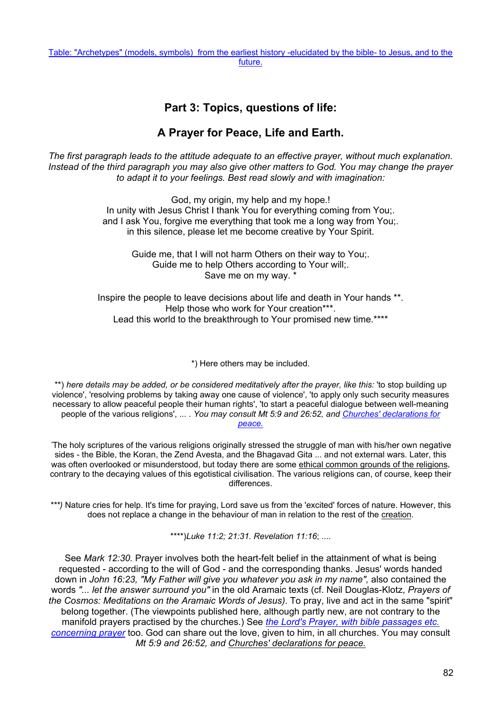## **Part 3: Topics, questions of life:**

## **A Prayer for Peace, Life and Earth.**

*The first paragraph leads to the attitude adequate to an effective prayer, without much explanation. Instead of the third paragraph you may also give other matters to God. You may change the prayer to adapt it to your feelings. Best read slowly and with imagination:*

> God, my origin, my help and my hope.! In unity with Jesus Christ I thank You for everything coming from You; and I ask You, forgive me everything that took me a long way from You;. in this silence, please let me become creative by Your Spirit.

Guide me, that I will not harm Others on their way to You;. Guide me to help Others according to Your will;. Save me on my way. \*

Inspire the people to leave decisions about life and death in Your hands \*\*. Help those who work for Your creation\*\*\*. Lead this world to the breakthrough to Your promised new time.\*\*\*\*

\*) Here others may be included.

\*\*) *here details may be added, or be considered meditatively after the prayer, like this:* 'to stop building up violence', 'resolving problems by taking away one cause of violence', 'to apply only such security measures necessary to allow peaceful people their human rights', 'to start a peaceful dialogue between well-meaning people of the various religions', ... . *You may consult Mt 5:9 and 26:52, and [Churches' declarations for](http://www.ways-of-christ.net/topics/peace.htm)  [peace.](http://www.ways-of-christ.net/topics/peace.htm)*

*´*The holy scriptures of the various religions originally stressed the struggle of man with his/her own negative sides - the Bible, the Koran, the Zend Avesta, and the Bhagavad Gita ... and not external wars. Later, this was often overlooked or misunderstood, but today there are some ethical common grounds of the religions, contrary to the decaying values of this egotistical civilisation. The various religions can, of course, keep their differences.

*\*\*\*)* Nature cries for help. It's time for praying, Lord save us from the 'excited' forces of nature. However, this does not replace a change in the behaviour of man in relation to the rest of the creation.

\*\*\*\*)*Luke 11:2; 21:31. Revelation 11:16*; ....

See *Mark 12:30.* Prayer involves both the heart-felt belief in the attainment of what is being requested - according to the will of God - and the corresponding thanks. Jesus' words handed down in *John 16:23, "My Father will give you whatever you ask in my name", also contained the* words *"... let the answer surround you"* in the old Aramaic texts (cf. Neil Douglas-Klotz, *Prayers of the Cosmos: Meditations on the Aramaic Words of Jesus)*. To pray, live and act in the same "spirit" belong together. (The viewpoints published here, although partly new, are not contrary to the manifold prayers practised by the churches.) See *[the Lord's Prayer, with bible passages etc.](http://www.ways-of-christ.net/b/lordsprayer.htm)  [concerning prayer](http://www.ways-of-christ.net/b/lordsprayer.htm)* too. God can share out the love, given to him, in all churches. You may consult *Mt 5:9 and 26:52, and Churches' declarations for peace.*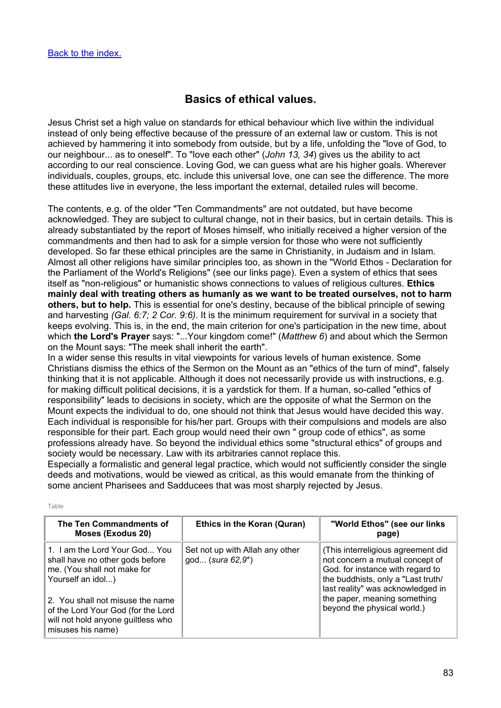## **Basics of ethical values.**

Jesus Christ set a high value on standards for ethical behaviour which live within the individual instead of only being effective because of the pressure of an external law or custom. This is not achieved by hammering it into somebody from outside, but by a life, unfolding the "love of God, to our neighbour... as to oneself". To "love each other" (*John 13, 34*) gives us the ability to act according to our real conscience. Loving God, we can guess what are his higher goals. Wherever individuals, couples, groups, etc. include this universal love, one can see the difference. The more these attitudes live in everyone, the less important the external, detailed rules will become.

The contents, e.g. of the older "Ten Commandments" are not outdated, but have become acknowledged. They are subject to cultural change, not in their basics, but in certain details. This is already substantiated by the report of Moses himself, who initially received a higher version of the commandments and then had to ask for a simple version for those who were not sufficiently developed. So far these ethical principles are the same in Christianity, in Judaism and in Islam. Almost all other religions have similar principles too, as shown in the "World Ethos - Declaration for the Parliament of the World's Religions" (see our links page). Even a system of ethics that sees itself as "non-religious" or humanistic shows connections to values of religious cultures. **Ethics mainly deal with treating others as humanly as we want to be treated ourselves, not to harm others, but to help.** This is essential for one's destiny, because of the biblical principle of sewing and harvesting *(Gal. 6:7; 2 Cor. 9:6)*. It is the minimum requirement for survival in a society that keeps evolving. This is, in the end, the main criterion for one's participation in the new time, about which **the Lord's Prayer** says: "...Your kingdom come!" (*Matthew 6*) and about which the Sermon on the Mount says: "The meek shall inherit the earth".

In a wider sense this results in vital viewpoints for various levels of human existence. Some Christians dismiss the ethics of the Sermon on the Mount as an "ethics of the turn of mind", falsely thinking that it is not applicable. Although it does not necessarily provide us with instructions, e.g. for making difficult political decisions, it is a yardstick for them. If a human, so-called "ethics of responsibility" leads to decisions in society, which are the opposite of what the Sermon on the Mount expects the individual to do, one should not think that Jesus would have decided this way. Each individual is responsible for his/her part. Groups with their compulsions and models are also responsible for their part. Each group would need their own " group code of ethics", as some professions already have. So beyond the individual ethics some "structural ethics" of groups and society would be necessary. Law with its arbitraries cannot replace this.

Especially a formalistic and general legal practice, which would not sufficiently consider the single deeds and motivations, would be viewed as critical, as this would emanate from the thinking of some ancient Pharisees and Sadducees that was most sharply rejected by Jesus.

| The Ten Commandments of                                                                                                           | Ethics in the Koran (Quran)                         | "World Ethos" (see our links                                                                                                                                                         |
|-----------------------------------------------------------------------------------------------------------------------------------|-----------------------------------------------------|--------------------------------------------------------------------------------------------------------------------------------------------------------------------------------------|
| <b>Moses (Exodus 20)</b>                                                                                                          |                                                     | page)                                                                                                                                                                                |
| 1. I am the Lord Your God You<br>shall have no other gods before<br>me. (You shall not make for<br>Yourself an idol)              | Set not up with Allah any other<br>god (sura 62,9*) | (This interreligious agreement did<br>not concern a mutual concept of<br>God. for instance with regard to<br>the buddhists, only a "Last truth/<br>last reality" was acknowledged in |
| 2. You shall not misuse the name<br>of the Lord Your God (for the Lord<br>will not hold anyone guiltless who<br>misuses his name) |                                                     | the paper, meaning something<br>beyond the physical world.)                                                                                                                          |

Table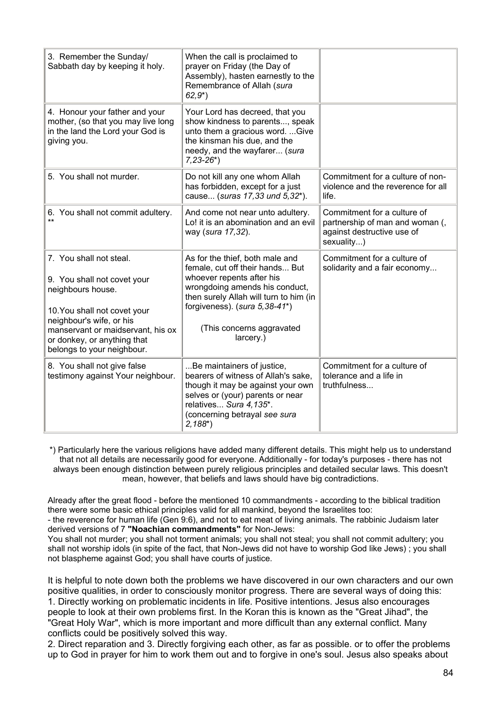| 3. Remember the Sunday/<br>Sabbath day by keeping it holy.                                                                                                                                                                                | When the call is proclaimed to<br>prayer on Friday (the Day of<br>Assembly), hasten earnestly to the<br>Remembrance of Allah (sura<br>$62,9^{*}$ )                                                                                                         |                                                                                                            |
|-------------------------------------------------------------------------------------------------------------------------------------------------------------------------------------------------------------------------------------------|------------------------------------------------------------------------------------------------------------------------------------------------------------------------------------------------------------------------------------------------------------|------------------------------------------------------------------------------------------------------------|
| 4. Honour your father and your<br>mother, (so that you may live long<br>in the land the Lord your God is<br>giving you.                                                                                                                   | Your Lord has decreed, that you<br>show kindness to parents, speak<br>unto them a gracious word.  Give<br>the kinsman his due, and the<br>needy, and the wayfarer (sura<br>$7,23-26$ <sup>*</sup> )                                                        |                                                                                                            |
| 5. You shall not murder.                                                                                                                                                                                                                  | Do not kill any one whom Allah<br>has forbidden, except for a just<br>cause (suras 17,33 und 5,32*).                                                                                                                                                       | Commitment for a culture of non-<br>violence and the reverence for all<br>life.                            |
| 6. You shall not commit adultery.<br>$\star\star$                                                                                                                                                                                         | And come not near unto adultery.<br>Lo! it is an abomination and an evil<br>way (sura 17,32).                                                                                                                                                              | Commitment for a culture of<br>partnership of man and woman (,<br>against destructive use of<br>sexuality) |
| 7. You shall not steal.<br>9. You shall not covet your<br>neighbours house.<br>10. You shall not covet your<br>neighbour's wife, or his<br>manservant or maidservant, his ox<br>or donkey, or anything that<br>belongs to your neighbour. | As for the thief, both male and<br>female, cut off their hands But<br>whoever repents after his<br>wrongdoing amends his conduct,<br>then surely Allah will turn to him (in<br>forgiveness). $(sura 5, 38-41^*)$<br>(This concerns aggravated<br>larcery.) | Commitment for a culture of<br>solidarity and a fair economy                                               |
| 8. You shall not give false<br>testimony against Your neighbour.                                                                                                                                                                          | Be maintainers of justice,<br>bearers of witness of Allah's sake,<br>though it may be against your own<br>selves or (your) parents or near<br>relatives Sura 4,135*.<br>(concerning betrayal see sura<br>$2,188^{*}$                                       | Commitment for a culture of<br>tolerance and a life in<br>truthfulness                                     |

\*) Particularly here the various religions have added many different details. This might help us to understand that not all details are necessarily good for everyone. Additionally - for today's purposes - there has not always been enough distinction between purely religious principles and detailed secular laws. This doesn't mean, however, that beliefs and laws should have big contradictions.

Already after the great flood - before the mentioned 10 commandments - according to the biblical tradition there were some basic ethical principles valid for all mankind, beyond the Israelites too: - the reverence for human life (Gen 9:6), and not to eat meat of living animals. The rabbinic Judaism later

derived versions of 7 **"Noachian commandments"** for Non-Jews: You shall not murder; you shall not torment animals; you shall not steal; you shall not commit adultery; you

shall not worship idols (in spite of the fact, that Non-Jews did not have to worship God like Jews) ; you shall not blaspheme against God; you shall have courts of justice.

It is helpful to note down both the problems we have discovered in our own characters and our own positive qualities, in order to consciously monitor progress. There are several ways of doing this: 1. Directly working on problematic incidents in life. Positive intentions. Jesus also encourages people to look at their own problems first. In the Koran this is known as the "Great Jihad", the "Great Holy War", which is more important and more difficult than any external conflict. Many conflicts could be positively solved this way.

2. Direct reparation and 3. Directly forgiving each other, as far as possible. or to offer the problems up to God in prayer for him to work them out and to forgive in one's soul. Jesus also speaks about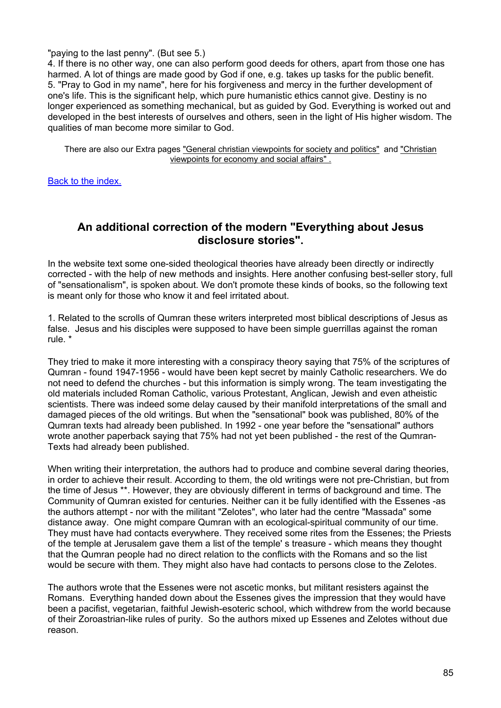"paying to the last penny". (But see 5.)

4. If there is no other way, one can also perform good deeds for others, apart from those one has harmed. A lot of things are made good by God if one, e.g. takes up tasks for the public benefit. 5. "Pray to God in my name", here for his forgiveness and mercy in the further development of one's life. This is the significant help, which pure humanistic ethics cannot give. Destiny is no longer experienced as something mechanical, but as guided by God. Everything is worked out and developed in the best interests of ourselves and others, seen in the light of His higher wisdom. The qualities of man become more similar to God.

There are also our Extra pages "General christian viewpoints for society and politics" and "Christian viewpoints for economy and social affairs" .

**[Back to the index.](#page-1-0)** 

### **An additional correction of the modern "Everything about Jesus disclosure stories".**

In the website text some one-sided theological theories have already been directly or indirectly corrected - with the help of new methods and insights. Here another confusing best-seller story, full of "sensationalism", is spoken about. We don't promote these kinds of books, so the following text is meant only for those who know it and feel irritated about.

1. Related to the scrolls of Qumran these writers interpreted most biblical descriptions of Jesus as false. Jesus and his disciples were supposed to have been simple guerrillas against the roman rule. \*

They tried to make it more interesting with a conspiracy theory saying that 75% of the scriptures of Qumran - found 1947-1956 - would have been kept secret by mainly Catholic researchers. We do not need to defend the churches - but this information is simply wrong. The team investigating the old materials included Roman Catholic, various Protestant, Anglican, Jewish and even atheistic scientists. There was indeed some delay caused by their manifold interpretations of the small and damaged pieces of the old writings. But when the "sensational" book was published, 80% of the Qumran texts had already been published. In 1992 - one year before the "sensational" authors wrote another paperback saying that 75% had not yet been published - the rest of the Qumran-Texts had already been published.

When writing their interpretation, the authors had to produce and combine several daring theories, in order to achieve their result. According to them, the old writings were not pre-Christian, but from the time of Jesus \*\*. However, they are obviously different in terms of background and time. The Community of Qumran existed for centuries. Neither can it be fully identified with the Essenes -as the authors attempt - nor with the militant "Zelotes", who later had the centre "Massada" some distance away. One might compare Qumran with an ecological-spiritual community of our time. They must have had contacts everywhere. They received some rites from the Essenes; the Priests of the temple at Jerusalem gave them a list of the temple' s treasure - which means they thought that the Qumran people had no direct relation to the conflicts with the Romans and so the list would be secure with them. They might also have had contacts to persons close to the Zelotes.

The authors wrote that the Essenes were not ascetic monks, but militant resisters against the Romans. Everything handed down about the Essenes gives the impression that they would have been a pacifist, vegetarian, faithful Jewish-esoteric school, which withdrew from the world because of their Zoroastrian-like rules of purity. So the authors mixed up Essenes and Zelotes without due reason.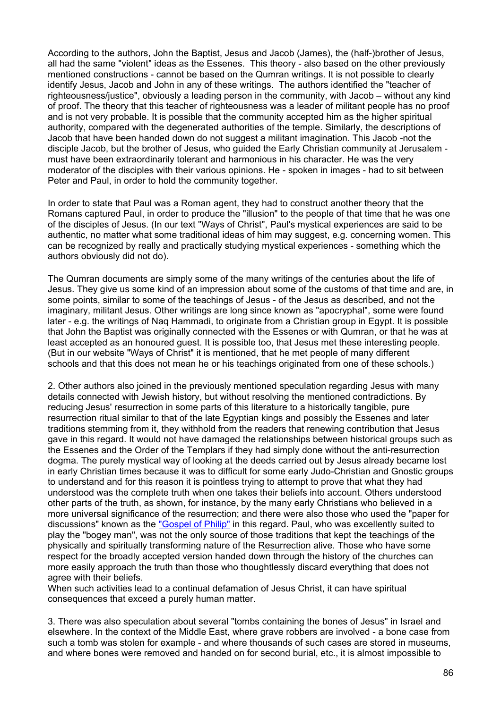According to the authors, John the Baptist, Jesus and Jacob (James), the (half-)brother of Jesus, all had the same "violent" ideas as the Essenes. This theory - also based on the other previously mentioned constructions - cannot be based on the Qumran writings. It is not possible to clearly identify Jesus, Jacob and John in any of these writings. The authors identified the "teacher of righteousness/justice", obviously a leading person in the community, with Jacob – without any kind of proof. The theory that this teacher of righteousness was a leader of militant people has no proof and is not very probable. It is possible that the community accepted him as the higher spiritual authority, compared with the degenerated authorities of the temple. Similarly, the descriptions of Jacob that have been handed down do not suggest a militant imagination. This Jacob -not the disciple Jacob, but the brother of Jesus, who guided the Early Christian community at Jerusalem must have been extraordinarily tolerant and harmonious in his character. He was the very moderator of the disciples with their various opinions. He - spoken in images - had to sit between Peter and Paul, in order to hold the community together.

In order to state that Paul was a Roman agent, they had to construct another theory that the Romans captured Paul, in order to produce the "illusion" to the people of that time that he was one of the disciples of Jesus. (In our text "Ways of Christ", Paul's mystical experiences are said to be authentic, no matter what some traditional ideas of him may suggest, e.g. concerning women. This can be recognized by really and practically studying mystical experiences - something which the authors obviously did not do).

The Qumran documents are simply some of the many writings of the centuries about the life of Jesus. They give us some kind of an impression about some of the customs of that time and are, in some points, similar to some of the teachings of Jesus - of the Jesus as described, and not the imaginary, militant Jesus. Other writings are long since known as "apocryphal", some were found later - e.g. the writings of Naq Hammadi, to originate from a Christian group in Egypt. It is possible that John the Baptist was originally connected with the Essenes or with Qumran, or that he was at least accepted as an honoured guest. It is possible too, that Jesus met these interesting people. (But in our website "Ways of Christ" it is mentioned, that he met people of many different schools and that this does not mean he or his teachings originated from one of these schools.)

2. Other authors also joined in the previously mentioned speculation regarding Jesus with many details connected with Jewish history, but without resolving the mentioned contradictions. By reducing Jesus' resurrection in some parts of this literature to a historically tangible, pure resurrection ritual similar to that of the late Egyptian kings and possibly the Essenes and later traditions stemming from it, they withhold from the readers that renewing contribution that Jesus gave in this regard. It would not have damaged the relationships between historical groups such as the Essenes and the Order of the Templars if they had simply done without the anti-resurrection dogma. The purely mystical way of looking at the deeds carried out by Jesus already became lost in early Christian times because it was to difficult for some early Judo-Christian and Gnostic groups to understand and for this reason it is pointless trying to attempt to prove that what they had understood was the complete truth when one takes their beliefs into account. Others understood other parts of the truth, as shown, for instance, by the many early Christians who believed in a more universal significance of the resurrection; and there were also those who used the "paper for discussions" known as the ["Gospel of Philip"](http://www.ways-of-christ.net/b/philippus.htm) in this regard. Paul, who was excellently suited to play the "bogey man", was not the only source of those traditions that kept the teachings of the physically and spiritually transforming nature of the Resurrection alive. Those who have some respect for the broadly accepted version handed down through the history of the churches can more easily approach the truth than those who thoughtlessly discard everything that does not agree with their beliefs.

When such activities lead to a continual defamation of Jesus Christ, it can have spiritual consequences that exceed a purely human matter.

3. There was also speculation about several "tombs containing the bones of Jesus" in Israel and elsewhere. In the context of the Middle East, where grave robbers are involved - a bone case from such a tomb was stolen for example - and where thousands of such cases are stored in museums, and where bones were removed and handed on for second burial, etc., it is almost impossible to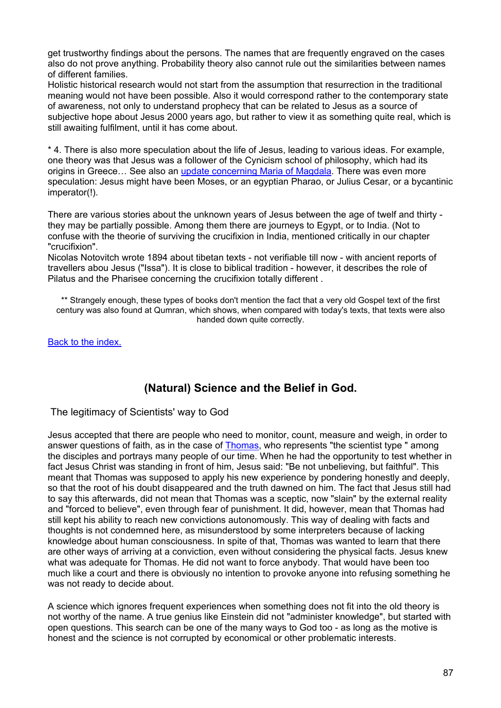get trustworthy findings about the persons. The names that are frequently engraved on the cases also do not prove anything. Probability theory also cannot rule out the similarities between names of different families.

Holistic historical research would not start from the assumption that resurrection in the traditional meaning would not have been possible. Also it would correspond rather to the contemporary state of awareness, not only to understand prophecy that can be related to Jesus as a source of subjective hope about Jesus 2000 years ago, but rather to view it as something quite real, which is still awaiting fulfilment, until it has come about.

\* 4. There is also more speculation about the life of Jesus, leading to various ideas. For example, one theory was that Jesus was a follower of the Cynicism school of philosophy, which had its origins in Greece... See also an [update concerning Maria of Magdala.](http://www.ways-of-christ.net/en1234/revision_en060506.htm) There was even more speculation: Jesus might have been Moses, or an egyptian Pharao, or Julius Cesar, or a bycantinic imperator(!).

There are various stories about the unknown years of Jesus between the age of twelf and thirty they may be partially possible. Among them there are journeys to Egypt, or to India. (Not to confuse with the theorie of surviving the crucifixion in India, mentioned critically in our chapter "crucifixion".

Nicolas Notovitch wrote 1894 about tibetan texts - not verifiable till now - with ancient reports of travellers abou Jesus ("Issa"). It is close to biblical tradition - however, it describes the role of Pilatus and the Pharisee concerning the crucifixion totally different .

\*\* Strangely enough, these types of books don't mention the fact that a very old Gospel text of the first century was also found at Qumran, which shows, when compared with today's texts, that texts were also handed down quite correctly.

[Back to the index.](#page-1-0)

## **(Natural) Science and the Belief in God.**

The legitimacy of Scientists' way to God

Jesus accepted that there are people who need to monitor, count, measure and weigh, in order to answer questions of faith, as in the case of [Thomas](http://www.ways-of-christ.net/b/thomas.htm), who represents "the scientist type " among the disciples and portrays many people of our time. When he had the opportunity to test whether in fact Jesus Christ was standing in front of him, Jesus said: "Be not unbelieving, but faithful". This meant that Thomas was supposed to apply his new experience by pondering honestly and deeply, so that the root of his doubt disappeared and the truth dawned on him. The fact that Jesus still had to say this afterwards, did not mean that Thomas was a sceptic, now "slain" by the external reality and "forced to believe", even through fear of punishment. It did, however, mean that Thomas had still kept his ability to reach new convictions autonomously. This way of dealing with facts and thoughts is not condemned here, as misunderstood by some interpreters because of lacking knowledge about human consciousness. In spite of that, Thomas was wanted to learn that there are other ways of arriving at a conviction, even without considering the physical facts. Jesus knew what was adequate for Thomas. He did not want to force anybody. That would have been too much like a court and there is obviously no intention to provoke anyone into refusing something he was not ready to decide about.

A science which ignores frequent experiences when something does not fit into the old theory is not worthy of the name. A true genius like Einstein did not "administer knowledge", but started with open questions. This search can be one of the many ways to God too - as long as the motive is honest and the science is not corrupted by economical or other problematic interests.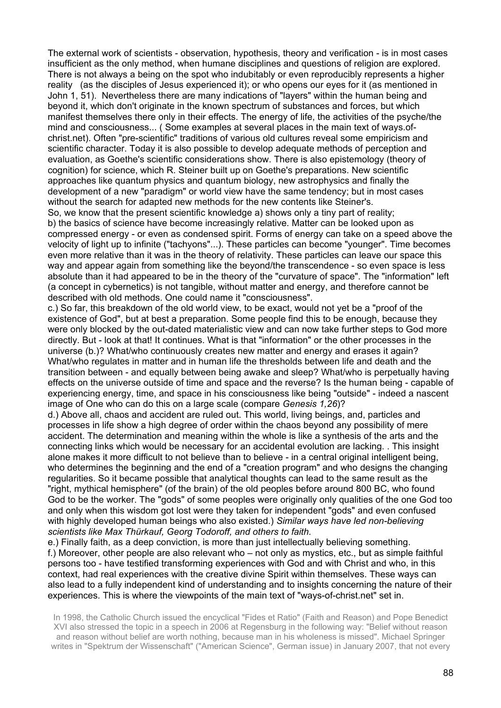The external work of scientists - observation, hypothesis, theory and verification - is in most cases insufficient as the only method, when humane disciplines and questions of religion are explored. There is not always a being on the spot who indubitably or even reproducibly represents a higher reality (as the disciples of Jesus experienced it); or who opens our eyes for it (as mentioned in John 1, 51). Nevertheless there are many indications of "layers" within the human being and beyond it, which don't originate in the known spectrum of substances and forces, but which manifest themselves there only in their effects. The energy of life, the activities of the psyche/the mind and consciousness... ( Some examples at several places in the main text of ways.ofchrist.net). Often "pre-scientific" traditions of various old cultures reveal some empiricism and scientific character. Today it is also possible to develop adequate methods of perception and evaluation, as Goethe's scientific considerations show. There is also epistemology (theory of cognition) for science, which R. Steiner built up on Goethe's preparations. New scientific approaches like quantum physics and quantum biology, new astrophysics and finally the development of a new "paradigm" or world view have the same tendency; but in most cases without the search for adapted new methods for the new contents like Steiner's.

So, we know that the present scientific knowledge a) shows only a tiny part of reality; b) the basics of science have become increasingly relative. Matter can be looked upon as compressed energy - or even as condensed spirit. Forms of energy can take on a speed above the velocity of light up to infinite ("tachyons"...). These particles can become "younger". Time becomes even more relative than it was in the theory of relativity. These particles can leave our space this way and appear again from something like the beyond/the transcendence - so even space is less absolute than it had appeared to be in the theory of the "curvature of space". The "information" left (a concept in cybernetics) is not tangible, without matter and energy, and therefore cannot be described with old methods. One could name it "consciousness".

c.) So far, this breakdown of the old world view, to be exact, would not yet be a "proof of the existence of God", but at best a preparation. Some people find this to be enough, because they were only blocked by the out-dated materialistic view and can now take further steps to God more directly. But - look at that! It continues. What is that "information" or the other processes in the universe (b.)? What/who continuously creates new matter and energy and erases it again? What/who regulates in matter and in human life the thresholds between life and death and the transition between - and equally between being awake and sleep? What/who is perpetually having effects on the universe outside of time and space and the reverse? Is the human being - capable of experiencing energy, time, and space in his consciousness like being "outside" - indeed a nascent image of One who can do this on a large scale (compare *Genesis 1,26*)?

d.) Above all, chaos and accident are ruled out. This world, living beings, and, particles and processes in life show a high degree of order within the chaos beyond any possibility of mere accident. The determination and meaning within the whole is like a synthesis of the arts and the connecting links which would be necessary for an accidental evolution are lacking. . This insight alone makes it more difficult to not believe than to believe - in a central original intelligent being, who determines the beginning and the end of a "creation program" and who designs the changing regularities. So it became possible that analytical thoughts can lead to the same result as the "right, mythical hemisphere" (of the brain) of the old peoples before around 800 BC, who found God to be the worker. The "gods" of some peoples were originally only qualities of the one God too and only when this wisdom got lost were they taken for independent "gods" and even confused with highly developed human beings who also existed.) *Similar ways have led non-believing scientists like Max Thürkauf, Georg Todoroff, and others to faith.*

e.) Finally faith, as a deep conviction, is more than just intellectually believing something. f.) Moreover, other people are also relevant who – not only as mystics, etc., but as simple faithful persons too - have testified transforming experiences with God and with Christ and who, in this context, had real experiences with the creative divine Spirit within themselves. These ways can also lead to a fully independent kind of understanding and to insights concerning the nature of their experiences. This is where the viewpoints of the main text of "ways-of-christ.net" set in.

In 1998, the Catholic Church issued the encyclical "Fides et Ratio" (Faith and Reason) and Pope Benedict XVI also stressed the topic in a speech in 2006 at Regensburg in the following way: "Belief without reason and reason without belief are worth nothing, because man in his wholeness is missed". Michael Springer writes in "Spektrum der Wissenschaft" ("American Science", German issue) in January 2007, that not every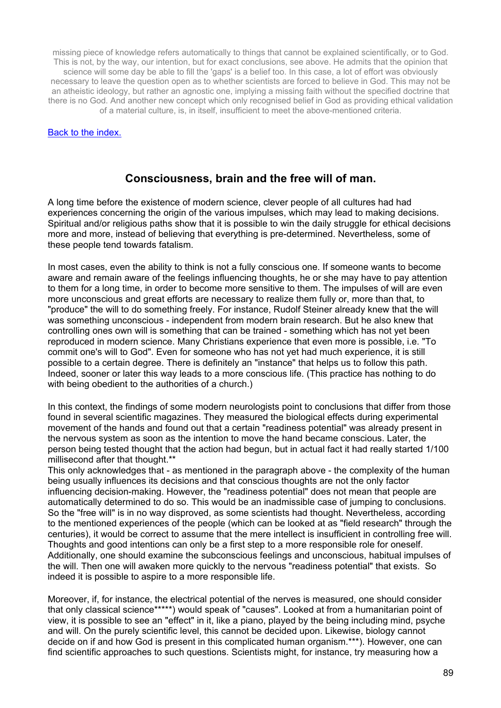missing piece of knowledge refers automatically to things that cannot be explained scientifically, or to God. This is not, by the way, our intention, but for exact conclusions, see above. He admits that the opinion that science will some day be able to fill the 'gaps' is a belief too. In this case, a lot of effort was obviously necessary to leave the question open as to whether scientists are forced to believe in God. This may not be an atheistic ideology, but rather an agnostic one, implying a missing faith without the specified doctrine that there is no God. And another new concept which only recognised belief in God as providing ethical validation of a material culture, is, in itself, insufficient to meet the above-mentioned criteria.

[Back to the index.](#page-1-0)

## **Consciousness, brain and the free will of man.**

A long time before the existence of modern science, clever people of all cultures had had experiences concerning the origin of the various impulses, which may lead to making decisions. Spiritual and/or religious paths show that it is possible to win the daily struggle for ethical decisions more and more, instead of believing that everything is pre-determined. Nevertheless, some of these people tend towards fatalism.

In most cases, even the ability to think is not a fully conscious one. If someone wants to become aware and remain aware of the feelings influencing thoughts, he or she may have to pay attention to them for a long time, in order to become more sensitive to them. The impulses of will are even more unconscious and great efforts are necessary to realize them fully or, more than that, to "produce" the will to do something freely. For instance, Rudolf Steiner already knew that the will was something unconscious - independent from modern brain research. But he also knew that controlling ones own will is something that can be trained - something which has not yet been reproduced in modern science. Many Christians experience that even more is possible, i.e. "To commit one's will to God". Even for someone who has not yet had much experience, it is still possible to a certain degree. There is definitely an "instance" that helps us to follow this path. Indeed, sooner or later this way leads to a more conscious life. (This practice has nothing to do with being obedient to the authorities of a church.)

In this context, the findings of some modern neurologists point to conclusions that differ from those found in several scientific magazines. They measured the biological effects during experimental movement of the hands and found out that a certain "readiness potential" was already present in the nervous system as soon as the intention to move the hand became conscious. Later, the person being tested thought that the action had begun, but in actual fact it had really started 1/100 millisecond after that thought.\*\*

This only acknowledges that - as mentioned in the paragraph above - the complexity of the human being usually influences its decisions and that conscious thoughts are not the only factor influencing decision-making. However, the "readiness potential" does not mean that people are automatically determined to do so. This would be an inadmissible case of jumping to conclusions. So the "free will" is in no way disproved, as some scientists had thought. Nevertheless, according to the mentioned experiences of the people (which can be looked at as "field research" through the centuries), it would be correct to assume that the mere intellect is insufficient in controlling free will. Thoughts and good intentions can only be a first step to a more responsible role for oneself. Additionally, one should examine the subconscious feelings and unconscious, habitual impulses of the will. Then one will awaken more quickly to the nervous "readiness potential" that exists. So indeed it is possible to aspire to a more responsible life.

Moreover, if, for instance, the electrical potential of the nerves is measured, one should consider that only classical science\*\*\*\*\*) would speak of "causes". Looked at from a humanitarian point of view, it is possible to see an "effect" in it, like a piano, played by the being including mind, psyche and will. On the purely scientific level, this cannot be decided upon. Likewise, biology cannot decide on if and how God is present in this complicated human organism.\*\*\*). However, one can find scientific approaches to such questions. Scientists might, for instance, try measuring how a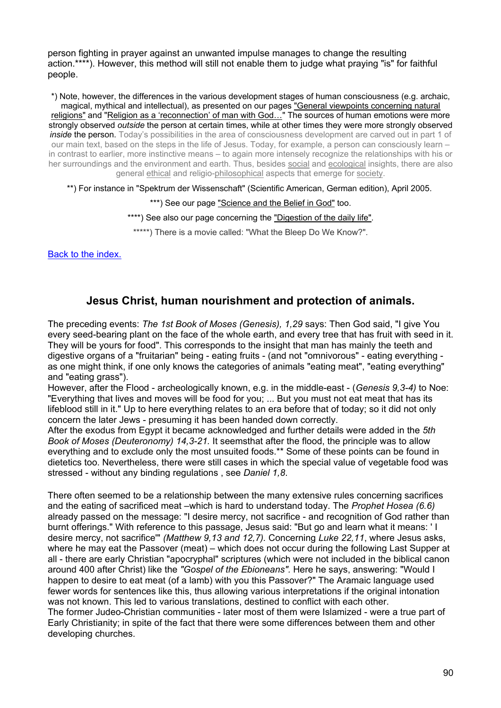person fighting in prayer against an unwanted impulse manages to change the resulting action.\*\*\*\*). However, this method will still not enable them to judge what praying "is" for faithful people.

\*) Note, however, the differences in the various development stages of human consciousness (e.g. archaic, magical, mythical and intellectual), as presented on our pages "General viewpoints concerning natural religions" and "Religion as a 'reconnection' of man with God…" The sources of human emotions were more strongly observed *outside* the person at certain times, while at other times they were more strongly observed *inside* the person. Today's possibilities in the area of consciousness development are carved out in part 1 of our main text, based on the steps in the life of Jesus. Today, for example, a person can consciously learn – in contrast to earlier, more instinctive means – to again more intensely recognize the relationships with his or her surroundings and the environment and earth. Thus, besides social and ecological insights, there are also general ethical and religio-philosophical aspects that emerge for society.

\*\*) For instance in "Spektrum der Wissenschaft" (Scientific American, German edition), April 2005.

#### \*\*\*) See our page "Science and the Belief in God" too.

\*\*\*\*) See also our page concerning the "Digestion of the daily life".

\*\*\*\*\*) There is a movie called: "What the Bleep Do We Know?".

[Back to the index.](#page-1-0)

### **Jesus Christ, human nourishment and protection of animals.**

The preceding events: *The 1st Book of Moses (Genesis), 1,29* says: Then God said, "I give You every seed-bearing plant on the face of the whole earth, and every tree that has fruit with seed in it. They will be yours for food". This corresponds to the insight that man has mainly the teeth and digestive organs of a "fruitarian" being - eating fruits - (and not "omnivorous" - eating everything as one might think, if one only knows the categories of animals "eating meat", "eating everything" and "eating grass").

However, after the Flood - archeologically known, e.g. in the middle-east - (*Genesis 9,3-4)* to Noe: "Everything that lives and moves will be food for you; ... But you must not eat meat that has its lifeblood still in it." Up to here everything relates to an era before that of today; so it did not only concern the later Jews - presuming it has been handed down correctly.

After the exodus from Egypt it became acknowledged and further details were added in the *5th Book of Moses (Deuteronomy) 14,3-21.* It seemsthat after the flood, the principle was to allow everything and to exclude only the most unsuited foods.\*\* Some of these points can be found in dietetics too. Nevertheless, there were still cases in which the special value of vegetable food was stressed - without any binding regulations , see *Daniel 1,8*.

There often seemed to be a relationship between the many extensive rules concerning sacrifices and the eating of sacrificed meat –which is hard to understand today. The *Prophet Hosea (6.6)* already passed on the message: "I desire mercy, not sacrifice - and recognition of God rather than burnt offerings." With reference to this passage, Jesus said: "But go and learn what it means: ' I desire mercy, not sacrifice'" *(Matthew 9,13 and 12,7).* Concerning *Luke 22,11*, where Jesus asks, where he may eat the Passover (meat) – which does not occur during the following Last Supper at all - there are early Christian "apocryphal" scriptures (which were not included in the biblical canon around 400 after Christ) like the *"Gospel of the Ebioneans".* Here he says, answering: "Would I happen to desire to eat meat (of a lamb) with you this Passover?" The Aramaic language used fewer words for sentences like this, thus allowing various interpretations if the original intonation was not known. This led to various translations, destined to conflict with each other. The former Judeo-Christian communities - later most of them were Islamized - were a true part of Early Christianity; in spite of the fact that there were some differences between them and other developing churches.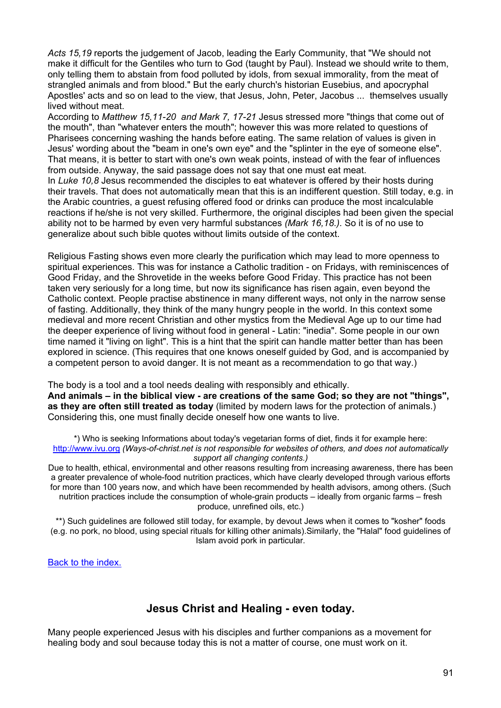*Acts 15,19* reports the judgement of Jacob, leading the Early Community, that "We should not make it difficult for the Gentiles who turn to God (taught by Paul). Instead we should write to them, only telling them to abstain from food polluted by idols, from sexual immorality, from the meat of strangled animals and from blood." But the early church's historian Eusebius, and apocryphal Apostles' acts and so on lead to the view, that Jesus, John, Peter, Jacobus ... themselves usually lived without meat.

According to *Matthew 15,11-20 and Mark 7, 17-21* Jesus stressed more "things that come out of the mouth", than "whatever enters the mouth"; however this was more related to questions of Pharisees concerning washing the hands before eating. The same relation of values is given in Jesus' wording about the "beam in one's own eye" and the "splinter in the eye of someone else". That means, it is better to start with one's own weak points, instead of with the fear of influences from outside. Anyway, the said passage does not say that one must eat meat.

In *Luke 10,8* Jesus recommended the disciples to eat whatever is offered by their hosts during their travels. That does not automatically mean that this is an indifferent question. Still today, e.g. in the Arabic countries, a guest refusing offered food or drinks can produce the most incalculable reactions if he/she is not very skilled. Furthermore, the original disciples had been given the special ability not to be harmed by even very harmful substances *(Mark 16,18.).* So it is of no use to generalize about such bible quotes without limits outside of the context.

Religious Fasting shows even more clearly the purification which may lead to more openness to spiritual experiences. This was for instance a Catholic tradition - on Fridays, with reminiscences of Good Friday, and the Shrovetide in the weeks before Good Friday. This practice has not been taken very seriously for a long time, but now its significance has risen again, even beyond the Catholic context. People practise abstinence in many different ways, not only in the narrow sense of fasting. Additionally, they think of the many hungry people in the world. In this context some medieval and more recent Christian and other mystics from the Medieval Age up to our time had the deeper experience of living without food in general - Latin: "inedia". Some people in our own time named it "living on light". This is a hint that the spirit can handle matter better than has been explored in science. (This requires that one knows oneself guided by God, and is accompanied by a competent person to avoid danger. It is not meant as a recommendation to go that way.)

The body is a tool and a tool needs dealing with responsibly and ethically. **And animals – in the biblical view - are creations of the same God; so they are not "things", as they are often still treated as today** (limited by modern laws for the protection of animals.) Considering this, one must finally decide oneself how one wants to live.

\*) Who is seeking Informations about today's vegetarian forms of diet, finds it for example here: [http://www.ivu.org](http://www.ivu.org/) *(Ways-of-christ.net is not responsible for websites of others, and does not automatically support all changing contents.)* 

Due to health, ethical, environmental and other reasons resulting from increasing awareness, there has been a greater prevalence of whole-food nutrition practices, which have clearly developed through various efforts for more than 100 years now, and which have been recommended by health advisors, among others. (Such nutrition practices include the consumption of whole-grain products – ideally from organic farms – fresh produce, unrefined oils, etc.)

\*\*) Such guidelines are followed still today, for example, by devout Jews when it comes to "kosher" foods (e.g. no pork, no blood, using special rituals for killing other animals).Similarly, the "Halal" food guidelines of Islam avoid pork in particular.

[Back to the index.](#page-1-0)

## **Jesus Christ and Healing - even today.**

Many people experienced Jesus with his disciples and further companions as a movement for healing body and soul because today this is not a matter of course, one must work on it.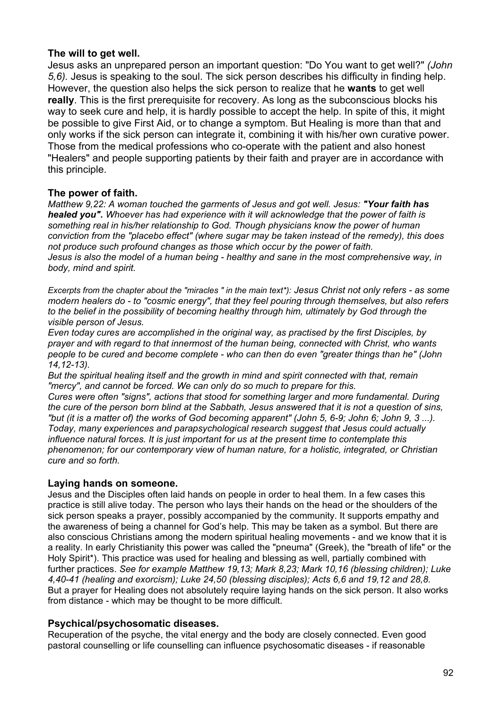#### **The will to get well.**

Jesus asks an unprepared person an important question: "Do You want to get well?" *(John 5,6).* Jesus is speaking to the soul. The sick person describes his difficulty in finding help. However, the question also helps the sick person to realize that he **wants** to get well **really**. This is the first prerequisite for recovery. As long as the subconscious blocks his way to seek cure and help, it is hardly possible to accept the help. In spite of this, it might be possible to give First Aid, or to change a symptom. But Healing is more than that and only works if the sick person can integrate it, combining it with his/her own curative power. Those from the medical professions who co-operate with the patient and also honest "Healers" and people supporting patients by their faith and prayer are in accordance with this principle.

#### **The power of faith.**

*Matthew 9,22: A woman touched the garments of Jesus and got well. Jesus: "Your faith has healed you". Whoever has had experience with it will acknowledge that the power of faith is something real in his/her relationship to God. Though physicians know the power of human conviction from the "placebo effect" (where sugar may be taken instead of the remedy), this does not produce such profound changes as those which occur by the power of faith. Jesus is also the model of a human being - healthy and sane in the most comprehensive way, in* 

*body, mind and spirit.*

*Excerpts from the chapter about the "miracles " in the main text\*): Jesus Christ not only refers - as some modern healers do - to "cosmic energy", that they feel pouring through themselves, but also refers to the belief in the possibility of becoming healthy through him, ultimately by God through the visible person of Jesus.* 

*Even today cures are accomplished in the original way, as practised by the first Disciples, by prayer and with regard to that innermost of the human being, connected with Christ, who wants people to be cured and become complete - who can then do even "greater things than he" (John 14,12-13).* 

*But the spiritual healing itself and the growth in mind and spirit connected with that, remain "mercy", and cannot be forced. We can only do so much to prepare for this.* 

*Cures were often "signs", actions that stood for something larger and more fundamental. During the cure of the person born blind at the Sabbath, Jesus answered that it is not a question of sins, "but (it is a matter of) the works of God becoming apparent" (John 5, 6-9; John 6; John 9, 3 ...). Today, many experiences and parapsychological research suggest that Jesus could actually influence natural forces. It is just important for us at the present time to contemplate this phenomenon; for our contemporary view of human nature, for a holistic, integrated, or Christian cure and so forth.*

#### **Laying hands on someone.**

Jesus and the Disciples often laid hands on people in order to heal them. In a few cases this practice is still alive today. The person who lays their hands on the head or the shoulders of the sick person speaks a prayer, possibly accompanied by the community. It supports empathy and the awareness of being a channel for God's help. This may be taken as a symbol. But there are also conscious Christians among the modern spiritual healing movements - and we know that it is a reality. In early Christianity this power was called the "pneuma" (Greek), the "breath of life" or the Holy Spirit\*). This practice was used for healing and blessing as well, partially combined with further practices. *See for example Matthew 19,13; Mark 8,23; Mark 10,16 (blessing children); Luke 4,40-41 (healing and exorcism); Luke 24,50 (blessing disciples); Acts 6,6 and 19,12 and 28,8.* But a prayer for Healing does not absolutely require laying hands on the sick person. It also works from distance - which may be thought to be more difficult.

#### **Psychical/psychosomatic diseases.**

Recuperation of the psyche, the vital energy and the body are closely connected. Even good pastoral counselling or life counselling can influence psychosomatic diseases - if reasonable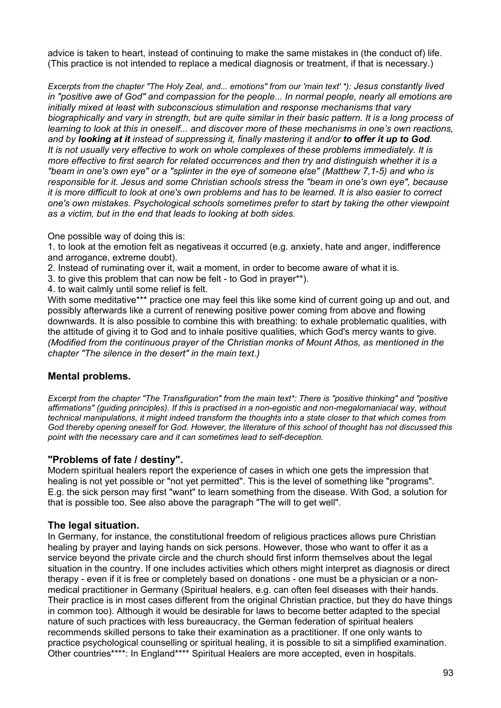advice is taken to heart, instead of continuing to make the same mistakes in (the conduct of) life. (This practice is not intended to replace a medical diagnosis or treatment, if that is necessary.)

*Excerpts from the chapter "The Holy Zeal, and... emotions" from our 'main text' \*): Jesus constantly lived in "positive awe of God" and compassion for the people... In normal people, nearly all emotions are initially mixed at least with subconscious stimulation and response mechanisms that vary biographically and vary in strength, but are quite similar in their basic pattern. It is a long process of learning to look at this in oneself... and discover more of these mechanisms in one's own reactions, and by looking at it instead of suppressing it, finally mastering it and/or to offer it up to God. It is not usually very effective to work on whole complexes of these problems immediately. It is more effective to first search for related occurrences and then try and distinguish whether it is a "beam in one's own eye" or a "splinter in the eye of someone else" (Matthew 7,1-5) and who is responsible for it. Jesus and some Christian schools stress the "beam in one's own eye", because it is more difficult to look at one's own problems and has to be learned. It is also easier to correct one's own mistakes. Psychological schools sometimes prefer to start by taking the other viewpoint as a victim, but in the end that leads to looking at both sides.*

One possible way of doing this is:

1. to look at the emotion felt as negativeas it occurred (e.g. anxiety, hate and anger, indifference and arrogance, extreme doubt).

2. Instead of ruminating over it, wait a moment, in order to become aware of what it is.

- 3. to give this problem that can now be felt to God in prayer\*\*).
- 4. to wait calmly until some relief is felt.

With some meditative\*\*\* practice one may feel this like some kind of current going up and out, and possibly afterwards like a current of renewing positive power coming from above and flowing downwards. It is also possible to combine this with breathing: to exhale problematic qualities, with the attitude of giving it to God and to inhale positive qualities, which God's mercy wants to give. *(Modified from the continuous prayer of the Christian monks of Mount Athos, as mentioned in the chapter "The silence in the desert" in the main text.)*

#### **Mental problems.**

*Excerpt from the chapter "The Transfiguration" from the main text\*: There is "positive thinking" and "positive affirmations" (guiding principles). If this is practised in a non-egoistic and non-megalomaniacal way, without technical manipulations, it might indeed transform the thoughts into a state closer to that which comes from God thereby opening oneself for God. However, the literature of this school of thought has not discussed this point with the necessary care and it can sometimes lead to self-deception.*

#### **"Problems of fate / destiny".**

Modern spiritual healers report the experience of cases in which one gets the impression that healing is not yet possible or "not yet permitted". This is the level of something like "programs". E.g. the sick person may first "want" to learn something from the disease. With God, a solution for that is possible too. See also above the paragraph "The will to get well".

#### **The legal situation.**

In Germany, for instance, the constitutional freedom of religious practices allows pure Christian healing by prayer and laying hands on sick persons. However, those who want to offer it as a service beyond the private circle and the church should first inform themselves about the legal situation in the country. If one includes activities which others might interpret as diagnosis or direct therapy - even if it is free or completely based on donations - one must be a physician or a nonmedical practitioner in Germany (Spiritual healers, e.g. can often feel diseases with their hands. Their practice is in most cases different from the original Christian practice, but they do have things in common too). Although it would be desirable for laws to become better adapted to the special nature of such practices with less bureaucracy, the German federation of spiritual healers recommends skilled persons to take their examination as a practitioner. If one only wants to practice psychological counselling or spiritual healing, it is possible to sit a simplified examination. Other countries\*\*\*\*: In England\*\*\*\* Spiritual Healers are more accepted, even in hospitals.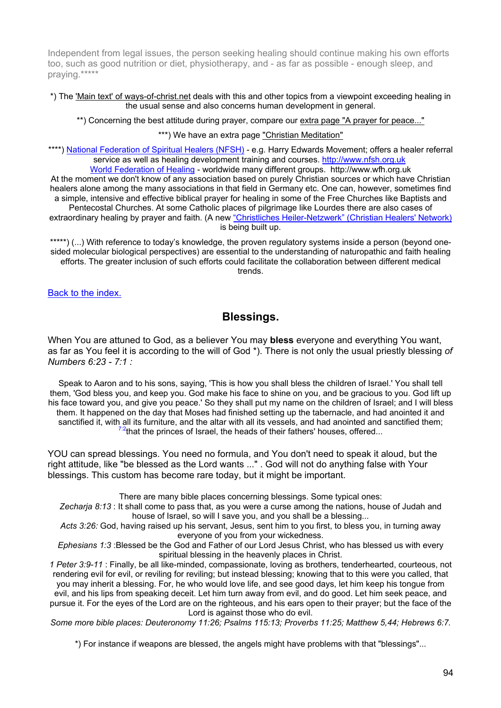Independent from legal issues, the person seeking healing should continue making his own efforts too, such as good nutrition or diet, physiotherapy, and - as far as possible - enough sleep, and praying.\*\*\*\*\*

\*) The 'Main text' of ways-of-christ.net deals with this and other topics from a viewpoint exceeding healing in the usual sense and also concerns human development in general.

\*\*) Concerning the best attitude during prayer, compare our extra page "A prayer for peace..."

\*\*\*) We have an extra page "Christian Meditation"

\*\*\*\*) [National Federation of Spiritual Healers \(NFSH\)](http://www.nfsh.org.uk/) - e.g. Harry Edwards Movement; offers a healer referral service as well as healing development training and courses. [http://www.nfsh.org.uk](http://www.nfsh.org.uk/) 

[World Federation of Healing](http://www.wfh.org.uk/) - worldwide many different groups. http://www.wfh.org.uk At the moment we don't know of any association based on purely Christian sources or which have Christian healers alone among the many associations in that field in Germany etc. One can, however, sometimes find a simple, intensive and effective biblical prayer for healing in some of the Free Churches like Baptists and Pentecostal Churches. At some Catholic places of pilgrimage like Lourdes there are also cases of extraordinary healing by prayer and faith. (A new ["Christliches Heiler-Netzwerk" \(Christian Healers' Network\)](http://www.psi-infos.de/ivh/christliches_heiler-netzwerk__.html) is being built up.

\*\*\*\*\*) (...) With reference to today's knowledge, the proven regulatory systems inside a person (beyond onesided molecular biological perspectives) are essential to the understanding of naturopathic and faith healing efforts. The greater inclusion of such efforts could facilitate the collaboration between different medical trends.

[Back to the index.](#page-1-0)

### **Blessings.**

When You are attuned to God, as a believer You may **bless** everyone and everything You want, as far as You feel it is according to the will of God \*). There is not only the usual priestly blessing *of Numbers 6:23 - 7:1 :* 

Speak to Aaron and to his sons, saying, 'This is how you shall bless the children of Israel.' You shall tell them, 'God bless you, and keep you. God make his face to shine on you, and be gracious to you. God lift up his face toward you, and give you peace.' So they shall put my name on the children of Israel; and I will bless them. It happened on the day that Moses had finished setting up the tabernacle, and had anointed it and sanctified it, with all its furniture, and the altar with all its vessels, and had anointed and sanctified them;  $7.2$ that the princes of Israel, the heads of their fathers' houses, offered...

YOU can spread blessings. You need no formula, and You don't need to speak it aloud, but the right attitude, like "be blessed as the Lord wants ..." . God will not do anything false with Your blessings. This custom has become rare today, but it might be important.

There are many bible places concerning blessings. Some typical ones:

*Zecharja 8:13* : It shall come to pass that, as you were a curse among the nations, house of Judah and house of Israel, so will I save you, and you shall be a blessing...

*Acts 3:26:* God, having raised up his servant, Jesus, sent him to you first, to bless you, in turning away everyone of you from your wickedness.

*Ephesians 1:3* :Blessed be the God and Father of our Lord Jesus Christ, who has blessed us with every spiritual blessing in the heavenly places in Christ.

*1 Peter 3:9-11* : Finally, be all like-minded, compassionate, loving as brothers, tenderhearted, courteous, not rendering evil for evil, or reviling for reviling; but instead blessing; knowing that to this were you called, that you may inherit a blessing. For, he who would love life, and see good days, let him keep his tongue from evil, and his lips from speaking deceit. Let him turn away from evil, and do good. Let him seek peace, and pursue it. For the eyes of the Lord are on the righteous, and his ears open to their prayer; but the face of the Lord is against those who do evil.

*Some more bible places: Deuteronomy 11:26; Psalms 115:13; Proverbs 11:25; Matthew 5,44; Hebrews 6:7.*

\*) For instance if weapons are blessed, the angels might have problems with that "blessings"...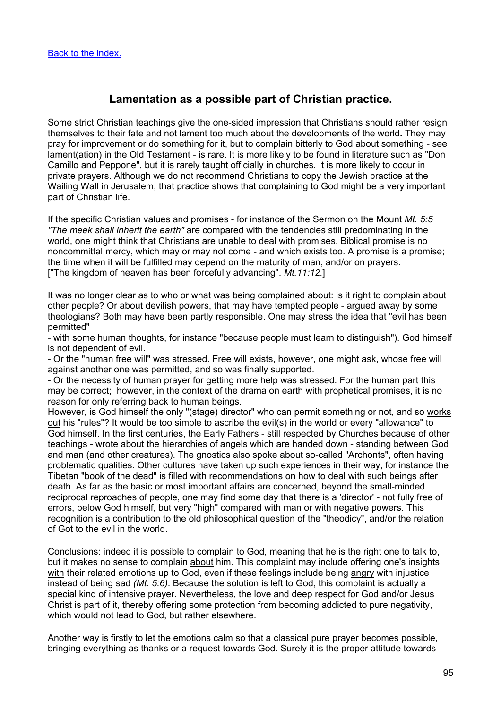### **Lamentation as a possible part of Christian practice.**

Some strict Christian teachings give the one-sided impression that Christians should rather resign themselves to their fate and not lament too much about the developments of the world**.** They may pray for improvement or do something for it, but to complain bitterly to God about something - see lament(ation) in the Old Testament - is rare. It is more likely to be found in literature such as "Don Camillo and Peppone", but it is rarely taught officially in churches. It is more likely to occur in private prayers. Although we do not recommend Christians to copy the Jewish practice at the Wailing Wall in Jerusalem, that practice shows that complaining to God might be a very important part of Christian life.

If the specific Christian values and promises - for instance of the Sermon on the Mount *Mt. 5:5 "The meek shall inherit the earth"* are compared with the tendencies still predominating in the world, one might think that Christians are unable to deal with promises. Biblical promise is no noncommittal mercy, which may or may not come - and which exists too. A promise is a promise; the time when it will be fulfilled may depend on the maturity of man, and/or on prayers. ["The kingdom of heaven has been forcefully advancing". *Mt.11:12.*]

It was no longer clear as to who or what was being complained about: is it right to complain about other people? Or about devilish powers, that may have tempted people - argued away by some theologians? Both may have been partly responsible. One may stress the idea that "evil has been permitted"

- with some human thoughts, for instance "because people must learn to distinguish"). God himself is not dependent of evil.

- Or the "human free will" was stressed. Free will exists, however, one might ask, whose free will against another one was permitted, and so was finally supported.

- Or the necessity of human prayer for getting more help was stressed. For the human part this may be correct; however, in the context of the drama on earth with prophetical promises, it is no reason for only referring back to human beings.

However, is God himself the only "(stage) director" who can permit something or not, and so works out his "rules"? It would be too simple to ascribe the evil(s) in the world or every "allowance" to God himself. In the first centuries, the Early Fathers - still respected by Churches because of other teachings - wrote about the hierarchies of angels which are handed down - standing between God and man (and other creatures). The gnostics also spoke about so-called "Archonts", often having problematic qualities. Other cultures have taken up such experiences in their way, for instance the Tibetan "book of the dead" is filled with recommendations on how to deal with such beings after death. As far as the basic or most important affairs are concerned, beyond the small-minded reciprocal reproaches of people, one may find some day that there is a 'director' - not fully free of errors, below God himself, but very "high" compared with man or with negative powers. This recognition is a contribution to the old philosophical question of the "theodicy", and/or the relation of Got to the evil in the world.

Conclusions: indeed it is possible to complain to God, meaning that he is the right one to talk to, but it makes no sense to complain about him. This complaint may include offering one's insights with their related emotions up to God, even if these feelings include being angry with injustice instead of being sad *(Mt. 5:6)*. Because the solution is left to God, this complaint is actually a special kind of intensive prayer. Nevertheless, the love and deep respect for God and/or Jesus Christ is part of it, thereby offering some protection from becoming addicted to pure negativity, which would not lead to God, but rather elsewhere.

Another way is firstly to let the emotions calm so that a classical pure prayer becomes possible, bringing everything as thanks or a request towards God. Surely it is the proper attitude towards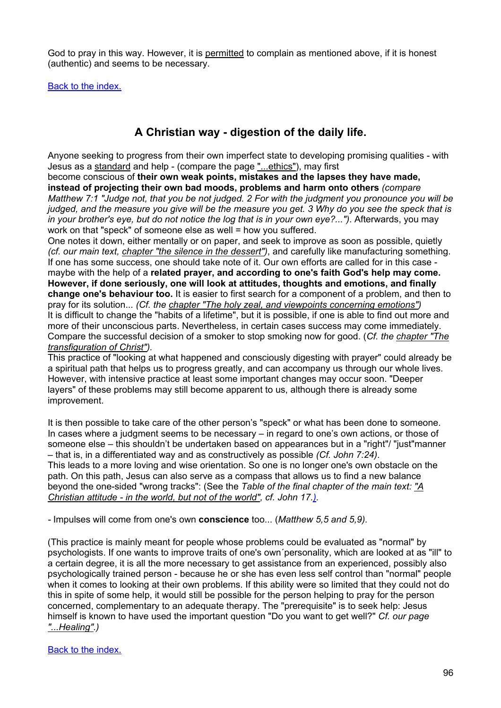God to pray in this way. However, it is permitted to complain as mentioned above, if it is honest (authentic) and seems to be necessary.

[Back to the index.](#page-1-0)

## **A Christian way - digestion of the daily life.**

Anyone seeking to progress from their own imperfect state to developing promising qualities - with Jesus as a standard and help - (compare the page "...ethics"), may first

become conscious of **their own weak points, mistakes and the lapses they have made, instead of projecting their own bad moods, problems and harm onto others** *(compare Matthew 7:1 "Judge not, that you be not judged. 2 For with the judgment you pronounce you will be judged, and the measure you give will be the measure you get. 3 Why do you see the speck that is in your brother's eye, but do not notice the log that is in your own eye?...")*. Afterwards, you may work on that "speck" of someone else as well = how you suffered.

One notes it down, either mentally or on paper, and seek to improve as soon as possible, quietly *(cf. our main text, chapter "the silence in the dessert")*, and carefully like manufacturing something. If one has some success, one should take note of it. Our own efforts are called for in this case maybe with the help of a **related prayer, and according to one's faith God's help may come. However, if done seriously, one will look at attitudes, thoughts and emotions, and finally change one's behaviour too.** It is easier to first search for a component of a problem, and then to pray for its solution... *(Cf. the chapter "The holy zeal, and viewpoints concerning emotions")*  It is difficult to change the "habits of a lifetime", but it is possible, if one is able to find out more and more of their unconscious parts. Nevertheless, in certain cases success may come immediately. Compare the successful decision of a smoker to stop smoking now for good. (*Cf. the chapter "The transfiguration of Christ").*

This practice of "looking at what happened and consciously digesting with prayer" could already be a spiritual path that helps us to progress greatly, and can accompany us through our whole lives. However, with intensive practice at least some important changes may occur soon. "Deeper layers" of these problems may still become apparent to us, although there is already some improvement.

It is then possible to take care of the other person's "speck" or what has been done to someone. In cases where a judgment seems to be necessary – in regard to one's own actions, or those of someone else – this shouldn't be undertaken based on appearances but in a "right"/ "just"manner – that is, in a differentiated way and as constructively as possible *(Cf. John 7:24)*. This leads to a more loving and wise orientation. So one is no longer one's own obstacle on the path. On this path, Jesus can also serve as a compass that allows us to find a new balance beyond the one-sided "wrong tracks": (See the *Table of the final chapter of the main text: "A Christian attitude - in the world, but not of the world", cf. John 17.).* 

*-* Impulses will come from one's own **conscience** too... (*Matthew 5,5 and 5,9).*

(This practice is mainly meant for people whose problems could be evaluated as "normal" by psychologists. If one wants to improve traits of one's own´personality, which are looked at as "ill" to a certain degree, it is all the more necessary to get assistance from an experienced, possibly also psychologically trained person - because he or she has even less self control than "normal" people when it comes to looking at their own problems. If this ability were so limited that they could not do this in spite of some help, it would still be possible for the person helping to pray for the person concerned, complementary to an adequate therapy. The "prerequisite" is to seek help: Jesus himself is known to have used the important question "Do you want to get well?" *Cf. our page "...Healing".)*

[Back to the index.](#page-1-0)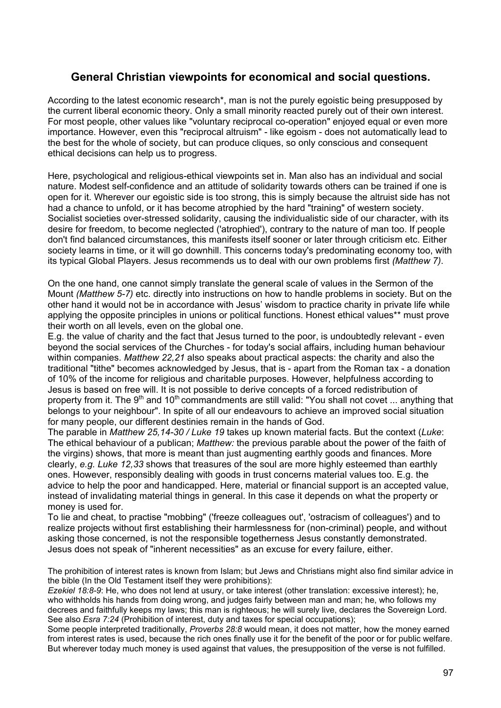### **General Christian viewpoints for economical and social questions.**

According to the latest economic research<sup>\*</sup>, man is not the purely egoistic being presupposed by the current liberal economic theory. Only a small minority reacted purely out of their own interest. For most people, other values like "voluntary reciprocal co-operation" enjoyed equal or even more importance. However, even this "reciprocal altruism" - like egoism - does not automatically lead to the best for the whole of society, but can produce cliques, so only conscious and consequent ethical decisions can help us to progress.

Here, psychological and religious-ethical viewpoints set in. Man also has an individual and social nature. Modest self-confidence and an attitude of solidarity towards others can be trained if one is open for it. Wherever our egoistic side is too strong, this is simply because the altruist side has not had a chance to unfold, or it has become atrophied by the hard "training" of western society. Socialist societies over-stressed solidarity, causing the individualistic side of our character, with its desire for freedom, to become neglected ('atrophied'), contrary to the nature of man too. If people don't find balanced circumstances, this manifests itself sooner or later through criticism etc. Either society learns in time, or it will go downhill. This concerns today's predominating economy too, with its typical Global Players. Jesus recommends us to deal with our own problems first *(Matthew 7)*.

On the one hand, one cannot simply translate the general scale of values in the Sermon of the Mount *(Matthew 5-7)* etc. directly into instructions on how to handle problems in society. But on the other hand it would not be in accordance with Jesus' wisdom to practice charity in private life while applying the opposite principles in unions or political functions. Honest ethical values\*\* must prove their worth on all levels, even on the global one.

E.g. the value of charity and the fact that Jesus turned to the poor, is undoubtedly relevant - even beyond the social services of the Churches - for today's social affairs, including human behaviour within companies. *Matthew 22,21* also speaks about practical aspects: the charity and also the traditional "tithe" becomes acknowledged by Jesus, that is - apart from the Roman tax - a donation of 10% of the income for religious and charitable purposes. However, helpfulness according to Jesus is based on free will. It is not possible to derive concepts of a forced redistribution of property from it. The  $9<sup>th</sup>$  and 10<sup>th</sup> commandments are still valid: "You shall not covet ... anything that belongs to your neighbour". In spite of all our endeavours to achieve an improved social situation for many people, our different destinies remain in the hands of God.

The parable in *Matthew 25,14-30 / Luke 19* takes up known material facts. But the context (*Luke*: The ethical behaviour of a publican; *Matthew:* the previous parable about the power of the faith of the virgins) shows, that more is meant than just augmenting earthly goods and finances. More clearly, *e.g. Luke 12,33* shows that treasures of the soul are more highly esteemed than earthly ones. However, responsibly dealing with goods in trust concerns material values too. E.g. the advice to help the poor and handicapped. Here, material or financial support is an accepted value, instead of invalidating material things in general. In this case it depends on what the property or money is used for.

To lie and cheat, to practise "mobbing" ('freeze colleagues out', 'ostracism of colleagues') and to realize projects without first establishing their harmlessness for (non-criminal) people, and without asking those concerned, is not the responsible togetherness Jesus constantly demonstrated. Jesus does not speak of "inherent necessities" as an excuse for every failure, either.

The prohibition of interest rates is known from Islam; but Jews and Christians might also find similar advice in the bible (In the Old Testament itself they were prohibitions):

*Ezekiel 18:8-9*: He, who does not lend at usury, or take interest (other translation: excessive interest); he, who withholds his hands from doing wrong, and judges fairly between man and man; he, who follows my decrees and faithfully keeps my laws; this man is righteous; he will surely live, declares the Sovereign Lord. See also *Esra 7:24* (Prohibition of interest, duty and taxes for special occupations);

Some people interpreted traditionally, *Proverbs 28:8* would mean, it does not matter, how the money earned from interest rates is used, because the rich ones finally use it for the benefit of the poor or for public welfare. But wherever today much money is used against that values, the presupposition of the verse is not fulfilled.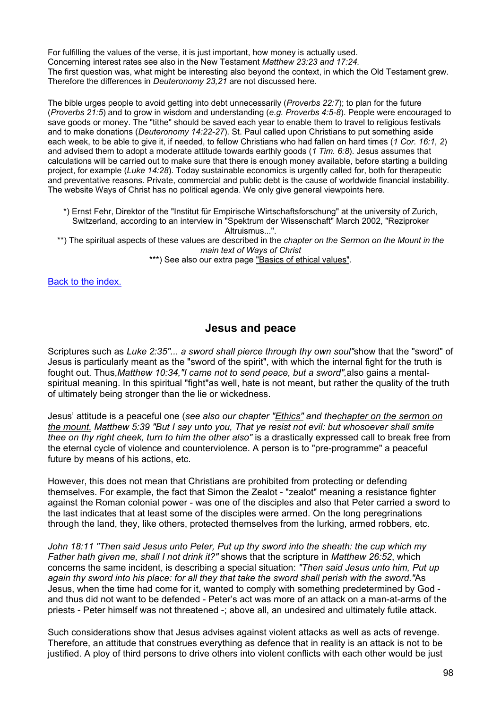For fulfilling the values of the verse, it is just important, how money is actually used. Concerning interest rates see also in the New Testament *Matthew 23:23 and 17:24.* The first question was, what might be interesting also beyond the context, in which the Old Testament grew. Therefore the differences in *Deuteronomy 23,21* are not discussed here.

The bible urges people to avoid getting into debt unnecessarily (*Proverbs 22:7*); to plan for the future (*Proverbs 21:5*) and to grow in wisdom and understanding (*e.g. Proverbs 4:5-8*). People were encouraged to save goods or money. The "tithe" should be saved each year to enable them to travel to religious festivals and to make donations (*Deuteronomy 14:22-27*). St. Paul called upon Christians to put something aside each week, to be able to give it, if needed, to fellow Christians who had fallen on hard times (*1 Cor. 16:1, 2*) and advised them to adopt a moderate attitude towards earthly goods (*1 Tim. 6:8*). Jesus assumes that calculations will be carried out to make sure that there is enough money available, before starting a building project, for example (*Luke 14:28*). Today sustainable economics is urgently called for, both for therapeutic and preventative reasons. Private, commercial and public debt is the cause of worldwide financial instability. The website Ways of Christ has no political agenda. We only give general viewpoints here.

\*) Ernst Fehr, Direktor of the "Institut für Empirische Wirtschaftsforschung" at the university of Zurich, Switzerland, according to an interview in "Spektrum der Wissenschaft" March 2002, "Reziproker Altruismus...".

\*\*) The spiritual aspects of these values are described in the *chapter on the Sermon on the Mount in the main text of Ways of Christ*

\*\*\*) See also our extra page "Basics of ethical values".

[Back to the index.](#page-1-0)

### **Jesus and peace**

Scriptures such as *Luke 2:35"... a sword shall pierce through thy own soul"*show that the "sword" of Jesus is particularly meant as the "sword of the spirit", with which the internal fight for the truth is fought out. Thus,*Matthew 10:34,"I came not to send peace, but a sword",*also gains a mentalspiritual meaning. In this spiritual "fight"as well, hate is not meant, but rather the quality of the truth of ultimately being stronger than the lie or wickedness.

Jesus' attitude is a peaceful one (*see also our chapter "Ethics" and thechapter on the sermon on the mount. Matthew 5:39 "But I say unto you, That ye resist not evil: but whosoever shall smite thee on thy right cheek, turn to him the other also"* is a drastically expressed call to break free from the eternal cycle of violence and counterviolence. A person is to "pre-programme" a peaceful future by means of his actions, etc.

However, this does not mean that Christians are prohibited from protecting or defending themselves. For example, the fact that Simon the Zealot - "zealot" meaning a resistance fighter against the Roman colonial power - was one of the disciples and also that Peter carried a sword to the last indicates that at least some of the disciples were armed. On the long peregrinations through the land, they, like others, protected themselves from the lurking, armed robbers, etc.

*John 18:11 "Then said Jesus unto Peter, Put up thy sword into the sheath: the cup which my Father hath given me, shall I not drink it?"* shows that the scripture in *Matthew 26:52*, which concerns the same incident, is describing a special situation: *"Then said Jesus unto him, Put up again thy sword into his place: for all they that take the sword shall perish with the sword."*As Jesus, when the time had come for it, wanted to comply with something predetermined by God and thus did not want to be defended - Peter's act was more of an attack on a man-at-arms of the priests - Peter himself was not threatened -; above all, an undesired and ultimately futile attack.

Such considerations show that Jesus advises against violent attacks as well as acts of revenge. Therefore, an attitude that construes everything as defence that in reality is an attack is not to be justified. A ploy of third persons to drive others into violent conflicts with each other would be just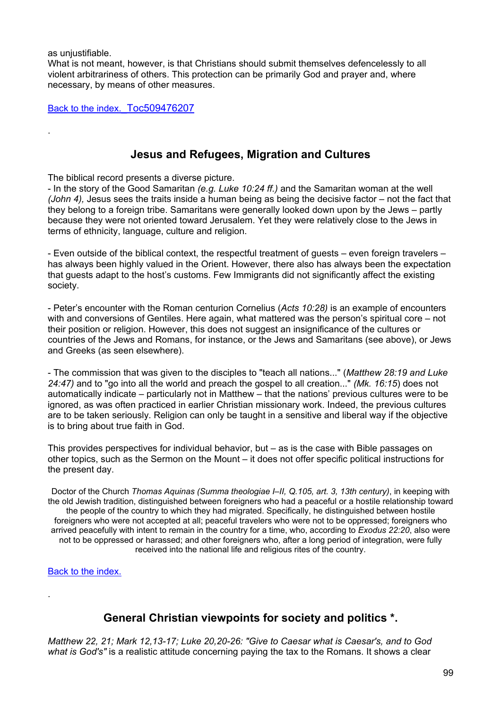as uniustifiable.

.

What is not meant, however, is that Christians should submit themselves defencelessly to all violent arbitrariness of others. This protection can be primarily God and prayer and, where necessary, by means of other measures.

Back to the index. Toc509476207

## **Jesus and Refugees, Migration and Cultures**

The biblical record presents a diverse picture.

- In the story of the Good Samaritan *(e.g. Luke 10:24 ff.)* and the Samaritan woman at the well *(John 4),* Jesus sees the traits inside a human being as being the decisive factor – not the fact that they belong to a foreign tribe. Samaritans were generally looked down upon by the Jews – partly because they were not oriented toward Jerusalem. Yet they were relatively close to the Jews in terms of ethnicity, language, culture and religion.

- Even outside of the biblical context, the respectful treatment of guests – even foreign travelers – has always been highly valued in the Orient. However, there also has always been the expectation that guests adapt to the host's customs. Few Immigrants did not significantly affect the existing society.

- Peter's encounter with the Roman centurion Cornelius (*Acts 10:28)* is an example of encounters with and conversions of Gentiles. Here again, what mattered was the person's spiritual core – not their position or religion. However, this does not suggest an insignificance of the cultures or countries of the Jews and Romans, for instance, or the Jews and Samaritans (see above), or Jews and Greeks (as seen elsewhere).

- The commission that was given to the disciples to "teach all nations..." (*Matthew 28:19 and Luke 24:47)* and to "go into all the world and preach the gospel to all creation..." *(Mk. 16:15*) does not automatically indicate – particularly not in Matthew – that the nations' previous cultures were to be ignored, as was often practiced in earlier Christian missionary work. Indeed, the previous cultures are to be taken seriously. Religion can only be taught in a sensitive and liberal way if the objective is to bring about true faith in God.

This provides perspectives for individual behavior, but – as is the case with Bible passages on other topics, such as the Sermon on the Mount – it does not offer specific political instructions for the present day.

Doctor of the Church *Thomas Aquinas (Summa theologiae I–II, Q.105, art. 3, 13th century)*, in keeping with the old Jewish tradition, distinguished between foreigners who had a peaceful or a hostile relationship toward the people of the country to which they had migrated. Specifically, he distinguished between hostile foreigners who were not accepted at all; peaceful travelers who were not to be oppressed; foreigners who arrived peacefully with intent to remain in the country for a time, who, according to *Exodus 22:20*, also were not to be oppressed or harassed; and other foreigners who, after a long period of integration, were fully received into the national life and religious rites of the country.

[Back to the index.](#page-1-0)

.

## **General Christian viewpoints for society and politics \*.**

*Matthew 22, 21; Mark 12,13-17; Luke 20,20-26: "Give to Caesar what is Caesar's, and to God what is God's"* is a realistic attitude concerning paying the tax to the Romans. It shows a clear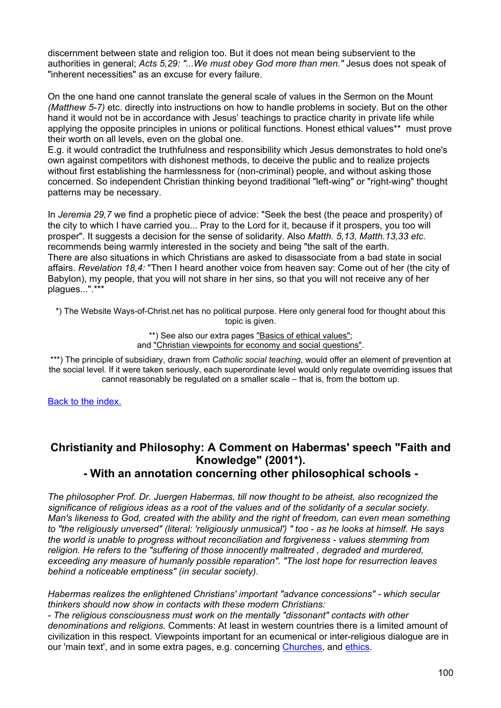discernment between state and religion too. But it does not mean being subservient to the authorities in general; *Acts 5,29: "...We must obey God more than men."* Jesus does not speak of "inherent necessities" as an excuse for every failure.

On the one hand one cannot translate the general scale of values in the Sermon on the Mount *(Matthew 5-7)* etc. directly into instructions on how to handle problems in society. But on the other hand it would not be in accordance with Jesus' teachings to practice charity in private life while applying the opposite principles in unions or political functions. Honest ethical values\*\* must prove their worth on all levels, even on the global one.

E.g. it would contradict the truthfulness and responsibility which Jesus demonstrates to hold one's own against competitors with dishonest methods, to deceive the public and to realize projects without first establishing the harmlessness for (non-criminal) people, and without asking those concerned. So independent Christian thinking beyond traditional "left-wing" or "right-wing" thought patterns may be necessary.

In *Jeremia 29,7* we find a prophetic piece of advice: "Seek the best (the peace and prosperity) of the city to which I have carried you... Pray to the Lord for it, because if it prospers, you too will prosper". It suggests a decision for the sense of solidarity. Also *Matth. 5,13, Matth.13,33 etc.* recommends being warmly interested in the society and being "the salt of the earth. There are also situations in which Christians are asked to disassociate from a bad state in social affairs. *Revelation 18,4:* "Then I heard another voice from heaven say: Come out of her (the city of Babylon), my people, that you will not share in her sins, so that you will not receive any of her plagues...".\*\*\*

\*) The Website Ways-of-Christ.net has no political purpose. Here only general food for thought about this topic is given.

> \*\*) See also our extra pages "Basics of ethical values"; and "Christian viewpoints for economy and social questions".

\*\*\*) The principle of subsidiary, drawn from *Catholic social teaching*, would offer an element of prevention at the social level*.* If it were taken seriously, each superordinate level would only regulate overriding issues that cannot reasonably be regulated on a smaller scale – that is, from the bottom up.

[Back to the index.](#page-1-0)

# **Christianity and Philosophy: A Comment on Habermas' speech "Faith and Knowledge" (2001\*).**

**- With an annotation concerning other philosophical schools -** 

*The philosopher Prof. Dr. Juergen Habermas, till now thought to be atheist, also recognized the significance of religious ideas as a root of the values and of the solidarity of a secular society. Man's likeness to God, created with the ability and the right of freedom, can even mean something to "the religiously unversed" (literal: 'religiously unmusical') " too - as he looks at himself. He says the world is unable to progress without reconciliation and forgiveness - values stemming from religion. He refers to the "suffering of those innocently maltreated , degraded and murdered, exceeding any measure of humanly possible reparation". "The lost hope for resurrection leaves behind a noticeable emptiness" (in secular society).*

*Habermas realizes the enlightened Christians' important "advance concessions" - which secular thinkers should now show in contacts with these modern Christians:*

*- The religious consciousness must work on the mentally "dissonant" contacts with other denominations and religions.* Comments: At least in western countries there is a limited amount of civilization in this respect. Viewpoints important for an ecumenical or inter-religious dialogue are in our 'main text', and in some extra pages, e.g. concerning [Churches,](http://www.ways-of-christ.net/b/churches.htm) and ethics.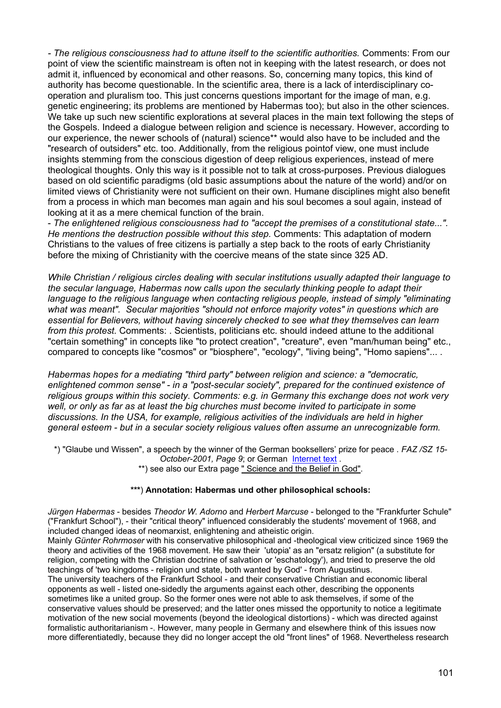*- The religious consciousness had to attune itself to the scientific authorities.* Comments: From our point of view the scientific mainstream is often not in keeping with the latest research, or does not admit it, influenced by economical and other reasons. So, concerning many topics, this kind of authority has become questionable. In the scientific area, there is a lack of interdisciplinary cooperation and pluralism too. This just concerns questions important for the image of man, e.g. genetic engineering; its problems are mentioned by Habermas too); but also in the other sciences. We take up such new scientific explorations at several places in the main text following the steps of the Gospels. Indeed a dialogue between religion and science is necessary. However, according to our experience, the newer schools of (natural) science\*\* would also have to be included and the "research of outsiders" etc. too. Additionally, from the religious pointof view, one must include insights stemming from the conscious digestion of deep religious experiences, instead of mere theological thoughts. Only this way is it possible not to talk at cross-purposes. Previous dialogues based on old scientific paradigms (old basic assumptions about the nature of the world) and/or on limited views of Christianity were not sufficient on their own. Humane disciplines might also benefit from a process in which man becomes man again and his soul becomes a soul again, instead of looking at it as a mere chemical function of the brain.

- *The enlightened religious consciousness had to "accept the premises of a constitutional state...". He mentions the destruction possible without this step.* Comments: This adaptation of modern Christians to the values of free citizens is partially a step back to the roots of early Christianity before the mixing of Christianity with the coercive means of the state since 325 AD.

*While Christian / religious circles dealing with secular institutions usually adapted their language to the secular language, Habermas now calls upon the secularly thinking people to adapt their*  language to the religious language when contacting religious people, instead of simply "eliminating *what was meant". Secular majorities "should not enforce majority votes" in questions which are essential for Believers, without having sincerely checked to see what they themselves can learn from this protest.* Comments: . Scientists, politicians etc. should indeed attune to the additional "certain something" in concepts like "to protect creation", "creature", even "man/human being" etc., compared to concepts like "cosmos" or "biosphere", "ecology", "living being", "Homo sapiens"... .

*Habermas hopes for a mediating "third party" between religion and science: a "democratic, enlightened common sense" - in a "post-secular society", prepared for the continued existence of religious groups within this society. Comments: e.g. in Germany this exchange does not work very well, or only as far as at least the big churches must become invited to participate in some discussions. In the USA, for example, religious activities of the individuals are held in higher general esteem - but in a secular society religious values often assume an unrecognizable form.*

\*) "Glaube und Wissen", a speech by the winner of the German booksellers' prize for peace . *FAZ /SZ 15-* October-2001, Page 9; or German Internet text \*\*) see also our Extra page " Science and the Belief in God".

#### **\*\*\***) **Annotation: Habermas und other philosophical schools:**

*Jürgen Habermas* - besides *Theodor W. Adorno* and *Herbert Marcuse* - belonged to the "Frankfurter Schule" ("Frankfurt School"), - their "critical theory" influenced considerably the students' movement of 1968, and included changed ideas of neomarxist, enlightening and atheistic origin.

Mainly *Günter Rohrmoser* with his conservative philosophical and -theological view criticized since 1969 the theory and activities of the 1968 movement. He saw their 'utopia' as an "ersatz religion" (a substitute for religion, competing with the Christian doctrine of salvation or 'eschatology'), and tried to preserve the old teachings of 'two kingdoms - religion und state, both wanted by God' - from Augustinus.

The university teachers of the Frankfurt School - and their conservative Christian and economic liberal opponents as well - listed one-sidedly the arguments against each other, describing the opponents sometimes like a united group. So the former ones were not able to ask themselves, if some of the conservative values should be preserved; and the latter ones missed the opportunity to notice a legitimate motivation of the new social movements (beyond the ideological distortions) - which was directed against formalistic authoritarianism -. However, many people in Germany and elsewhere think of this issues now more differentiatedly, because they did no longer accept the old "front lines" of 1968. Nevertheless research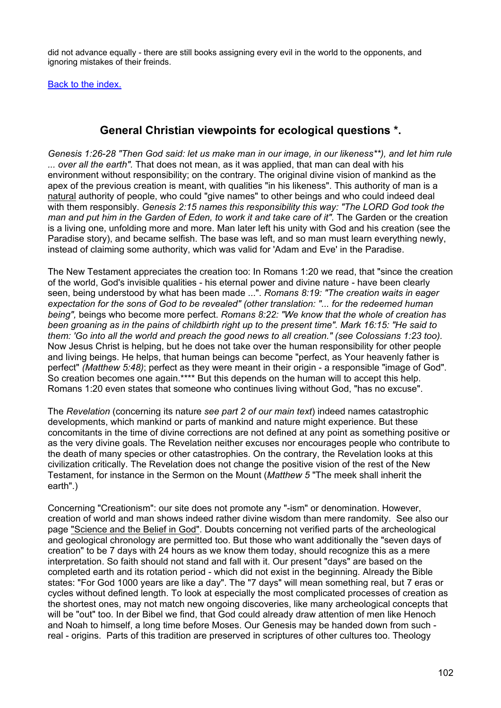did not advance equally - there are still books assigning every evil in the world to the opponents, and ignoring mistakes of their freinds.

[Back to the index.](#page-1-0)

## **General Christian viewpoints for ecological questions \*.**

*Genesis 1:26-28 "Then God said: let us make man in our image, in our likeness\*\*), and let him rule ... over all the earth".* That does not mean, as it was applied, that man can deal with his environment without responsibility; on the contrary. The original divine vision of mankind as the apex of the previous creation is meant, with qualities "in his likeness". This authority of man is a natural authority of people, who could "give names" to other beings and who could indeed deal with them responsibly. *Genesis 2:15 names this responsibility this way: "The LORD God took the man and put him in the Garden of Eden, to work it and take care of it".* The Garden or the creation is a living one, unfolding more and more. Man later left his unity with God and his creation (see the Paradise story), and became selfish. The base was left, and so man must learn everything newly, instead of claiming some authority, which was valid for 'Adam and Eve' in the Paradise.

The New Testament appreciates the creation too: In Romans 1:20 we read, that "since the creation of the world, God's invisible qualities - his eternal power and divine nature - have been clearly seen, being understood by what has been made ...". *Romans 8:19: "The creation waits in eager expectation for the sons of God to be revealed" (other translation: "... for the redeemed human being",* beings who become more perfect. *Romans 8:22: "We know that the whole of creation has been groaning as in the pains of childbirth right up to the present time". Mark 16:15: "He said to them: 'Go into all the world and preach the good news to all creation." (see Colossians 1:23 too).*  Now Jesus Christ is helping, but he does not take over the human responsibility for other people and living beings. He helps, that human beings can become "perfect, as Your heavenly father is perfect" *(Matthew 5:48)*; perfect as they were meant in their origin - a responsible "image of God". So creation becomes one again.\*\*\*\* But this depends on the human will to accept this help. Romans 1:20 even states that someone who continues living without God, "has no excuse".

The *Revelation* (concerning its nature *see part 2 of our main text*) indeed names catastrophic developments, which mankind or parts of mankind and nature might experience. But these concomitants in the time of divine corrections are not defined at any point as something positive or as the very divine goals. The Revelation neither excuses nor encourages people who contribute to the death of many species or other catastrophies. On the contrary, the Revelation looks at this civilization critically. The Revelation does not change the positive vision of the rest of the New Testament, for instance in the Sermon on the Mount (*Matthew 5* "The meek shall inherit the earth".)

Concerning "Creationism": our site does not promote any "-ism" or denomination. However, creation of world and man shows indeed rather divine wisdom than mere randomity. See also our page "Science and the Belief in God". Doubts concerning not verified parts of the archeological and geological chronology are permitted too. But those who want additionally the "seven days of creation" to be 7 days with 24 hours as we know them today, should recognize this as a mere interpretation. So faith should not stand and fall with it. Our present "days" are based on the completed earth and its rotation period - which did not exist in the beginning. Already the Bible states: "For God 1000 years are like a day". The "7 days" will mean something real, but 7 eras or cycles without defined length. To look at especially the most complicated processes of creation as the shortest ones, may not match new ongoing discoveries, like many archeological concepts that will be "out" too. In der Bibel we find, that God could already draw attention of men like Henoch and Noah to himself, a long time before Moses. Our Genesis may be handed down from such real - origins. Parts of this tradition are preserved in scriptures of other cultures too. Theology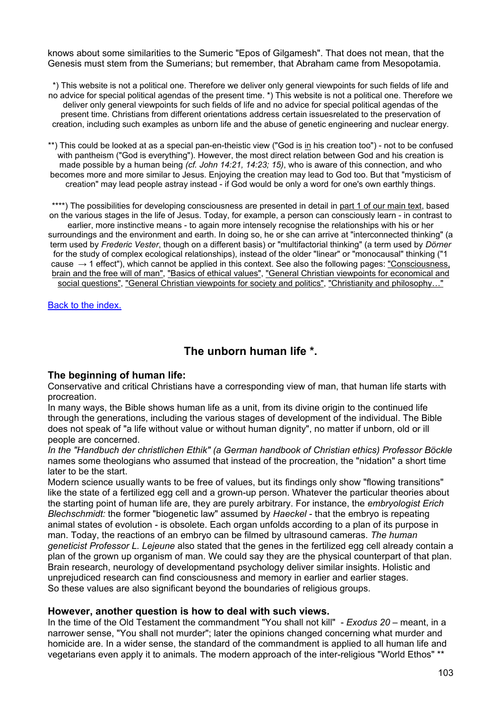knows about some similarities to the Sumeric "Epos of Gilgamesh". That does not mean, that the Genesis must stem from the Sumerians; but remember, that Abraham came from Mesopotamia.

\*) This website is not a political one. Therefore we deliver only general viewpoints for such fields of life and no advice for special political agendas of the present time. \*) This website is not a political one. Therefore we deliver only general viewpoints for such fields of life and no advice for special political agendas of the present time. Christians from different orientations address certain issuesrelated to the preservation of creation, including such examples as unborn life and the abuse of genetic engineering and nuclear energy.

\*\*) This could be looked at as a special pan-en-theistic view ("God is in his creation too") - not to be confused with pantheism ("God is everything"). However, the most direct relation between God and his creation is made possible by a human being *(cf. John 14:21, 14:23; 15)*, who is aware of this connection, and who becomes more and more similar to Jesus. Enjoying the creation may lead to God too. But that "mysticism of creation" may lead people astray instead - if God would be only a word for one's own earthly things.

\*\*\*\*) The possibilities for developing consciousness are presented in detail in part 1 of our main text, based on the various stages in the life of Jesus. Today, for example, a person can consciously learn - in contrast to earlier, more instinctive means - to again more intensely recognise the relationships with his or her surroundings and the environment and earth. In doing so, he or she can arrive at "interconnected thinking" (a term used by *Frederic Vester*, though on a different basis) or "multifactorial thinking" (a term used by *Dörner* for the study of complex ecological relationships), instead of the older "linear" or "monocausal" thinking ("1 cause  $\rightarrow$  1 effect"), which cannot be applied in this context. See also the following pages: "Consciousness, brain and the free will of man", "Basics of ethical values", "General Christian viewpoints for economical and social questions", "General Christian viewpoints for society and politics", "Christianity and philosophy..."

[Back to the index.](#page-1-0)

## **The unborn human life \*.**

#### **The beginning of human life:**

Conservative and critical Christians have a corresponding view of man, that human life starts with procreation.

In many ways, the Bible shows human life as a unit, from its divine origin to the continued life through the generations, including the various stages of development of the individual. The Bible does not speak of "a life without value or without human dignity", no matter if unborn, old or ill people are concerned.

*In the "Handbuch der christlichen Ethik" (a German handbook of Christian ethics) Professor Böckle* names some theologians who assumed that instead of the procreation, the "nidation" a short time later to be the start.

Modern science usually wants to be free of values, but its findings only show "flowing transitions" like the state of a fertilized egg cell and a grown-up person. Whatever the particular theories about the starting point of human life are, they are purely arbitrary. For instance, the *embryologist Erich Blechschmidt:* the former "biogenetic law" assumed by *Haeckel* - that the embryo is repeating animal states of evolution - is obsolete. Each organ unfolds according to a plan of its purpose in man. Today, the reactions of an embryo can be filmed by ultrasound cameras. *The human geneticist Professor L. Lejeune* also stated that the genes in the fertilized egg cell already contain a plan of the grown up organism of man. We could say they are the physical counterpart of that plan. Brain research, neurology of developmentand psychology deliver similar insights. Holistic and unprejudiced research can find consciousness and memory in earlier and earlier stages. So these values are also significant beyond the boundaries of religious groups.

#### **However, another question is how to deal with such views.**

In the time of the Old Testament the commandment "You shall not kill" - *Exodus 20* – meant, in a narrower sense, "You shall not murder"; later the opinions changed concerning what murder and homicide are. In a wider sense, the standard of the commandment is applied to all human life and vegetarians even apply it to animals. The modern approach of the inter-religious "World Ethos" \*\*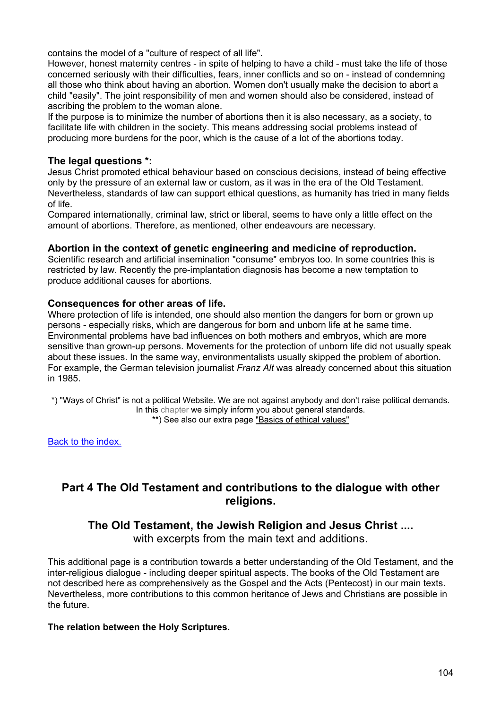contains the model of a "culture of respect of all life".

However, honest maternity centres - in spite of helping to have a child - must take the life of those concerned seriously with their difficulties, fears, inner conflicts and so on - instead of condemning all those who think about having an abortion. Women don't usually make the decision to abort a child "easily". The joint responsibility of men and women should also be considered, instead of ascribing the problem to the woman alone.

If the purpose is to minimize the number of abortions then it is also necessary, as a society, to facilitate life with children in the society. This means addressing social problems instead of producing more burdens for the poor, which is the cause of a lot of the abortions today.

#### **The legal questions \*:**

Jesus Christ promoted ethical behaviour based on conscious decisions, instead of being effective only by the pressure of an external law or custom, as it was in the era of the Old Testament. Nevertheless, standards of law can support ethical questions, as humanity has tried in many fields of life.

Compared internationally, criminal law, strict or liberal, seems to have only a little effect on the amount of abortions. Therefore, as mentioned, other endeavours are necessary.

#### **Abortion in the context of genetic engineering and medicine of reproduction.**

Scientific research and artificial insemination "consume" embryos too. In some countries this is restricted by law. Recently the pre-implantation diagnosis has become a new temptation to produce additional causes for abortions.

#### **Consequences for other areas of life.**

Where protection of life is intended, one should also mention the dangers for born or grown up persons - especially risks, which are dangerous for born and unborn life at he same time. Environmental problems have bad influences on both mothers and embryos, which are more sensitive than grown-up persons. Movements for the protection of unborn life did not usually speak about these issues. In the same way, environmentalists usually skipped the problem of abortion. For example, the German television journalist *Franz Alt* was already concerned about this situation in 1985.

\*) "Ways of Christ" is not a political Website. We are not against anybody and don't raise political demands. In this chapter we simply inform you about general standards. \*\*) See also our extra page "Basics of ethical values"

[Back to the index.](#page-1-0)

## **Part 4 The Old Testament and contributions to the dialogue with other religions.**

## **The Old Testament, the Jewish Religion and Jesus Christ ....**

with excerpts from the main text and additions.

This additional page is a contribution towards a better understanding of the Old Testament, and the inter-religious dialogue - including deeper spiritual aspects. The books of the Old Testament are not described here as comprehensively as the Gospel and the Acts (Pentecost) in our main texts. Nevertheless, more contributions to this common heritance of Jews and Christians are possible in the future.

#### **The relation between the Holy Scriptures.**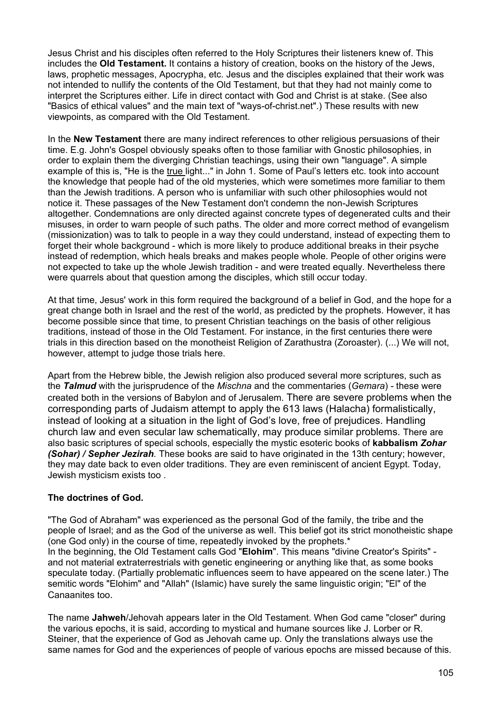Jesus Christ and his disciples often referred to the Holy Scriptures their listeners knew of. This includes the **Old Testament.** It contains a history of creation, books on the history of the Jews, laws, prophetic messages, Apocrypha, etc. Jesus and the disciples explained that their work was not intended to nullify the contents of the Old Testament, but that they had not mainly come to interpret the Scriptures either. Life in direct contact with God and Christ is at stake. (See also "Basics of ethical values" and the main text of "ways-of-christ.net".) These results with new viewpoints, as compared with the Old Testament.

In the **New Testament** there are many indirect references to other religious persuasions of their time. E.g. John's Gospel obviously speaks often to those familiar with Gnostic philosophies, in order to explain them the diverging Christian teachings, using their own "language". A simple example of this is, "He is the true light..." in John 1. Some of Paul's letters etc. took into account the knowledge that people had of the old mysteries, which were sometimes more familiar to them than the Jewish traditions. A person who is unfamiliar with such other philosophies would not notice it. These passages of the New Testament don't condemn the non-Jewish Scriptures altogether. Condemnations are only directed against concrete types of degenerated cults and their misuses, in order to warn people of such paths. The older and more correct method of evangelism (missionization) was to talk to people in a way they could understand, instead of expecting them to forget their whole background - which is more likely to produce additional breaks in their psyche instead of redemption, which heals breaks and makes people whole. People of other origins were not expected to take up the whole Jewish tradition - and were treated equally. Nevertheless there were quarrels about that question among the disciples, which still occur today.

At that time, Jesus' work in this form required the background of a belief in God, and the hope for a great change both in Israel and the rest of the world, as predicted by the prophets. However, it has become possible since that time, to present Christian teachings on the basis of other religious traditions, instead of those in the Old Testament. For instance, in the first centuries there were trials in this direction based on the monotheist Religion of Zarathustra (Zoroaster). (...) We will not, however, attempt to judge those trials here.

Apart from the Hebrew bible, the Jewish religion also produced several more scriptures, such as the *Talmud* with the jurisprudence of the *Mischna* and the commentaries (*Gemara*) *-* these were created both in the versions of Babylon and of Jerusalem. There are severe problems when the corresponding parts of Judaism attempt to apply the 613 laws (Halacha) formalistically, instead of looking at a situation in the light of God's love, free of prejudices. Handling church law and even secular law schematically, may produce similar problems. There are also basic scriptures of special schools, especially the mystic esoteric books of **kabbalism** *Zohar (Sohar) / Sepher Jezirah.* These books are said to have originated in the 13th century; however, they may date back to even older traditions. They are even reminiscent of ancient Egypt. Today, Jewish mysticism exists too .

#### **The doctrines of God.**

"The God of Abraham" was experienced as the personal God of the family, the tribe and the people of Israel; and as the God of the universe as well. This belief got its strict monotheistic shape (one God only) in the course of time, repeatedly invoked by the prophets.\* In the beginning, the Old Testament calls God "**Elohim**". This means "divine Creator's Spirits" and not material extraterrestrials with genetic engineering or anything like that, as some books speculate today. (Partially problematic influences seem to have appeared on the scene later.) The semitic words "Elohim" and "Allah" (Islamic) have surely the same linguistic origin; "El" of the Canaanites too.

The name **Jahweh**/Jehovah appears later in the Old Testament. When God came "closer" during the various epochs, it is said, according to mystical and humane sources like J. Lorber or R. Steiner, that the experience of God as Jehovah came up. Only the translations always use the same names for God and the experiences of people of various epochs are missed because of this.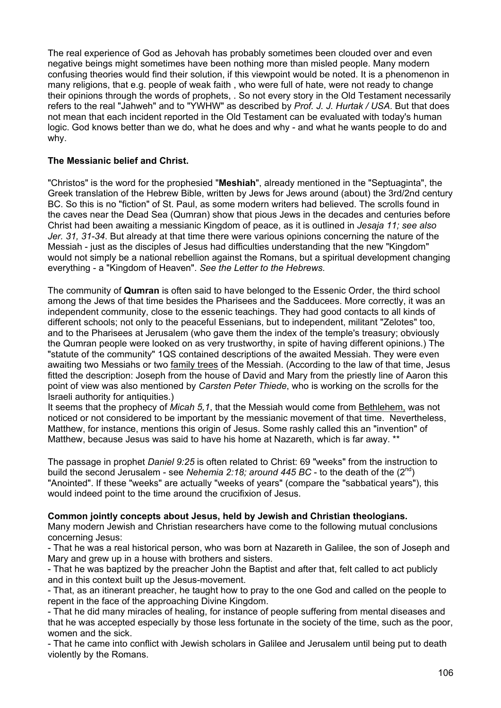The real experience of God as Jehovah has probably sometimes been clouded over and even negative beings might sometimes have been nothing more than misled people. Many modern confusing theories would find their solution, if this viewpoint would be noted. It is a phenomenon in many religions, that e.g. people of weak faith , who were full of hate, were not ready to change their opinions through the words of prophets, . So not every story in the Old Testament necessarily refers to the real "Jahweh" and to "YWHW" as described by *Prof. J. J. Hurtak / USA*. But that does not mean that each incident reported in the Old Testament can be evaluated with today's human logic. God knows better than we do, what he does and why - and what he wants people to do and why.

#### **The Messianic belief and Christ.**

"Christos" is the word for the prophesied "**Meshiah**", already mentioned in the "Septuaginta", the Greek translation of the Hebrew Bible, written by Jews for Jews around (about) the 3rd/2nd century BC. So this is no "fiction" of St. Paul, as some modern writers had believed. The scrolls found in the caves near the Dead Sea (Qumran) show that pious Jews in the decades and centuries before Christ had been awaiting a messianic Kingdom of peace, as it is outlined in *Jesaja 11; see also Jer. 31, 31-34*. But already at that time there were various opinions concerning the nature of the Messiah - just as the disciples of Jesus had difficulties understanding that the new "Kingdom" would not simply be a national rebellion against the Romans, but a spiritual development changing everything - a "Kingdom of Heaven". *See the Letter to the Hebrews.*

The community of **Qumran** is often said to have belonged to the Essenic Order, the third school among the Jews of that time besides the Pharisees and the Sadducees. More correctly, it was an independent community, close to the essenic teachings. They had good contacts to all kinds of different schools; not only to the peaceful Essenians, but to independent, militant "Zelotes" too, and to the Pharisees at Jerusalem (who gave them the index of the temple's treasury; obviously the Qumran people were looked on as very trustworthy, in spite of having different opinions.) The "statute of the community" 1QS contained descriptions of the awaited Messiah. They were even awaiting two Messiahs or two family trees of the Messiah. (According to the law of that time, Jesus fitted the description: Joseph from the house of David and Mary from the priestly line of Aaron this point of view was also mentioned by *Carsten Peter Thiede*, who is working on the scrolls for the Israeli authority for antiquities.)

It seems that the prophecy of *Micah 5,1*, that the Messiah would come from Bethlehem, was not noticed or not considered to be important by the messianic movement of that time. Nevertheless, Matthew, for instance, mentions this origin of Jesus. Some rashly called this an "invention" of Matthew, because Jesus was said to have his home at Nazareth, which is far away. \*\*

The passage in prophet *Daniel 9:25* is often related to Christ: 69 "weeks" from the instruction to build the second Jerusalem - see *Nehemia 2:18; around 445 BC* - to the death of the  $(2^{nd})$ "Anointed". If these "weeks" are actually "weeks of years" (compare the "sabbatical years"), this would indeed point to the time around the crucifixion of Jesus.

#### **Common jointly concepts about Jesus, held by Jewish and Christian theologians.**

Many modern Jewish and Christian researchers have come to the following mutual conclusions concerning Jesus:

- That he was a real historical person, who was born at Nazareth in Galilee, the son of Joseph and Mary and grew up in a house with brothers and sisters.

- That he was baptized by the preacher John the Baptist and after that, felt called to act publicly and in this context built up the Jesus-movement.

- That, as an itinerant preacher, he taught how to pray to the one God and called on the people to repent in the face of the approaching Divine Kingdom.

- That he did many miracles of healing, for instance of people suffering from mental diseases and that he was accepted especially by those less fortunate in the society of the time, such as the poor, women and the sick.

- That he came into conflict with Jewish scholars in Galilee and Jerusalem until being put to death violently by the Romans.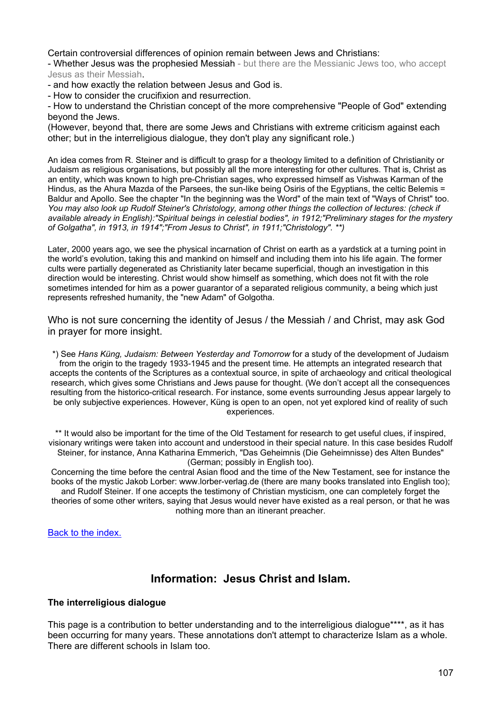Certain controversial differences of opinion remain between Jews and Christians:

- Whether Jesus was the prophesied Messiah - but there are the Messianic Jews too, who accept Jesus as their Messiah.

- and how exactly the relation between Jesus and God is.

- How to consider the crucifixion and resurrection.

- How to understand the Christian concept of the more comprehensive "People of God" extending beyond the Jews.

(However, beyond that, there are some Jews and Christians with extreme criticism against each other; but in the interreligious dialogue, they don't play any significant role.)

An idea comes from R. Steiner and is difficult to grasp for a theology limited to a definition of Christianity or Judaism as religious organisations, but possibly all the more interesting for other cultures. That is, Christ as an entity, which was known to high pre-Christian sages, who expressed himself as Vishwas Karman of the Hindus, as the Ahura Mazda of the Parsees, the sun-like being Osiris of the Egyptians, the celtic Belemis = Baldur and Apollo. See the chapter "In the beginning was the Word" of the main text of "Ways of Christ" too. *You may also look up Rudolf Steiner's Christology, among other things the collection of lectures: (check if available already in English):"Spiritual beings in celestial bodies", in 1912;"Preliminary stages for the mystery of Golgatha", in 1913, in 1914";"From Jesus to Christ", in 1911;"Christology". \*\*)*

Later, 2000 years ago, we see the physical incarnation of Christ on earth as a yardstick at a turning point in the world's evolution, taking this and mankind on himself and including them into his life again. The former cults were partially degenerated as Christianity later became superficial, though an investigation in this direction would be interesting. Christ would show himself as something, which does not fit with the role sometimes intended for him as a power guarantor of a separated religious community, a being which just represents refreshed humanity, the "new Adam" of Golgotha.

Who is not sure concerning the identity of Jesus / the Messiah / and Christ, may ask God in prayer for more insight.

\*) See *Hans Küng, Judaism: Between Yesterday and Tomorrow* for a study of the development of Judaism from the origin to the tragedy 1933-1945 and the present time*.* He attempts an integrated research that accepts the contents of the Scriptures as a contextual source, in spite of archaeology and critical theological research, which gives some Christians and Jews pause for thought. (We don't accept all the consequences resulting from the historico-critical research. For instance, some events surrounding Jesus appear largely to be only subjective experiences. However, Küng is open to an open, not yet explored kind of reality of such experiences.

\*\* It would also be important for the time of the Old Testament for research to get useful clues, if inspired, visionary writings were taken into account and understood in their special nature. In this case besides Rudolf Steiner, for instance, Anna Katharina Emmerich, "Das Geheimnis (Die Geheimnisse) des Alten Bundes" (German; possibly in English too).

Concerning the time before the central Asian flood and the time of the New Testament, see for instance the books of the mystic Jakob Lorber: www.lorber-verlag.de (there are many books translated into English too); and Rudolf Steiner. If one accepts the testimony of Christian mysticism, one can completely forget the theories of some other writers, saying that Jesus would never have existed as a real person, or that he was nothing more than an itinerant preacher.

[Back to the index.](#page-1-0)

## **Information: Jesus Christ and Islam.**

#### **The interreligious dialogue**

This page is a contribution to better understanding and to the interreligious dialogue\*\*\*\*, as it has been occurring for many years. These annotations don't attempt to characterize Islam as a whole. There are different schools in Islam too.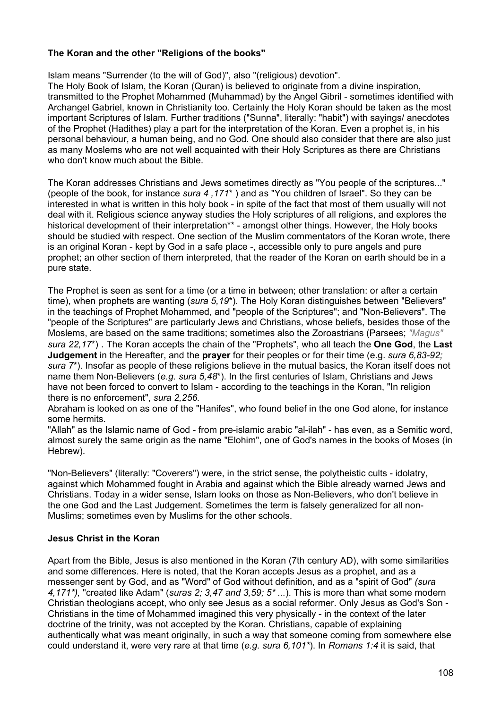#### **The Koran and the other "Religions of the books"**

Islam means "Surrender (to the will of God)", also "(religious) devotion".

The Holy Book of Islam, the Koran (Quran) is believed to originate from a divine inspiration, transmitted to the Prophet Mohammed (Muhammad) by the Angel Gibril - sometimes identified with Archangel Gabriel, known in Christianity too. Certainly the Holy Koran should be taken as the most important Scriptures of Islam. Further traditions ("Sunna", literally: "habit") with sayings/ anecdotes of the Prophet (Hadithes) play a part for the interpretation of the Koran. Even a prophet is, in his personal behaviour, a human being, and no God. One should also consider that there are also just as many Moslems who are not well acquainted with their Holy Scriptures as there are Christians who don't know much about the Bible.

The Koran addresses Christians and Jews sometimes directly as "You people of the scriptures..." (people of the book, for instance *sura 4 ,171*\* ) and as "You children of Israel". So they can be interested in what is written in this holy book - in spite of the fact that most of them usually will not deal with it. Religious science anyway studies the Holy scriptures of all religions, and explores the historical development of their interpretation\*\* - amongst other things. However, the Holy books should be studied with respect. One section of the Muslim commentators of the Koran wrote, there is an original Koran - kept by God in a safe place -, accessible only to pure angels and pure prophet; an other section of them interpreted, that the reader of the Koran on earth should be in a pure state.

The Prophet is seen as sent for a time (or a time in between; other translation: or after a certain time), when prophets are wanting (*sura 5,19*\*). The Holy Koran distinguishes between "Believers" in the teachings of Prophet Mohammed, and "people of the Scriptures"; and "Non-Believers". The "people of the Scriptures" are particularly Jews and Christians, whose beliefs, besides those of the Moslems, are based on the same traditions; sometimes also the Zoroastrians (Parsees; *"Magus" sura 22,17*\*) . The Koran accepts the chain of the "Prophets", who all teach the **One God**, the **Last Judgement** in the Hereafter, and the **prayer** for their peoples or for their time (e.g. *sura 6,83-92; sura 7*\*). Insofar as people of these religions believe in the mutual basics, the Koran itself does not name them Non-Believers (*e.g. sura 5,48*\*). In the first centuries of Islam, Christians and Jews have not been forced to convert to Islam - according to the teachings in the Koran, "In religion there is no enforcement", *sura 2,256.* 

Abraham is looked on as one of the "Hanifes", who found belief in the one God alone, for instance some hermits.

"Allah" as the Islamic name of God - from pre-islamic arabic "al-ilah" - has even, as a Semitic word, almost surely the same origin as the name "Elohim", one of God's names in the books of Moses (in Hebrew).

"Non-Believers" (literally: "Coverers") were, in the strict sense, the polytheistic cults - idolatry, against which Mohammed fought in Arabia and against which the Bible already warned Jews and Christians. Today in a wider sense, Islam looks on those as Non-Believers, who don't believe in the one God and the Last Judgement. Sometimes the term is falsely generalized for all non-Muslims; sometimes even by Muslims for the other schools.

#### **Jesus Christ in the Koran**

Apart from the Bible, Jesus is also mentioned in the Koran (7th century AD), with some similarities and some differences. Here is noted, that the Koran accepts Jesus as a prophet, and as a messenger sent by God, and as "Word" of God without definition, and as a "spirit of God" *(sura 4,171\*),* "created like Adam" (*suras 2; 3,47 and 3,59; 5\* ...*). This is more than what some modern Christian theologians accept, who only see Jesus as a social reformer. Only Jesus as God's Son - Christians in the time of Mohammed imagined this very physically - in the context of the later doctrine of the trinity, was not accepted by the Koran. Christians, capable of explaining authentically what was meant originally, in such a way that someone coming from somewhere else could understand it, were very rare at that time (*e.g. sura 6,101\**). In *Romans 1:4* it is said, that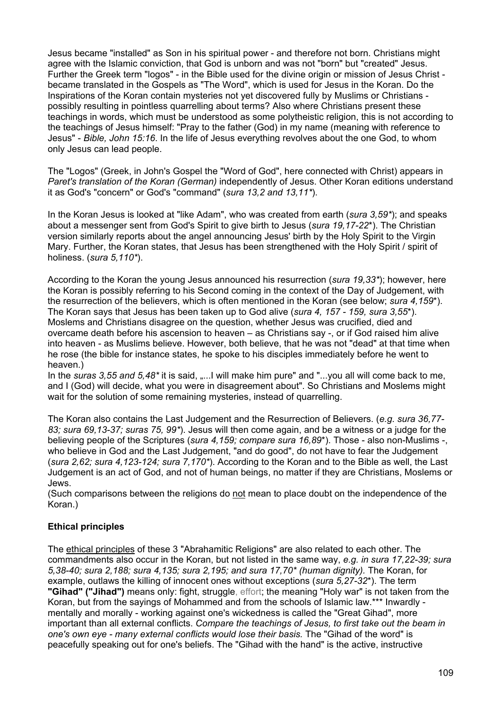Jesus became "installed" as Son in his spiritual power - and therefore not born. Christians might agree with the Islamic conviction, that God is unborn and was not "born" but "created" Jesus. Further the Greek term "logos" - in the Bible used for the divine origin or mission of Jesus Christ became translated in the Gospels as "The Word", which is used for Jesus in the Koran. Do the Inspirations of the Koran contain mysteries not yet discovered fully by Muslims or Christians possibly resulting in pointless quarrelling about terms? Also where Christians present these teachings in words, which must be understood as some polytheistic religion, this is not according to the teachings of Jesus himself: "Pray to the father (God) in my name (meaning with reference to Jesus" - *Bible, John 15:16*. In the life of Jesus everything revolves about the one God, to whom only Jesus can lead people.

The "Logos" (Greek, in John's Gospel the "Word of God", here connected with Christ) appears in *Paret's translation of the Koran (German)* independently of Jesus. Other Koran editions understand it as God's "concern" or God's "command" (*sura 13,2 and 13,11\**).

In the Koran Jesus is looked at "like Adam", who was created from earth (*sura 3,59\**); and speaks about a messenger sent from God's Spirit to give birth to Jesus (*sura 19,17-22*\*). The Christian version similarly reports about the angel announcing Jesus' birth by the Holy Spirit to the Virgin Mary. Further, the Koran states, that Jesus has been strengthened with the Holy Spirit / spirit of holiness. (*sura 5,110\**).

According to the Koran the young Jesus announced his resurrection (*sura 19,33\**); however, here the Koran is possibly referring to his Second coming in the context of the Day of Judgement, with the resurrection of the believers, which is often mentioned in the Koran (see below; *sura 4,159*\*). The Koran says that Jesus has been taken up to God alive (*sura 4, 157 - 159, sura 3,55*\*). Moslems and Christians disagree on the question, whether Jesus was crucified, died and overcame death before his ascension to heaven – as Christians say -, or if God raised him alive into heaven - as Muslims believe. However, both believe, that he was not "dead" at that time when he rose (the bible for instance states, he spoke to his disciples immediately before he went to heaven.)

In the *suras 3,55 and 5,48<sup>\*</sup>* it is said, "....I will make him pure" and "...you all will come back to me, and I (God) will decide, what you were in disagreement about". So Christians and Moslems might wait for the solution of some remaining mysteries, instead of quarrelling.

The Koran also contains the Last Judgement and the Resurrection of Believers. (*e.g. sura 36,77- 83; sura 69,13-37; suras 75, 99\**). Jesus will then come again, and be a witness or a judge for the believing people of the Scriptures (*sura 4,159; compare sura 16,89*\*). Those - also non-Muslims -, who believe in God and the Last Judgement, "and do good", do not have to fear the Judgement (*sura 2,62; sura 4,123-124; sura 7,170\**). According to the Koran and to the Bible as well, the Last Judgement is an act of God, and not of human beings, no matter if they are Christians, Moslems or Jews.

(Such comparisons between the religions do not mean to place doubt on the independence of the Koran.)

### **Ethical principles**

The ethical principles of these 3 "Abrahamitic Religions" are also related to each other. The commandments also occur in the Koran, but not listed in the same way, *e.g. in sura 17,22-39; sura 5,38-40; sura 2,188; sura 4,135; sura 2,195; and sura 17,70\* (human dignity).* The Koran, for example, outlaws the killing of innocent ones without exceptions (*sura 5,27-32*\*). The term **"Gihad" ("Jihad")** means only: fight, struggle, effort; the meaning "Holy war" is not taken from the Koran, but from the sayings of Mohammed and from the schools of Islamic law.\*\*\* Inwardly mentally and morally - working against one's wickedness is called the "Great Gihad", more important than all external conflicts. *Compare the teachings of Jesus, to first take out the beam in one's own eye - many external conflicts would lose their basis.* The "Gihad of the word" is peacefully speaking out for one's beliefs. The "Gihad with the hand" is the active, instructive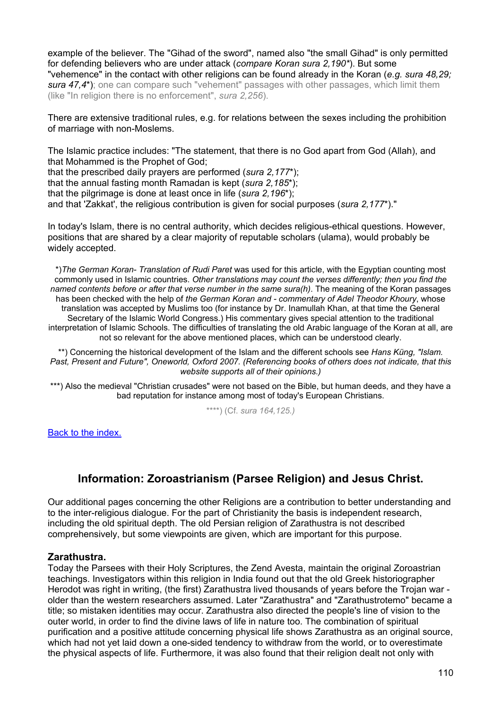example of the believer. The "Gihad of the sword", named also "the small Gihad" is only permitted for defending believers who are under attack (*compare Koran sura 2,190\**). But some "vehemence" in the contact with other religions can be found already in the Koran (*e.g. sura 48,29; sura 47,4*\*); one can compare such "vehement" passages with other passages, which limit them (like "In religion there is no enforcement", *sura 2,256*).

There are extensive traditional rules, e.g. for relations between the sexes including the prohibition of marriage with non-Moslems.

The Islamic practice includes: "The statement, that there is no God apart from God (Allah), and that Mohammed is the Prophet of God;

that the prescribed daily prayers are performed (*sura 2,177*\*);

that the annual fasting month Ramadan is kept (*sura 2,185*\*);

that the pilgrimage is done at least once in life (*sura 2,196*\*);

and that 'Zakkat', the religious contribution is given for social purposes (*sura 2,177*\*)."

In today's Islam, there is no central authority, which decides religious-ethical questions. However, positions that are shared by a clear majority of reputable scholars (ulama), would probably be widely accepted.

\*)*The German Koran- Translation of Rudi Paret* was used for this article, with the Egyptian counting most commonly used in Islamic countries. *Other translations may count the verses differently; then you find the named contents before or after that verse number in the same sura(h)*. The meaning of the Koran passages has been checked with the help of *the German Koran and - commentary of Adel Theodor Khoury*, whose translation was accepted by Muslims too (for instance by Dr. Inamullah Khan, at that time the General Secretary of the Islamic World Congress.) His commentary gives special attention to the traditional interpretation of Islamic Schools. The difficulties of translating the old Arabic language of the Koran at all, are not so relevant for the above mentioned places, which can be understood clearly.

\*\*) Concerning the historical development of the Islam and the different schools see *Hans Küng, "Islam. Past, Present and Future", Oneworld, Oxford 2007. (Referencing books of others does not indicate, that this website supports all of their opinions.)*

\*\*\*) Also the medieval "Christian crusades" were not based on the Bible, but human deeds, and they have a bad reputation for instance among most of today's European Christians.

\*\*\*\*) (Cf. *sura 164,125.)*

[Back to the index.](#page-1-0)

# **Information: Zoroastrianism (Parsee Religion) and Jesus Christ.**

Our additional pages concerning the other Religions are a contribution to better understanding and to the inter-religious dialogue. For the part of Christianity the basis is independent research, including the old spiritual depth. The old Persian religion of Zarathustra is not described comprehensively, but some viewpoints are given, which are important for this purpose.

#### **Zarathustra.**

Today the Parsees with their Holy Scriptures, the Zend Avesta, maintain the original Zoroastrian teachings. Investigators within this religion in India found out that the old Greek historiographer Herodot was right in writing, (the first) Zarathustra lived thousands of years before the Trojan war older than the western researchers assumed. Later "Zarathustra" and "Zarathustrotemo" became a title; so mistaken identities may occur. Zarathustra also directed the people's line of vision to the outer world, in order to find the divine laws of life in nature too. The combination of spiritual purification and a positive attitude concerning physical life shows Zarathustra as an original source, which had not yet laid down a one-sided tendency to withdraw from the world, or to overestimate the physical aspects of life. Furthermore, it was also found that their religion dealt not only with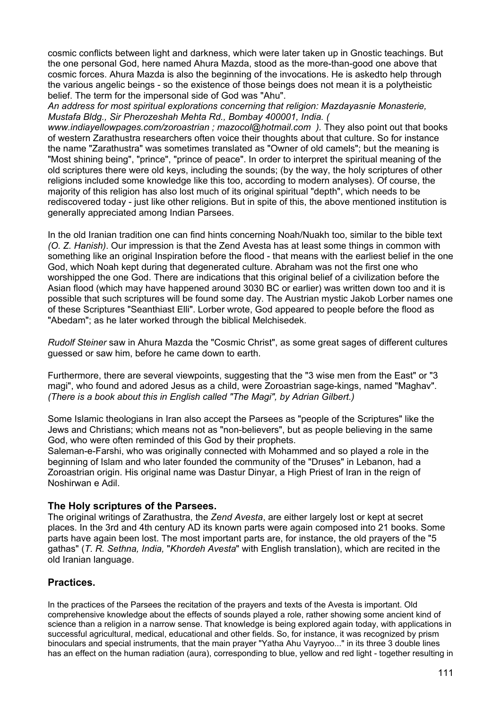cosmic conflicts between light and darkness, which were later taken up in Gnostic teachings. But the one personal God, here named Ahura Mazda, stood as the more-than-good one above that cosmic forces. Ahura Mazda is also the beginning of the invocations. He is askedto help through the various angelic beings - so the existence of those beings does not mean it is a polytheistic belief. The term for the impersonal side of God was "Ahu".

*An address for most spiritual explorations concerning that religion: Mazdayasnie Monasterie, Mustafa Bldg., Sir Pherozeshah Mehta Rd., Bombay 400001, India. (* 

*www.indiayellowpages.com/zoroastrian ; mazocol@hotmail.com ).* They also point out that books of western Zarathustra researchers often voice their thoughts about that culture. So for instance the name "Zarathustra" was sometimes translated as "Owner of old camels"; but the meaning is "Most shining being", "prince", "prince of peace". In order to interpret the spiritual meaning of the old scriptures there were old keys, including the sounds; (by the way, the holy scriptures of other religions included some knowledge like this too, according to modern analyses). Of course, the majority of this religion has also lost much of its original spiritual "depth", which needs to be rediscovered today - just like other religions. But in spite of this, the above mentioned institution is generally appreciated among Indian Parsees.

In the old Iranian tradition one can find hints concerning Noah/Nuakh too, similar to the bible text *(O. Z. Hanish)*. Our impression is that the Zend Avesta has at least some things in common with something like an original Inspiration before the flood - that means with the earliest belief in the one God, which Noah kept during that degenerated culture. Abraham was not the first one who worshipped the one God. There are indications that this original belief of a civilization before the Asian flood (which may have happened around 3030 BC or earlier) was written down too and it is possible that such scriptures will be found some day. The Austrian mystic Jakob Lorber names one of these Scriptures "Seanthiast Elli". Lorber wrote, God appeared to people before the flood as "Abedam"; as he later worked through the biblical Melchisedek.

*Rudolf Steiner* saw in Ahura Mazda the "Cosmic Christ", as some great sages of different cultures guessed or saw him, before he came down to earth.

Furthermore, there are several viewpoints, suggesting that the "3 wise men from the East" or "3 magi", who found and adored Jesus as a child, were Zoroastrian sage-kings, named "Maghav". *(There is a book about this in English called "The Magi", by Adrian Gilbert.)* 

Some Islamic theologians in Iran also accept the Parsees as "people of the Scriptures" like the Jews and Christians; which means not as "non-believers", but as people believing in the same God, who were often reminded of this God by their prophets.

Saleman-e-Farshi, who was originally connected with Mohammed and so played a role in the beginning of Islam and who later founded the community of the "Druses" in Lebanon, had a Zoroastrian origin. His original name was Dastur Dinyar, a High Priest of Iran in the reign of Noshirwan e Adil.

#### **The Holy scriptures of the Parsees.**

The original writings of Zarathustra, the *Zend Avesta*, are either largely lost or kept at secret places. In the 3rd and 4th century AD its known parts were again composed into 21 books. Some parts have again been lost. The most important parts are, for instance, the old prayers of the "5 gathas" (*T. R. Sethna, India,* "*Khordeh Avesta*" with English translation), which are recited in the old Iranian language.

### **Practices.**

In the practices of the Parsees the recitation of the prayers and texts of the Avesta is important. Old comprehensive knowledge about the effects of sounds played a role, rather showing some ancient kind of science than a religion in a narrow sense. That knowledge is being explored again today, with applications in successful agricultural, medical, educational and other fields. So, for instance, it was recognized by prism binoculars and special instruments, that the main prayer "Yatha Ahu Vayryoo..." in its three 3 double lines has an effect on the human radiation (aura), corresponding to blue, yellow and red light - together resulting in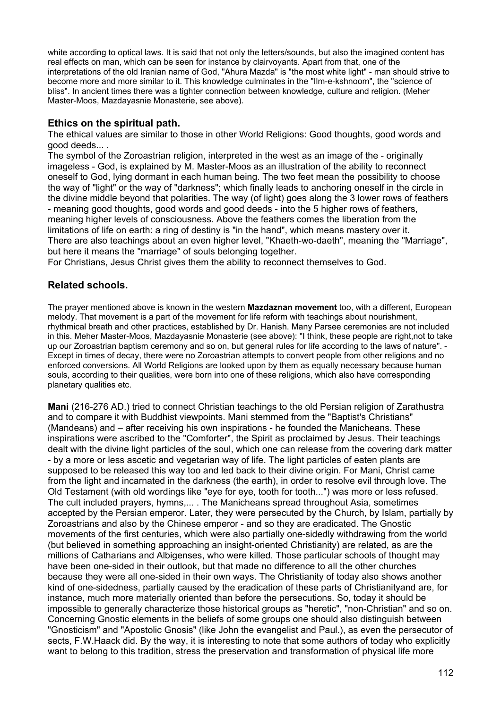white according to optical laws. It is said that not only the letters/sounds, but also the imagined content has real effects on man, which can be seen for instance by clairvoyants. Apart from that, one of the interpretations of the old Iranian name of God, "Ahura Mazda" is "the most white light" - man should strive to become more and more similar to it. This knowledge culminates in the "Ilm-e-kshnoom", the "science of bliss". In ancient times there was a tighter connection between knowledge, culture and religion. (Meher Master-Moos, Mazdayasnie Monasterie, see above).

#### **Ethics on the spiritual path.**

The ethical values are similar to those in other World Religions: Good thoughts, good words and good deeds... .

The symbol of the Zoroastrian religion, interpreted in the west as an image of the - originally imageless - God, is explained by M. Master-Moos as an illustration of the ability to reconnect oneself to God, lying dormant in each human being. The two feet mean the possibility to choose the way of "light" or the way of "darkness"; which finally leads to anchoring oneself in the circle in the divine middle beyond that polarities. The way (of light) goes along the 3 lower rows of feathers - meaning good thoughts, good words and good deeds - into the 5 higher rows of feathers, meaning higher levels of consciousness. Above the feathers comes the liberation from the limitations of life on earth: a ring of destiny is "in the hand", which means mastery over it. There are also teachings about an even higher level, "Khaeth-wo-daeth", meaning the "Marriage", but here it means the "marriage" of souls belonging together.

For Christians, Jesus Christ gives them the ability to reconnect themselves to God.

#### **Related schools.**

The prayer mentioned above is known in the western **Mazdaznan movement** too, with a different, European melody. That movement is a part of the movement for life reform with teachings about nourishment, rhythmical breath and other practices, established by Dr. Hanish. Many Parsee ceremonies are not included in this. Meher Master-Moos, Mazdayasnie Monasterie (see above): "I think, these people are right,not to take up our Zoroastrian baptism ceremony and so on, but general rules for life according to the laws of nature". - Except in times of decay, there were no Zoroastrian attempts to convert people from other religions and no enforced conversions. All World Religions are looked upon by them as equally necessary because human souls, according to their qualities, were born into one of these religions, which also have corresponding planetary qualities etc.

**Mani** (216-276 AD.) tried to connect Christian teachings to the old Persian religion of Zarathustra and to compare it with Buddhist viewpoints. Mani stemmed from the "Baptist's Christians" (Mandeans) and – after receiving his own inspirations - he founded the Manicheans. These inspirations were ascribed to the "Comforter", the Spirit as proclaimed by Jesus. Their teachings dealt with the divine light particles of the soul, which one can release from the covering dark matter - by a more or less ascetic and vegetarian way of life. The light particles of eaten plants are supposed to be released this way too and led back to their divine origin. For Mani, Christ came from the light and incarnated in the darkness (the earth), in order to resolve evil through love. The Old Testament (with old wordings like "eye for eye, tooth for tooth...") was more or less refused. The cult included prayers, hymns,... . The Manicheans spread throughout Asia, sometimes accepted by the Persian emperor. Later, they were persecuted by the Church, by Islam, partially by Zoroastrians and also by the Chinese emperor - and so they are eradicated. The Gnostic movements of the first centuries, which were also partially one-sidedly withdrawing from the world (but believed in something approaching an insight-oriented Christianity) are related, as are the millions of Catharians and Albigenses, who were killed. Those particular schools of thought may have been one-sided in their outlook, but that made no difference to all the other churches because they were all one-sided in their own ways. The Christianity of today also shows another kind of one-sidedness, partially caused by the eradication of these parts of Christianityand are, for instance, much more materially oriented than before the persecutions. So, today it should be impossible to generally characterize those historical groups as "heretic", "non-Christian" and so on. Concerning Gnostic elements in the beliefs of some groups one should also distinguish between "Gnosticism" and "Apostolic Gnosis" (like John the evangelist and Paul.), as even the persecutor of sects, F.W.Haack did. By the way, it is interesting to note that some authors of today who explicitly want to belong to this tradition, stress the preservation and transformation of physical life more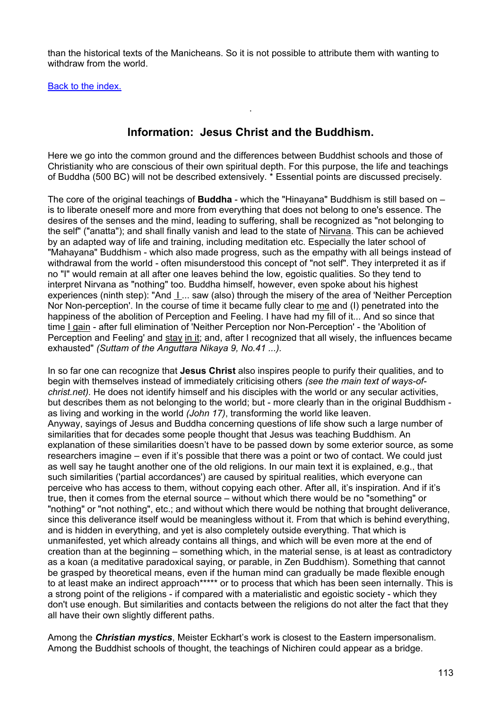than the historical texts of the Manicheans. So it is not possible to attribute them with wanting to withdraw from the world.

[Back to the index.](#page-1-0)

# **Information: Jesus Christ and the Buddhism.**

.

Here we go into the common ground and the differences between Buddhist schools and those of Christianity who are conscious of their own spiritual depth. For this purpose, the life and teachings of Buddha (500 BC) will not be described extensively. \* Essential points are discussed precisely.

The core of the original teachings of **Buddha** - which the "Hinayana" Buddhism is still based on – is to liberate oneself more and more from everything that does not belong to one's essence. The desires of the senses and the mind, leading to suffering, shall be recognized as "not belonging to the self" ("anatta"); and shall finally vanish and lead to the state of Nirvana. This can be achieved by an adapted way of life and training, including meditation etc. Especially the later school of "Mahayana" Buddhism - which also made progress, such as the empathy with all beings instead of withdrawal from the world - often misunderstood this concept of "not self". They interpreted it as if no "I" would remain at all after one leaves behind the low, egoistic qualities. So they tend to interpret Nirvana as "nothing" too. Buddha himself, however, even spoke about his highest experiences (ninth step): "And I ... saw (also) through the misery of the area of 'Neither Perception Nor Non-perception'. In the course of time it became fully clear to me and (I) penetrated into the happiness of the abolition of Perception and Feeling. I have had my fill of it... And so since that time Lgain - after full elimination of 'Neither Perception nor Non-Perception' - the 'Abolition of Perception and Feeling' and stay in it; and, after I recognized that all wisely, the influences became exhausted" *(Suttam of the Anguttara Nikaya 9, No.41 ...).*

In so far one can recognize that **Jesus Christ** also inspires people to purify their qualities, and to begin with themselves instead of immediately criticising others *(see the main text of ways-ofchrist.net).* He does not identify himself and his disciples with the world or any secular activities, but describes them as not belonging to the world; but - more clearly than in the original Buddhism as living and working in the world *(John 17)*, transforming the world like leaven. Anyway, sayings of Jesus and Buddha concerning questions of life show such a large number of similarities that for decades some people thought that Jesus was teaching Buddhism. An explanation of these similarities doesn't have to be passed down by some exterior source, as some researchers imagine – even if it's possible that there was a point or two of contact. We could just as well say he taught another one of the old religions. In our main text it is explained, e.g., that such similarities ('partial accordances') are caused by spiritual realities, which everyone can perceive who has access to them, without copying each other. After all, it's inspiration. And if it's true, then it comes from the eternal source – without which there would be no "something" or "nothing" or "not nothing", etc.; and without which there would be nothing that brought deliverance, since this deliverance itself would be meaningless without it. From that which is behind everything, and is hidden in everything, and yet is also completely outside everything. That which is unmanifested, yet which already contains all things, and which will be even more at the end of creation than at the beginning – something which, in the material sense, is at least as contradictory as a koan (a meditative paradoxical saying, or parable, in Zen Buddhism). Something that cannot be grasped by theoretical means, even if the human mind can gradually be made flexible enough to at least make an indirect approach\*\*\*\*\* or to process that which has been seen internally. This is a strong point of the religions - if compared with a materialistic and egoistic society - which they don't use enough. But similarities and contacts between the religions do not alter the fact that they all have their own slightly different paths.

Among the *Christian mystics*, Meister Eckhart's work is closest to the Eastern impersonalism. Among the Buddhist schools of thought, the teachings of Nichiren could appear as a bridge.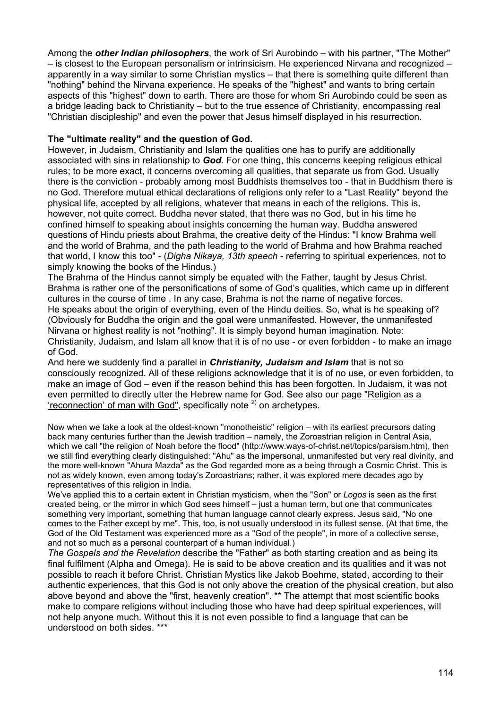Among the *other Indian philosophers*, the work of Sri Aurobindo – with his partner, "The Mother" – is closest to the European personalism or intrinsicism. He experienced Nirvana and recognized – apparently in a way similar to some Christian mystics – that there is something quite different than "nothing" behind the Nirvana experience. He speaks of the "highest" and wants to bring certain aspects of this "highest" down to earth. There are those for whom Sri Aurobindo could be seen as a bridge leading back to Christianity – but to the true essence of Christianity, encompassing real "Christian discipleship" and even the power that Jesus himself displayed in his resurrection.

#### **The "ultimate reality" and the question of God.**

However, in Judaism, Christianity and Islam the qualities one has to purify are additionally associated with sins in relationship to *God*. For one thing, this concerns keeping religious ethical rules; to be more exact, it concerns overcoming all qualities, that separate us from God. Usually there is the conviction - probably among most Buddhists themselves too - that in Buddhism there is no God. Therefore mutual ethical declarations of religions only refer to a "Last Reality" beyond the physical life, accepted by all religions, whatever that means in each of the religions. This is, however, not quite correct. Buddha never stated, that there was no God, but in his time he confined himself to speaking about insights concerning the human way. Buddha answered questions of Hindu priests about Brahma, the creative deity of the Hindus: "I know Brahma well and the world of Brahma, and the path leading to the world of Brahma and how Brahma reached that world, I know this too" - (*Digha Nikaya, 13th speech -* referring to spiritual experiences, not to simply knowing the books of the Hindus.)

The Brahma of the Hindus cannot simply be equated with the Father, taught by Jesus Christ. Brahma is rather one of the personifications of some of God's qualities, which came up in different cultures in the course of time . In any case, Brahma is not the name of negative forces.

He speaks about the origin of everything, even of the Hindu deities. So, what is he speaking of? (Obviously for Buddha the origin and the goal were unmanifested. However, the unmanifested Nirvana or highest reality is not "nothing". It is simply beyond human imagination. Note: Christianity, Judaism, and Islam all know that it is of no use - or even forbidden - to make an image of God.

And here we suddenly find a parallel in *Christianity, Judaism and Islam* that is not so consciously recognized. All of these religions acknowledge that it is of no use, or even forbidden, to make an image of God – even if the reason behind this has been forgotten. In Judaism, it was not even permitted to directly utter the Hebrew name for God. See also our page "Religion as a 'reconnection' of man with God", specifically note  $2$  on archetypes.

Now when we take a look at the oldest-known "monotheistic" religion – with its earliest precursors dating back many centuries further than the Jewish tradition – namely, the Zoroastrian religion in Central Asia, which we call "the religion of Noah before the flood" (http://www.ways-of-christ.net/topics/parsism.htm), then we still find everything clearly distinguished: "Ahu" as the impersonal, unmanifested but very real divinity, and the more well-known "Ahura Mazda" as the God regarded more as a being through a Cosmic Christ. This is not as widely known, even among today's Zoroastrians; rather, it was explored mere decades ago by representatives of this religion in India.

We've applied this to a certain extent in Christian mysticism, when the "Son" or *Logos* is seen as the first created being, or the mirror in which God sees himself – just a human term, but one that communicates something very important, something that human language cannot clearly express. Jesus said, "No one comes to the Father except by me". This, too, is not usually understood in its fullest sense. (At that time, the God of the Old Testament was experienced more as a "God of the people", in more of a collective sense, and not so much as a personal counterpart of a human individual.)

*The Gospels and the Revelation* describe the "Father" as both starting creation and as being its final fulfilment (Alpha and Omega). He is said to be above creation and its qualities and it was not possible to reach it before Christ. Christian Mystics like Jakob Boehme, stated, according to their authentic experiences, that this God is not only above the creation of the physical creation, but also above beyond and above the "first, heavenly creation". \*\* The attempt that most scientific books make to compare religions without including those who have had deep spiritual experiences, will not help anyone much. Without this it is not even possible to find a language that can be understood on both sides. \*\*\*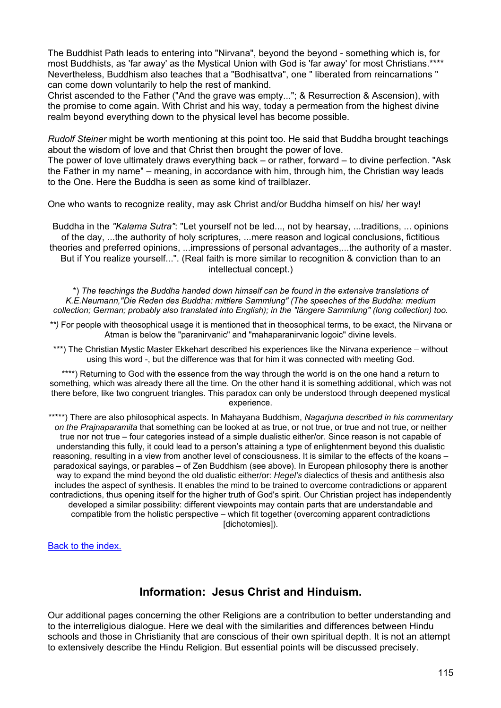The Buddhist Path leads to entering into "Nirvana", beyond the beyond - something which is, for most Buddhists, as 'far away' as the Mystical Union with God is 'far away' for most Christians.\*\*\*\* Nevertheless, Buddhism also teaches that a "Bodhisattva", one " liberated from reincarnations " can come down voluntarily to help the rest of mankind.

Christ ascended to the Father ("And the grave was empty..."; & Resurrection & Ascension), with the promise to come again. With Christ and his way, today a permeation from the highest divine realm beyond everything down to the physical level has become possible.

*Rudolf Steiner* might be worth mentioning at this point too. He said that Buddha brought teachings about the wisdom of love and that Christ then brought the power of love.

The power of love ultimately draws everything back – or rather, forward – to divine perfection. "Ask the Father in my name" – meaning, in accordance with him, through him, the Christian way leads to the One. Here the Buddha is seen as some kind of trailblazer.

One who wants to recognize reality, may ask Christ and/or Buddha himself on his/ her way!

Buddha in the *"Kalama Sutra"*: "Let yourself not be led..., not by hearsay, ...traditions, ... opinions of the day, ...the authority of holy scriptures, ...mere reason and logical conclusions, fictitious theories and preferred opinions, ...impressions of personal advantages,...the authority of a master. But if You realize yourself...". (Real faith is more similar to recognition & conviction than to an intellectual concept.)

\*) *The teachings the Buddha handed down himself can be found in the extensive translations of K.E.Neumann,"Die Reden des Buddha: mittlere Sammlung" (The speeches of the Buddha: medium collection; German; probably also translated into English); in the "längere Sammlung" (long collection) too.*

*\*\*)* For people with theosophical usage it is mentioned that in theosophical terms, to be exact, the Nirvana or Atman is below the "paranirvanic" and "mahaparanirvanic logoic" divine levels.

\*\*\*) The Christian Mystic Master Ekkehart described his experiences like the Nirvana experience – without using this word -, but the difference was that for him it was connected with meeting God.

\*\*\*\*) Returning to God with the essence from the way through the world is on the one hand a return to something, which was already there all the time. On the other hand it is something additional, which was not there before, like two congruent triangles. This paradox can only be understood through deepened mystical experience.

\*\*\*\*\*) There are also philosophical aspects. In Mahayana Buddhism, *Nagarjuna described in his commentary on the Prajnaparamita* that something can be looked at as true, or not true, or true and not true, or neither true nor not true – four categories instead of a simple dualistic either/or. Since reason is not capable of understanding this fully, it could lead to a person's attaining a type of enlightenment beyond this dualistic reasoning, resulting in a view from another level of consciousness. It is similar to the effects of the koans – paradoxical sayings, or parables – of Zen Buddhism (see above). In European philosophy there is another way to expand the mind beyond the old dualistic either/or: *Hegel's* dialectics of thesis and antithesis also includes the aspect of synthesis. It enables the mind to be trained to overcome contradictions or apparent contradictions, thus opening itself for the higher truth of God's spirit. Our Christian project has independently developed a similar possibility: different viewpoints may contain parts that are understandable and compatible from the holistic perspective – which fit together (overcoming apparent contradictions [dichotomies]).

[Back to the index.](#page-1-0)

## **Information: Jesus Christ and Hinduism.**

Our additional pages concerning the other Religions are a contribution to better understanding and to the interreligious dialogue. Here we deal with the similarities and differences between Hindu schools and those in Christianity that are conscious of their own spiritual depth. It is not an attempt to extensively describe the Hindu Religion. But essential points will be discussed precisely.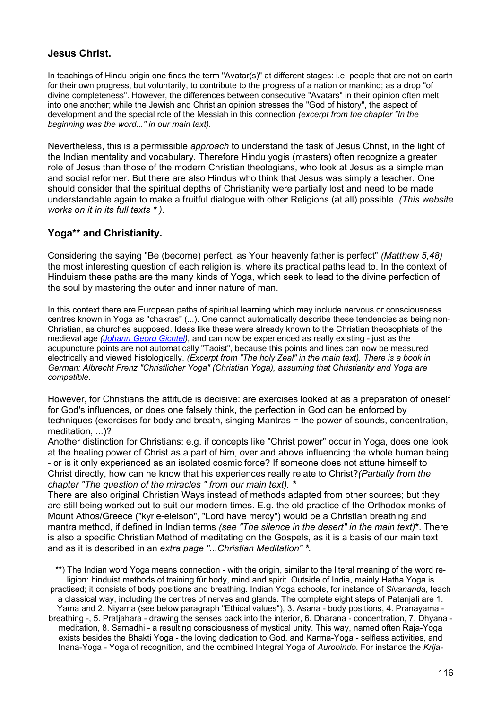## **Jesus Christ.**

In teachings of Hindu origin one finds the term "Avatar(s)" at different stages: i.e. people that are not on earth for their own progress, but voluntarily, to contribute to the progress of a nation or mankind; as a drop "of divine completeness". However, the differences between consecutive "Avatars" in their opinion often melt into one another; while the Jewish and Christian opinion stresses the "God of history", the aspect of development and the special role of the Messiah in this connection *(excerpt from the chapter "In the beginning was the word..." in our main text).*

Nevertheless, this is a permissible *approach* to understand the task of Jesus Christ, in the light of the Indian mentality and vocabulary. Therefore Hindu yogis (masters) often recognize a greater role of Jesus than those of the modern Christian theologians, who look at Jesus as a simple man and social reformer. But there are also Hindus who think that Jesus was simply a teacher. One should consider that the spiritual depths of Christianity were partially lost and need to be made understandable again to make a fruitful dialogue with other Religions (at all) possible. *(This website works on it in its full texts \* ).*

## **Yoga\*\* and Christianity.**

Considering the saying "Be (become) perfect, as Your heavenly father is perfect" *(Matthew 5,48)* the most interesting question of each religion is, where its practical paths lead to. In the context of Hinduism these paths are the many kinds of Yoga, which seek to lead to the divine perfection of the soul by mastering the outer and inner nature of man.

In this context there are European paths of spiritual learning which may include nervous or consciousness centres known in Yoga as "chakras" (...). One cannot automatically describe these tendencies as being non-Christian, as churches supposed. Ideas like these were already known to the Christian theosophists of the medieval age *[\(Johann Georg Gichtel\)](http://www.ways-of-christ.net/images/gichtel.htm),* and can now be experienced as really existing - just as the acupuncture points are not automatically "Taoist", because this points and lines can now be measured electrically and viewed histologically. *(Excerpt from "The holy Zeal" in the main text). There is a book in German: Albrecht Frenz "Christlicher Yoga" (Christian Yoga), assuming that Christianity and Yoga are compatible.*

However, for Christians the attitude is decisive: are exercises looked at as a preparation of oneself for God's influences, or does one falsely think, the perfection in God can be enforced by techniques (exercises for body and breath, singing Mantras = the power of sounds, concentration, meditation, ...)?

Another distinction for Christians: e.g. if concepts like "Christ power" occur in Yoga, does one look at the healing power of Christ as a part of him, over and above influencing the whole human being - or is it only experienced as an isolated cosmic force? If someone does not attune himself to Christ directly, how can he know that his experiences really relate to Christ?*(Partially from the chapter "The question of the miracles " from our main text). \**

There are also original Christian Ways instead of methods adapted from other sources; but they are still being worked out to suit our modern times. E.g. the old practice of the Orthodox monks of Mount Athos/Greece ("kyrie-eleison", "Lord have mercy") would be a Christian breathing and mantra method, if defined in Indian terms *(see "The silence in the desert" in the main text)***\***. There is also a specific Christian Method of meditating on the Gospels, as it is a basis of our main text and as it is described in an *extra page "...Christian Meditation" \*.*

\*\*) The Indian word Yoga means connection - with the origin, similar to the literal meaning of the word religion: hinduist methods of training für body, mind and spirit. Outside of India, mainly Hatha Yoga is practised; it consists of body positions and breathing. Indian Yoga schools, for instance of *Sivananda*, teach a classical way, including the centres of nerves and glands. The complete eight steps of Patanjali are 1. Yama and 2. Niyama (see below paragraph "Ethical values"), 3. Asana - body positions, 4. Pranayama breathing -, 5. Pratjahara - drawing the senses back into the interior, 6. Dharana - concentration, 7. Dhyana meditation, 8. Samadhi - a resulting consciousness of mystical unity. This way, named often Raja-Yoga exists besides the Bhakti Yoga - the loving dedication to God, and Karma-Yoga - selfless activities, and Inana-Yoga - Yoga of recognition, and the combined Integral Yoga of *Aurobindo*. For instance the *Krija-*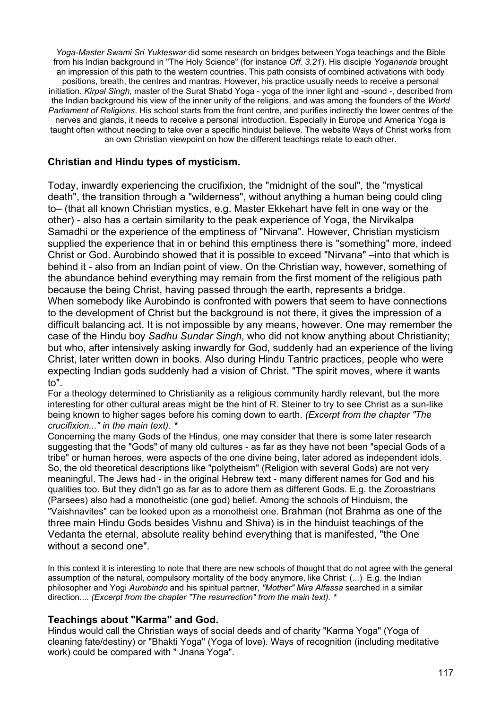*Yoga-Master Swami Sri Yukteswar* did some research on bridges between Yoga teachings and the Bible from his Indian background in "The Holy Science" (for instance *Off. 3.21*). His disciple *Yogananda* brought an impression of this path to the western countries. This path consists of combined activations with body positions, breath, the centres and mantras. However, his practice usually needs to receive a personal initiation. *Kirpal Singh*, master of the Surat Shabd Yoga - yoga of the inner light and -sound -, described from the Indian background his view of the inner unity of the religions, and was among the founders of the *World Parliament of Religions*. His school starts from the front centre, and purifies indirectly the lower centres of the nerves and glands, it needs to receive a personal introduction. Especially in Europe und America Yoga is taught often without needing to take over a specific hinduist believe. The website Ways of Christ works from an own Christian viewpoint on how the different teachings relate to each other.

### **Christian and Hindu types of mysticism.**

Today, inwardly experiencing the crucifixion, the "midnight of the soul", the "mystical death", the transition through a "wilderness", without anything a human being could cling to– (that all known Christian mystics, e.g. Master Ekkehart have felt in one way or the other) - also has a certain similarity to the peak experience of Yoga, the Nirvikalpa Samadhi or the experience of the emptiness of "Nirvana". However, Christian mysticism supplied the experience that in or behind this emptiness there is "something" more, indeed Christ or God. Aurobindo showed that it is possible to exceed "Nirvana" –into that which is behind it - also from an Indian point of view. On the Christian way, however, something of the abundance behind everything may remain from the first moment of the religious path because the being Christ, having passed through the earth, represents a bridge. When somebody like Aurobindo is confronted with powers that seem to have connections to the development of Christ but the background is not there, it gives the impression of a difficult balancing act. It is not impossible by any means, however. One may remember the case of the Hindu boy *Sadhu Sundar Singh*, who did not know anything about Christianity; but who, after intensively asking inwardly for God, suddenly had an experience of the living Christ, later written down in books. Also during Hindu Tantric practices, people who were expecting Indian gods suddenly had a vision of Christ. "The spirit moves, where it wants to".

For a theology determined to Christianity as a religious community hardly relevant, but the more interesting for other cultural areas might be the hint of R. Steiner to try to see Christ as a sun-like being known to higher sages before his coming down to earth. *(Excerpt from the chapter "The crucifixion..." in the main text). \**

Concerning the many Gods of the Hindus, one may consider that there is some later research suggesting that the "Gods" of many old cultures - as far as they have not been "special Gods of a tribe" or human heroes, were aspects of the one divine being, later adored as independent idols. So, the old theoretical descriptions like "polytheism" (Religion with several Gods) are not very meaningful. The Jews had - in the original Hebrew text - many different names for God and his qualities too. But they didn't go as far as to adore them as different Gods. E.g. the Zoroastrians (Parsees) also had a monotheistic (one god) belief. Among the schools of Hinduism, the "Vaishnavites" can be looked upon as a monotheist one. Brahman (not Brahma as one of the three main Hindu Gods besides Vishnu and Shiva) is in the hinduist teachings of the Vedanta the eternal, absolute reality behind everything that is manifested, "the One without a second one".

In this context it is interesting to note that there are new schools of thought that do not agree with the general assumption of the natural, compulsory mortality of the body anymore, like Christ: (...) E.g. the Indian philosopher and Yogi *Aurobindo* and his spiritual partner, *"Mother" Mira Alfassa* searched in a similar direction.... *(Excerpt from the chapter "The resurrection" from the main text). \**

### **Teachings about "Karma" and God.**

Hindus would call the Christian ways of social deeds and of charity "Karma Yoga" (Yoga of cleaning fate/destiny) or "Bhakti Yoga" (Yoga of love). Ways of recognition (including meditative work) could be compared with " Jnana Yoga".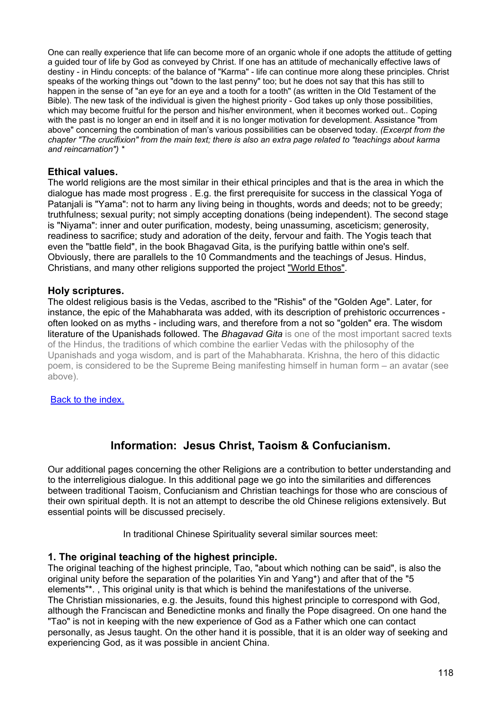One can really experience that life can become more of an organic whole if one adopts the attitude of getting a guided tour of life by God as conveyed by Christ. If one has an attitude of mechanically effective laws of destiny - in Hindu concepts: of the balance of "Karma" - life can continue more along these principles. Christ speaks of the working things out "down to the last penny" too; but he does not say that this has still to happen in the sense of "an eye for an eye and a tooth for a tooth" (as written in the Old Testament of the Bible). The new task of the individual is given the highest priority - God takes up only those possibilities, which may become fruitful for the person and his/her environment, when it becomes worked out.. Coping with the past is no longer an end in itself and it is no longer motivation for development. Assistance "from above" concerning the combination of man's various possibilities can be observed today. *(Excerpt from the chapter "The crucifixion" from the main text; there is also an extra page related to "teachings about karma and reincarnation") \**

### **Ethical values.**

The world religions are the most similar in their ethical principles and that is the area in which the dialogue has made most progress . E.g. the first prerequisite for success in the classical Yoga of Patanjali is "Yama": not to harm any living being in thoughts, words and deeds; not to be greedy; truthfulness; sexual purity; not simply accepting donations (being independent). The second stage is "Niyama": inner and outer purification, modesty, being unassuming, asceticism; generosity, readiness to sacrifice; study and adoration of the deity, fervour and faith. The Yogis teach that even the "battle field", in the book Bhagavad Gita, is the purifying battle within one's self. Obviously, there are parallels to the 10 Commandments and the teachings of Jesus. Hindus, Christians, and many other religions supported the project "World Ethos".

#### **Holy scriptures.**

The oldest religious basis is the Vedas, ascribed to the "Rishis" of the "Golden Age". Later, for instance, the epic of the Mahabharata was added, with its description of prehistoric occurrences often looked on as myths - including wars, and therefore from a not so "golden" era. The wisdom literature of the Upanishads followed. The *Bhagavad Gita* is one of the most important sacred texts of the Hindus, the traditions of which combine the earlier Vedas with the philosophy of the Upanishads and yoga wisdom, and is part of the Mahabharata. Krishna, the hero of this didactic poem, is considered to be the Supreme Being manifesting himself in human form – an avatar (see above).

#### [Back to the index.](#page-1-0)

# **Information: Jesus Christ, Taoism & Confucianism.**

Our additional pages concerning the other Religions are a contribution to better understanding and to the interreligious dialogue. In this additional page we go into the similarities and differences between traditional Taoism, Confucianism and Christian teachings for those who are conscious of their own spiritual depth. It is not an attempt to describe the old Chinese religions extensively. But essential points will be discussed precisely.

In traditional Chinese Spirituality several similar sources meet:

#### **1. The original teaching of the highest principle.**

The original teaching of the highest principle, Tao, "about which nothing can be said", is also the original unity before the separation of the polarities Yin and Yang\*) and after that of the "5 elements"\*. , This original unity is that which is behind the manifestations of the universe. The Christian missionaries, e.g. the Jesuits, found this highest principle to correspond with God, although the Franciscan and Benedictine monks and finally the Pope disagreed. On one hand the "Tao" is not in keeping with the new experience of God as a Father which one can contact personally, as Jesus taught. On the other hand it is possible, that it is an older way of seeking and experiencing God, as it was possible in ancient China.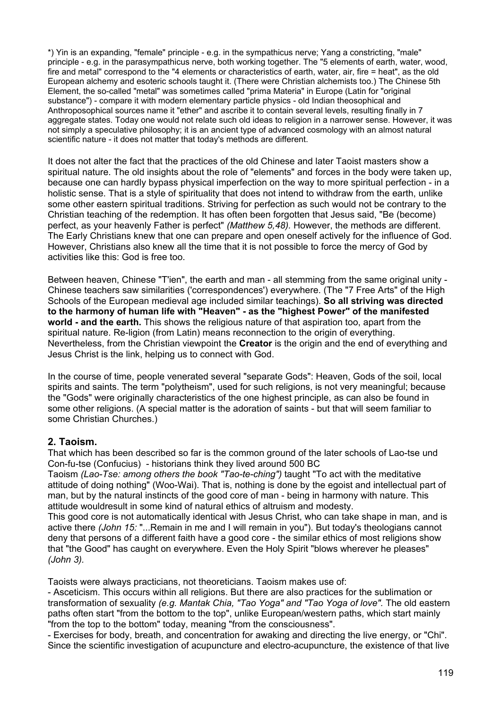\*) Yin is an expanding, "female" principle - e.g. in the sympathicus nerve; Yang a constricting, "male" principle - e.g. in the parasympathicus nerve, both working together. The "5 elements of earth, water, wood, fire and metal" correspond to the "4 elements or characteristics of earth, water, air, fire = heat", as the old European alchemy and esoteric schools taught it. (There were Christian alchemists too.) The Chinese 5th Element, the so-called "metal" was sometimes called "prima Materia" in Europe (Latin for "original substance") - compare it with modern elementary particle physics - old Indian theosophical and Anthroposophical sources name it "ether" and ascribe it to contain several levels, resulting finally in 7 aggregate states. Today one would not relate such old ideas to religion in a narrower sense. However, it was not simply a speculative philosophy; it is an ancient type of advanced cosmology with an almost natural scientific nature - it does not matter that today's methods are different.

It does not alter the fact that the practices of the old Chinese and later Taoist masters show a spiritual nature. The old insights about the role of "elements" and forces in the body were taken up, because one can hardly bypass physical imperfection on the way to more spiritual perfection - in a holistic sense. That is a style of spirituality that does not intend to withdraw from the earth, unlike some other eastern spiritual traditions. Striving for perfection as such would not be contrary to the Christian teaching of the redemption. It has often been forgotten that Jesus said, "Be (become) perfect, as your heavenly Father is perfect" *(Matthew 5,48).* However, the methods are different. The Early Christians knew that one can prepare and open oneself actively for the influence of God. However, Christians also knew all the time that it is not possible to force the mercy of God by activities like this: God is free too.

Between heaven, Chinese "T'ien", the earth and man - all stemming from the same original unity - Chinese teachers saw similarities ('correspondences') everywhere. (The "7 Free Arts" of the High Schools of the European medieval age included similar teachings). **So all striving was directed to the harmony of human life with "Heaven" - as the "highest Power" of the manifested world - and the earth.** This shows the religious nature of that aspiration too, apart from the spiritual nature. Re-ligion (from Latin) means reconnection to the origin of everything. Nevertheless, from the Christian viewpoint the **Creator** is the origin and the end of everything and Jesus Christ is the link, helping us to connect with God.

In the course of time, people venerated several "separate Gods": Heaven, Gods of the soil, local spirits and saints. The term "polytheism", used for such religions, is not very meaningful; because the "Gods" were originally characteristics of the one highest principle, as can also be found in some other religions. (A special matter is the adoration of saints - but that will seem familiar to some Christian Churches.)

### **2. Taoism.**

That which has been described so far is the common ground of the later schools of Lao-tse und Con-fu-tse (Confucius) - historians think they lived around 500 BC

Taoism *(Lao-Tse: among others the book "Tao-te-ching")* taught "To act with the meditative attitude of doing nothing" (Woo-Wai). That is, nothing is done by the egoist and intellectual part of man, but by the natural instincts of the good core of man - being in harmony with nature. This attitude wouldresult in some kind of natural ethics of altruism and modesty.

This good core is not automatically identical with Jesus Christ, who can take shape in man, and is active there *(John 15:* "...Remain in me and I will remain in you"). But today's theologians cannot deny that persons of a different faith have a good core - the similar ethics of most religions show that "the Good" has caught on everywhere. Even the Holy Spirit "blows wherever he pleases" *(John 3).*

Taoists were always practicians, not theoreticians. Taoism makes use of:

- Asceticism. This occurs within all religions. But there are also practices for the sublimation or transformation of sexuality *(e.g. Mantak Chia, "Tao Yoga" and "Tao Yoga of love".* The old eastern paths often start "from the bottom to the top", unlike European/western paths, which start mainly "from the top to the bottom" today, meaning "from the consciousness".

- Exercises for body, breath, and concentration for awaking and directing the live energy, or "Chi". Since the scientific investigation of acupuncture and electro-acupuncture, the existence of that live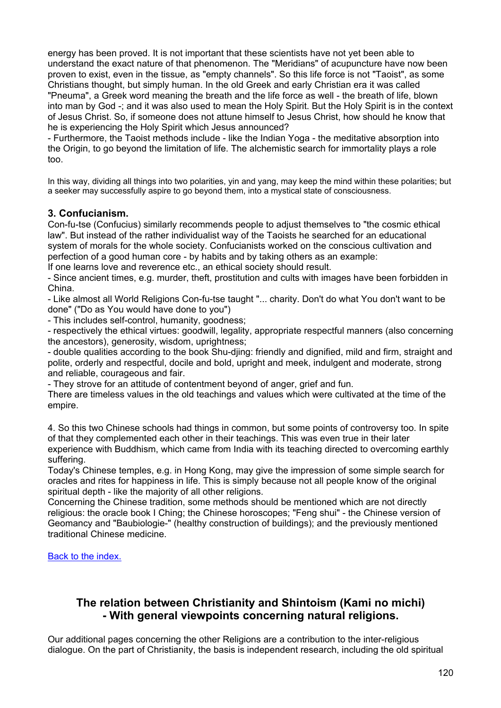<span id="page-119-0"></span>energy has been proved. It is not important that these scientists have not yet been able to understand the exact nature of that phenomenon. The "Meridians" of acupuncture have now been proven to exist, even in the tissue, as "empty channels". So this life force is not "Taoist", as some Christians thought, but simply human. In the old Greek and early Christian era it was called "Pneuma", a Greek word meaning the breath and the life force as well - the breath of life, blown into man by God -; and it was also used to mean the Holy Spirit. But the Holy Spirit is in the context of Jesus Christ. So, if someone does not attune himself to Jesus Christ, how should he know that he is experiencing the Holy Spirit which Jesus announced?

- Furthermore, the Taoist methods include - like the Indian Yoga - the meditative absorption into the Origin, to go beyond the limitation of life. The alchemistic search for immortality plays a role too.

In this way, dividing all things into two polarities, yin and yang, may keep the mind within these polarities; but a seeker may successfully aspire to go beyond them, into a mystical state of consciousness.

## **3. Confucianism.**

Con-fu-tse (Confucius) similarly recommends people to adjust themselves to "the cosmic ethical law". But instead of the rather individualist way of the Taoists he searched for an educational system of morals for the whole society. Confucianists worked on the conscious cultivation and perfection of a good human core - by habits and by taking others as an example:

If one learns love and reverence etc., an ethical society should result.

- Since ancient times, e.g. murder, theft, prostitution and cults with images have been forbidden in China.

- Like almost all World Religions Con-fu-tse taught "... charity. Don't do what You don't want to be done" ("Do as You would have done to you")

- This includes self-control, humanity, goodness;

- respectively the ethical virtues: goodwill, legality, appropriate respectful manners (also concerning the ancestors), generosity, wisdom, uprightness;

- double qualities according to the book Shu-djing: friendly and dignified, mild and firm, straight and polite, orderly and respectful, docile and bold, upright and meek, indulgent and moderate, strong and reliable, courageous and fair.

- They strove for an attitude of contentment beyond of anger, grief and fun.

There are timeless values in the old teachings and values which were cultivated at the time of the empire.

4. So this two Chinese schools had things in common, but some points of controversy too. In spite of that they complemented each other in their teachings. This was even true in their later experience with Buddhism, which came from India with its teaching directed to overcoming earthly suffering.

Today's Chinese temples, e.g. in Hong Kong, may give the impression of some simple search for oracles and rites for happiness in life. This is simply because not all people know of the original spiritual depth - like the majority of all other religions.

Concerning the Chinese tradition, some methods should be mentioned which are not directly religious: the oracle book I Ching; the Chinese horoscopes; "Feng shui" - the Chinese version of Geomancy and "Baubiologie-" (healthy construction of buildings); and the previously mentioned traditional Chinese medicine.

[Back to the index.](#page-1-0)

# **The relation between Christianity and Shintoism (Kami no michi) - With general viewpoints concerning natural religions.**

Our additional pages concerning the other Religions are a contribution to the inter-religious dialogue. On the part of Christianity, the basis is independent research, including the old spiritual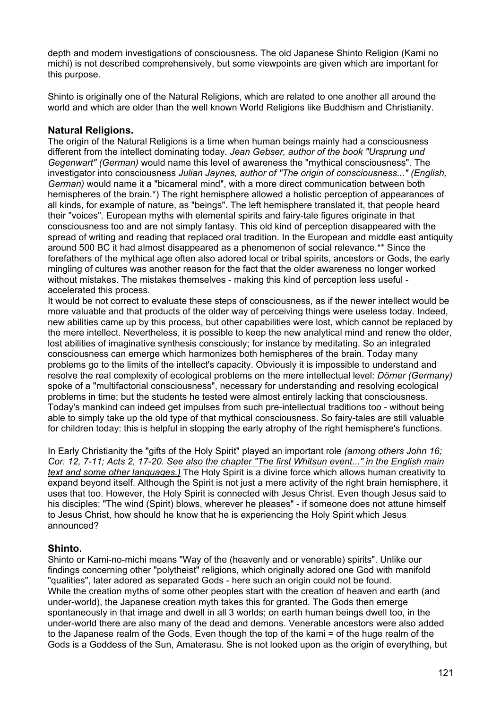depth and modern investigations of consciousness. The old Japanese Shinto Religion (Kami no michi) is not described comprehensively, but some viewpoints are given which are important for this purpose.

Shinto is originally one of the Natural Religions, which are related to one another all around the world and which are older than the well known World Religions like Buddhism and Christianity.

### **Natural Religions.**

The origin of the Natural Religions is a time when human beings mainly had a consciousness different from the intellect dominating today. *Jean Gebser, author of the book "Ursprung und Gegenwart" (German)* would name this level of awareness the "mythical consciousness". The investigator into consciousness *Julian Jaynes, author of "The origin of consciousness..." (English, German)* would name it a "bicameral mind", with a more direct communication between both hemispheres of the brain.<sup>\*</sup>) The right hemisphere allowed a holistic perception of appearances of all kinds, for example of nature, as "beings". The left hemisphere translated it, that people heard their "voices". European myths with elemental spirits and fairy-tale figures originate in that consciousness too and are not simply fantasy. This old kind of perception disappeared with the spread of writing and reading that replaced oral tradition. In the European and middle east antiquity around 500 BC it had almost disappeared as a phenomenon of social relevance.\*\* Since the forefathers of the mythical age often also adored local or tribal spirits, ancestors or Gods, the early mingling of cultures was another reason for the fact that the older awareness no longer worked without mistakes. The mistakes themselves - making this kind of perception less useful accelerated this process.

It would be not correct to evaluate these steps of consciousness, as if the newer intellect would be more valuable and that products of the older way of perceiving things were useless today. Indeed, new abilities came up by this process, but other capabilities were lost, which cannot be replaced by the mere intellect. Nevertheless, it is possible to keep the new analytical mind and renew the older, lost abilities of imaginative synthesis consciously; for instance by meditating. So an integrated consciousness can emerge which harmonizes both hemispheres of the brain. Today many problems go to the limits of the intellect's capacity. Obviously it is impossible to understand and resolve the real complexity of ecological problems on the mere intellectual level: *Dörner (Germany)* spoke of a "multifactorial consciousness", necessary for understanding and resolving ecological problems in time; but the students he tested were almost entirely lacking that consciousness. Today's mankind can indeed get impulses from such pre-intellectual traditions too - without being able to simply take up the old type of that mythical consciousness. So fairy-tales are still valuable for children today: this is helpful in stopping the early atrophy of the right hemisphere's functions.

In Early Christianity the "gifts of the Holy Spirit" played an important role *(among others John 16; Cor. 12, 7-11; Acts 2, 17-20. See also the chapter "The first Whitsun event..." in the English main text and some other languages.)* The Holy Spirit is a divine force which allows human creativity to expand beyond itself. Although the Spirit is not just a mere activity of the right brain hemisphere, it uses that too. However, the Holy Spirit is connected with Jesus Christ. Even though Jesus said to his disciples: "The wind (Spirit) blows, wherever he pleases" - if someone does not attune himself to Jesus Christ, how should he know that he is experiencing the Holy Spirit which Jesus announced?

## **Shinto.**

Shinto or Kami-no-michi means "Way of the (heavenly and or venerable) spirits". Unlike our findings concerning other "polytheist" religions, which originally adored one God with manifold "qualities", later adored as separated Gods - here such an origin could not be found. While the creation myths of some other peoples start with the creation of heaven and earth (and under-world), the Japanese creation myth takes this for granted. The Gods then emerge spontaneously in that image and dwell in all 3 worlds; on earth human beings dwell too, in the under-world there are also many of the dead and demons. Venerable ancestors were also added to the Japanese realm of the Gods. Even though the top of the kami = of the huge realm of the Gods is a Goddess of the Sun, Amaterasu. She is not looked upon as the origin of everything, but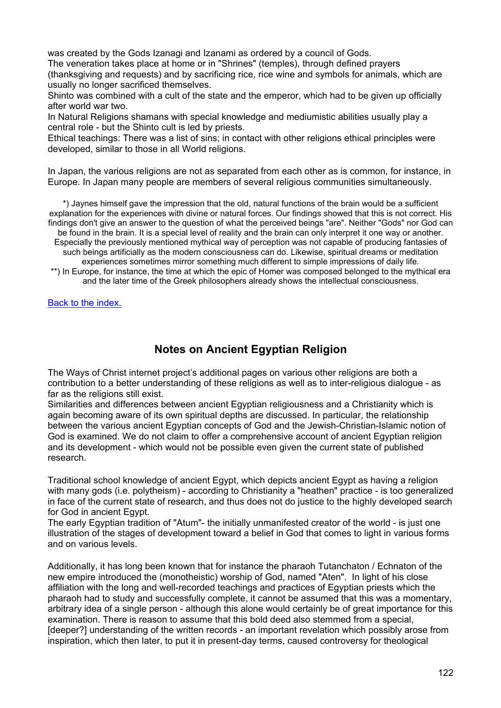was created by the Gods Izanagi and Izanami as ordered by a council of Gods.

The veneration takes place at home or in "Shrines" (temples), through defined prayers

(thanksgiving and requests) and by sacrificing rice, rice wine and symbols for animals, which are usually no longer sacrificed themselves.

Shinto was combined with a cult of the state and the emperor, which had to be given up officially after world war two.

In Natural Religions shamans with special knowledge and mediumistic abilities usually play a central role - but the Shinto cult is led by priests.

Ethical teachings: There was a list of sins; in contact with other religions ethical principles were developed, similar to those in all World religions.

In Japan, the various religions are not as separated from each other as is common, for instance, in Europe. In Japan many people are members of several religious communities simultaneously.

\*) Jaynes himself gave the impression that the old, natural functions of the brain would be a sufficient explanation for the experiences with divine or natural forces. Our findings showed that this is not correct. His findings don't give an answer to the question of what the perceived beings "are". Neither "Gods" nor God can be found in the brain. It is a special level of reality and the brain can only interpret it one way or another. Especially the previously mentioned mythical way of perception was not capable of producing fantasies of such beings artificially as the modern consciousness can do. Likewise, spiritual dreams or meditation experiences sometimes mirror something much different to simple impressions of daily life.

\*\*) In Europe, for instance, the time at which the epic of Homer was composed belonged to the mythical era and the later time of the Greek philosophers already shows the intellectual consciousness.

[Back to the index.](#page-1-0)

# **Notes on Ancient Egyptian Religion**

The Ways of Christ internet project's additional pages on various other religions are both a contribution to a better understanding of these religions as well as to inter-religious dialogue - as far as the religions still exist.

Similarities and differences between ancient Egyptian religiousness and a Christianity which is again becoming aware of its own spiritual depths are discussed. In particular, the relationship between the various ancient Egyptian concepts of God and the Jewish-Christian-Islamic notion of God is examined. We do not claim to offer a comprehensive account of ancient Egyptian religion and its development - which would not be possible even given the current state of published research.

Traditional school knowledge of ancient Egypt, which depicts ancient Egypt as having a religion with many gods (i.e. polytheism) - according to Christianity a "heathen" practice - is too generalized in face of the current state of research, and thus does not do justice to the highly developed search for God in ancient Egypt.

The early Egyptian tradition of "Atum"- the initially unmanifested creator of the world - is just one illustration of the stages of development toward a belief in God that comes to light in various forms and on various levels.

Additionally, it has long been known that for instance the pharaoh Tutanchaton / Echnaton of the new empire introduced the (monotheistic) worship of God, named "Aten". In light of his close affiliation with the long and well-recorded teachings and practices of Egyptian priests which the pharaoh had to study and successfully complete, it cannot be assumed that this was a momentary, arbitrary idea of a single person - although this alone would certainly be of great importance for this examination. There is reason to assume that this bold deed also stemmed from a special, [deeper?] understanding of the written records - an important revelation which possibly arose from inspiration, which then later, to put it in present-day terms, caused controversy for theological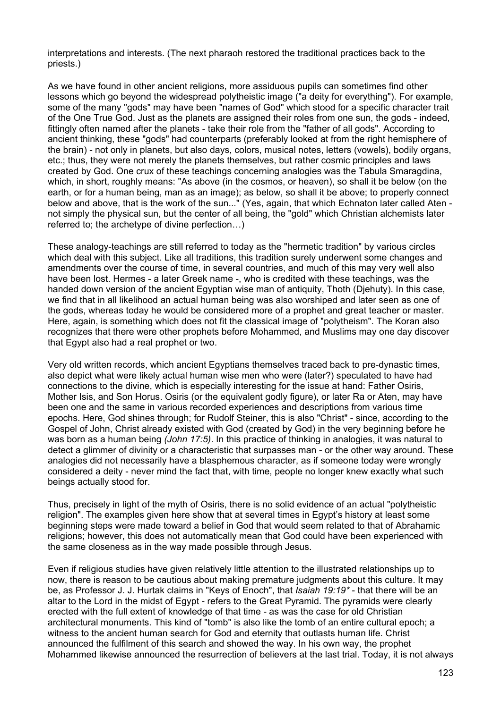interpretations and interests. (The next pharaoh restored the traditional practices back to the priests.)

As we have found in other ancient religions, more assiduous pupils can sometimes find other lessons which go beyond the widespread polytheistic image ("a deity for everything"). For example, some of the many "gods" may have been "names of God" which stood for a specific character trait of the One True God. Just as the planets are assigned their roles from one sun, the gods - indeed, fittingly often named after the planets - take their role from the "father of all gods". According to ancient thinking, these "gods" had counterparts (preferably looked at from the right hemisphere of the brain) - not only in planets, but also days, colors, musical notes, letters (vowels), bodily organs, etc.; thus, they were not merely the planets themselves, but rather cosmic principles and laws created by God. One crux of these teachings concerning analogies was the Tabula Smaragdina, which, in short, roughly means: "As above (in the cosmos, or heaven), so shall it be below (on the earth, or for a human being, man as an image); as below, so shall it be above; to properly connect below and above, that is the work of the sun..." (Yes, again, that which Echnaton later called Aten not simply the physical sun, but the center of all being, the "gold" which Christian alchemists later referred to; the archetype of divine perfection…)

These analogy-teachings are still referred to today as the "hermetic tradition" by various circles which deal with this subject. Like all traditions, this tradition surely underwent some changes and amendments over the course of time, in several countries, and much of this may very well also have been lost. Hermes - a later Greek name -, who is credited with these teachings, was the handed down version of the ancient Egyptian wise man of antiquity, Thoth (Djehuty). In this case, we find that in all likelihood an actual human being was also worshiped and later seen as one of the gods, whereas today he would be considered more of a prophet and great teacher or master. Here, again, is something which does not fit the classical image of "polytheism". The Koran also recognizes that there were other prophets before Mohammed, and Muslims may one day discover that Egypt also had a real prophet or two.

Very old written records, which ancient Egyptians themselves traced back to pre-dynastic times, also depict what were likely actual human wise men who were (later?) speculated to have had connections to the divine, which is especially interesting for the issue at hand: Father Osiris, Mother Isis, and Son Horus. Osiris (or the equivalent godly figure), or later Ra or Aten, may have been one and the same in various recorded experiences and descriptions from various time epochs. Here, God shines through; for Rudolf Steiner, this is also "Christ" - since, according to the Gospel of John, Christ already existed with God (created by God) in the very beginning before he was born as a human being *(John 17:5)*. In this practice of thinking in analogies, it was natural to detect a glimmer of divinity or a characteristic that surpasses man - or the other way around. These analogies did not necessarily have a blasphemous character, as if someone today were wrongly considered a deity - never mind the fact that, with time, people no longer knew exactly what such beings actually stood for.

Thus, precisely in light of the myth of Osiris, there is no solid evidence of an actual "polytheistic religion". The examples given here show that at several times in Egypt's history at least some beginning steps were made toward a belief in God that would seem related to that of Abrahamic religions; however, this does not automatically mean that God could have been experienced with the same closeness as in the way made possible through Jesus.

Even if religious studies have given relatively little attention to the illustrated relationships up to now, there is reason to be cautious about making premature judgments about this culture. It may be, as Professor J. J. Hurtak claims in "Keys of Enoch", that *Isaiah 19:19\** - that there will be an altar to the Lord in the midst of Egypt - refers to the Great Pyramid. The pyramids were clearly erected with the full extent of knowledge of that time - as was the case for old Christian architectural monuments. This kind of "tomb" is also like the tomb of an entire cultural epoch; a witness to the ancient human search for God and eternity that outlasts human life. Christ announced the fulfilment of this search and showed the way. In his own way, the prophet Mohammed likewise announced the resurrection of believers at the last trial. Today, it is not always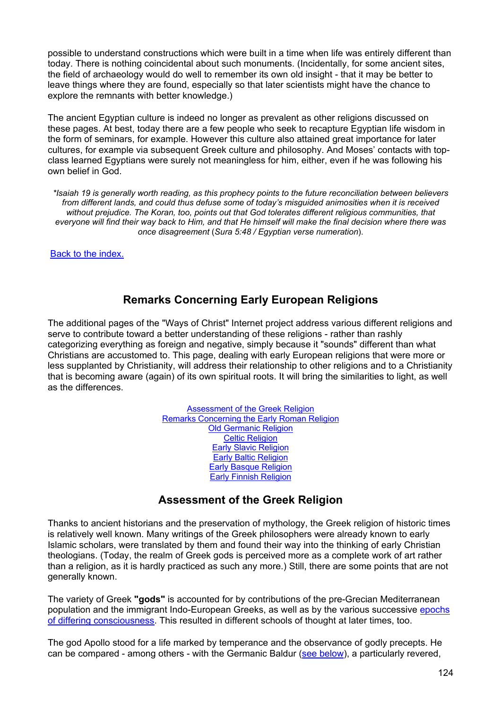<span id="page-123-0"></span>possible to understand constructions which were built in a time when life was entirely different than today. There is nothing coincidental about such monuments. (Incidentally, for some ancient sites, the field of archaeology would do well to remember its own old insight - that it may be better to leave things where they are found, especially so that later scientists might have the chance to explore the remnants with better knowledge.)

The ancient Egyptian culture is indeed no longer as prevalent as other religions discussed on these pages. At best, today there are a few people who seek to recapture Egyptian life wisdom in the form of seminars, for example. However this culture also attained great importance for later cultures, for example via subsequent Greek culture and philosophy. And Moses' contacts with topclass learned Egyptians were surely not meaningless for him, either, even if he was following his own belief in God.

*\*Isaiah 19 is generally worth reading, as this prophecy points to the future reconciliation between believers from different lands, and could thus defuse some of today's misguided animosities when it is received*  without prejudice. The Koran, too, points out that God tolerates different religious communities, that *everyone will find their way back to Him, and that He himself will make the final decision where there was once disagreement* (*Sura 5:48 / Egyptian verse numeration*).

[Back to the index.](#page-1-0)

# **Remarks Concerning Early European Religions**

The additional pages of the "Ways of Christ" Internet project address various different religions and serve to contribute toward a better understanding of these religions - rather than rashly categorizing everything as foreign and negative, simply because it "sounds" different than what Christians are accustomed to. This page, dealing with early European religions that were more or less supplanted by Christianity, will address their relationship to other religions and to a Christianity that is becoming aware (again) of its own spiritual roots. It will bring the similarities to light, as well as the differences.

> [Assessment of the Greek Religion](#page-123-0) [Remarks Concerning the Early Roman Religion](#page-124-0) [Old Germanic Religion](#page-125-0) [Celtic Religion](#page-127-0) [Early Slavic Religion](#page-128-0) [Early Baltic Religion](#page-129-0) [Early Basque Religion](#page-0-0) [Early Finnish Religion](#page-130-0)

# **Assessment of the Greek Religion**

Thanks to ancient historians and the preservation of mythology, the Greek religion of historic times is relatively well known. Many writings of the Greek philosophers were already known to early Islamic scholars, were translated by them and found their way into the thinking of early Christian theologians. (Today, the realm of Greek gods is perceived more as a complete work of art rather than a religion, as it is hardly practiced as such any more.) Still, there are some points that are not generally known.

The variety of Greek **"gods"** [is accounted for by contributions of the pre-Grecian Mediterranean](#page-119-0)  [population and the immigrant Indo-European Greeks, as well as by the various successive epochs](#page-119-0)  [of differing consciousness. This resulted in different schools of thought at later times, too.](#page-119-0) 

The god Apollo stood for a life marked by temperance and the observance of godly precepts. He can be compared - among others - with the Germanic Baldur ([see below](#page-125-0)), a particularly revered,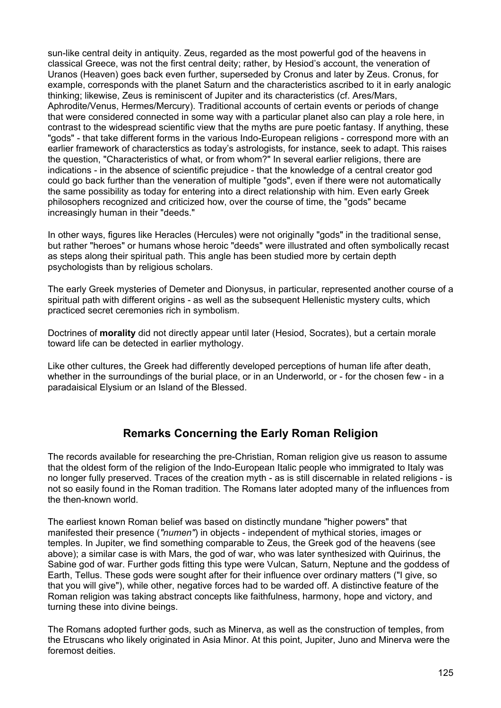<span id="page-124-0"></span>sun-like central deity in antiquity. Zeus, regarded as the most powerful god of the heavens in classical Greece, was not the first central deity; rather, by Hesiod's account, the veneration of Uranos (Heaven) goes back even further, superseded by Cronus and later by Zeus. Cronus, for example, corresponds with the planet Saturn and the characteristics ascribed to it in early analogic thinking; likewise, Zeus is reminiscent of Jupiter and its characteristics (cf. Ares/Mars, Aphrodite/Venus, Hermes/Mercury). Traditional accounts of certain events or periods of change that were considered connected in some way with a particular planet also can play a role here, in contrast to the widespread scientific view that the myths are pure poetic fantasy. If anything, these "gods" - that take different forms in the various Indo-European religions - correspond more with an earlier framework of characterstics as today's astrologists, for instance, seek to adapt. This raises the question, "Characteristics of what, or from whom?" In several earlier religions, there are indications - in the absence of scientific prejudice - that the knowledge of a central creator god could go back further than the veneration of multiple "gods", even if there were not automatically the same possibility as today for entering into a direct relationship with him. Even early Greek philosophers recognized and criticized how, over the course of time, the "gods" became increasingly human in their "deeds."

In other ways, figures like Heracles (Hercules) were not originally "gods" in the traditional sense, but rather "heroes" or humans whose heroic "deeds" were illustrated and often symbolically recast as steps along their spiritual path. This angle has been studied more by certain depth psychologists than by religious scholars.

The early Greek mysteries of Demeter and Dionysus, in particular, represented another course of a spiritual path with different origins - as well as the subsequent Hellenistic mystery cults, which practiced secret ceremonies rich in symbolism.

Doctrines of **morality** did not directly appear until later (Hesiod, Socrates), but a certain morale toward life can be detected in earlier mythology.

Like other cultures, the Greek had differently developed perceptions of human life after death, whether in the surroundings of the burial place, or in an Underworld, or - for the chosen few - in a paradaisical Elysium or an Island of the Blessed.

# **Remarks Concerning the Early Roman Religion**

The records available for researching the pre-Christian, Roman religion give us reason to assume that the oldest form of the religion of the Indo-European Italic people who immigrated to Italy was no longer fully preserved. Traces of the creation myth - as is still discernable in related religions - is not so easily found in the Roman tradition. The Romans later adopted many of the influences from the then-known world.

The earliest known Roman belief was based on distinctly mundane "higher powers" that manifested their presence (*"numen"*) in objects - independent of mythical stories, images or temples. In Jupiter, we find something comparable to Zeus, the Greek god of the heavens (see above); a similar case is with Mars, the god of war, who was later synthesized with Quirinus, the Sabine god of war. Further gods fitting this type were Vulcan, Saturn, Neptune and the goddess of Earth, Tellus. These gods were sought after for their influence over ordinary matters ("I give, so that you will give"), while other, negative forces had to be warded off. A distinctive feature of the Roman religion was taking abstract concepts like faithfulness, harmony, hope and victory, and turning these into divine beings.

The Romans adopted further gods, such as Minerva, as well as the construction of temples, from the Etruscans who likely originated in Asia Minor. At this point, Jupiter, Juno and Minerva were the foremost deities.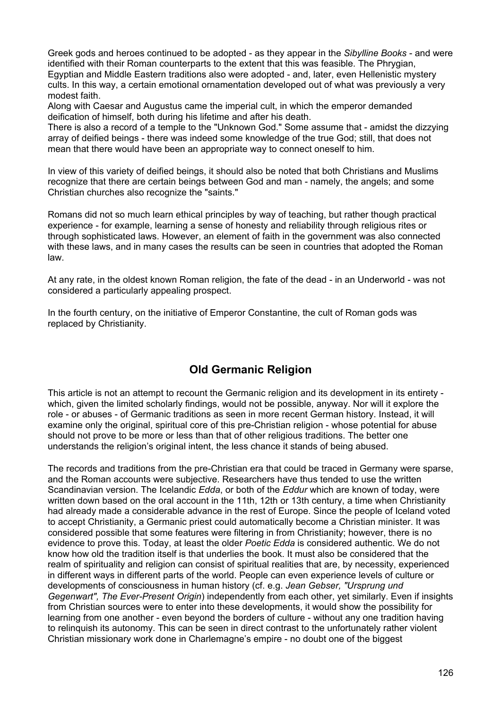<span id="page-125-0"></span>Greek gods and heroes continued to be adopted - as they appear in the *Sibylline Books* - and were identified with their Roman counterparts to the extent that this was feasible. The Phrygian, Egyptian and Middle Eastern traditions also were adopted - and, later, even Hellenistic mystery cults. In this way, a certain emotional ornamentation developed out of what was previously a very modest faith.

Along with Caesar and Augustus came the imperial cult, in which the emperor demanded deification of himself, both during his lifetime and after his death.

There is also a record of a temple to the "Unknown God." Some assume that - amidst the dizzying array of deified beings - there was indeed some knowledge of the true God; still, that does not mean that there would have been an appropriate way to connect oneself to him.

In view of this variety of deified beings, it should also be noted that both Christians and Muslims recognize that there are certain beings between God and man - namely, the angels; and some Christian churches also recognize the "saints."

Romans did not so much learn ethical principles by way of teaching, but rather though practical experience - for example, learning a sense of honesty and reliability through religious rites or through sophisticated laws. However, an element of faith in the government was also connected with these laws, and in many cases the results can be seen in countries that adopted the Roman law.

At any rate, in the oldest known Roman religion, the fate of the dead - in an Underworld - was not considered a particularly appealing prospect.

In the fourth century, on the initiative of Emperor Constantine, the cult of Roman gods was replaced by Christianity.

# **Old Germanic Religion**

This article is not an attempt to recount the Germanic religion and its development in its entirety which, given the limited scholarly findings, would not be possible, anyway. Nor will it explore the role - or abuses - of Germanic traditions as seen in more recent German history. Instead, it will examine only the original, spiritual core of this pre-Christian religion - whose potential for abuse should not prove to be more or less than that of other religious traditions. The better one understands the religion's original intent, the less chance it stands of being abused.

The records and traditions from the pre-Christian era that could be traced in Germany were sparse, and the Roman accounts were subjective. Researchers have thus tended to use the written Scandinavian version. The Icelandic *Edda*, or both of the *Eddur* which are known of today, were written down based on the oral account in the 11th, 12th or 13th century, a time when Christianity had already made a considerable advance in the rest of Europe. Since the people of Iceland voted to accept Christianity, a Germanic priest could automatically become a Christian minister. It was considered possible that some features were filtering in from Christianity; however, there is no evidence to prove this. Today, at least the older *Poetic Edda* is considered authentic. We do not know how old the tradition itself is that underlies the book. It must also be considered that the realm of spirituality and religion can consist of spiritual realities that are, by necessity, experienced in different ways in different parts of the world. People can even experience levels of culture or developments of consciousness in human history (cf. e.g. *Jean Gebser, "Ursprung und Gegenwart", The Ever-Present Origin*) independently from each other, yet similarly. Even if insights from Christian sources were to enter into these developments, it would show the possibility for learning from one another - even beyond the borders of culture - without any one tradition having to relinquish its autonomy. This can be seen in direct contrast to the unfortunately rather violent Christian missionary work done in Charlemagne's empire - no doubt one of the biggest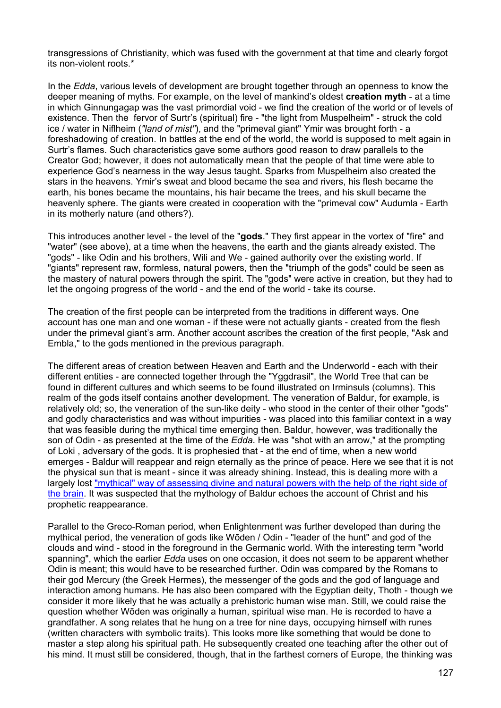transgressions of Christianity, which was fused with the government at that time and clearly forgot its non-violent roots.\*

In the *Edda*, various levels of development are brought together through an openness to know the deeper meaning of myths. For example, on the level of mankind's oldest **creation myth** - at a time in which Ginnungagap was the vast primordial void - we find the creation of the world or of levels of existence. Then the fervor of Surtr's (spiritual) fire - "the light from Muspelheim" - struck the cold ice / water in Niflheim (*"land of mist"*), and the "primeval giant" Ymir was brought forth - a foreshadowing of creation. In battles at the end of the world, the world is supposed to melt again in Surtr's flames. Such characteristics gave some authors good reason to draw parallels to the Creator God; however, it does not automatically mean that the people of that time were able to experience God's nearness in the way Jesus taught. Sparks from Muspelheim also created the stars in the heavens. Ymir's sweat and blood became the sea and rivers, his flesh became the earth, his bones became the mountains, his hair became the trees, and his skull became the heavenly sphere. The giants were created in cooperation with the "primeval cow" Audumla - Earth in its motherly nature (and others?).

This introduces another level - the level of the "**gods**." They first appear in the vortex of "fire" and "water" (see above), at a time when the heavens, the earth and the giants already existed. The "gods" - like Odin and his brothers, Wili and We - gained authority over the existing world. If "giants" represent raw, formless, natural powers, then the "triumph of the gods" could be seen as the mastery of natural powers through the spirit. The "gods" were active in creation, but they had to let the ongoing progress of the world - and the end of the world - take its course.

The creation of the first people can be interpreted from the traditions in different ways. One account has one man and one woman - if these were not actually giants - created from the flesh under the primeval giant's arm. Another account ascribes the creation of the first people, "Ask and Embla," to the gods mentioned in the previous paragraph.

[The different areas of creation between Heaven and Earth and the Underworld - each with their](#page-119-0)  [different entities - are connected together through the "Yggdrasil", the World Tree that can be](#page-119-0)  [found in different cultures and which seems to be found illustrated on Irminsuls \(columns\). This](#page-119-0)  [realm of the gods itself contains another development. The veneration of Baldur, for example, is](#page-119-0)  [relatively old; so, the veneration of the sun-like deity - who stood in the center of their other "gods"](#page-119-0)  [and godly characteristics and was without impurities - was placed into this familiar context in a way](#page-119-0)  [that was feasible during the mythical time emerging then. Baldur, however, was traditionally the](#page-119-0)  son of Odin - as presented at the time of the *Edda*[. He was "shot with an arrow," at the prompting](#page-119-0)  [of Loki , adversary of the gods. It is prophesied that - at the end of time, when a new world](#page-119-0)  [emerges - Baldur will reappear and reign eternally as the prince of peace. Here we see that it is not](#page-119-0)  [the physical sun that is meant - since it was already shining. Instead, this is dealing more with a](#page-119-0)  [largely lost "mythical" way of assessing divine and natural powers with the help of the right side of](#page-119-0)  [the brain. It was suspected that the mythology of Baldur echoes the account of Christ and his](#page-119-0)  [prophetic reappearance.](#page-119-0) 

Parallel to the Greco-Roman period, when Enlightenment was further developed than during the mythical period, the veneration of gods like Wōden / Odin - "leader of the hunt" and god of the clouds and wind - stood in the foreground in the Germanic world. With the interesting term "world spanning", which the earlier *Edda* uses on one occasion, it does not seem to be apparent whether Odin is meant; this would have to be researched further. Odin was compared by the Romans to their god Mercury (the Greek Hermes), the messenger of the gods and the god of language and interaction among humans. He has also been compared with the Egyptian deity, Thoth - though we consider it more likely that he was actually a prehistoric human wise man. Still, we could raise the question whether Wōden was originally a human, spiritual wise man. He is recorded to have a grandfather. A song relates that he hung on a tree for nine days, occupying himself with runes (written characters with symbolic traits). This looks more like something that would be done to master a step along his spiritual path. He subsequently created one teaching after the other out of his mind. It must still be considered, though, that in the farthest corners of Europe, the thinking was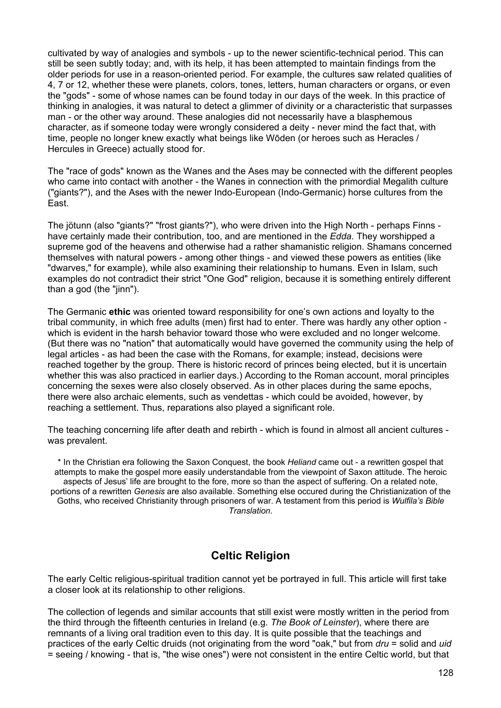<span id="page-127-0"></span>cultivated by way of analogies and symbols - up to the newer scientific-technical period. This can still be seen subtly today; and, with its help, it has been attempted to maintain findings from the older periods for use in a reason-oriented period. For example, the cultures saw related qualities of 4, 7 or 12, whether these were planets, colors, tones, letters, human characters or organs, or even the "gods" - some of whose names can be found today in our days of the week. In this practice of thinking in analogies, it was natural to detect a glimmer of divinity or a characteristic that surpasses man - or the other way around. These analogies did not necessarily have a blasphemous character, as if someone today were wrongly considered a deity - never mind the fact that, with time, people no longer knew exactly what beings like Wōden (or heroes such as Heracles / Hercules in Greece) actually stood for.

The "race of gods" known as the Wanes and the Ases may be connected with the different peoples who came into contact with another - the Wanes in connection with the primordial Megalith culture ("giants?"), and the Ases with the newer Indo-European (Indo-Germanic) horse cultures from the East.

The jötunn (also "giants?" "frost giants?"), who were driven into the High North - perhaps Finns have certainly made their contribution, too, and are mentioned in the *Edda*. They worshipped a supreme god of the heavens and otherwise had a rather shamanistic religion. Shamans concerned themselves with natural powers - among other things - and viewed these powers as entities (like "dwarves," for example), while also examining their relationship to humans. Even in Islam, such examples do not contradict their strict "One God" religion, because it is something entirely different than a god (the "jinn").

The Germanic **ethic** was oriented toward responsibility for one's own actions and loyalty to the tribal community, in which free adults (men) first had to enter. There was hardly any other option which is evident in the harsh behavior toward those who were excluded and no longer welcome. (But there was no "nation" that automatically would have governed the community using the help of legal articles - as had been the case with the Romans, for example; instead, decisions were reached together by the group. There is historic record of princes being elected, but it is uncertain whether this was also practiced in earlier days.) According to the Roman account, moral principles concerning the sexes were also closely observed. As in other places during the same epochs, there were also archaic elements, such as vendettas - which could be avoided, however, by reaching a settlement. Thus, reparations also played a significant role.

The teaching concerning life after death and rebirth - which is found in almost all ancient cultures was prevalent.

\* In the Christian era following the Saxon Conquest, the book *Heliand* came out - a rewritten gospel that attempts to make the gospel more easily understandable from the viewpoint of Saxon attitude. The heroic aspects of Jesus' life are brought to the fore, more so than the aspect of suffering. On a related note, portions of a rewritten *Genesis* are also available. Something else occured during the Christianization of the Goths, who received Christianity through prisoners of war. A testament from this period is *Wulfila's Bible Translation*.

# **Celtic Religion**

The early Celtic religious-spiritual tradition cannot yet be portrayed in full. This article will first take a closer look at its relationship to other religions.

The collection of legends and similar accounts that still exist were mostly written in the period from the third through the fifteenth centuries in Ireland (e.g. *The Book of Leinster*), where there are remnants of a living oral tradition even to this day. It is quite possible that the teachings and practices of the early Celtic druids (not originating from the word "oak," but from *dru* = solid and *uid*  = seeing / knowing - that is, "the wise ones") were not consistent in the entire Celtic world, but that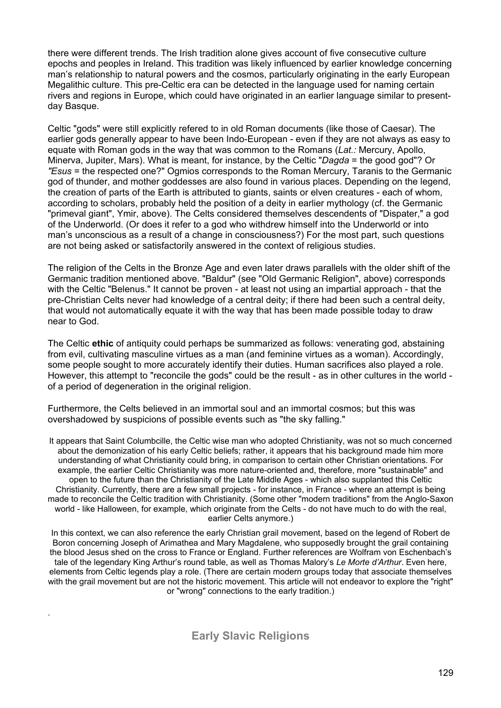<span id="page-128-0"></span>there were different trends. The Irish tradition alone gives account of five consecutive culture epochs and peoples in Ireland. This tradition was likely influenced by earlier knowledge concerning man's relationship to natural powers and the cosmos, particularly originating in the early European Megalithic culture. This pre-Celtic era can be detected in the language used for naming certain rivers and regions in Europe, which could have originated in an earlier language similar to presentday Basque.

Celtic "gods" were still explicitly refered to in old Roman documents (like those of Caesar). The earlier gods generally appear to have been Indo-European - even if they are not always as easy to equate with Roman gods in the way that was common to the Romans (*Lat.:* Mercury, Apollo, Minerva, Jupiter, Mars). What is meant, for instance, by the Celtic "*Dagda* = the good god"? Or *"Esus* = the respected one?" Ogmios corresponds to the Roman Mercury, Taranis to the Germanic god of thunder, and mother goddesses are also found in various places. Depending on the legend, the creation of parts of the Earth is attributed to giants, saints or elven creatures - each of whom, according to scholars, probably held the position of a deity in earlier mythology (cf. the Germanic "primeval giant", Ymir, above). The Celts considered themselves descendents of "Dispater," a god of the Underworld. (Or does it refer to a god who withdrew himself into the Underworld or into man's unconscious as a result of a change in consciousness?) For the most part, such questions are not being asked or satisfactorily answered in the context of religious studies.

The religion of the Celts in the Bronze Age and even later draws parallels with the older shift of the Germanic tradition mentioned above. "Baldur" (see "Old Germanic Religion", above) corresponds with the Celtic "Belenus." It cannot be proven - at least not using an impartial approach - that the pre-Christian Celts never had knowledge of a central deity; if there had been such a central deity, that would not automatically equate it with the way that has been made possible today to draw near to God.

The Celtic **ethic** of antiquity could perhaps be summarized as follows: venerating god, abstaining from evil, cultivating masculine virtues as a man (and feminine virtues as a woman). Accordingly, some people sought to more accurately identify their duties. Human sacrifices also played a role. However, this attempt to "reconcile the gods" could be the result - as in other cultures in the world of a period of degeneration in the original religion.

Furthermore, the Celts believed in an immortal soul and an immortal cosmos; but this was overshadowed by suspicions of possible events such as "the sky falling."

It appears that Saint Columbcille, the Celtic wise man who adopted Christianity, was not so much concerned about the demonization of his early Celtic beliefs; rather, it appears that his background made him more understanding of what Christianity could bring, in comparison to certain other Christian orientations. For example, the earlier Celtic Christianity was more nature-oriented and, therefore, more "sustainable" and open to the future than the Christianity of the Late Middle Ages - which also supplanted this Celtic Christianity. Currently, there are a few small projects - for instance, in France - where an attempt is being made to reconcile the Celtic tradition with Christianity. (Some other "modern traditions" from the Anglo-Saxon world - like Halloween, for example, which originate from the Celts - do not have much to do with the real, earlier Celts anymore.)

In this context, we can also reference the early Christian grail movement, based on the legend of Robert de Boron concerning Joseph of Arimathea and Mary Magdalene, who supposedly brought the grail containing the blood Jesus shed on the cross to France or England. Further references are Wolfram von Eschenbach's tale of the legendary King Arthur's round table, as well as Thomas Malory's *Le Morte d'Arthur*. Even here, elements from Celtic legends play a role. (There are certain modern groups today that associate themselves with the grail movement but are not the historic movement. This article will not endeavor to explore the "right" or "wrong" connections to the early tradition.)

**Early Slavic Religions** 

.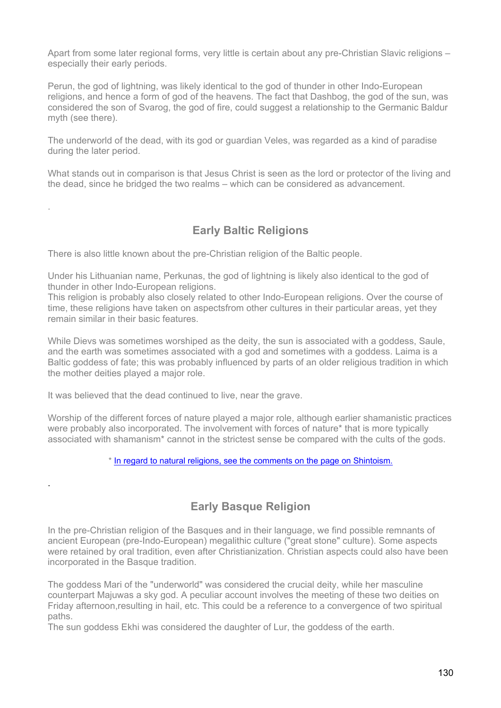<span id="page-129-0"></span>Apart from some later regional forms, very little is certain about any pre-Christian Slavic religions – especially their early periods.

Perun, the god of lightning, was likely identical to the god of thunder in other Indo-European religions, and hence a form of god of the heavens. The fact that Dashbog, the god of the sun, was considered the son of Svarog, the god of fire, could suggest a relationship to the Germanic Baldur myth (see there).

The underworld of the dead, with its god or guardian Veles, was regarded as a kind of paradise during the later period.

What stands out in comparison is that Jesus Christ is seen as the lord or protector of the living and the dead, since he bridged the two realms – which can be considered as advancement.

# **Early Baltic Religions**

There is also little known about the pre-Christian religion of the Baltic people.

Under his Lithuanian name, Perkunas, the god of lightning is likely also identical to the god of thunder in other Indo-European religions.

This religion is probably also closely related to other Indo-European religions. Over the course of time, these religions have taken on aspectsfrom other cultures in their particular areas, yet they remain similar in their basic features.

While Dievs was sometimes worshiped as the deity, the sun is associated with a goddess, Saule, and the earth was sometimes associated with a god and sometimes with a goddess. Laima is a Baltic goddess of fate; this was probably influenced by parts of an older religious tradition in which the mother deities played a major role.

It was believed that the dead continued to live, near the grave.

.

.

Worship of the different forces of nature played a major role, although earlier shamanistic practices were probably also incorporated. The involvement with forces of nature\* that is more typically associated with shamanism\* cannot in the strictest sense be compared with the cults of the gods.

\* In regard to natural religions, see the comments on the page on Shintoism.

# **Early Basque Religion**

In the pre-Christian religion of the Basques and in their language, we find possible remnants of ancient European (pre-Indo-European) megalithic culture ("great stone" culture). Some aspects were retained by oral tradition, even after Christianization. Christian aspects could also have been incorporated in the Basque tradition.

The goddess Mari of the "underworld" was considered the crucial deity, while her masculine counterpart Majuwas a sky god. A peculiar account involves the meeting of these two deities on Friday afternoon,resulting in hail, etc. This could be a reference to a convergence of two spiritual paths.

The sun goddess Ekhi was considered the daughter of Lur, the goddess of the earth.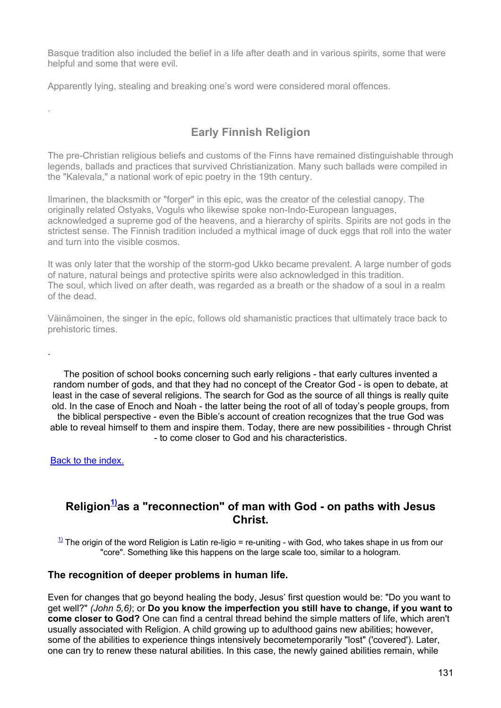<span id="page-130-0"></span>Basque tradition also included the belief in a life after death and in various spirits, some that were helpful and some that were evil.

Apparently lying, stealing and breaking one's word were considered moral offences.

# **Early Finnish Religion**

The pre-Christian religious beliefs and customs of the Finns have remained distinguishable through legends, ballads and practices that survived Christianization. Many such ballads were compiled in the "Kalevala," a national work of epic poetry in the 19th century.

Ilmarinen, the blacksmith or "forger" in this epic, was the creator of the celestial canopy. The originally related Ostyaks, Voguls who likewise spoke non-Indo-European languages, acknowledged a supreme god of the heavens, and a hierarchy of spirits. Spirits are not gods in the strictest sense. The Finnish tradition included a mythical image of duck eggs that roll into the water and turn into the visible cosmos.

It was only later that the worship of the storm-god Ukko became prevalent. A large number of gods of nature, natural beings and protective spirits were also acknowledged in this tradition. The soul, which lived on after death, was regarded as a breath or the shadow of a soul in a realm of the dead.

Väinämoinen, the singer in the epic, follows old shamanistic practices that ultimately trace back to prehistoric times.

The position of school books concerning such early religions - that early cultures invented a random number of gods, and that they had no concept of the Creator God - is open to debate, at least in the case of several religions. The search for God as the source of all things is really quite old. In the case of Enoch and Noah - the latter being the root of all of today's people groups, from the biblical perspective - even the Bible's account of creation recognizes that the true God was able to reveal himself to them and inspire them. Today, there are new possibilities - through Christ - to come closer to God and his characteristics.

[Back to the index.](#page-1-0)

.

.

# **Religio[n1\)](#page-130-0)as a "reconnection" of man with God - on paths with Jesus Christ.**

 $1/2$  The origin of the word Religion is Latin re-ligio = re-uniting - with God, who takes shape in us from our "core". Something like this happens on the large scale too, similar to a hologram.

### **The recognition of deeper problems in human life.**

Even for changes that go beyond healing the body, Jesus' first question would be: "Do you want to get well?" *(John 5,6)*; or **Do you know the imperfection you still have to change, if you want to come closer to God?** One can find a central thread behind the simple matters of life, which aren't usually associated with Religion. A child growing up to adulthood gains new abilities; however, some of the abilities to experience things intensively becometemporarily "lost" ('covered'). Later, one can try to renew these natural abilities. In this case, the newly gained abilities remain, while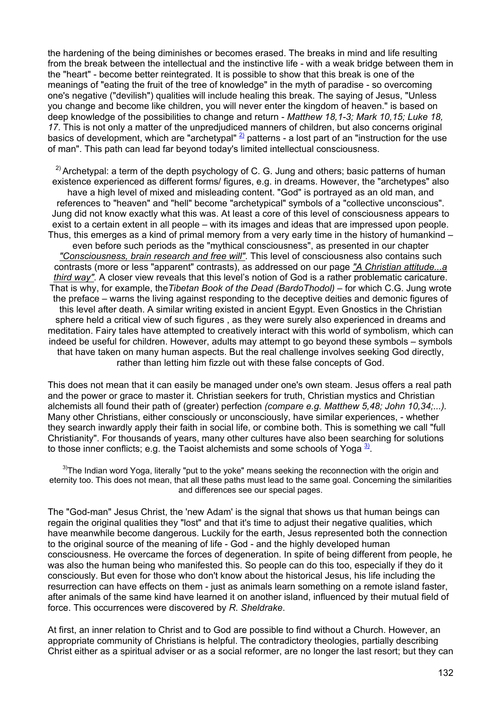<span id="page-131-0"></span>the hardening of the being diminishes or becomes erased. The breaks in mind and life resulting from the break between the intellectual and the instinctive life - with a weak bridge between them in the "heart" - become better reintegrated. It is possible to show that this break is one of the meanings of "eating the fruit of the tree of knowledge" in the myth of paradise - so overcoming one's negative ("devilish") qualities will include healing this break. The saying of Jesus, "Unless you change and become like children, you will never enter the kingdom of heaven." is based on deep knowledge of the possibilities to change and return - *Matthew 18,1-3; Mark 10,15; Luke 18,*  17. This is not only a matter of the unprediudiced manners of children, but also concerns original basics of development, which are "archetypal"  $\frac{2}{2}$  patterns - a lost part of an "instruction for the use of man". This path can lead far beyond today's limited intellectual consciousness.

<sup>2)</sup> Archetypal: a term of the depth psychology of C. G. Jung and others; basic patterns of human existence experienced as different forms/ figures, e.g. in dreams. However, the "archetypes" also have a high level of mixed and misleading content. "God" is portrayed as an old man, and references to "heaven" and "hell" become "archetypical" symbols of a "collective unconscious". Jung did not know exactly what this was. At least a core of this level of consciousness appears to exist to a certain extent in all people – with its images and ideas that are impressed upon people. Thus, this emerges as a kind of primal memory from a very early time in the history of humankind – even before such periods as the "mythical consciousness", as presented in our chapter *"Consciousness, brain research and free will"*. This level of consciousness also contains such contrasts (more or less "apparent" contrasts), as addressed on our page *"A Christian attitude...a third way"*. A closer view reveals that this level's notion of God is a rather problematic caricature. That is why, for example, the*Tibetan Book of the Dead (BardoThodol) –* for which C.G. Jung wrote the preface – warns the living against responding to the deceptive deities and demonic figures of this level after death. A similar writing existed in ancient Egypt. Even Gnostics in the Christian sphere held a critical view of such figures , as they were surely also experienced in dreams and meditation. Fairy tales have attempted to creatively interact with this world of symbolism, which can indeed be useful for children. However, adults may attempt to go beyond these symbols – symbols that have taken on many human aspects. But the real challenge involves seeking God directly, rather than letting him fizzle out with these false concepts of God.

This does not mean that it can easily be managed under one's own steam. Jesus offers a real path and the power or grace to master it. Christian seekers for truth, Christian mystics and Christian alchemists all found their path of (greater) perfection *(compare e.g. Matthew 5,48; John 10,34;...).* Many other Christians, either consciously or unconsciously, have similar experiences, - whether they search inwardly apply their faith in social life, or combine both. This is something we call "full Christianity". For thousands of years, many other cultures have also been searching for solutions to those inner conflicts; e.g. the Taoist alchemists and some schools of Yoga  $\frac{3}{2}$ .

 $3$ The Indian word Yoga, literally "put to the yoke" means seeking the reconnection with the origin and eternity too. This does not mean, that all these paths must lead to the same goal. Concerning the similarities and differences see our special pages.

The "God-man" Jesus Christ, the 'new Adam' is the signal that shows us that human beings can regain the original qualities they "lost" and that it's time to adjust their negative qualities, which have meanwhile become dangerous. Luckily for the earth, Jesus represented both the connection to the original source of the meaning of life - God - and the highly developed human consciousness. He overcame the forces of degeneration. In spite of being different from people, he was also the human being who manifested this. So people can do this too, especially if they do it consciously. But even for those who don't know about the historical Jesus, his life including the resurrection can have effects on them - just as animals learn something on a remote island faster. after animals of the same kind have learned it on another island, influenced by their mutual field of force. This occurrences were discovered by *R. Sheldrake*.

At first, an inner relation to Christ and to God are possible to find without a Church. However, an appropriate community of Christians is helpful. The contradictory theologies, partially describing Christ either as a spiritual adviser or as a social reformer, are no longer the last resort; but they can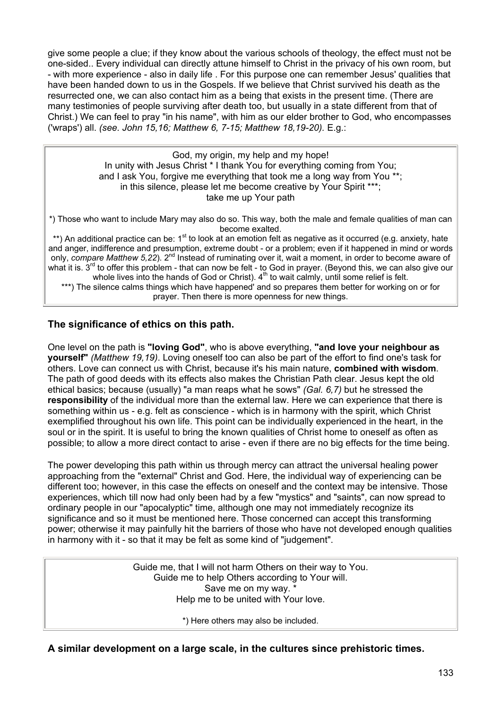give some people a clue; if they know about the various schools of theology, the effect must not be one-sided.. Every individual can directly attune himself to Christ in the privacy of his own room, but - with more experience - also in daily life . For this purpose one can remember Jesus' qualities that have been handed down to us in the Gospels. If we believe that Christ survived his death as the resurrected one, we can also contact him as a being that exists in the present time. (There are many testimonies of people surviving after death too, but usually in a state different from that of Christ.) We can feel to pray "in his name", with him as our elder brother to God, who encompasses ('wraps') all. *(see. John 15,16; Matthew 6, 7-15; Matthew 18,19-20).* E.g.:

> God, my origin, my help and my hope! In unity with Jesus Christ \* I thank You for everything coming from You; and I ask You, forgive me everything that took me a long way from You \*\*; in this silence, please let me become creative by Your Spirit \*\*\*; take me up Your path

\*) Those who want to include Mary may also do so. This way, both the male and female qualities of man can become exalted.

\*\*) An additional practice can be: 1<sup>st</sup> to look at an emotion felt as negative as it occurred (e.g. anxiety, hate and anger, indifference and presumption, extreme doubt - or a problem; even if it happened in mind or words only, *compare Matthew 5,22*). 2<sup>nd</sup> Instead of ruminating over it, wait a moment, in order to become aware of what it is.  $3<sup>rd</sup>$  to offer this problem - that can now be felt - to God in prayer. (Beyond this, we can also give our whole lives into the hands of God or Christ).  $4<sup>th</sup>$  to wait calmly, until some relief is felt.

\*\*\*) The silence calms things which have happened' and so prepares them better for working on or for prayer. Then there is more openness for new things.

## **The significance of ethics on this path.**

One level on the path is **"loving God"**, who is above everything, **"and love your neighbour as yourself"** *(Matthew 19,19)*. Loving oneself too can also be part of the effort to find one's task for others. Love can connect us with Christ, because it's his main nature, **combined with wisdom**. The path of good deeds with its effects also makes the Christian Path clear. Jesus kept the old ethical basics; because (usually) "a man reaps what he sows" *(Gal. 6,7)* but he stressed the **responsibility** of the individual more than the external law. Here we can experience that there is something within us - e.g. felt as conscience - which is in harmony with the spirit, which Christ exemplified throughout his own life. This point can be individually experienced in the heart, in the soul or in the spirit. It is useful to bring the known qualities of Christ home to oneself as often as possible; to allow a more direct contact to arise - even if there are no big effects for the time being.

The power developing this path within us through mercy can attract the universal healing power approaching from the "external" Christ and God. Here, the individual way of experiencing can be different too; however, in this case the effects on oneself and the context may be intensive. Those experiences, which till now had only been had by a few "mystics" and "saints", can now spread to ordinary people in our "apocalyptic" time, although one may not immediately recognize its significance and so it must be mentioned here. Those concerned can accept this transforming power; otherwise it may painfully hit the barriers of those who have not developed enough qualities in harmony with it - so that it may be felt as some kind of "judgement".

> Guide me, that I will not harm Others on their way to You. Guide me to help Others according to Your will. Save me on my way. Help me to be united with Your love.

> > \*) Here others may also be included.

**A similar development on a large scale, in the cultures since prehistoric times.**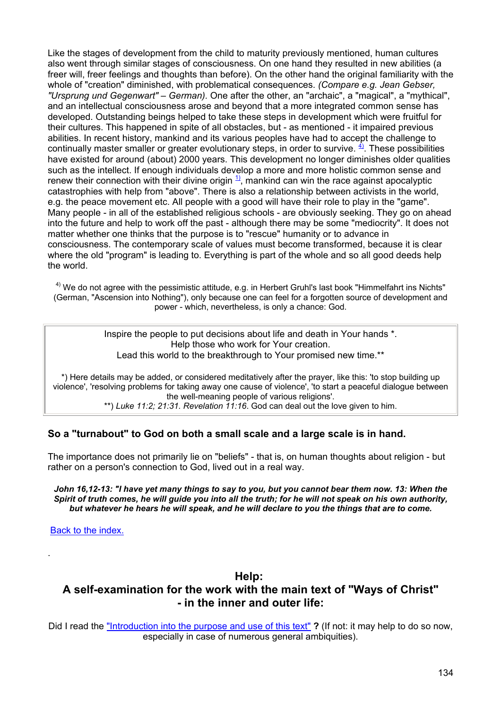<span id="page-133-0"></span>Like the stages of development from the child to maturity previously mentioned, human cultures also went through similar stages of consciousness. On one hand they resulted in new abilities (a freer will, freer feelings and thoughts than before). On the other hand the original familiarity with the whole of "creation" diminished, with problematical consequences. *(Compare e.g. Jean Gebser, "Ursprung und Gegenwart" – German).* One after the other, an "archaic", a "magical", a "mythical", and an intellectual consciousness arose and beyond that a more integrated common sense has developed. Outstanding beings helped to take these steps in development which were fruitful for their cultures. This happened in spite of all obstacles, but - as mentioned - it impaired previous abilities. In recent history, mankind and its various peoples have had to accept the challenge to continually master smaller or greater evolutionary steps, in order to survive.  $\frac{4}{2}$ . These possibilities have existed for around (about) 2000 years. This development no longer diminishes older qualities such as the intellect. If enough individuals develop a more and more holistic common sense and renew their connection with their divine origin  $\frac{1}{1}$ , mankind can win the race against apocalyptic catastrophies with help from "above". There is also a relationship between activists in the world, e.g. the peace movement etc. All people with a good will have their role to play in the "game". Many people - in all of the established religious schools - are obviously seeking. They go on ahead into the future and help to work off the past - although there may be some "mediocrity". It does not matter whether one thinks that the purpose is to "rescue" humanity or to advance in consciousness. The contemporary scale of values must become transformed, because it is clear where the old "program" is leading to. Everything is part of the whole and so all good deeds help the world.

 $4)$  We do not agree with the pessimistic attitude, e.g. in Herbert Gruhl's last book "Himmelfahrt ins Nichts" (German, "Ascension into Nothing"), only because one can feel for a forgotten source of development and power - which, nevertheless, is only a chance: God.

> Inspire the people to put decisions about life and death in Your hands \*. Help those who work for Your creation. Lead this world to the breakthrough to Your promised new time.<sup>\*\*</sup>

\*) Here details may be added, or considered meditatively after the prayer, like this: 'to stop building up violence', 'resolving problems for taking away one cause of violence', 'to start a peaceful dialogue between the well-meaning people of various religions'.

\*\*) *Luke 11:2; 21:31. Revelation 11:16*. God can deal out the love given to him.

### **So a "turnabout" to God on both a small scale and a large scale is in hand.**

The importance does not primarily lie on "beliefs" - that is, on human thoughts about religion - but rather on a person's connection to God, lived out in a real way.

*John 16,12-13: "I have yet many things to say to you, but you cannot bear them now. 13: When the Spirit of truth comes, he will guide you into all the truth; for he will not speak on his own authority, but whatever he hears he will speak, and he will declare to you the things that are to come.*

[Back to the index.](#page-1-0)

.

# **Help: A self-examination for the work with the main text of "Ways of Christ" - in the inner and outer life:**

[Did I read the "Introduction into the purpose and use of this text"](#page-2-0) **?** (If not: it may help to do so now, [especially in case of numerous general ambiquities\).](#page-2-0)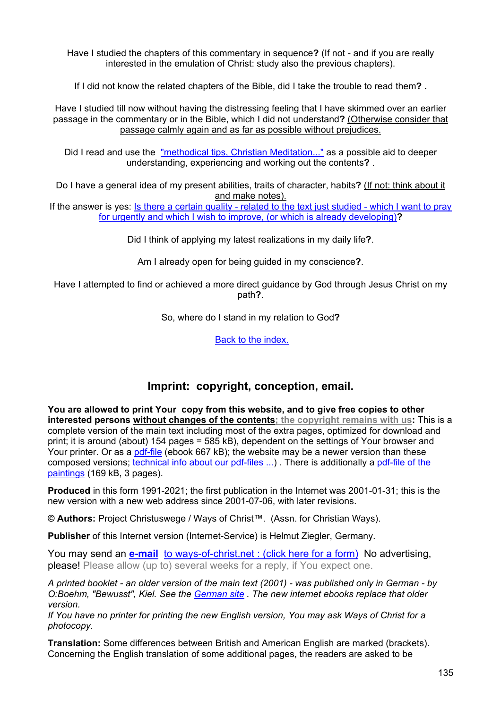Have I studied the chapters of this commentary in sequence**?** (If not - and if you are really interested in the emulation of Christ: study also the previous chapters).

If I did not know the related chapters of the Bible, did I take the trouble to read them**? .**

Have I studied till now without having the distressing feeling that I have skimmed over an earlier passage in the commentary or in the Bible, which I did not understand**?** (Otherwise consider that passage calmly again and as far as possible without prejudices.

Did I read and use the "methodical tips, Christian Meditation..." as a possible aid to deeper [understanding, experiencing and working out the contents](#page-2-0)**?** .

[Do I have a general idea of my present abilities, traits of character, habits](#page-95-0)**?** (If not: think about it [and make notes\).](#page-95-0)

If the answer is yes: Is there a certain quality - related to the text just studied - which I want to pray [for urgently and which I wish to improve, \(or which is already developing\)](#page-95-0)**?**

Did I think of applying my latest realizations in my daily life**?**.

Am I already open for being guided in my conscience**?**.

Have I attempted to find or achieved a more direct guidance by God through Jesus Christ on my path**?**.

So, where do I stand in my relation to God**?**

[Back to the index.](#page-1-0)

# **Imprint: copyright, conception, email.**

**You are allowed to print Your copy from this website, and to give free copies to other interested persons without changes of the contents; the copyright remains with us:** This is a complete version of the main text including most of the extra pages, optimized for download and print; it is around (about) 154 pages = 585 kB), dependent on the settings of Your browser and Your printer. Or as a [pdf-file](http://www.ways-of-christ.net/print/en.pdf) (ebook 667 kB); the website may be a newer version than these composed versions; [technical info about our pdf-files ...](http://www.ways-of-christ.com/print/)). There is additionally a pdf-file of the [paintings](http://www.ways-of-christ.com/print/en_images.pdf) (169 kB, 3 pages).

**Produced** in this form 1991-2021; the first publication in the Internet was 2001-01-31; this is the new version with a new web address since 2001-07-06, with later revisions.

**© Authors:** Project Christuswege / Ways of Christ™. (Assn. for Christian Ways).

**Publisher** of this Internet version (Internet-Service) is Helmut Ziegler, Germany.

You may send an **e-mail** [to ways-of-christ.net : \(click here for a form\)](http://www.ways-of-christ.net/form/form.htm) No advertising, please! Please allow (up to) several weeks for a reply, if You expect one.

*A printed booklet - an older version of the main text (2001) - was published only in German - by O:Boehm, "Bewusst", Kiel. See the [German site](http://www.christuswege.net/) . The new internet ebooks replace that older version.* 

*If You have no printer for printing the new English version, You may ask Ways of Christ for a photocopy.*

**Translation:** Some differences between British and American English are marked (brackets). Concerning the English translation of some additional pages, the readers are asked to be